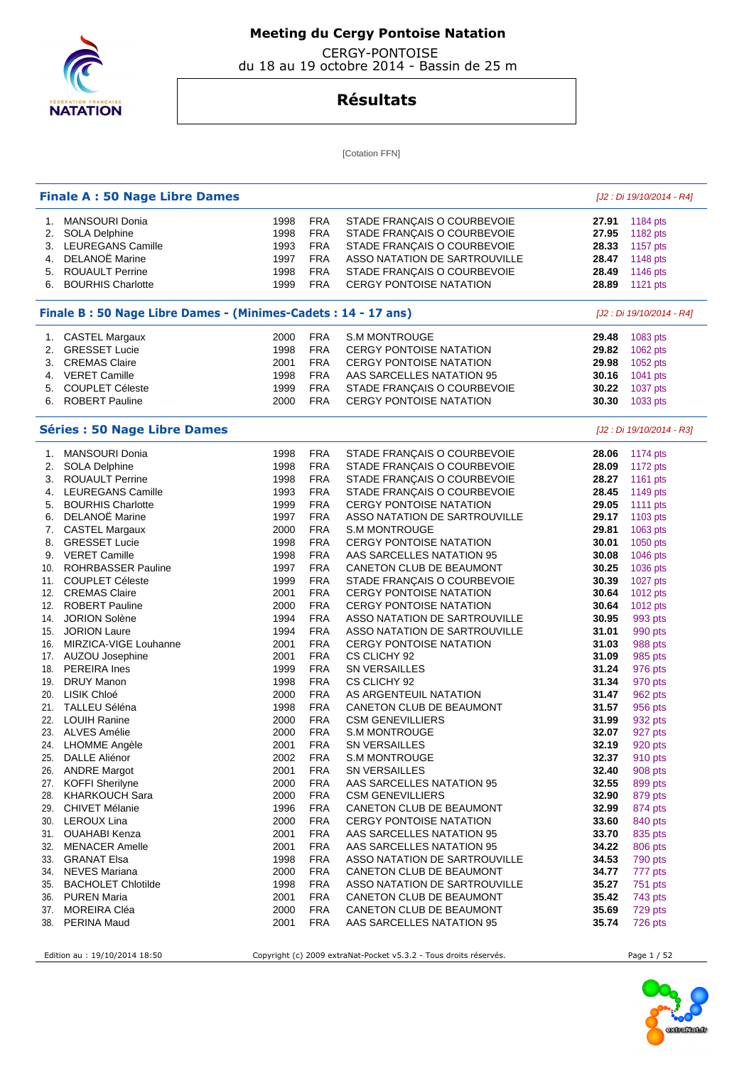

 CERGY-PONTOISE du 18 au 19 octobre 2014 - Bassin de 25 m

## **Résultats**

[Cotation FFN]

|     | <b>Finale A: 50 Nage Libre Dames</b>                          |      |            |                                |       | [J2 : Di 19/10/2014 - R4] |
|-----|---------------------------------------------------------------|------|------------|--------------------------------|-------|---------------------------|
|     | 1. MANSOURI Donia                                             | 1998 | <b>FRA</b> | STADE FRANÇAIS O COURBEVOIE    | 27.91 | 1184 pts                  |
|     | 2. SOLA Delphine                                              | 1998 | <b>FRA</b> | STADE FRANÇAIS O COURBEVOIE    | 27.95 | 1182 pts                  |
|     | 3. LEUREGANS Camille                                          | 1993 | <b>FRA</b> | STADE FRANÇAIS O COURBEVOIE    | 28.33 | 1157 pts                  |
|     | 4. DELANOË Marine                                             | 1997 | <b>FRA</b> | ASSO NATATION DE SARTROUVILLE  | 28.47 | 1148 pts                  |
| 5.  | <b>ROUAULT Perrine</b>                                        | 1998 | <b>FRA</b> | STADE FRANÇAIS O COURBEVOIE    | 28.49 | 1146 pts                  |
| 6.  | <b>BOURHIS Charlotte</b>                                      | 1999 | <b>FRA</b> | <b>CERGY PONTOISE NATATION</b> | 28.89 | 1121 pts                  |
|     | Finale B: 50 Nage Libre Dames - (Minimes-Cadets: 14 - 17 ans) |      |            |                                |       | [J2 : Di 19/10/2014 - R4] |
|     |                                                               |      |            |                                |       |                           |
|     | 1. CASTEL Margaux                                             | 2000 | <b>FRA</b> | <b>S.M MONTROUGE</b>           | 29.48 | 1083 pts                  |
|     | 2. GRESSET Lucie                                              | 1998 | <b>FRA</b> | <b>CERGY PONTOISE NATATION</b> | 29.82 | 1062 pts                  |
|     | 3. CREMAS Claire                                              | 2001 | <b>FRA</b> | <b>CERGY PONTOISE NATATION</b> | 29.98 | 1052 pts                  |
|     | 4. VERET Camille                                              | 1998 | <b>FRA</b> | AAS SARCELLES NATATION 95      | 30.16 | 1041 pts                  |
|     | 5. COUPLET Céleste                                            | 1999 | <b>FRA</b> | STADE FRANÇAIS O COURBEVOIE    | 30.22 | 1037 pts                  |
|     | 6. ROBERT Pauline                                             | 2000 | <b>FRA</b> | CERGY PONTOISE NATATION        | 30.30 | 1033 pts                  |
|     | <b>Séries : 50 Nage Libre Dames</b>                           |      |            |                                |       | [J2 : Di 19/10/2014 - R3] |
|     | 1. MANSOURI Donia                                             | 1998 | <b>FRA</b> | STADE FRANÇAIS O COURBEVOIE    | 28.06 | 1174 pts                  |
| 2.  | <b>SOLA Delphine</b>                                          | 1998 | <b>FRA</b> | STADE FRANÇAIS O COURBEVOIE    | 28.09 | 1172 pts                  |
| 3.  | <b>ROUAULT Perrine</b>                                        | 1998 | <b>FRA</b> | STADE FRANÇAIS O COURBEVOIE    | 28.27 | 1161 pts                  |
|     | 4. LEUREGANS Camille                                          | 1993 | <b>FRA</b> | STADE FRANÇAIS O COURBEVOIE    | 28.45 | 1149 pts                  |
|     | 5. BOURHIS Charlotte                                          | 1999 | <b>FRA</b> | <b>CERGY PONTOISE NATATION</b> | 29.05 | 1111 pts                  |
|     | 6. DELANOË Marine                                             | 1997 | <b>FRA</b> | ASSO NATATION DE SARTROUVILLE  | 29.17 | 1103 pts                  |
|     | 7. CASTEL Margaux                                             | 2000 | <b>FRA</b> | <b>S.M MONTROUGE</b>           | 29.81 | 1063 pts                  |
| 8.  | <b>GRESSET Lucie</b>                                          | 1998 | <b>FRA</b> | <b>CERGY PONTOISE NATATION</b> | 30.01 | 1050 pts                  |
|     | 9. VERET Camille                                              | 1998 | <b>FRA</b> | AAS SARCELLES NATATION 95      | 30.08 | 1046 pts                  |
| 10. | <b>ROHRBASSER Pauline</b>                                     | 1997 | <b>FRA</b> | CANETON CLUB DE BEAUMONT       | 30.25 | 1036 pts                  |
|     | 11. COUPLET Céleste                                           | 1999 | <b>FRA</b> | STADE FRANÇAIS O COURBEVOIE    | 30.39 | 1027 pts                  |
|     | 12. CREMAS Claire                                             | 2001 | <b>FRA</b> | CERGY PONTOISE NATATION        | 30.64 | 1012 pts                  |
|     | 12. ROBERT Pauline                                            | 2000 | <b>FRA</b> | <b>CERGY PONTOISE NATATION</b> | 30.64 | 1012 pts                  |
|     | 14. JORION Solène                                             | 1994 | <b>FRA</b> | ASSO NATATION DE SARTROUVILLE  | 30.95 | 993 pts                   |
|     | 15. JORION Laure                                              | 1994 | <b>FRA</b> | ASSO NATATION DE SARTROUVILLE  | 31.01 | 990 pts                   |
|     | 16. MIRZICA-VIGE Louhanne                                     | 2001 | <b>FRA</b> | <b>CERGY PONTOISE NATATION</b> | 31.03 | 988 pts                   |
|     | 17. AUZOU Josephine                                           | 2001 | <b>FRA</b> | CS CLICHY 92                   | 31.09 | 985 pts                   |
|     | 18. PEREIRA Ines                                              | 1999 | <b>FRA</b> | <b>SN VERSAILLES</b>           | 31.24 | 976 pts                   |
|     | 19. DRUY Manon                                                | 1998 | <b>FRA</b> | CS CLICHY 92                   | 31.34 | 970 pts                   |
|     | 20. LISIK Chloé                                               | 2000 | <b>FRA</b> | AS ARGENTEUIL NATATION         | 31.47 |                           |
|     |                                                               |      |            |                                |       | 962 pts                   |
|     | 21. TALLEU Séléna                                             | 1998 | <b>FRA</b> | CANETON CLUB DE BEAUMONT       | 31.57 | 956 pts                   |
|     | 22. LOUIH Ranine                                              | 2000 | <b>FRA</b> | <b>CSM GENEVILLIERS</b>        | 31.99 | 932 pts                   |
|     | 23. ALVES Amélie                                              | 2000 | <b>FRA</b> | <b>S.M MONTROUGE</b>           | 32.07 | 927 pts                   |
|     | 24. LHOMME Angèle                                             | 2001 | <b>FRA</b> | SN VERSAILLES                  | 32.19 | 920 pts                   |
|     | 25. DALLE Aliénor                                             | 2002 | FRA        | <b>S.M MONTROUGE</b>           | 32.37 | 910 pts                   |
|     | 26. ANDRE Margot                                              | 2001 | <b>FRA</b> | SN VERSAILLES                  | 32.40 | 908 pts                   |
|     | 27. KOFFI Sherilyne                                           | 2000 | <b>FRA</b> | AAS SARCELLES NATATION 95      | 32.55 | 899 pts                   |
|     | 28. KHARKOUCH Sara                                            | 2000 | <b>FRA</b> | <b>CSM GENEVILLIERS</b>        | 32.90 | 879 pts                   |
|     | 29. CHIVET Mélanie                                            | 1996 | <b>FRA</b> | CANETON CLUB DE BEAUMONT       | 32.99 | 874 pts                   |
|     | 30. LEROUX Lina                                               | 2000 | <b>FRA</b> | <b>CERGY PONTOISE NATATION</b> | 33.60 | 840 pts                   |
|     | 31. OUAHABI Kenza                                             | 2001 | <b>FRA</b> | AAS SARCELLES NATATION 95      | 33.70 | 835 pts                   |
|     | 32. MENACER Amelle                                            | 2001 | <b>FRA</b> | AAS SARCELLES NATATION 95      | 34.22 | 806 pts                   |
|     | 33. GRANAT Elsa                                               | 1998 | <b>FRA</b> | ASSO NATATION DE SARTROUVILLE  | 34.53 | 790 pts                   |
|     | 34. NEVES Mariana                                             | 2000 | <b>FRA</b> | CANETON CLUB DE BEAUMONT       | 34.77 | 777 pts                   |
|     | 35. BACHOLET Chlotilde                                        | 1998 | <b>FRA</b> | ASSO NATATION DE SARTROUVILLE  | 35.27 | 751 pts                   |
|     | 36. PUREN Maria                                               | 2001 | <b>FRA</b> | CANETON CLUB DE BEAUMONT       | 35.42 | 743 pts                   |
|     | 37. MOREIRA Cléa                                              | 2000 | <b>FRA</b> | CANETON CLUB DE BEAUMONT       | 35.69 | 729 pts                   |
|     | 38. PERINA Maud                                               | 2001 | <b>FRA</b> | AAS SARCELLES NATATION 95      | 35.74 | 726 pts                   |
|     |                                                               |      |            |                                |       |                           |

Edition au : 19/10/2014 18:50 Copyright (c) 2009 extraNat-Pocket v5.3.2 - Tous droits réservés. Page 1 / 52

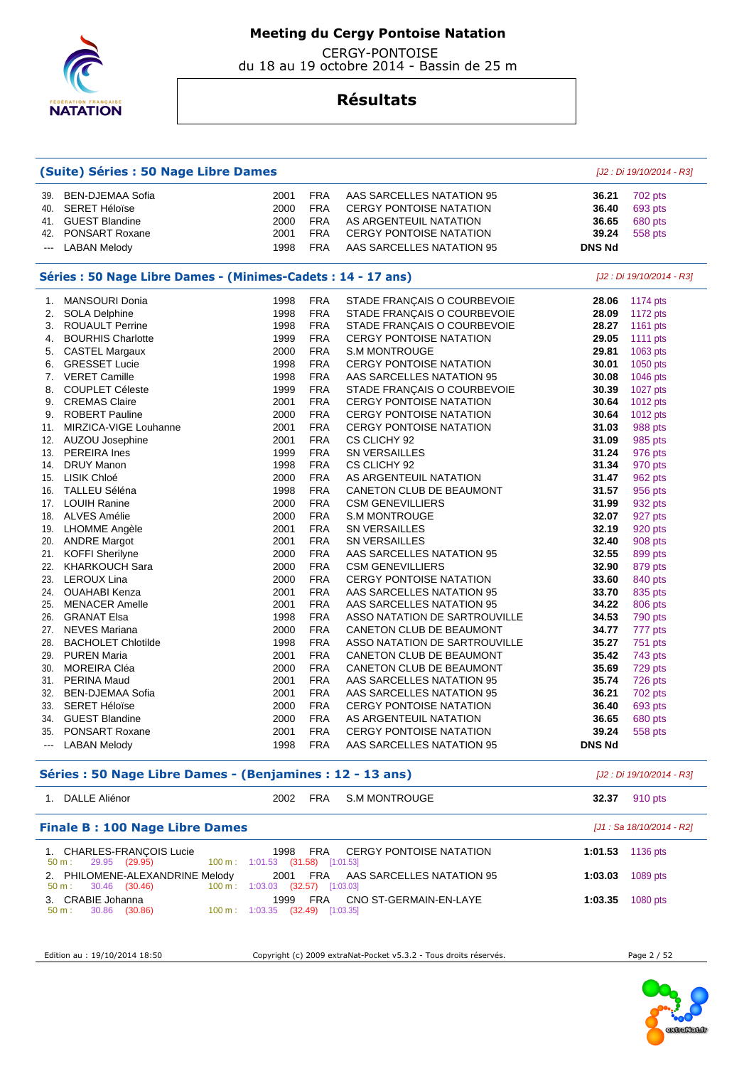

 CERGY-PONTOISE du 18 au 19 octobre 2014 - Bassin de 25 m

## **Résultats**

| (Suite) Séries : 50 Nage Libre Dames |                                                               |      |            |                                | [J2 : Di 19/10/2014 - R3] |                           |
|--------------------------------------|---------------------------------------------------------------|------|------------|--------------------------------|---------------------------|---------------------------|
| 39.                                  | <b>BEN-DJEMAA Sofia</b>                                       | 2001 | <b>FRA</b> | AAS SARCELLES NATATION 95      | 36.21                     | 702 pts                   |
| 40.                                  | <b>SERET Héloïse</b>                                          | 2000 | <b>FRA</b> | <b>CERGY PONTOISE NATATION</b> | 36.40                     | 693 pts                   |
| 41.                                  | <b>GUEST Blandine</b>                                         | 2000 | <b>FRA</b> | AS ARGENTEUIL NATATION         | 36.65                     | 680 pts                   |
|                                      | 42. PONSART Roxane                                            | 2001 | <b>FRA</b> | CERGY PONTOISE NATATION        | 39.24                     | 558 pts                   |
| $\sim$                               | <b>LABAN Melody</b>                                           | 1998 | <b>FRA</b> | AAS SARCELLES NATATION 95      | <b>DNS Nd</b>             |                           |
|                                      | Séries : 50 Nage Libre Dames - (Minimes-Cadets : 14 - 17 ans) |      |            |                                |                           | [J2 : Di 19/10/2014 - R3] |
| 1.                                   | <b>MANSOURI Donia</b>                                         | 1998 | <b>FRA</b> | STADE FRANÇAIS O COURBEVOIE    | 28.06                     | 1174 pts                  |
| 2.                                   | <b>SOLA Delphine</b>                                          | 1998 | <b>FRA</b> | STADE FRANÇAIS O COURBEVOIE    | 28.09                     | 1172 pts                  |
| 3.                                   | <b>ROUAULT Perrine</b>                                        | 1998 | <b>FRA</b> | STADE FRANCAIS O COURBEVOIE    | 28.27                     | 1161 pts                  |
| 4.                                   | <b>BOURHIS Charlotte</b>                                      | 1999 | <b>FRA</b> | <b>CERGY PONTOISE NATATION</b> | 29.05                     | 1111 pts                  |
| 5.                                   | <b>CASTEL Margaux</b>                                         | 2000 | <b>FRA</b> | <b>S.M MONTROUGE</b>           | 29.81                     | 1063 pts                  |
| 6.                                   | <b>GRESSET Lucie</b>                                          | 1998 | <b>FRA</b> | <b>CERGY PONTOISE NATATION</b> | 30.01                     | 1050 pts                  |
| 7.                                   | <b>VERET Camille</b>                                          | 1998 | <b>FRA</b> | AAS SARCELLES NATATION 95      | 30.08                     | 1046 pts                  |
| 8.                                   | <b>COUPLET Céleste</b>                                        | 1999 | <b>FRA</b> | STADE FRANÇAIS O COURBEVOIE    | 30.39                     | 1027 pts                  |
| 9.                                   | <b>CREMAS Claire</b>                                          | 2001 | <b>FRA</b> | <b>CERGY PONTOISE NATATION</b> | 30.64                     | 1012 pts                  |
| 9.                                   | <b>ROBERT Pauline</b>                                         | 2000 | <b>FRA</b> | <b>CERGY PONTOISE NATATION</b> | 30.64                     | 1012 pts                  |
| 11.                                  | MIRZICA-VIGE Louhanne                                         | 2001 | <b>FRA</b> | <b>CERGY PONTOISE NATATION</b> | 31.03                     | 988 pts                   |
| 12.                                  | AUZOU Josephine                                               | 2001 | <b>FRA</b> | CS CLICHY 92                   | 31.09                     | 985 pts                   |
| 13.                                  | <b>PEREIRA</b> Ines                                           | 1999 | <b>FRA</b> | <b>SN VERSAILLES</b>           | 31.24                     | 976 pts                   |
| 14.                                  | <b>DRUY Manon</b>                                             | 1998 | <b>FRA</b> | CS CLICHY 92                   | 31.34                     | 970 pts                   |
| 15.                                  | LISIK Chloé                                                   | 2000 | <b>FRA</b> | AS ARGENTEUIL NATATION         | 31.47                     | 962 pts                   |
| 16.                                  | TALLEU Séléna                                                 | 1998 | <b>FRA</b> | CANETON CLUB DE BEAUMONT       | 31.57                     | 956 pts                   |
| 17.                                  | <b>LOUIH Ranine</b>                                           | 2000 | <b>FRA</b> | <b>CSM GENEVILLIERS</b>        | 31.99                     | 932 pts                   |
| 18.                                  | ALVES Amélie                                                  | 2000 | <b>FRA</b> | <b>S.M MONTROUGE</b>           | 32.07                     | 927 pts                   |
| 19.                                  | LHOMME Angèle                                                 | 2001 | <b>FRA</b> | <b>SN VERSAILLES</b>           | 32.19                     | 920 pts                   |
| 20.                                  | <b>ANDRE Margot</b>                                           | 2001 | <b>FRA</b> | <b>SN VERSAILLES</b>           | 32.40                     | 908 pts                   |
| 21.                                  | <b>KOFFI Sherilyne</b>                                        | 2000 | <b>FRA</b> | AAS SARCELLES NATATION 95      | 32.55                     | 899 pts                   |
| 22.                                  | <b>KHARKOUCH Sara</b>                                         | 2000 | <b>FRA</b> | <b>CSM GENEVILLIERS</b>        | 32.90                     | 879 pts                   |
| 23.                                  | <b>LEROUX Lina</b>                                            | 2000 | <b>FRA</b> | <b>CERGY PONTOISE NATATION</b> | 33.60                     | 840 pts                   |
| 24.                                  | OUAHABI Kenza                                                 | 2001 | <b>FRA</b> | AAS SARCELLES NATATION 95      | 33.70                     | 835 pts                   |
| 25.                                  | <b>MENACER Amelle</b>                                         | 2001 | <b>FRA</b> | AAS SARCELLES NATATION 95      | 34.22                     | 806 pts                   |
| 26.                                  | <b>GRANAT Elsa</b>                                            | 1998 | <b>FRA</b> | ASSO NATATION DE SARTROUVILLE  | 34.53                     | 790 pts                   |
| 27.                                  | <b>NEVES Mariana</b>                                          | 2000 | <b>FRA</b> | CANETON CLUB DE BEAUMONT       | 34.77                     | 777 pts                   |
| 28.                                  | <b>BACHOLET Chlotilde</b>                                     | 1998 | <b>FRA</b> | ASSO NATATION DE SARTROUVILLE  | 35.27                     | 751 pts                   |
| 29.                                  | <b>PUREN Maria</b>                                            | 2001 | <b>FRA</b> | CANETON CLUB DE BEAUMONT       | 35.42                     | 743 pts                   |
| 30.                                  | MOREIRA Cléa                                                  | 2000 | <b>FRA</b> | CANETON CLUB DE BEAUMONT       | 35.69                     | 729 pts                   |
| 31.                                  | <b>PERINA Maud</b>                                            | 2001 | <b>FRA</b> | AAS SARCELLES NATATION 95      | 35.74                     | 726 pts                   |
| 32.                                  | BEN-DJEMAA Sofia                                              | 2001 | <b>FRA</b> | AAS SARCELLES NATATION 95      | 36.21                     | 702 pts                   |
| 33.                                  | <b>SERET Héloïse</b>                                          | 2000 | <b>FRA</b> | <b>CERGY PONTOISE NATATION</b> | 36.40                     | 693 pts                   |
| 34.                                  | <b>GUEST Blandine</b>                                         | 2000 | <b>FRA</b> | AS ARGENTEUIL NATATION         | 36.65                     | 680 pts                   |
| 35.                                  | <b>PONSART Roxane</b>                                         | 2001 | <b>FRA</b> | <b>CERGY PONTOISE NATATION</b> | 39.24                     | 558 pts                   |
|                                      |                                                               | 1998 | <b>FRA</b> | AAS SARCELLES NATATION 95      | <b>DNS Nd</b>             |                           |
| $\sim$                               | <b>LABAN Melody</b>                                           |      |            |                                |                           |                           |

## **Séries : 50 Nage Libre Dames - (Benjamines : 12 - 13 ans)** [J2 : Di 19/10/2014 - R3]

| $10 \cdot \text{Di } 40/40/2014$ D21 |  |
|--------------------------------------|--|

| DALLE Aliénor                                                                       | S.M MONTROUGE<br><b>FRA</b><br>2002                                                      | 910 pts<br>32.37          |
|-------------------------------------------------------------------------------------|------------------------------------------------------------------------------------------|---------------------------|
| <b>Finale B: 100 Nage Libre Dames</b>                                               |                                                                                          | [J1 : Sa 18/10/2014 - R2] |
| 1. CHARLES-FRANÇOIS Lucie<br>50 m : 29.95 (29.95) 100 m : 1:01.53 (31.58) [1:01.53] | FRA CERGY PONTOISE NATATION<br>1998                                                      | 1136 pts<br>1:01.53       |
| 2. PHILOMENE-ALEXANDRINE Melody<br>100 m :<br>$50 \text{ m}: 30.46 (30.46)$         | 2001 FRA AAS SARCELLES NATATION 95<br>$(32.57)$ [1:03.03]<br>1:03.03                     | 1089 pts<br>1:03.03       |
| 3. CRABIE Johanna<br>30.86 (30.86)<br>50 m :                                        | CNO ST-GERMAIN-EN-LAYE<br>1999<br>FRA<br>$(32.49)$ [1:03.35]<br>$100 \text{ m}: 1:03.35$ | 1080 pts<br>1:03.35       |

Edition au : 19/10/2014 18:50 Copyright (c) 2009 extraNat-Pocket v5.3.2 - Tous droits réservés. Page 2 / 52

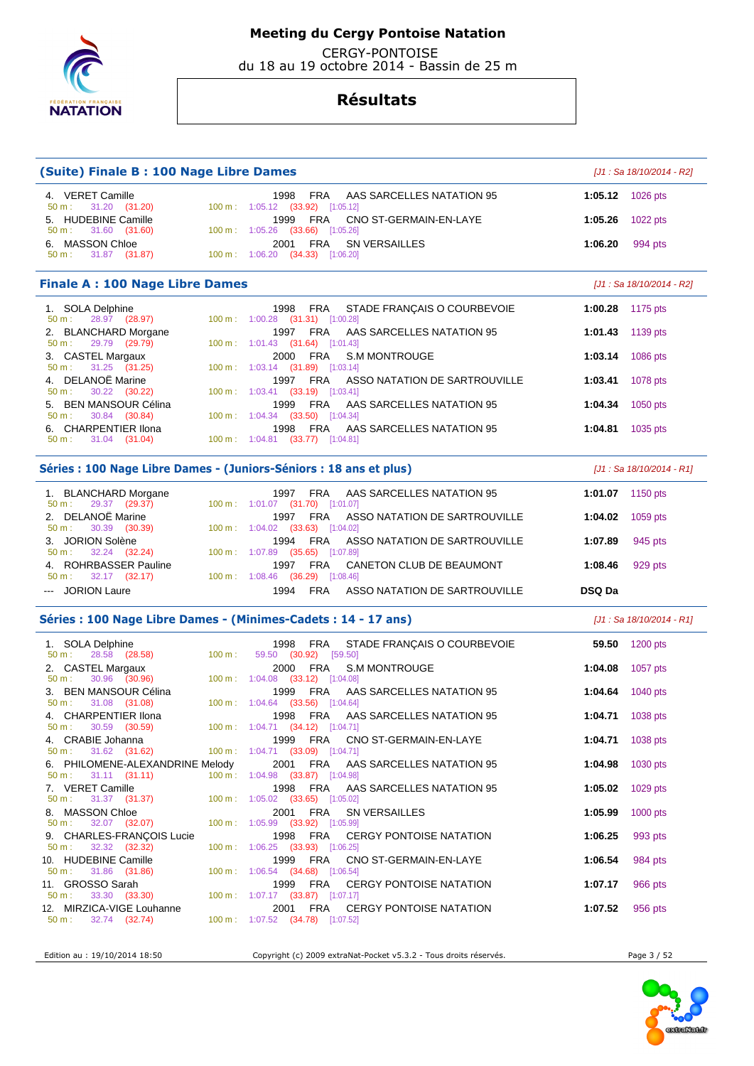

CERGY-PONTOISE

du 18 au 19 octobre 2014 - Bassin de 25 m

## **Résultats**

| (Suite) Finale B: 100 Nage Libre Dames                                    |        |                                                                                                                        |         | [J1 : Sa 18/10/2014 - R2]  |
|---------------------------------------------------------------------------|--------|------------------------------------------------------------------------------------------------------------------------|---------|----------------------------|
| 4. VERET Camille                                                          |        | 1998<br>FRA<br>AAS SARCELLES NATATION 95                                                                               | 1:05.12 | 1026 pts                   |
| 31.20 (31.20)<br>$50 m$ :<br>5. HUDEBINE Camille                          |        | 100 m: 1:05.12 (33.92) [1:05.12]<br>FRA<br>CNO ST-GERMAIN-EN-LAYE<br>1999                                              | 1:05.26 | 1022 pts                   |
| 31.60 (31.60)<br>50 m:<br>6. MASSON Chloe<br>31.87 (31.87)<br>50 m:       |        | 100 m: 1:05.26 (33.66) [1:05.26]<br><b>FRA</b><br>SN VERSAILLES<br>2001<br>100 m: 1:06.20 (34.33) [1:06.20]            | 1:06.20 | 994 pts                    |
|                                                                           |        |                                                                                                                        |         |                            |
| <b>Finale A: 100 Nage Libre Dames</b>                                     |        |                                                                                                                        |         | [J1 : Sa 18/10/2014 - R2]  |
| 1. SOLA Delphine<br>28.97 (28.97)<br>$50 m$ :                             |        | 1998<br>FRA<br>STADE FRANCAIS O COURBEVOIE<br>100 m: 1:00.28 (31.31) [1:00.28]                                         | 1:00.28 | 1175 pts                   |
| 2. BLANCHARD Morgane<br>29.79 (29.79)<br>50 m:                            |        | 1997<br>FRA<br>AAS SARCELLES NATATION 95<br>100 m: 1:01.43 (31.64) [1:01.43]                                           | 1:01.43 | 1139 pts                   |
| 3. CASTEL Margaux<br>31.25 (31.25)<br>50 m:                               |        | FRA<br><b>S.M MONTROUGE</b><br>2000<br>100 m: 1:03.14 (31.89) [1:03.14]                                                | 1:03.14 | 1086 pts                   |
| 4. DELANOË Marine                                                         |        | 1997<br>FRA<br>ASSO NATATION DE SARTROUVILLE                                                                           | 1:03.41 | 1078 pts                   |
| 30.22 (30.22)<br>50 m:<br>5. BEN MANSOUR Célina                           |        | 100 m: 1:03.41 (33.19) [1:03.41]<br>1999<br>FRA<br>AAS SARCELLES NATATION 95                                           | 1:04.34 | 1050 pts                   |
| 30.84 (30.84)<br>50 m:<br>6. CHARPENTIER Ilona                            |        | 100 m: 1:04.34 (33.50) [1:04.34]<br>FRA<br>AAS SARCELLES NATATION 95<br>1998                                           | 1:04.81 | 1035 pts                   |
| 31.04 (31.04)<br>50 m:                                                    |        | 100 m: 1:04.81 (33.77) [1:04.81]                                                                                       |         |                            |
|                                                                           |        | Séries : 100 Nage Libre Dames - (Juniors-Séniors : 18 ans et plus)                                                     |         | $[J1: Sa 18/10/2014 - R1]$ |
| 1. BLANCHARD Morgane<br>29.37 (29.37)<br>$50 m$ :                         |        | FRA<br>AAS SARCELLES NATATION 95<br>1997<br>100 m: 1:01.07 (31.70) [1:01.07]                                           | 1:01.07 | 1150 pts                   |
| 2. DELANOË Marine<br>30.39 (30.39)<br>50 m:                               |        | ASSO NATATION DE SARTROUVILLE<br>1997<br><b>FRA</b><br>100 m: 1:04.02 (33.63) [1:04.02]                                | 1:04.02 | 1059 pts                   |
| 3. JORION Solène                                                          |        | 1994<br><b>FRA</b><br>ASSO NATATION DE SARTROUVILLE                                                                    | 1:07.89 | 945 pts                    |
| 32.24 (32.24)<br>50 m:<br>4. ROHRBASSER Pauline<br>32.17 (32.17)<br>50 m: |        | 100 m: 1:07.89 (35.65) [1:07.89]<br><b>FRA</b><br>CANETON CLUB DE BEAUMONT<br>1997<br>100 m: 1:08.46 (36.29) [1:08.46] | 1:08.46 | 929 pts                    |
| <b>JORION Laure</b>                                                       |        | <b>FRA</b><br>1994<br>ASSO NATATION DE SARTROUVILLE                                                                    | DSQ Da  |                            |
|                                                                           |        | Séries : 100 Nage Libre Dames - (Minimes-Cadets : 14 - 17 ans)                                                         |         | $[J1: Sa 18/10/2014 - R1]$ |
| 1. SOLA Delphine                                                          |        | FRA<br>STADE FRANÇAIS O COURBEVOIE<br>1998                                                                             | 59.50   | 1200 pts                   |
| 28.58 (28.58)<br>$50 m$ :<br>2. CASTEL Margaux                            | 100 m: | 59.50 (30.92)<br>[59.50]<br>FRA<br>S.M MONTROUGE<br>2000                                                               | 1:04.08 | 1057 pts                   |
| 30.96<br>(30.96)<br>$50 m$ :                                              |        | 100 m: 1:04.08 (33.12) [1:04.08]                                                                                       |         |                            |
| <b>BEN MANSOUR Célina</b><br>3.<br>50 m:<br>31.08 (31.08)                 |        | 1999<br>FRA<br>AAS SARCELLES NATATION 95<br>100 m : $1:04.64$ (33.56) [1:04.64]                                        | 1:04.64 | 1040 pts                   |
| 4. CHARPENTIER Ilona<br>$50 \text{ m}: 30.59 (30.59)$                     |        | FRA<br>AAS SARCELLES NATATION 95<br>1998<br>100 m: 1:04.71 (34.12) [1:04.71]                                           | 1:04.71 | 1038 pts                   |
| 4. CRABIE Johanna                                                         |        | 1999 FRA CNO ST-GERMAIN-EN-LAYE                                                                                        | 1:04.71 | 1038 pts                   |
| 50 m:<br>31.62 (31.62)<br>6. PHILOMENE-ALEXANDRINE Melody                 |        | 100 m: 1:04.71 (33.09) [1:04.71]<br>2001<br>FRA<br>AAS SARCELLES NATATION 95                                           | 1:04.98 | 1030 pts                   |
| 50 m:<br>31.11 (31.11)<br>7. VERET Camille                                |        | 100 m: 1:04.98 (33.87) [1:04.98]<br>FRA<br>1998<br>AAS SARCELLES NATATION 95                                           | 1:05.02 | 1029 pts                   |
| 31.37 (31.37)<br>50 m:<br>8. MASSON Chloe                                 |        | 100 m: 1:05.02 (33.65) [1:05.02]<br>FRA<br>2001<br><b>SN VERSAILLES</b>                                                | 1:05.99 | 1000 pts                   |
| $50 m$ :<br>32.07 (32.07)                                                 |        | 100 m : 1:05.99 (33.92) [1:05.99]                                                                                      |         |                            |
| 9. CHARLES-FRANÇOIS Lucie<br>$50 m$ :<br>32.32 (32.32)                    |        | 1998<br>FRA<br><b>CERGY PONTOISE NATATION</b><br>100 m: 1:06.25 (33.93) [1:06.25]                                      | 1:06.25 | 993 pts                    |
| 10. HUDEBINE Camille<br>$50 m$ :<br>31.86 (31.86)                         |        | FRA<br>CNO ST-GERMAIN-EN-LAYE<br>1999<br>100 m: 1:06.54 (34.68) [1:06.54]                                              | 1:06.54 | 984 pts                    |
| 11. GROSSO Sarah<br>33.30 (33.30)<br>$50 m$ :                             |        | <b>CERGY PONTOISE NATATION</b><br>1999<br>FRA<br>100 m: 1:07.17 (33.87) [1:07.17]                                      | 1:07.17 | 966 pts                    |
| 12. MIRZICA-VIGE Louhanne<br>$50 m$ :<br>32.74 (32.74)                    |        | 2001<br>FRA<br><b>CERGY PONTOISE NATATION</b><br>100 m : 1:07.52 (34.78) [1:07.52]                                     | 1:07.52 | 956 pts                    |
|                                                                           |        |                                                                                                                        |         |                            |



Edition au : 19/10/2014 18:50 Copyright (c) 2009 extraNat-Pocket v5.3.2 - Tous droits réservés. Page 3 / 52

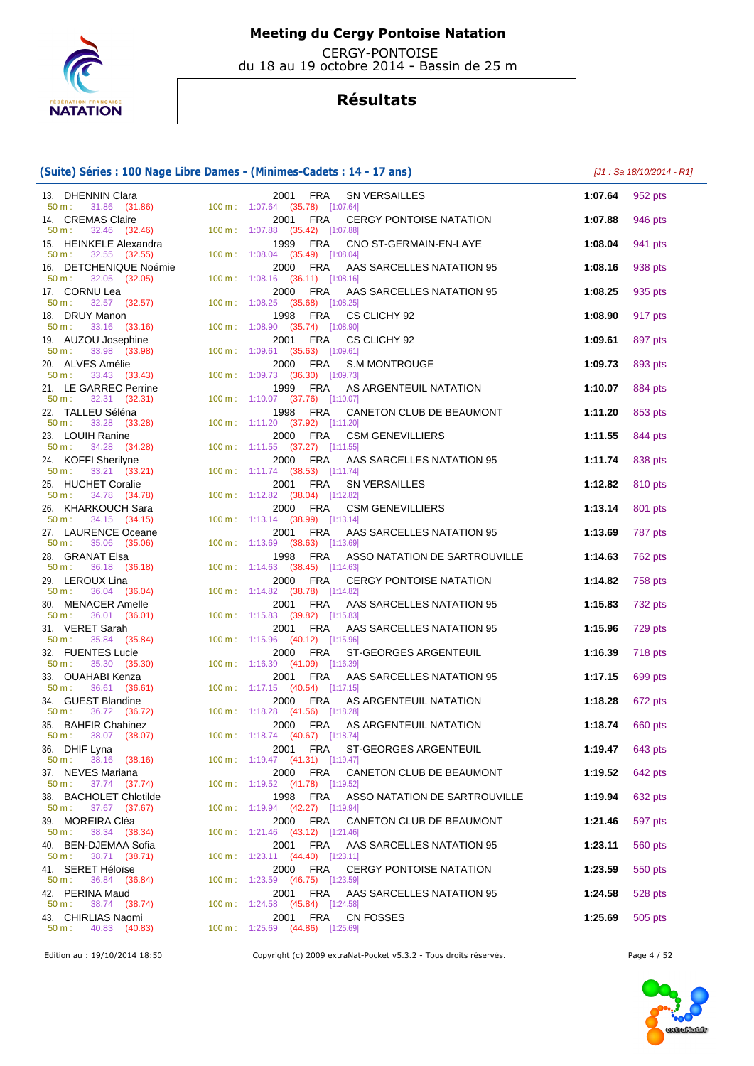

 CERGY-PONTOISE du 18 au 19 octobre 2014 - Bassin de 25 m

| (Suite) Séries : 100 Nage Libre Dames - (Minimes-Cadets : 14 - 17 ans) |  |                                                                                     |                 | [J1 : Sa 18/10/2014 - R1] |  |
|------------------------------------------------------------------------|--|-------------------------------------------------------------------------------------|-----------------|---------------------------|--|
| 13. DHENNIN Clara<br>50 m : 31.86 (31.86)                              |  | 2001 FRA<br>SN VERSAILLES<br>100 m: 1:07.64 (35.78) [1:07.64]                       | 1:07.64         | 952 pts                   |  |
| 14. CREMAS Claire<br>32.46 (32.46)<br>50 m:                            |  | 2001<br>FRA<br><b>CERGY PONTOISE NATATION</b><br>100 m: 1:07.88 (35.42) [1:07.88]   | 1:07.88         | 946 pts                   |  |
| 15. HEINKELE Alexandra<br>32.55 (32.55)<br>50 m:                       |  | 1999 FRA<br>CNO ST-GERMAIN-EN-LAYE<br>100 m: 1:08.04 (35.49) [1:08.04]              | 1:08.04         | 941 pts                   |  |
| 16. DETCHENIQUE Noémie<br>32.05 (32.05)<br>50 m:                       |  | FRA<br>2000<br>AAS SARCELLES NATATION 95<br>100 m: 1:08.16 (36.11) [1:08.16]        | 1:08.16         | 938 pts                   |  |
| 17. CORNU Lea                                                          |  | 2000 FRA<br>AAS SARCELLES NATATION 95                                               | 1:08.25         | 935 pts                   |  |
| 50 m:<br>$32.57$ $(32.57)$<br>18. DRUY Manon                           |  | 100 m: 1:08.25 (35.68) [1:08.25]<br>FRA<br>CS CLICHY 92<br>1998                     | 1:08.90         | 917 pts                   |  |
| 33.16 (33.16)<br>$50 m$ :<br>19. AUZOU Josephine                       |  | 100 m: 1:08.90 (35.74) [1:08.90]<br>2001 FRA<br>CS CLICHY 92                        | 1:09.61         | 897 pts                   |  |
| 33.98 (33.98)<br>$50 m$ :<br>20. ALVES Amélie                          |  | 100 m: 1:09.61 (35.63) [1:09.61]<br>2000<br>FRA<br><b>S.M MONTROUGE</b>             | 1:09.73         | 893 pts                   |  |
| 33.43 (33.43)<br>50 m:<br>21. LE GARREC Perrine                        |  | 100 m: 1:09.73 (36.30) [1:09.73]<br>FRA<br>AS ARGENTEUIL NATATION<br>1999           | 1:10.07         | 884 pts                   |  |
| 32.31 (32.31)<br>50 m:<br>22. TALLEU Séléna                            |  | 100 m: 1:10.07 (37.76) [1:10.07]<br>1998 FRA<br>CANETON CLUB DE BEAUMONT            | 1:11.20         | 853 pts                   |  |
| 50 m:<br>33.28 (33.28)<br>23. LOUIH Ranine                             |  | 100 m: 1:11.20 (37.92) [1:11.20]<br>2000 FRA<br><b>CSM GENEVILLIERS</b>             | 1:11.55         | 844 pts                   |  |
| 34.28 (34.28)<br>50 m:<br>24. KOFFI Sherilyne                          |  | 100 m: 1:11.55 (37.27) [1:11.55]<br>2000 FRA<br>AAS SARCELLES NATATION 95           | 1:11.74         | 838 pts                   |  |
| 33.21 (33.21)<br>$50 m$ :<br>25. HUCHET Coralie                        |  | 100 m: 1:11.74 (38.53) [1:11.74]<br>FRA<br>2001<br><b>SN VERSAILLES</b>             | 1:12.82         | 810 pts                   |  |
| 34.78 (34.78)<br>$50 \text{ m}$ :<br>26. KHARKOUCH Sara                |  | 100 m: 1:12.82 (38.04) [1:12.82]<br>2000<br>FRA<br><b>CSM GENEVILLIERS</b>          | 1:13.14         | 801 pts                   |  |
| 34.15 (34.15)<br>50 m:                                                 |  | 100 m: 1:13.14 (38.99) [1:13.14]                                                    |                 |                           |  |
| 27. LAURENCE Oceane<br>35.06 (35.06)<br>50 m:                          |  | 2001<br>FRA<br>AAS SARCELLES NATATION 95<br>100 m: 1:13.69 (38.63) [1:13.69]        | 1:13.69         | 787 pts                   |  |
| 28. GRANAT Elsa<br>$50 \text{ m}: 36.18 (36.18)$                       |  | 1998<br>FRA<br>ASSO NATATION DE SARTROUVILLE<br>100 m: 1:14.63 (38.45) [1:14.63]    | 1:14.63         | 762 pts                   |  |
| 29. LEROUX Lina<br>36.04 (36.04)<br>50 m:                              |  | 2000 FRA<br><b>CERGY PONTOISE NATATION</b><br>100 m: 1:14.82 (38.78) [1:14.82]      | 1:14.82         | 758 pts                   |  |
| 30. MENACER Amelle<br>36.01 (36.01)<br>50 m:                           |  | 2001 FRA<br>AAS SARCELLES NATATION 95<br>$100 \text{ m}: 1:15.83$ (39.82) [1:15.83] | 1:15.83         | 732 pts                   |  |
| 31. VERET Sarah<br>35.84 (35.84)<br>$50 m$ :                           |  | FRA<br>2001<br>AAS SARCELLES NATATION 95<br>100 m: 1:15.96 (40.12) [1:15.96]        | 1:15.96         | 729 pts                   |  |
| 32. FUENTES Lucie<br>35.30 (35.30)<br>$50 m$ :                         |  | 2000<br>FRA<br>ST-GEORGES ARGENTEUIL<br>100 m: 1:16.39 (41.09) [1:16.39]            | 1:16.39         | 718 pts                   |  |
| 33. OUAHABI Kenza<br>36.61 (36.61)<br>$50 m$ :                         |  | FRA<br>AAS SARCELLES NATATION 95<br>2001<br>100 m: 1:17.15 (40.54) [1:17.15]        | 1:17.15         | 699 pts                   |  |
| 34. GUEST Blandine<br>36.72 (36.72)<br>$50 m$ :                        |  | 2000 FRA<br>AS ARGENTEUIL NATATION<br>100 m : 1:18.28 (41.56) [1:18.28]             | 1:18.28         | 672 pts                   |  |
| 35. BAHFIR Chahinez<br>$50 \text{ m}: 38.07 (38.07)$                   |  | 2000 FRA AS ARGENTEUIL NATATION<br>100 m: 1:18.74 (40.67) [1:18.74]                 | 1:18.74 660 pts |                           |  |
| 36. DHIF Lyna                                                          |  | 2001 FRA<br>ST-GEORGES ARGENTEUIL<br>100 m: 1:19.47 (41.31) [1:19.47]               | 1:19.47         | 643 pts                   |  |
| 38.16 (38.16)<br>50 m:<br>37. NEVES Mariana                            |  | 2000 FRA<br>CANETON CLUB DE BEAUMONT                                                | 1:19.52         | 642 pts                   |  |
| 37.74 (37.74)<br>50 m:<br>38. BACHOLET Chlotilde                       |  | 100 m: 1:19.52 (41.78) [1:19.52]<br>1998 FRA<br>ASSO NATATION DE SARTROUVILLE       | 1:19.94         | 632 pts                   |  |
| 37.67 (37.67)<br>50 m:<br>39. MOREIRA Cléa                             |  | 100 m: 1:19.94 (42.27) [1:19.94]<br>2000 FRA<br>CANETON CLUB DE BEAUMONT            | 1:21.46         | 597 pts                   |  |
| 38.34 (38.34)<br>50 m:<br>40. BEN-DJEMAA Sofia                         |  | 100 m: 1:21.46 (43.12) [1:21.46]<br>AAS SARCELLES NATATION 95<br>2001 FRA           | 1:23.11         | 560 pts                   |  |
| $50 \text{ m}$ :<br>38.71 (38.71)<br>41. SERET Héloïse                 |  | 100 m: 1:23.11 (44.40) [1:23.11]<br>FRA<br>2000<br><b>CERGY PONTOISE NATATION</b>   | 1:23.59         | 550 pts                   |  |
| $50 \text{ m}: 36.84 (36.84)$<br>42. PERINA Maud                       |  | 100 m: 1:23.59 (46.75) [1:23.59]<br>2001 FRA<br>AAS SARCELLES NATATION 95           | 1:24.58         | 528 pts                   |  |
| 50 m:<br>38.74 (38.74)<br>43. CHIRLIAS Naomi                           |  | 100 m: 1:24.58 (45.84) [1:24.58]<br>FRA<br>2001<br>CN FOSSES                        | 1:25.69         | 505 pts                   |  |
| 50 m:<br>40.83 (40.83)                                                 |  | 100 m: 1:25.69 (44.86) [1:25.69]                                                    |                 |                           |  |
| Edition au : 19/10/2014 18:50                                          |  | Copyright (c) 2009 extraNat-Pocket v5.3.2 - Tous droits réservés.                   |                 | Page 4 / 52               |  |

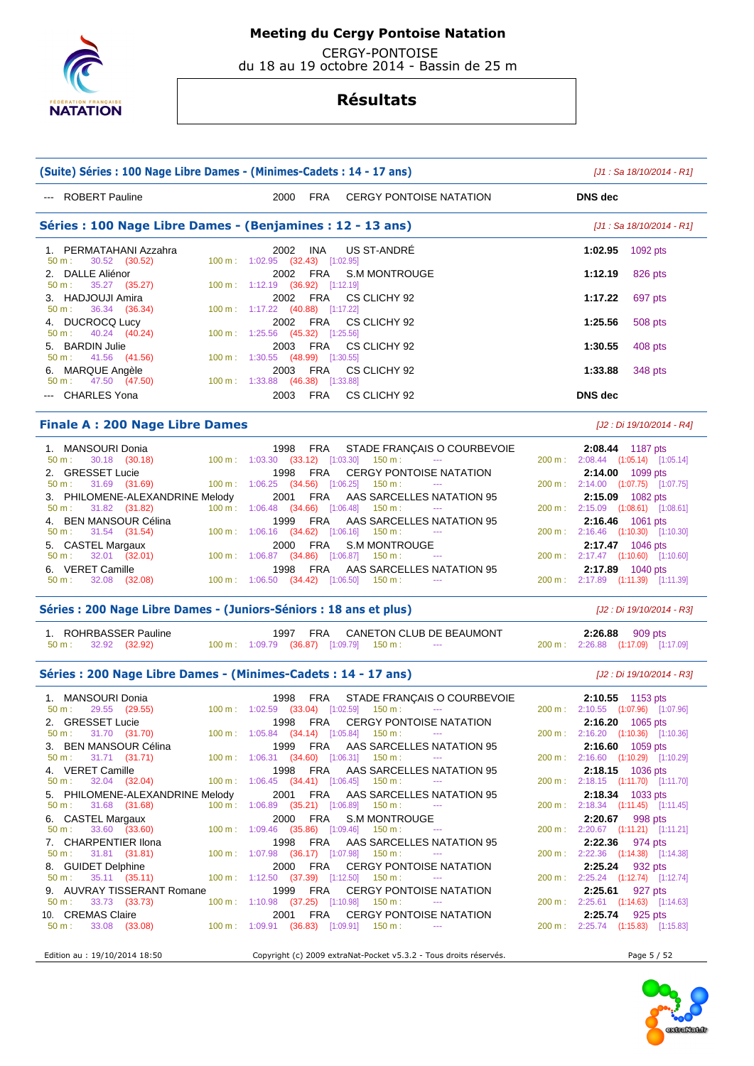

 CERGY-PONTOISE du 18 au 19 octobre 2014 - Bassin de 25 m

| (Suite) Séries : 100 Nage Libre Dames - (Minimes-Cadets : 14 - 17 ans) |  |                                                                                       |                                                                   |  | [J1 : Sa 18/10/2014 - R1]                                     |  |
|------------------------------------------------------------------------|--|---------------------------------------------------------------------------------------|-------------------------------------------------------------------|--|---------------------------------------------------------------|--|
| --- ROBERT Pauline                                                     |  | 2000<br>FRA                                                                           | <b>CERGY PONTOISE NATATION</b>                                    |  | <b>DNS</b> dec                                                |  |
| Séries : 100 Nage Libre Dames - (Benjamines : 12 - 13 ans)             |  |                                                                                       |                                                                   |  | $[J1: Sa 18/10/2014 - R1]$                                    |  |
| 1. PERMATAHANI Azzahra<br>30.52 (30.52)<br>$50 m$ :                    |  | INA<br>2002<br>100 m: 1:02.95 (32.43) [1:02.95]                                       | US ST-ANDRE                                                       |  | 1:02.95<br>1092 pts                                           |  |
| 2. DALLE Aliénor<br>35.27 (35.27)<br>50 m:                             |  | FRA<br>2002<br>100 m: 1:12.19 (36.92) [1:12.19]                                       | <b>S.M MONTROUGE</b>                                              |  | 1:12.19<br>826 pts                                            |  |
| 3. HADJOUJI Amira<br>36.34 (36.34)<br>50 m:                            |  | 2002<br>FRA<br>100 m : 1:17.22 (40.88) [1:17.22]                                      | CS CLICHY 92                                                      |  | 1:17.22<br>697 pts                                            |  |
| 4. DUCROCQ Lucy<br>40.24 (40.24)<br>50 m:                              |  | 2002<br>FRA<br>100 m: 1:25.56 (45.32) [1:25.56]                                       | CS CLICHY 92                                                      |  | 1:25.56<br>508 pts                                            |  |
| 5. BARDIN Julie<br>41.56 (41.56)<br>50 m:                              |  | 2003<br>FRA<br>100 m: 1:30.55 (48.99) [1:30.55]                                       | CS CLICHY 92                                                      |  | 1:30.55<br>408 pts                                            |  |
| 6. MARQUE Angèle<br>47.50 (47.50)<br>$50 m$ :                          |  | 2003<br>FRA<br>$100 \text{ m}: 1:33.88$ $(46.38)$ $[1:33.88]$                         | CS CLICHY 92                                                      |  | 1:33.88<br>348 pts                                            |  |
| --- CHARLES Yona                                                       |  | 2003<br>FRA                                                                           | CS CLICHY 92                                                      |  | <b>DNS</b> dec                                                |  |
| <b>Finale A: 200 Nage Libre Dames</b><br>[J2 : Di 19/10/2014 - R4]     |  |                                                                                       |                                                                   |  |                                                               |  |
| 1. MANSOURI Donia<br>30.18 (30.18)<br>50 m:                            |  | 1998<br>FRA<br>100 m: 1:03.30 (33.12) [1:03.30]                                       | STADE FRANÇAIS O COURBEVOIE<br>150 m :                            |  | 2:08.44 1187 pts<br>200 m: 2:08.44 (1:05.14) [1:05.14]        |  |
| 2. GRESSET Lucie<br>31.69 (31.69)<br>$50 m$ :                          |  | 1998<br>FRA<br>100 m: 1:06.25 (34.56) [1:06.25] 150 m:                                | <b>CERGY PONTOISE NATATION</b><br>$\sim$ $\sim$                   |  | 2:14.00 1099 pts<br>200 m: 2:14.00 (1:07.75) [1:07.75]        |  |
| 3. PHILOMENE-ALEXANDRINE Melody<br>$50 m$ :<br>31.82 (31.82)           |  | <b>FRA</b><br>2001<br>100 m: 1:06.48 (34.66) [1:06.48]                                | AAS SARCELLES NATATION 95<br>150 m :                              |  | 2:15.09 1082 pts<br>200 m: 2:15.09 (1:08.61) [1:08.61]        |  |
| 4. BEN MANSOUR Célina<br>50 m:<br>31.54 (31.54)                        |  | 1999<br>FRA<br>100 m: 1:06.16 (34.62) [1:06.16] 150 m:                                | AAS SARCELLES NATATION 95                                         |  | 2:16.46 1061 pts<br>200 m: 2:16.46 (1:10.30) [1:10.30]        |  |
| 5. CASTEL Margaux<br>$32.01$ $(32.01)$<br>50 m:                        |  | 2000<br>FRA<br>$100 \text{ m}$ : $1:06.87$ (34.86) [1:06.87] 150 m :                  | <b>S.M MONTROUGE</b>                                              |  | 2:17.47 1046 pts<br>200 m : 2:17.47 (1:10.60) [1:10.60]       |  |
| 6. VERET Camille<br>32.08 (32.08)<br>50 m:                             |  | FRA<br>1998<br>$100 \text{ m}: 1:06.50$ $(34.42)$ $[1:06.50]$ $150 \text{ m}:$        | AAS SARCELLES NATATION 95<br>$\sim$ $\sim$                        |  | 2:17.89 1040 pts<br>200 m: 2:17.89 (1:11.39) [1:11.39]        |  |
| Séries : 200 Nage Libre Dames - (Juniors-Séniors : 18 ans et plus)     |  |                                                                                       |                                                                   |  | [J2 : Di 19/10/2014 - R3]                                     |  |
| 1. ROHRBASSER Pauline<br>50 m:<br>32.92 (32.92)                        |  | FRA<br>1997<br>100 m: 1:09.79 (36.87) [1:09.79] 150 m:                                | CANETON CLUB DE BEAUMONT<br>$\sim$ $\sim$                         |  | 2:26.88 909 pts<br>200 m: 2:26.88 (1:17.09) [1:17.09]         |  |
| Séries: 200 Nage Libre Dames - (Minimes-Cadets: 14 - 17 ans)           |  |                                                                                       |                                                                   |  | [J2 : Di 19/10/2014 - R3]                                     |  |
| 1. MANSOURI Donia<br>29.55 (29.55)<br>50 m:                            |  | FRA<br>1998<br>100 m: 1:02.59 (33.04) [1:02.59]                                       | STADE FRANÇAIS O COURBEVOIE<br>150 m :<br>$\scriptstyle\cdots$    |  | 2:10.55 1153 pts<br>200 m: 2:10.55 (1:07.96) [1:07.96]        |  |
| 2. GRESSET Lucie<br>$50 m$ :<br>31.70 (31.70)                          |  | FRA<br>1998<br>100 m: 1:05.84 (34.14) [1:05.84] 150 m:                                | <b>CERGY PONTOISE NATATION</b><br>$\sim$                          |  | <b>2:16.20</b> 1065 pts<br>200 m: 2:16.20 (1:10.36) [1:10.36] |  |
| 3. BEN MANSOUR Célina<br>50 m:<br>31.71 (31.71)                        |  | FRA<br>1999<br>$100 \text{ m}: 1:06.31$ $(34.60)$ $[1:06.31]$ $150 \text{ m}:$        | AAS SARCELLES NATATION 95<br>$\sim$ $\sim$                        |  | 2:16.60 1059 pts<br>200 m: 2:16.60 (1:10.29) [1:10.29]        |  |
| 4. VERET Camille<br>32.04 (32.04)<br>50 m:                             |  | 1998<br>FRA<br>100 m: 1:06.45 (34.41) [1:06.45]                                       | AAS SARCELLES NATATION 95<br>150 m :                              |  | $2:18.15$ 1036 pts<br>200 m: 2:18.15 (1:11.70) [1:11.70]      |  |
| 5. PHILOMENE-ALEXANDRINE Melody<br>50 m:<br>31.68 (31.68)              |  | FRA<br>2001<br>100 m: 1:06.89 (35.21) [1:06.89] 150 m:                                | AAS SARCELLES NATATION 95                                         |  | 2:18.34 1033 pts<br>200 m: 2:18.34 (1:11.45) [1:11.45]        |  |
| 6. CASTEL Margaux<br>50 m:<br>33.60 (33.60)                            |  | 2000<br>FRA<br>$100 \text{ m}: 1:09.46$ (35.86) [1:09.46]                             | S.M MONTROUGE<br>150 m :                                          |  | 2:20.67<br>998 pts<br>200 m : 2:20.67 (1:11.21) [1:11.21]     |  |
| 7. CHARPENTIER Ilona<br>31.81 (31.81)<br>50 m:                         |  | FRA<br>1998<br>$100 \text{ m}: 1:07.98$ $(36.17)$ $[1:07.98]$ $150 \text{ m}:$        | AAS SARCELLES NATATION 95<br>$\rightarrow$ $\rightarrow$          |  | $2:22.36$ 974 pts<br>200 m: 2:22.36 (1:14.38) [1:14.38]       |  |
| 8. GUIDET Delphine<br>50 m:<br>35.11 (35.11)                           |  | 2000<br>FRA<br>$100 \text{ m}: 1:12.50$ $(37.39)$ $[1:12.50]$ $150 \text{ m}:$        | <b>CERGY PONTOISE NATATION</b><br>$\cdots$                        |  | 2:25.24 932 pts<br>200 m: 2:25.24 (1:12.74) [1:12.74]         |  |
| 9. AUVRAY TISSERANT Romane<br>50 m:<br>33.73 (33.73)                   |  | <b>FRA</b><br>1999<br>$100 \text{ m}: 1:10.98$ $(37.25)$ $[1:10.98]$ $150 \text{ m}:$ | <b>CERGY PONTOISE NATATION</b><br>$\sim$ $\sim$                   |  | 2:25.61<br>927 pts<br>200 m: 2:25.61 (1:14.63) [1:14.63]      |  |
| 10. CREMAS Claire<br>50 m:<br>33.08 (33.08)                            |  | FRA<br>2001<br>100 m: 1:09.91 (36.83) [1:09.91] 150 m:                                | <b>CERGY PONTOISE NATATION</b>                                    |  | 2:25.74<br>925 pts<br>200 m : 2:25.74 (1:15.83) [1:15.83]     |  |
| Edition au : 19/10/2014 18:50                                          |  |                                                                                       | Copyright (c) 2009 extraNat-Pocket v5.3.2 - Tous droits réservés. |  | Page 5 / 52                                                   |  |

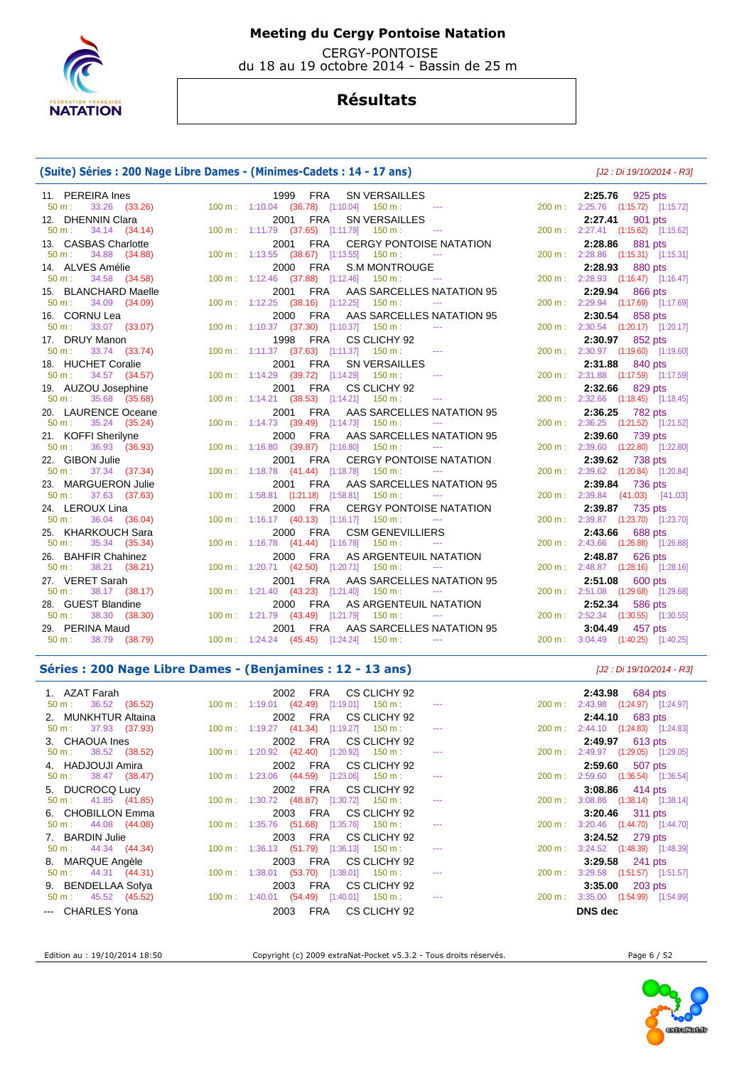

 CERGY-PONTOISE du 18 au 19 octobre 2014 - Bassin de 25 m

## **Résultats**

## **(Suite) Séries : 200 Nage Libre Dames - (Minimes-Cadets : 14 - 17 ans)** [J2 : Di 19/10/2014 - R3]

| 11. PEREIRA Ines                                    | 1999 FRA SN VERSAILLES                                                         | 2:25.76 925 pts                                       |
|-----------------------------------------------------|--------------------------------------------------------------------------------|-------------------------------------------------------|
| $50 m$ :<br>33.26 (33.26)                           | 100 m: 1:10.04 (36.78) [1:10.04] 150 m: ---                                    | 200 m: 2:25.76 (1:15.72) [1:15.72]                    |
| 12. DHENNIN Clara                                   | 2001 FRA SN VERSAILLES                                                         | 2:27.41 901 pts                                       |
| $50 \text{ m}: 34.14 (34.14)$                       | 100 m: 1:11.79 (37.65) [1:11.79] 150 m: ---                                    | 200 m: 2:27.41 (1:15.62) [1:15.62]                    |
| 13. CASBAS Charlotte                                | 2001 FRA CERGY PONTOISE NATATION                                               | 2:28.86 881 pts                                       |
| $50 \text{ m}: 34.88 (34.88)$                       | 100 m: 1:13.55 (38.67) [1:13.55] 150 m: ---                                    | 200 m: 2:28.86 (1:15.31) [1:15.31]                    |
| 14. ALVES Amélie                                    | 2000 FRA S.M MONTROUGE                                                         | 2:28.93 880 pts                                       |
| 34.58 (34.58)<br>$50 m$ :                           | 100 m: 1:12.46 (37.88) [1:12.46] 150 m: ---                                    | 200 m: 2:28.93 (1:16.47) [1:16.47]                    |
| 15. BLANCHARD Maelle                                | 2001 FRA AAS SARCELLES NATATION 95                                             | 2:29.94 866 pts                                       |
| 50 m:<br>34.09 (34.09)                              | $100 \text{ m}: 1:12.25$ (38.16) [1:12.25] 150 m : --                          | 200 m: 2:29.94 (1:17.69) [1:17.69]                    |
| 16. CORNU Lea<br>50 m:                              | 2000 FRA AAS SARCELLES NATATION 95                                             | 2:30.54 858 pts                                       |
| 33.07 (33.07)                                       | 100 m : 1:10.37 (37.30) [1:10.37] 150 m :                                      | 200 m: 2:30.54 (1:20.17) [1:20.17]                    |
| 17. DRUY Manon<br>$50 \text{ m}$ :<br>33.74 (33.74) | 1998 FRA CS CLICHY 92<br>100 m: 1:11.37 (37.63) [1:11.37] 150 m: ---           | 2:30.97 852 pts<br>200 m: 2:30.97 (1:19.60) [1:19.60] |
| 18. HUCHET Coralie                                  | 2001 FRA SN VERSAILLES                                                         | 2:31.88 840 pts                                       |
| 34.57 (34.57)<br>50 m:                              | 100 m: 1:14.29 (39.72) [1:14.29] 150 m: ---                                    | 200 m: 2:31.88 (1:17.59) [1:17.59]                    |
| 19. AUZOU Josephine                                 | 2001 FRA CS CLICHY 92                                                          | 2:32.66 829 pts                                       |
| $50 \text{ m}: 35.68 (35.68)$                       | 100 m: 1:14.21 (38.53) [1:14.21] 150 m: ---                                    | 200 m: 2:32.66 (1:18.45) [1:18.45]                    |
| 20. LAURENCE Oceane                                 | 2001 FRA AAS SARCELLES NATATION 95                                             | $2:36.25$ 782 pts                                     |
| $50 \text{ m}: 35.24 (35.24)$                       | 100 m: 1:14.73 (39.49) [1:14.73] 150 m: ---                                    | 200 m: 2:36.25 (1:21.52) [1:21.52]                    |
| 21. KOFFI Sherilyne                                 | 2000 FRA AAS SARCELLES NATATION 95                                             | 2:39.60 739 pts                                       |
| $50 \text{ m}: 36.93 (36.93)$                       | 100 m: 1:16.80 (39.87) [1:16.80] 150 m: ---                                    | 200 m: 2:39.60 (1:22.80) [1:22.80]                    |
| 22. GIBON Julie                                     | 2001 FRA CERGY PONTOISE NATATION                                               | 2:39.62 738 pts                                       |
| $50 \text{ m}: 37.34 (37.34)$                       | 100 m: 1:18.78 (41.44) [1:18.78] 150 m: ---                                    | 200 m: 2:39.62 (1:20.84) [1:20.84]                    |
| 23. MARGUERON Julie                                 | 2001 FRA AAS SARCELLES NATATION 95                                             | 2:39.84 736 pts                                       |
| $50 \text{ m}: 37.63 (37.63)$                       | 100 m: 1:58.81 (1:21.18) [1:58.81] 150 m: ---                                  | 200 m: 2:39.84 (41.03) [41.03]                        |
| 24. LEROUX Lina                                     | 2000 FRA CERGY PONTOISE NATATION                                               | 2:39.87 735 pts                                       |
| $50 \text{ m}: 36.04 (36.04)$                       | 100 m: 1:16.17 (40.13) [1:16.17] 150 m: ---                                    | 200 m: 2:39.87 (1:23.70) [1:23.70]                    |
| 25. KHARKOUCH Sara                                  | 2000 FRA CSM GENEVILLIERS                                                      | 2:43.66 688 pts                                       |
| 50 m: 35.34 (35.34)                                 | 100 m: 1:16.78 (41.44) [1:16.78] 150 m: ---                                    | 200 m: 2:43.66 (1:26.88) [1:26.88]                    |
| 26. BAHFIR Chahinez<br>38.21 (38.21)<br>$50 m$ :    | 2000 FRA AS ARGENTEUIL NATATION<br>100 m: 1:20.71 (42.50) [1:20.71] 150 m: --- | 2:48.87 626 pts<br>200 m: 2:48.87 (1:28.16) [1:28.16] |
| 27. VERET Sarah                                     | 2001 FRA AAS SARCELLES NATATION 95                                             |                                                       |
| 38.17 (38.17)<br>50 m :                             | 100 m: 1:21.40 (43.23) [1:21.40] 150 m: ---                                    | 2:51.08 600 pts<br>200 m: 2:51.08 (1:29.68) [1:29.68] |
| 28. GUEST Blandine                                  | 2000 FRA AS ARGENTEUIL NATATION                                                | 2:52.34 586 pts                                       |
| 38.30 (38.30)<br>$50 m$ :                           | 100 m: 1:21.79 (43.49) [1:21.79] 150 m:<br><b><i><u>ALCOHOL: 2006</u></i></b>  | 200 m: 2:52.34 (1:30.55) [1:30.55]                    |
| 29. PERINA Maud                                     | 2001 FRA AAS SARCELLES NATATION 95                                             | 3:04.49 457 pts                                       |
| 50 m : 38.79 (38.79)                                | $100 \text{ m}: 1:24.24 (45.45) [1:24.24] 150 \text{ m}:$                      | 200 m: 3:04.49 (1:40.25) [1:40.25]                    |
|                                                     |                                                                                |                                                       |

### **Séries : 200 Nage Libre Dames - (Benjamines : 12 - 13 ans)** [J2 : Di 19/10/2014 - R3]

| 1. AZAT Farah                 | 2002 FRA CS CLICHY 92                                                                |         | <b>2:43.98</b> 684 pts            |
|-------------------------------|--------------------------------------------------------------------------------------|---------|-----------------------------------|
| $50 \text{ m}: 36.52 (36.52)$ | $100 \text{ m}$ : 1:19.01 (42.49) [1:19.01] 150 m : ---                              | 200 m : | 2:43.98 (1:24.97) [1:24.97]       |
| 2. MUNKHTUR Altaina           | 2002 FRA CS CLICHY 92                                                                |         | $2:44.10$ 683 pts                 |
| 50 m : 37.93 (37.93)          | $100 \text{ m}: 1:19.27 \quad (41.34) \quad [1:19.27] \quad 150 \text{ m}: \quad --$ | 200 m : | 2:44.10 (1:24.83) [1:24.83]       |
| 3. CHAOUA Ines                | 2002 FRA CS CLICHY 92                                                                |         | 2:49.97 613 pts                   |
| $50 \text{ m}: 38.52 (38.52)$ | $100 \text{ m}: 1:20.92$ $(42.40)$ $[1:20.92]$ $150 \text{ m}:$                      | 200 m : | 2:49.97 (1:29.05) [1:29.05]       |
| 4. HADJOUJI Amira             | 2002 FRA CS CLICHY 92                                                                |         | $2:59.60$ 507 pts                 |
| $50 \text{ m}: 38.47 (38.47)$ | $100 \text{ m}: 1:23.06$ $(44.59)$ $[1:23.06]$ $150 \text{ m}:$                      | 200 m : | 2:59.60 (1:36.54) [1:36.54]       |
| 5. DUCROCQ Lucy               | 2002 FRA CS CLICHY 92                                                                |         | 3:08.86 414 pts                   |
| $50 \text{ m}: 41.85 (41.85)$ | $100 \text{ m}: 1:30.72$ (48.87) [1:30.72] 150 m :                                   | 200 m : | $3:08.86$ $(1:38.14)$ $[1:38.14]$ |
| 6. CHOBILLON Emma             | 2003 FRA CS CLICHY 92                                                                |         | 3:20.46 311 pts                   |
| $50 \text{ m}: 44.08 (44.08)$ | $100 \text{ m}$ : 1:35.76 (51.68) [1:35.76] 150 m :                                  | 200 m:  | 3:20.46 (1:44.70) [1:44.70]       |
| 7. BARDIN Julie               | 2003 FRA CS CLICHY 92                                                                |         | $3:24.52$ 279 pts                 |
| $50 \text{ m}: 44.34 (44.34)$ | 100 m: 1:36.13 (51.79) [1:36.13] 150 m:                                              | 200 m : | 3:24.52 (1:48.39) [1:48.39]       |
| 8. MARQUE Angèle              | 2003 FRA CS CLICHY 92                                                                |         | 3:29.58 241 pts                   |
| $50 \text{ m}: 44.31 (44.31)$ | 100 m: 1:38.01 (53.70) [1:38.01] 150 m:                                              | 200 m : | 3:29.58 (1:51.57) [1:51.57]       |
| 9. BENDELLAA Sofya            | 2003<br>FRA CS CLICHY 92                                                             |         | 3:35.00 $203 \text{ pts}$         |
| $50 \text{ m}: 45.52 (45.52)$ | $100 \text{ m}: 1:40.01$ $(54.49)$ $[1:40.01]$ $150 \text{ m}:$ --                   | 200 m : | 3:35.00 (1:54.99) [1:54.99]       |
| --- CHARLES Yona              | 2003 FRA CS CLICHY 92                                                                |         | DNS dec                           |



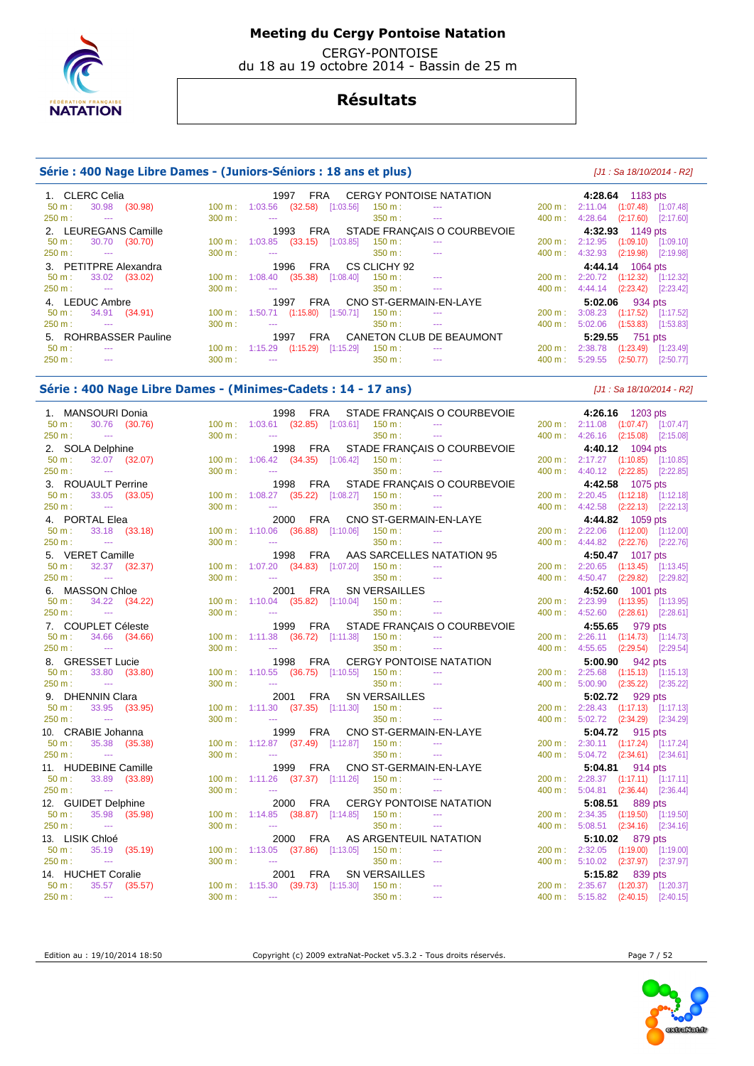

 CERGY-PONTOISE du 18 au 19 octobre 2014 - Bassin de 25 m

## **Résultats**

### **Série : 400 Nage Libre Dames - (Juniors-Séniors : 18 ans et plus)** [J1 : Sa 18/10/2014 - R2]

| 1. CLERC Celia                             |                   | <b>CERGY PONTOISE NATATION</b><br>FRA<br>1997                                       |                              | 4:28.64 1183 pts                    |
|--------------------------------------------|-------------------|-------------------------------------------------------------------------------------|------------------------------|-------------------------------------|
| 30.98<br>(30.98)<br>$50 m$ :               | 100 m :           | (32.58)<br>[1:03.56]<br>1:03.56<br>$150 \text{ m}$ :<br>$\sim$ $\sim$ $\sim$        | 200 m: 2:11.04               | $(1:07.48)$ [1:07.48]               |
| 250 m:<br><b><i><u>Participate</u></i></b> | $300 \text{ m}$ : | 350 m:<br>$\sim$ $\sim$<br>$\sim$ $\sim$                                            | $400 \text{ m}: 4:28.64$     | $(2:17.60)$ $[2:17.60]$             |
| 2. LEUREGANS Camille                       |                   | FRA STADE FRANCAIS O COURBEVOIE<br>1993                                             |                              | 4:32.93 1149 pts                    |
| 30.70 (30.70)<br>$50 \text{ m}$ :          |                   | $100 \text{ m}: 1:03.85$ (33.15)<br>[1:03.85]<br>$150 \text{ m}$ :<br>$\sim$ $\sim$ | 200 m:                       | 2:12.95 (1:09.10) [1:09.10]         |
| 250 m:<br><b>Service Contracts</b>         | $300 \text{ m}$ : | 350 m :<br>$\sim$ $\sim$<br><b>Service</b>                                          | 4:32.93<br>400 m :           | $(2:19.98)$ $[2:19.98]$             |
| 3. PETITPRE Alexandra                      |                   | CS CLICHY 92<br>FRA<br>1996                                                         |                              | 4:44.14 1064 pts                    |
| 33.02 (33.02)<br>$50 m$ :                  | $100 \text{ m}$ : | (35.38)<br>1:08.40<br>[1:08.40]<br>$150 \text{ m}$ :<br><b>Security</b>             | 200 m:                       | 2:20.72 (1:12.32) [1:12.32]         |
| 250 m:<br><b>Service Contracts</b>         | 300 m:            | 350 m :<br>$\sim$ $\sim$<br>$\sim$ $\sim$                                           |                              | 400 m : 4:44.14 (2:23.42) [2:23.42] |
| 4. LEDUC Ambre                             |                   | CNO ST-GERMAIN-EN-LAYE<br>FRA<br>1997                                               |                              | 5:02.06 934 pts                     |
| 34.91 (34.91)<br>$50 m$ :                  |                   | 100 m: 1:50.71 (1:15.80) [1:50.71]<br>$150 \text{ m}$ :                             | 200 m:                       | 3:08.23 (1:17.52) [1:17.52]         |
| 250 m:<br>$\sim$ $\sim$                    | $300 \text{ m}$ : | 350 m :<br>$\sim$ $\sim$<br>$\sim$ $\sim$                                           | 5:02.06<br>$400 \text{ m}$ : | $(1:53.83)$ $[1:53.83]$             |
| 5. ROHRBASSER Pauline                      |                   | CANETON CLUB DE BEAUMONT<br><b>FRA</b><br>1997                                      | 5:29.55                      | 751 pts                             |
| $50 \text{ m}$ :<br>$- - -$                |                   | $100 \text{ m}: 1:15.29$ $(1:15.29)$<br>[1:15.29]<br>150 m :<br>$\sim$ $\sim$       | 2:38.78<br>200 m:            | $(1:23.49)$ $[1:23.49]$             |
| 250 m:<br>$\sim$                           | $300 \text{ m}$ : | 350 m :<br>$\sim$ $\sim$<br>$\sim$ $\sim$                                           | 5:29.55<br>400 m:            | (2:50.77)<br>[2:50.77]              |

### **Série : 400 Nage Libre Dames - (Minimes-Cadets : 14 - 17 ans)** [J1 : Sa 18/10/2014 - R2]

 1. MANSOURI Donia 1998 FRA STADE FRANÇAIS O COURBEVOIE **4:26.16** 1203 pts 50 m : 30.76 (30.76) 100 m : 1:03.61 (32.85) [1:03.61] 150 m : --- 200 m : 2:11.08 (1:07.47) [1:07.47] 250 m : --- 300 m : --- 350 m : --- 400 m : 4:26.16 (2:15.08) [2:15.08] 2. SOLA Delphine 1998 FRA STADE FRANÇAIS O COURBEVOIE 4:40.12 **4:40.12 4:40.12** 50 m : 32.07 (32.07) 100 m : 1:06.42 (34.35) [1:06.42] 150 m : --- 200 m : 2:17.27 (1:10.85) [1:10.85] 250 m : --- 300 m : --- 300 m : --- 350 m : --- 350 m : --- 400 m : 4:40.12 (2:22.85) [2:22.85] 3. ROUAULT Perrine 1998 FRA STADE FRANÇAIS O COURBEVOIE **4:42.58** 1075 pts 50 m : 33.05 (33.05) 100 m : 1:08.27 (35.22) [1:08.27] 150 m : 250 m : --- 300 m : --- 350 m : --- 400 m : 4:42.58 (2:22.13) [2:22.13] 4. PORTAL Elea 2000 FRA CNO ST-GERMAIN-EN-LAYE **4:44.82** 1059 pts 1:10.06 (36.88) [1:10.06] 150 m : ---250 m : --- 300 m : --- 300 m : --- 350 m : --- 400 m : 4:44.82 (2:22.76) [2:22.76] 5. VERET Camille 1998 FRA AAS SARCELLES NATATION 95 **4:50.47** 1017 pts 50 m : 32.37 (32.37) 100 m : 1:07.20 (34.83) [1:07.20] 150 m : --- 200 m : 2:20.65 (1:13.45) [1:13.45] 250 m : --- 300 m : --- 350 m : --- 400 m : 4:50.47 (2:29.82) [2:29.82] 6. MASSON Chloe 2001 FRA SN VERSAILLES **4:52.60** 1001 pts 50 m : 34.22 (34.22) 100 m : 1:10.04 (35.82) [1:10.04] 150 m : 250 m : --- 250 m : --- 300 m : --- 350 m : --- 350 m : --- 350 m : --- 400 m : 4:52.60 (2:28.61) [2:28.61] 7. COUPLET Céleste 1999 FRA STADE FRANÇAIS O COURBEVOIE **4:55.65** 979 pts 34.66 (34.66) 100 m : 1:11.38 (36.72) [1:11.38] 150 m : 250 m : --- 300 m : --- 350 m : 350 m : --- 400 m : 4:55.65 (2:29.54) [2:29.54] 8. GRESSET Lucie 1998 FRA CERGY PONTOISE NATATION **5:00.90** 942 pts 50 m : 33.80 (33.80) 100 m : 1:10.55 (36.75) [1:10.55] 150 m : --- 200 m : 2:25.68 (1:15.13) [1:15.13] 250 m : --- 2260 m : --- 300 m : --- 350 m : --- 350 m : --- 350 m : --- 400 m : 5:00.90 (2:35.22) [2:35.22] 9. DHENNIN Clara 2001 FRA SN VERSAILLES **5:02.72** 929 pts  $1:11.30$  (37.35)  $[1:11.30]$  150 m : 250 m : --- 300 m : --- 300 m : --- 350 m : --- 350 m : --- 400 m : 5:02.72 (2:34.29) [2:34.29] 10. CRABIE Johanna 1999 FRA CNO ST-GERMAIN-EN-LAYE **5:04.72** 915 pts  $50 \text{ m}$  : 35.38 (35.38) 100 m : 1:12.87 (37.49) [1:12.87] 150 m : --- 200 m : 2:30.11 (1:17.24) [1:17.24] 1:12.87<br>250 m : --- 200 m : 2:30.11 (1:17.24) 150 m : 200 m : 2:30.11 (1:17.24) [1:17.24] 2.34.61] 300 m : --- 300 m : --- 350 m : --- 350 m : --- 400 m : 5:04.72 (2:34.61) [2:34.61] 11. HUDEBINE Camille 1999 FRA CNO ST-GERMAIN-EN-LAYE **5:04.81** 914 pts 50 m : 33.89 (33.89) 100 m : 1:11.26 (37.37) [1:11.26] 150 m : --- 200 m : 2:28.37 (1:17.11) [1:17.11] 250 m : --- 300 m : --- 300 m : --- 350 m : --- 350 m : --- 400 m : 5:04.81 (2:36.44) [2:36.44] 12. GUIDET Delphine 2000 FRA CERGY PONTOISE NATATION **5:08.51** 889 pts 50 m : 35.98 (35.98) 100 m : 1:14.85 (38.87) [1:14.85] 150 m : --- 200 m : 2:34.35 (1:19.50) [1:19.50] 250 m : --- 300 m : --- 300 m : --- 350 m : --- 400 m : 5:08.51 (2:34.16) [2:34.16] 13. LISIK Chloé 2000 FRA AS ARGENTEUIL NATATION **5:10.02** 879 pts 50 m : 35.19 (35.19) 100 m : 1:13.05 (37.86) [1:13.05] 150 m : ---250 m : --- 300 m : --- 300 m : --- 350 m : --- 350 m : --- 400 m : 5:10.02 (2:37.97) [2:37.97] 14. HUCHET Coralie 2001 FRA SN VERSAILLES **5:15.82** 839 pts 50 m : 35.57 (35.57) 100 m : 1:15.30 (39.73) [1:15.30] 150 m : --- 200 m : 2:35.67 (1:20.37) [1:20.37] 250 m : --- 300 m : --- 350 m : --- 400 m : 5:15.82 (2:40.15) [2:40.15]

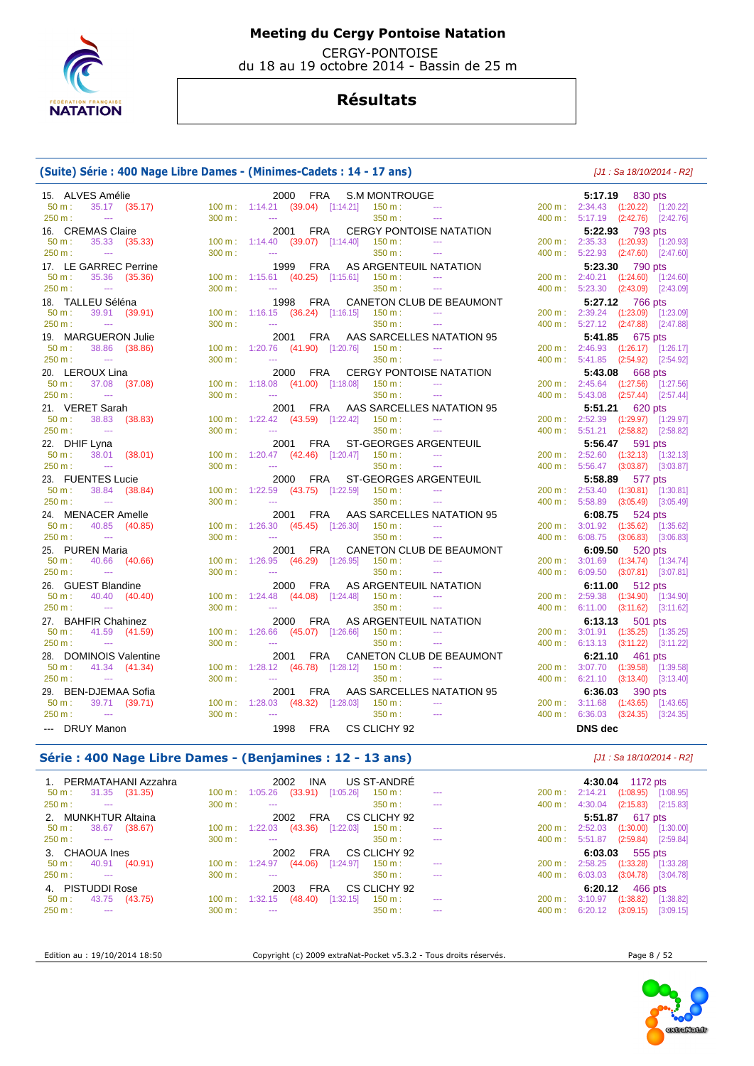

 CERGY-PONTOISE du 18 au 19 octobre 2014 - Bassin de 25 m

## **Résultats**

### **(Suite) Série : 400 Nage Libre Dames - (Minimes-Cadets : 14 - 17 ans)** [J1 : Sa 18/10/2014 - R2]

| 15. ALVES Amélie                  |        | 2000 FRA<br><b>S.M MONTROUGE</b>                             |                                |                   | 5:17.19 830 pts                    |
|-----------------------------------|--------|--------------------------------------------------------------|--------------------------------|-------------------|------------------------------------|
| $50 m$ :<br>35.17 (35.17)         |        | $100 \text{ m}: 1:14.21$ (39.04) [1:14.21] 150 m :           | $\sim$ 100 $\mu$               |                   | 200 m: 2:34.43 (1:20.22) [1:20.22] |
| 250 m:<br>$\sim$ 1000 $\mu$       | 300 m: | 350 m:<br>$\omega_{\rm max}$                                 | $\sim$                         |                   | 400 m: 5:17.19 (2:42.76) [2:42.76] |
| 16. CREMAS Claire                 |        | <b>FRA</b><br>2001                                           | <b>CERGY PONTOISE NATATION</b> |                   | 5:22.93 793 pts                    |
| 50 m:<br>35.33 (35.33)            |        | 100 m: 1:14.40 (39.07) [1:14.40]<br>150 m:                   | $\sim$                         |                   | 200 m: 2:35.33 (1:20.93) [1:20.93] |
| 250 m:<br>$\sim 100$ mass $^{-1}$ | 300 m: | 350 m:<br>$\sim$ $\sim$ $\sim$                               | $\sim$ $\sim$                  |                   | 400 m: 5:22.93 (2:47.60) [2:47.60] |
| 17. LE GARREC Perrine             |        | AS ARGENTEUIL NATATION<br>1999 FRA                           |                                |                   | 5:23.30 790 pts                    |
| $50 m$ :<br>35.36 (35.36)         |        | $100 \text{ m}$ : 1:15.61 (40.25) [1:15.61] 150 m :          |                                |                   | 200 m: 2:40.21 (1:24.60) [1:24.60] |
| 250 m:<br><b>College</b>          | 300 m: | 350 m:<br>$\mathbb{Z}_{\geq 0}$                              | $\sim$ $\sim$                  |                   | 400 m: 5:23.30 (2:43.09) [2:43.09] |
| 18. TALLEU Séléna                 |        | 1998 FRA                                                     | CANETON CLUB DE BEAUMONT       |                   | 5:27.12<br>766 pts                 |
| 50 m:<br>39.91 (39.91)            |        | $100 \text{ m}: 1:16.15$ (36.24) [1:16.15]<br>$150 m$ :      |                                |                   | 200 m: 2:39.24 (1:23.09) [1:23.09] |
| 250 m:<br>$\sim$ 100 $\pm$        | 300 m: | 350 m:<br>$\sim$ $\sim$                                      | $\sim$ $\sim$                  |                   | 400 m: 5:27.12 (2:47.88) [2:47.88] |
| 19. MARGUERON Julie               |        | 2001 FRA                                                     | AAS SARCELLES NATATION 95      |                   | <b>5:41.85</b> 675 pts             |
| $50 m$ :<br>38.86 (38.86)         |        | 100 m: 1:20.76 (41.90) [1:20.76] 150 m:                      |                                |                   | 200 m: 2:46.93 (1:26.17) [1:26.17] |
| 250 m:<br>$\sim$                  | 300 m: | $\sim$ $\sim$<br>350 m:                                      | $\sim$ $\sim$                  | 400 m :           | 5:41.85 (2:54.92) [2:54.92]        |
|                                   |        |                                                              |                                |                   |                                    |
| 20. LEROUX Lina                   |        | 2000 FRA                                                     | CERGY PONTOISE NATATION        |                   | 5:43.08 668 pts                    |
| $50 m$ :<br>37.08 (37.08)         |        | 100 m: 1:18.08 (41.00) [1:18.08]<br>150 m :<br>$\sim$ $\sim$ | $\sim$ $\sim$                  |                   | 200 m: 2:45.64 (1:27.56) [1:27.56] |
| 250 m:<br>$\sim$                  | 300 m: | 350 m:                                                       | $\sim$                         |                   | 400 m: 5:43.08 (2:57.44) [2:57.44] |
| 21. VERET Sarah                   |        | 2001<br>FRA                                                  | AAS SARCELLES NATATION 95      |                   | 5:51.21 620 pts                    |
| 38.83<br>(38.83)<br>$50 m$ :      |        | 100 m: 1:22.42 (43.59) [1:22.42]<br>$150 \text{ m}$ :        | $\sim$ $\sim$ $\sim$           |                   | 200 m: 2:52.39 (1:29.97) [1:29.97] |
| 250 m:<br>$\sim$                  | 300 m: | 350 m:<br>$\sim$ $\sim$                                      |                                |                   | 400 m: 5:51.21 (2:58.82) [2:58.82] |
| 22. DHIF Lyna                     |        | 2001<br>FRA<br><b>ST-GEORGES ARGENTEUIL</b>                  |                                |                   | 5:56.47 591 pts                    |
| $50 m$ :<br>38.01<br>(38.01)      |        | $100 \text{ m}$ : $1:20.47$ (42.46) [1:20.47] 150 m :        | $\sim$                         | $200 \text{ m}$ : | $2:52.60$ $(1:32.13)$ $[1:32.13]$  |
| 250 m:<br>$\sim 100$              | 300 m: | 350 m:<br>$\scriptstyle\cdots$                               | $\sim$                         |                   | 400 m: 5:56.47 (3:03.87) [3:03.87] |
| 23. FUENTES Lucie                 |        | 2000<br><b>FRA</b><br><b>ST-GEORGES ARGENTEUIL</b>           |                                |                   | 5:58.89 577 pts                    |
| 50 m:<br>38.84 (38.84)            |        | $100 \text{ m}: 1:22.59$ (43.75) [1:22.59] 150 m :           |                                |                   | 200 m: 2:53.40 (1:30.81) [1:30.81] |
| 250 m:<br>$\sim$ $\sim$           | 300 m: | 350 m:<br>$\sim$                                             | $\sim$ $\sim$                  |                   | 400 m: 5:58.89 (3:05.49) [3:05.49] |
| 24. MENACER Amelle                |        | 2001 FRA                                                     | AAS SARCELLES NATATION 95      |                   | 6:08.75 $524 \text{ pts}$          |
| 50 m:<br>40.85 (40.85)            |        | 100 m: 1:26.30 (45.45) [1:26.30] 150 m:                      |                                |                   | 200 m: 3:01.92 (1:35.62) [1:35.62] |
| 250 m:<br>$\sim$                  | 300 m: | 350 m:<br>44                                                 | $\sim$                         | 400 m:            | 6:08.75 (3:06.83) [3:06.83]        |
| 25. PUREN Maria                   |        | 2001 FRA                                                     | CANETON CLUB DE BEAUMONT       |                   | 6:09.50 520 pts                    |
| 50 m:<br>40.66 (40.66)            |        | 100 m: 1:26.95 (46.29) [1:26.95]<br>$150 m$ :                | $\sim$ $\sim$                  |                   | 200 m: 3:01.69 (1:34.74) [1:34.74] |
| 250 m:<br>$\sim$                  | 300 m: | 350 m:<br>$\sim$ $\sim$                                      | $-$                            | 400 m:            | 6:09.50 (3:07.81) [3:07.81]        |
| 26. GUEST Blandine                |        | AS ARGENTEUIL NATATION<br>2000 FRA                           |                                |                   | 6:11.00 512 pts                    |
| 50 m:<br>40.40 (40.40)            |        | 100 m: 1:24.48 (44.08) [1:24.48]<br>$150 m$ :                | $\sim$ $\sim$                  |                   | 200 m: 2:59.38 (1:34.90) [1:34.90] |
| 250 m:<br>$\sim$ 1000 $\mu$       | 300 m: | 350 m:<br>$\mathbb{Z}_{\geq 0}$                              | $\sim$ $\sim$ $\sim$           |                   | 400 m: 6:11.00 (3:11.62) [3:11.62] |
| 27. BAHFIR Chahinez               |        | 2000 FRA<br>AS ARGENTEUIL NATATION                           |                                |                   | 6:13.13 501 pts                    |
| 50 m:<br>41.59 (41.59)            |        | 100 m: 1:26.66 (45.07) [1:26.66]<br>150 m:                   | $\scriptstyle\cdots$           |                   | 200 m: 3:01.91 (1:35.25) [1:35.25] |
| 250 m:<br>$\sim$                  | 300 m: | 350 m:<br>$\overline{a}$                                     | $\sim$ $\sim$                  |                   | 400 m: 6:13.13 (3:11.22) [3:11.22] |
|                                   |        |                                                              |                                |                   |                                    |
| 28. DOMINOIS Valentine            |        | 2001<br>FRA                                                  | CANETON CLUB DE BEAUMONT       |                   | 6:21.10 $461 \text{ pts}$          |
| 50 m:<br>41.34 (41.34)            |        | 100 m : 1:28.12 $(46.78)$ [1:28.12]<br>$150 \text{ m}$ :     | $\sim$                         |                   | 200 m: 3:07.70 (1:39.58) [1:39.58] |
| 250 m:<br>$\sim$                  | 300 m: | 350 m:<br>$\sim$ $\sim$                                      | $\sim$ $\sim$                  |                   | 400 m: 6:21.10 (3:13.40) [3:13.40] |
| 29. BEN-DJEMAA Sofia              |        | 2001 FRA                                                     | AAS SARCELLES NATATION 95      |                   | 6:36.03 390 pts                    |
| $50 m$ :<br>39.71 (39.71)         |        | $100 \text{ m}$ : $1:28.03$ (48.32) [1:28.03] 150 m :        |                                |                   | 200 m: 3:11.68 (1:43.65) [1:43.65] |
| 250 m:<br><b>Continued</b>        | 300 m: | 350 m:<br>$\overline{a}$                                     | $\sim$                         |                   | 400 m: 6:36.03 (3:24.35) [3:24.35] |
| --- DRUY Manon                    |        | 1998 FRA<br>CS CLICHY 92                                     |                                |                   | <b>DNS</b> dec                     |

### **Série : 400 Nage Libre Dames - (Benjamines : 12 - 13 ans)** [J1 : Sa 18/10/2014 - R2]

| 1. PERMATAHANI Azzahra             |                   | US ST-ANDRÉ<br>2002<br>INA                                           |               |                           |                           | 4:30.04 1172 pts                   |
|------------------------------------|-------------------|----------------------------------------------------------------------|---------------|---------------------------|---------------------------|------------------------------------|
| 31.35 (31.35)<br>50 m :            |                   | $(33.91)$ [1:05.26]<br>$150 \text{ m}$ :<br>$100 \text{ m}: 1:05.26$ | $\sim$        | $200 \text{ m}: 2:14.21$  |                           | $(1:08.95)$ $[1:08.95]$            |
| $250 \text{ m}:$ ---               | $300 \text{ m}$ : | 350 m :<br>$\sim$ $\sim$                                             | $\sim$ $\sim$ | $400 \text{ m}$ :         | 4:30.04                   | $(2:15.83)$ $[2:15.83]$            |
| 2. MUNKHTUR Altaina                |                   | FRA<br>CS CLICHY 92<br>2002                                          |               |                           |                           | <b>5:51.87</b> 617 pts             |
| 38.67<br>(38.67)<br>50 m :         | $100 \text{ m}$ : | 1:22.03 (43.36) [1:22.03]<br>$150 \text{ m}$ :                       | $\sim$        | $200 \text{ m}$ : 2:52.03 |                           | $(1:30.00)$ $[1:30.00]$            |
| $250 \text{ m}:$ ---               | $300 \text{ m}$ : | 350 m :<br>$\sim$ $\sim$                                             | $\sim$ $\sim$ |                           | 400 m: 5:51.87            | $(2:59.84)$ $[2:59.84]$            |
| 3. CHAOUA Ines                     |                   | FRA<br>CS CLICHY 92<br>2002                                          |               |                           |                           | 6:03.03 $555 \text{ pts}$          |
| 40.91 (40.91)<br>50 m :            |                   | 100 m: 1:24.97 (44.06) [1:24.97]<br>$150 \text{ m}$ :                | $\sim$        |                           |                           | 200 m: 2:58.25 (1:33.28) [1:33.28] |
|                                    |                   |                                                                      |               |                           |                           |                                    |
| 250 m:<br><b>Contract Contract</b> | $300 \text{ m}$ : | $350 \text{ m}$ :<br>$\sim$ $\sim$                                   | $\sim$        |                           | $400 \text{ m}$ : 6:03.03 | $(3:04.78)$ [3:04.78]              |
| 4. PISTUDDI Rose                   |                   | CS CLICHY 92<br>FRA<br>2003                                          |               |                           |                           | 6:20.12 466 pts                    |
| 43.75 (43.75)<br>50 m :            |                   | $100 \text{ m}: 1:32.15 (48.40)$<br>[1:32.15]<br>$150 \text{ m}$ :   | $\sim$        | $200 \text{ m}: 3:10.97$  |                           | $(1:38.82)$ $[1:38.82]$            |

Edition au : 19/10/2014 18:50 Copyright (c) 2009 extraNat-Pocket v5.3.2 - Tous droits réservés. Page 8 / 52

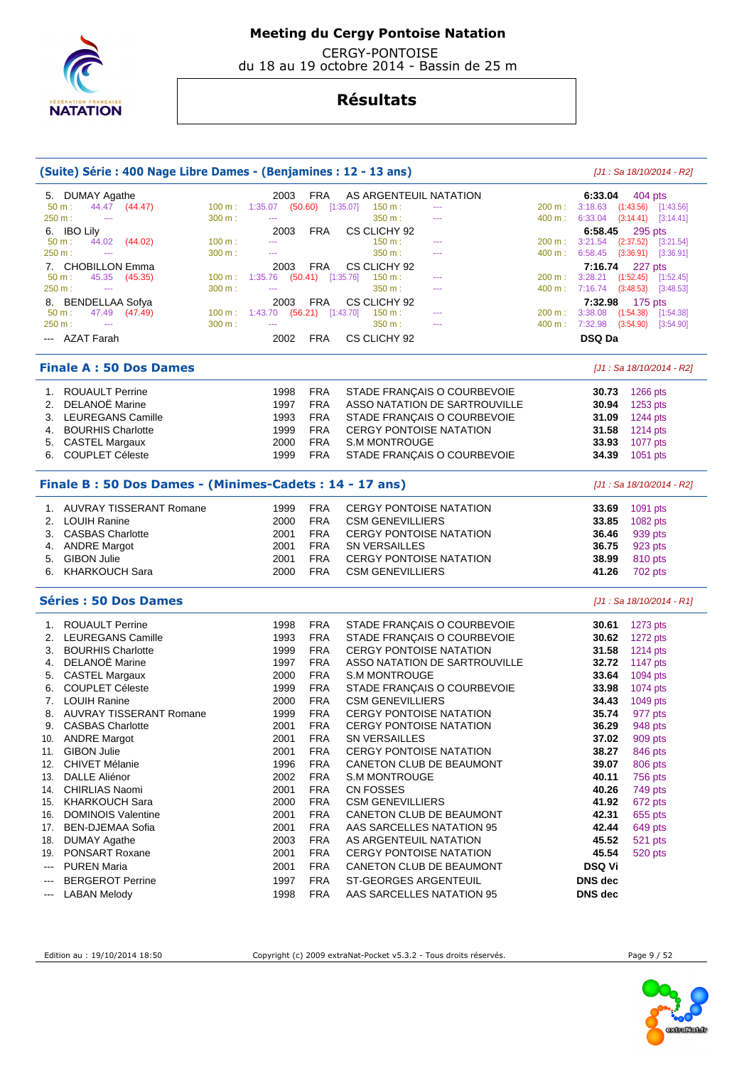

 CERGY-PONTOISE du 18 au 19 octobre 2014 - Bassin de 25 m

| (Suite) Série : 400 Nage Libre Dames - (Benjamines : 12 - 13 ans) |        |                                     |                          |                                                  |        |                       | [J1 : Sa 18/10/2014 - R2]                    |
|-------------------------------------------------------------------|--------|-------------------------------------|--------------------------|--------------------------------------------------|--------|-----------------------|----------------------------------------------|
| 5. DUMAY Agathe                                                   |        | 2003                                | <b>FRA</b>               | AS ARGENTEUIL NATATION                           |        | 6:33.04               | 404 pts                                      |
| $50 m$ :<br>44.47 (44.47)                                         |        | 100 m: 1:35.07                      | $(50.60)$ [1:35.07]      | 150 m:<br>$\cdots$                               | 200 m: |                       | 3:18.63 (1:43.56) [1:43.56]                  |
| 250 m:<br>$\sim$ $\sim$                                           | 300 m: | $\sim$                              |                          | 350 m:<br>$\overline{a}$                         | 400 m: | $6:33.04$ $(3:14.41)$ | [3:14.41]                                    |
| 6. IBO Lily                                                       |        | 2003                                | FRA                      | CS CLICHY 92                                     |        | 6:58.45               | 295 pts                                      |
| 50 m:<br>44.02 (44.02)                                            | 100 m: | $\cdots$                            |                          | 150 m:                                           | 200 m: | 3:21.54               | $(2:37.52)$ $[3:21.54]$                      |
| 250 m:<br>$\scriptstyle\cdots$                                    | 300 m: | $\sim$                              |                          | 350 m:<br>---                                    | 400 m: | 6:58.45               | (3:36.91)<br>[3:36.91]                       |
| 7. CHOBILLON Emma<br>45.35<br>50 m:<br>(45.35)                    | 100 m: | 2003<br>$1:35.76$ (50.41) [1:35.76] | FRA                      | CS CLICHY 92<br>150 m:<br>---                    | 200 m: | 7:16.74               | 227 pts<br>$3:28.21$ $(1:52.45)$ $[1:52.45]$ |
| 250 m:<br>$\overline{\phantom{a}}$                                | 300 m: | 444                                 |                          | 350 m :<br>---                                   | 400 m: | $7:16.74$ (3:48.53)   | [3:48.53]                                    |
| 8. BENDELLAA Sofya                                                |        | 2003                                | FRA                      | CS CLICHY 92                                     |        | 7:32.98               | $175$ pts                                    |
| 50 m:<br>47.49 (47.49)                                            |        | 100 m: 1:43.70                      | $(56.21)$ [1:43.70]      | 150 m:<br>---                                    | 200 m: | $3:38.08$ $(1:54.38)$ | [1:54.38]                                    |
| 250 m:<br>$\mathbb{Z} \to \mathbb{Z}$                             | 300 m: | $\sim$                              |                          | 350 m :<br>$\sim$                                | 400 m: | 7:32.98 (3:54.90)     | [3:54.90]                                    |
| --- AZAT Farah                                                    |        | 2002                                | <b>FRA</b>               | CS CLICHY 92                                     |        | <b>DSQ Da</b>         |                                              |
| <b>Finale A: 50 Dos Dames</b>                                     |        |                                     |                          |                                                  |        |                       | $[J1: Sa 18/10/2014 - R2]$                   |
| 1. ROUAULT Perrine                                                |        | 1998                                | <b>FRA</b>               | STADE FRANÇAIS O COURBEVOIE                      |        | 30.73                 | 1266 pts                                     |
| 2. DELANOË Marine                                                 |        | 1997                                | <b>FRA</b>               | ASSO NATATION DE SARTROUVILLE                    |        | 30.94                 | 1253 pts                                     |
| 3. LEUREGANS Camille                                              |        | 1993                                | <b>FRA</b>               | STADE FRANÇAIS O COURBEVOIE                      |        | 31.09                 | 1244 pts                                     |
| 4. BOURHIS Charlotte                                              |        | 1999                                | <b>FRA</b>               | <b>CERGY PONTOISE NATATION</b>                   |        | 31.58                 | 1214 pts                                     |
| 5. CASTEL Margaux                                                 |        | 2000                                | <b>FRA</b>               | <b>S.M MONTROUGE</b>                             |        | 33.93                 | 1077 pts                                     |
| 6. COUPLET Céleste                                                |        | 1999                                | <b>FRA</b>               | STADE FRANÇAIS O COURBEVOIE                      |        | 34.39                 | 1051 pts                                     |
| Finale B: 50 Dos Dames - (Minimes-Cadets: 14 - 17 ans)            |        |                                     |                          |                                                  |        |                       | [J1 : Sa 18/10/2014 - R2]                    |
| 1. AUVRAY TISSERANT Romane                                        |        | 1999                                | <b>FRA</b>               | <b>CERGY PONTOISE NATATION</b>                   |        | 33.69                 | 1091 pts                                     |
| 2. LOUIH Ranine                                                   |        | 2000                                | <b>FRA</b>               | <b>CSM GENEVILLIERS</b>                          |        | 33.85                 | 1082 pts                                     |
| 3. CASBAS Charlotte                                               |        | 2001                                | <b>FRA</b>               | <b>CERGY PONTOISE NATATION</b>                   |        | 36.46                 | 939 pts                                      |
| 4. ANDRE Margot                                                   |        | 2001                                | <b>FRA</b>               | <b>SN VERSAILLES</b>                             |        | 36.75                 | 923 pts                                      |
| <b>GIBON Julie</b><br>5.                                          |        | 2001                                | <b>FRA</b>               | <b>CERGY PONTOISE NATATION</b>                   |        | 38.99                 | 810 pts                                      |
| KHARKOUCH Sara<br>6.                                              |        | 2000                                | <b>FRA</b>               | <b>CSM GENEVILLIERS</b>                          |        | 41.26                 | 702 pts                                      |
| <b>Séries: 50 Dos Dames</b>                                       |        |                                     |                          |                                                  |        |                       | [J1 : Sa 18/10/2014 - R1]                    |
| 1. ROUAULT Perrine                                                |        | 1998                                | <b>FRA</b>               | STADE FRANÇAIS O COURBEVOIE                      |        | 30.61                 | 1273 pts                                     |
| 2. LEUREGANS Camille                                              |        | 1993                                | <b>FRA</b>               | STADE FRANÇAIS O COURBEVOIE                      |        | 30.62                 | 1272 pts                                     |
| <b>BOURHIS Charlotte</b><br>3.                                    |        | 1999                                | <b>FRA</b>               | <b>CERGY PONTOISE NATATION</b>                   |        | 31.58                 | 1214 pts                                     |
| DELANOË Marine<br>4.                                              |        | 1997                                | <b>FRA</b>               | ASSO NATATION DE SARTROUVILLE                    |        | 32.72                 | 1147 pts                                     |
| <b>CASTEL Margaux</b><br>5.                                       |        | 2000                                | <b>FRA</b>               | <b>S.M MONTROUGE</b>                             |        | 33.64                 | 1094 pts                                     |
| <b>COUPLET Céleste</b><br>6.                                      |        | 1999                                | <b>FRA</b>               | STADE FRANÇAIS O COURBEVOIE                      |        | 33.98                 | 1074 pts                                     |
| 7. LOUIH Ranine                                                   |        | 2000                                | <b>FRA</b>               | <b>CSM GENEVILLIERS</b>                          |        | 34.43                 | 1049 pts                                     |
| 8. AUVRAY TISSERANT Romane                                        |        | 1999                                | <b>FRA</b>               | <b>CERGY PONTOISE NATATION</b>                   |        | 35.74                 | 977 pts                                      |
| <b>CASBAS Charlotte</b><br>9.                                     |        | 2001                                | <b>FRA</b>               | CERGY PONTOISE NATATION                          |        |                       | 36.29 948 pts                                |
| 10. ANDRE Margot                                                  |        | 2001                                | <b>FRA</b>               | SN VERSAILLES                                    |        | 37.02                 | 909 pts                                      |
| 11. GIBON Julie                                                   |        | 2001                                | <b>FRA</b>               | <b>CERGY PONTOISE NATATION</b>                   |        | 38.27                 | 846 pts                                      |
| 12. CHIVET Mélanie<br>13. DALLE Aliénor                           |        | 1996<br>2002                        | <b>FRA</b><br><b>FRA</b> | CANETON CLUB DE BEAUMONT<br><b>S.M MONTROUGE</b> |        | 39.07<br>40.11        | 806 pts<br>756 pts                           |
| 14. CHIRLIAS Naomi                                                |        | 2001                                | <b>FRA</b>               | CN FOSSES                                        |        | 40.26                 | 749 pts                                      |
| 15. KHARKOUCH Sara                                                |        | 2000                                | <b>FRA</b>               | <b>CSM GENEVILLIERS</b>                          |        | 41.92                 | 672 pts                                      |
| 16. DOMINOIS Valentine                                            |        | 2001                                | <b>FRA</b>               | CANETON CLUB DE BEAUMONT                         |        | 42.31                 | 655 pts                                      |
| <b>BEN-DJEMAA Sofia</b><br>17.                                    |        | 2001                                | <b>FRA</b>               | AAS SARCELLES NATATION 95                        |        | 42.44                 | 649 pts                                      |
| <b>DUMAY Agathe</b><br>18.                                        |        | 2003                                | <b>FRA</b>               | AS ARGENTEUIL NATATION                           |        | 45.52                 | 521 pts                                      |
| PONSART Roxane<br>19.                                             |        | 2001                                | <b>FRA</b>               | <b>CERGY PONTOISE NATATION</b>                   |        | 45.54                 | 520 pts                                      |
| <b>PUREN Maria</b><br>$\sim$ $\sim$                               |        | 2001                                | <b>FRA</b>               | CANETON CLUB DE BEAUMONT                         |        | <b>DSQ Vi</b>         |                                              |
| <b>BERGEROT Perrine</b><br>$\qquad \qquad \cdots$                 |        | 1997                                | <b>FRA</b>               | ST-GEORGES ARGENTEUIL                            |        | DNS dec               |                                              |
| <b>LABAN Melody</b><br>$\qquad \qquad \cdots$                     |        | 1998                                | <b>FRA</b>               | AAS SARCELLES NATATION 95                        |        | DNS dec               |                                              |

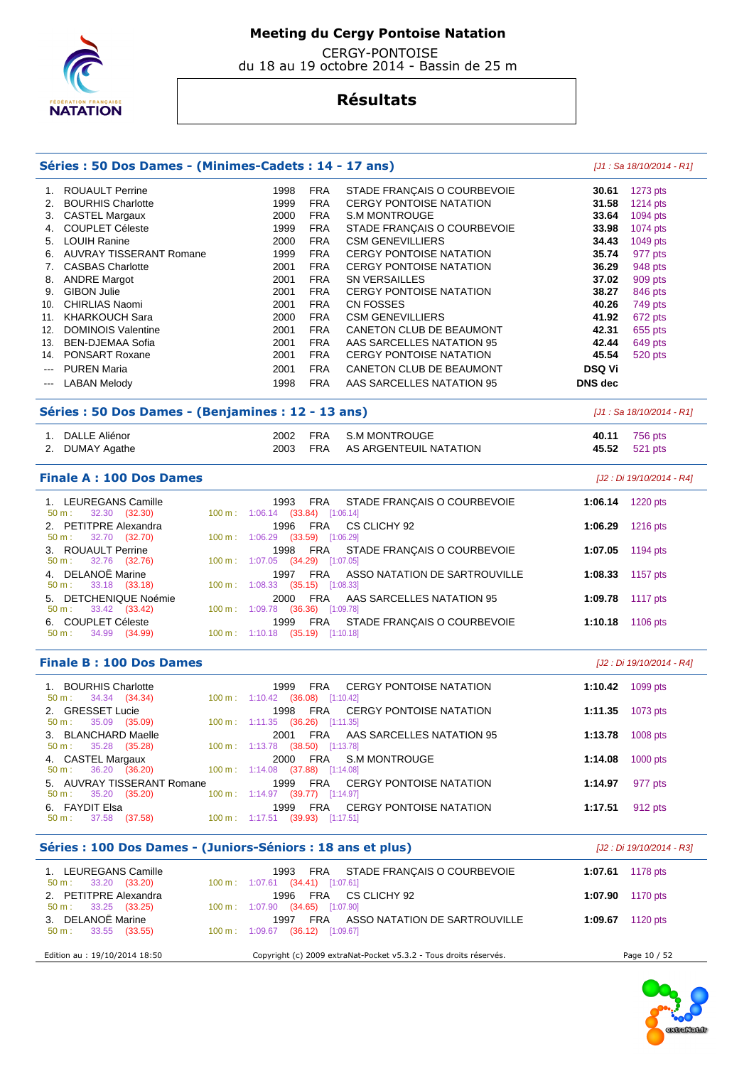

 CERGY-PONTOISE du 18 au 19 octobre 2014 - Bassin de 25 m

|                        | Séries : 50 Dos Dames - (Minimes-Cadets : 14 - 17 ans)      |                                                        |                                     |                                                                   |                | [J1 : Sa 18/10/2014 - R1]  |
|------------------------|-------------------------------------------------------------|--------------------------------------------------------|-------------------------------------|-------------------------------------------------------------------|----------------|----------------------------|
|                        | 1. ROUAULT Perrine                                          | 1998                                                   | <b>FRA</b>                          | STADE FRANÇAIS O COURBEVOIE                                       | 30.61          | 1273 pts                   |
| 2.                     | <b>BOURHIS Charlotte</b>                                    | 1999                                                   | <b>FRA</b>                          | <b>CERGY PONTOISE NATATION</b>                                    | 31.58          | 1214 pts                   |
|                        | 3. CASTEL Margaux                                           | 2000                                                   | <b>FRA</b>                          | S.M MONTROUGE                                                     | 33.64          | 1094 pts                   |
|                        | 4. COUPLET Céleste                                          | 1999                                                   | <b>FRA</b>                          | STADE FRANÇAIS O COURBEVOIE                                       | 33.98          | 1074 pts                   |
|                        | 5. LOUIH Ranine                                             | 2000                                                   | <b>FRA</b>                          | <b>CSM GENEVILLIERS</b>                                           | 34.43          | 1049 pts                   |
|                        |                                                             |                                                        | <b>FRA</b>                          |                                                                   |                |                            |
|                        | 6. AUVRAY TISSERANT Romane                                  | 1999                                                   |                                     | <b>CERGY PONTOISE NATATION</b>                                    | 35.74          | 977 pts                    |
|                        | 7. CASBAS Charlotte                                         | 2001                                                   | <b>FRA</b>                          | <b>CERGY PONTOISE NATATION</b>                                    | 36.29          | 948 pts                    |
|                        | 8. ANDRE Margot                                             | 2001                                                   | <b>FRA</b>                          | SN VERSAILLES                                                     | 37.02          | 909 pts                    |
|                        | 9. GIBON Julie                                              | 2001                                                   | <b>FRA</b>                          | <b>CERGY PONTOISE NATATION</b>                                    | 38.27          | 846 pts                    |
|                        | 10. CHIRLIAS Naomi                                          | 2001                                                   | <b>FRA</b>                          | <b>CN FOSSES</b>                                                  | 40.26          | 749 pts                    |
|                        | 11. KHARKOUCH Sara                                          | 2000                                                   | <b>FRA</b>                          | <b>CSM GENEVILLIERS</b>                                           | 41.92          | 672 pts                    |
|                        | 12. DOMINOIS Valentine                                      | 2001                                                   | <b>FRA</b>                          | CANETON CLUB DE BEAUMONT                                          | 42.31          | 655 pts                    |
|                        | 13. BEN-DJEMAA Sofia                                        | 2001                                                   | <b>FRA</b>                          | AAS SARCELLES NATATION 95                                         | 42.44          | 649 pts                    |
|                        | 14. PONSART Roxane                                          | 2001                                                   | <b>FRA</b>                          | <b>CERGY PONTOISE NATATION</b>                                    | 45.54          | 520 pts                    |
| $---$                  | <b>PUREN Maria</b>                                          | 2001                                                   | <b>FRA</b>                          | CANETON CLUB DE BEAUMONT                                          | <b>DSQ Vi</b>  |                            |
| $\qquad \qquad \cdots$ | <b>LABAN Melody</b>                                         | 1998                                                   | <b>FRA</b>                          | AAS SARCELLES NATATION 95                                         | <b>DNS</b> dec |                            |
|                        |                                                             |                                                        |                                     |                                                                   |                |                            |
|                        | Séries : 50 Dos Dames - (Benjamines : 12 - 13 ans)          |                                                        |                                     |                                                                   |                | $[J1: Sa 18/10/2014 - R1]$ |
|                        | 1. DALLE Aliénor                                            | 2002                                                   | <b>FRA</b>                          | <b>S.M MONTROUGE</b>                                              | 40.11          | 756 pts                    |
|                        | 2. DUMAY Agathe                                             | 2003                                                   | <b>FRA</b>                          | AS ARGENTEUIL NATATION                                            | 45.52          | 521 pts                    |
|                        |                                                             |                                                        |                                     |                                                                   |                |                            |
|                        | <b>Finale A: 100 Dos Dames</b>                              |                                                        |                                     |                                                                   |                | [J2 : Di 19/10/2014 - R4]  |
|                        | 1. LEUREGANS Camille<br>50 m:<br>32.30 (32.30)              | 1993<br>100 m: 1:06.14 (33.84) [1:06.14]               | <b>FRA</b>                          | STADE FRANÇAIS O COURBEVOIE                                       | 1:06.14        | 1220 pts                   |
| 2.                     | PETITPRE Alexandra<br>32.70 (32.70)<br>50 m:                | 1996<br>100 m: 1:06.29                                 | <b>FRA</b><br>$(33.59)$ $[1:06.29]$ | CS CLICHY 92                                                      | 1:06.29        | 1216 pts                   |
|                        | 3. ROUAULT Perrine<br>32.76 (32.76)<br>50 m:                | 1998<br>$100 m$ : $1:07.05$                            | <b>FRA</b><br>$(34.29)$ [1:07.05]   | STADE FRANÇAIS O COURBEVOIE                                       | 1:07.05        | 1194 pts                   |
|                        | 4. DELANOË Marine<br>50 m:<br>33.18 (33.18)                 | 1997<br>100 m: 1:08.33                                 | <b>FRA</b><br>$(35.15)$ [1:08.33]   | ASSO NATATION DE SARTROUVILLE                                     | 1:08.33        | 1157 pts                   |
|                        | 5. DETCHENIQUE Noémie<br>50 m:<br>33.42 (33.42)             | 2000<br>100 m: 1:09.78 (36.36)                         | <b>FRA</b>                          | AAS SARCELLES NATATION 95<br>[1:09.78]                            | 1:09.78        | <b>1117 pts</b>            |
|                        | 6. COUPLET Céleste<br>34.99 (34.99)<br>50 m:                | 1999<br>100 m: 1:10.18 (35.19) [1:10.18]               | <b>FRA</b>                          | STADE FRANÇAIS O COURBEVOIE                                       | 1:10.18        | 1106 pts                   |
|                        | <b>Finale B: 100 Dos Dames</b>                              |                                                        |                                     |                                                                   |                | [J2 : Di 19/10/2014 - R4]  |
| 1.                     | <b>BOURHIS Charlotte</b><br>50 m:<br>34.34 (34.34)          | 1999<br>100 m: 1:10.42                                 | <b>FRA</b><br>$(36.08)$ [1:10.42]   | <b>CERGY PONTOISE NATATION</b>                                    | 1:10.42        | 1099 pts                   |
|                        | 2. GRESSET Lucie<br>35.09 (35.09)<br>$50 m$ :               | 1998<br>$100 \text{ m}: 1:11.35$ (36.26) [1:11.35]     | <b>FRA</b>                          | <b>CERGY PONTOISE NATATION</b>                                    | 1:11.35        | 1073 pts                   |
|                        | 3. BLANCHARD Maelle<br>35.28 (35.28)<br>50 m:               | 2001<br>100 m: 1:13.78 (38.50) [1:13.78]               | FRA                                 | AAS SARCELLES NATATION 95                                         |                | 1:13.78 1008 pts           |
|                        | 4. CASTEL Margaux<br>36.20 (36.20)<br>$50 m$ :              | 2000<br>100 m: 1:14.08 (37.88) [1:14.08]               | FRA                                 | S.M MONTROUGE                                                     | 1:14.08        | $1000$ pts                 |
|                        | 5. AUVRAY TISSERANT Romane<br>35.20 (35.20)<br>50 m:        | 1999<br>$100 \text{ m}: 1:14.97$ (39.77) [1:14.97]     | <b>FRA</b>                          | <b>CERGY PONTOISE NATATION</b>                                    | 1:14.97        | 977 pts                    |
|                        | 6. FAYDIT Elsa<br>37.58 (37.58)<br>50 m:                    | 1999 FRA<br>100 m: 1:17.51 (39.93) [1:17.51]           |                                     | <b>CERGY PONTOISE NATATION</b>                                    | 1:17.51        | 912 pts                    |
|                        | Séries : 100 Dos Dames - (Juniors-Séniors : 18 ans et plus) |                                                        |                                     |                                                                   |                | [J2 : Di 19/10/2014 - R3]  |
|                        | 1. LEUREGANS Camille<br>33.20 (33.20)<br>50 m:              | 1993<br>$100 \text{ m}: 1:07.61$ $(34.41)$ $[1:07.61]$ | FRA                                 | STADE FRANÇAIS O COURBEVOIE                                       |                | <b>1:07.61</b> 1178 pts    |
|                        | 2. PETITPRE Alexandra<br>50 m:<br>33.25 (33.25)             | 1996<br>100 m: 1:07.90 (34.65) [1:07.90]               | FRA                                 | CS CLICHY 92                                                      | 1:07.90        | 1170 pts                   |
|                        | 3. DELANOË Marine<br>33.55 (33.55)<br>$50 m$ :              | 1997 FRA<br>100 m: 1:09.67 (36.12) [1:09.67]           |                                     | ASSO NATATION DE SARTROUVILLE                                     |                | 1:09.67 1120 pts           |
|                        | Edition au : 19/10/2014 18:50                               |                                                        |                                     | Copyright (c) 2009 extraNat-Pocket v5.3.2 - Tous droits réservés. |                | Page 10 / 52               |

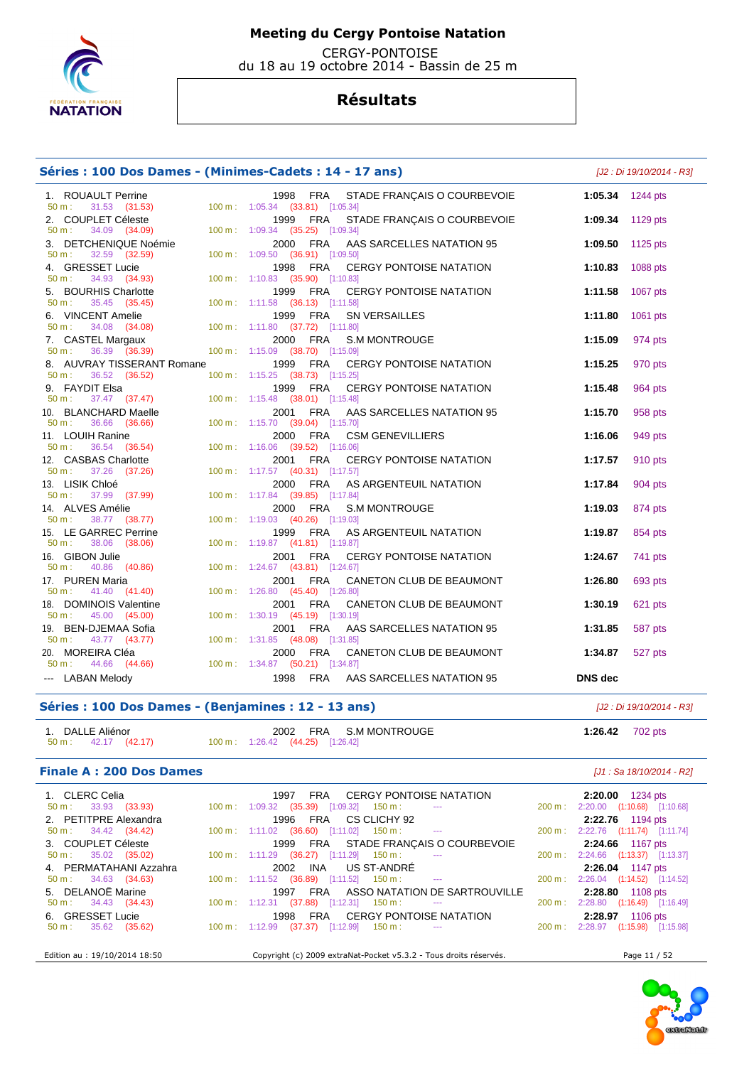

 CERGY-PONTOISE du 18 au 19 octobre 2014 - Bassin de 25 m

## **Résultats**

## **Séries : 100 Dos Dames - (Minimes-Cadets : 14 - 17 ans)** [J2 : Di 19/10/2014 - R3]

| 1. ROUAULT Perrine<br>31.53 (31.53) 100 m: 1:05.34 (33.81) [1:05.34]<br>50 m: | 1998 FRA STADE FRANÇAIS O COURBEVOIE                                      | 1:05.34 1244 pts |          |
|-------------------------------------------------------------------------------|---------------------------------------------------------------------------|------------------|----------|
| 2. COUPLET Céleste                                                            | STADE FRANÇAIS O COURBEVOIE<br>1999 FRA                                   | 1:09.34 1129 pts |          |
| 34.09 (34.09)<br>50 m:                                                        | 100 m: 1:09.34 (35.25) [1:09.34]                                          |                  |          |
| 3. DETCHENIQUE Noémie<br>32.59 (32.59)<br>50 m:                               | 2000 FRA<br>AAS SARCELLES NATATION 95<br>100 m: 1:09.50 (36.91) [1:09.50] | 1:09.50          | 1125 pts |
| 4. GRESSET Lucie                                                              | 1998 FRA CERGY PONTOISE NATATION                                          | 1:10.83          | 1088 pts |
| 34.93 (34.93)<br>$50 m$ :                                                     | 100 m: 1:10.83 (35.90) [1:10.83]                                          |                  |          |
| 5. BOURHIS Charlotte<br>50 m : 35.45 (35.45)                                  | 1999 FRA<br>CERGY PONTOISE NATATION                                       | 1:11.58          | 1067 pts |
|                                                                               | 100 m: 1:11.58 (36.13) [1:11.58]                                          |                  |          |
| 6. VINCENT Amelie                                                             | 1999 FRA<br>SN VERSAILLES                                                 | 1:11.80          | 1061 pts |
| 34.08 (34.08)<br>$50 m$ :                                                     | 100 m: 1:11.80 (37.72) [1:11.80]                                          |                  |          |
| 7. CASTEL Margaux<br>36.39 (36.39)<br>$50 m$ :                                | S.M MONTROUGE<br>2000 FRA<br>100 m: 1:15.09 (38.70) [1:15.09]             | 1:15.09          | 974 pts  |
| 8. AUVRAY TISSERANT Romane                                                    | 1999 FRA<br>CERGY PONTOISE NATATION                                       | 1:15.25          | 970 pts  |
| 50 m : 36.52 (36.52)                                                          | 100 m: 1:15.25 (38.73) [1:15.25]                                          |                  |          |
| 9. FAYDIT Elsa                                                                | 1999 FRA<br>CERGY PONTOISE NATATION                                       | 1:15.48          | 964 pts  |
| 9. FAYDIT Elsa<br>50 m : 37.47 (37.47)                                        | 100 m: 1:15.48 (38.01) [1:15.48]                                          |                  |          |
| 10. BLANCHARD Maelle<br>50 m : 36.66 (36.66)                                  | 2001 FRA<br>AAS SARCELLES NATATION 95                                     | 1:15.70          | 958 pts  |
|                                                                               | 100 m: 1:15.70 (39.04) [1:15.70]                                          |                  |          |
| 11. LOUIH Ranine<br>36.54 (36.54)<br>50 m:                                    | 2000 FRA CSM GENEVILLIERS<br>100 m: 1:16.06 (39.52) [1:16.06]             | 1:16.06          | 949 pts  |
|                                                                               | 2001 FRA<br><b>CERGY PONTOISE NATATION</b>                                | 1:17.57          | 910 pts  |
| 12. CASBAS Charlotte<br>50 m : 37.26 (37.26)                                  | 100 m: 1:17.57 (40.31) [1:17.57]                                          |                  |          |
| 13. LISIK Chloé                                                               | 2000 FRA AS ARGENTEUIL NATATION                                           | 1:17.84          | 904 pts  |
| 37.99 (37.99)<br>$50 m$ :                                                     | 100 m: 1:17.84 (39.85) [1:17.84]                                          |                  |          |
| 14. ALVES Amélie                                                              | 2000 FRA<br>S.M MONTROUGE                                                 | 1:19.03          | 874 pts  |
| 38.77 (38.77)<br>$50 m$ :                                                     | 100 m: 1:19.03 (40.26) [1:19.03]                                          |                  |          |
| 15. LE GARREC Perrine<br>38.06 (38.06)<br>50 m:                               | 1999 FRA<br>AS ARGENTEUIL NATATION<br>100 m: 1:19.87 (41.81) [1:19.87]    | 1:19.87          | 854 pts  |
| 16. GIBON Julie                                                               | 2001 FRA<br><b>CERGY PONTOISE NATATION</b>                                | 1:24.67          | 741 pts  |
| 50 m : 40.86 (40.86)                                                          | 100 m: 1:24.67 (43.81) [1:24.67]                                          |                  |          |
| 17. PUREN Maria                                                               | 2001 FRA<br>CANETON CLUB DE BEAUMONT                                      | 1:26.80          | 693 pts  |
| 50 m : 41.40 (41.40)                                                          | 100 m: 1:26.80 (45.40) [1:26.80]                                          |                  |          |
| 18. DOMINOIS Valentine                                                        | 2001 FRA<br>CANETON CLUB DE BEAUMONT                                      | 1:30.19          | 621 pts  |
| 45.00 (45.00)<br>$50 m$ :                                                     | 100 m: 1:30.19 (45.19) [1:30.19]                                          |                  |          |
| 19. BEN-DJEMAA Sofia<br>50 m:<br>43.77 (43.77)                                | 2001 FRA<br>AAS SARCELLES NATATION 95<br>100 m: 1:31.85 (48.08) [1:31.85] | 1:31.85          | 587 pts  |
| 20. MOREIRA Cléa                                                              | 2000 FRA<br>CANETON CLUB DE BEAUMONT                                      | 1:34.87          | 527 pts  |
| 50 m:<br>44.66 (44.66)                                                        | 100 m: 1:34.87 (50.21) [1:34.87]                                          |                  |          |
| --- LABAN Melody                                                              | 1998 FRA AAS SARCELLES NATATION 95                                        | <b>DNS</b> dec   |          |

### **Séries : 100 Dos Dames - (Benjamines : 12 - 13 ans)** [J2 : Di 19/10/2014 - R3]

| 1. DALLE Aliénor     |                                  | 2002 FRA S.M MONTROUGE | 1:26.42 702 pts |  |
|----------------------|----------------------------------|------------------------|-----------------|--|
| 50 m : 42.17 (42.17) | 100 m: 1:26.42 (44.25) [1:26.42] |                        |                 |  |

### **Finale A : 200 Dos Dames** *Maximum Compact A : 200 Dos Dames Maximum Compact A : 200 Dos Dames* **<b>***Maximum Compact A : 200 Dos Dames*

| 1. CLERC Celia<br>$50 \text{ m}: 33.93 (33.93)$ | 1997 FRA CERGY PONTOISE NATATION<br>$100 \text{ m}: 1:09.32$ $(35.39)$ $[1:09.32]$ $150 \text{ m}:$<br>$\sim$ $\sim$ | <b>2:20.00</b> 1234 pts<br>200 m: 2:20.00 (1:10.68) [1:10.68] |
|-------------------------------------------------|----------------------------------------------------------------------------------------------------------------------|---------------------------------------------------------------|
| 2. PETITPRE Alexandra                           | 1996 FRA CS CLICHY 92                                                                                                | 2:22.76 1194 pts                                              |
| $50 \text{ m}: 34.42 (34.42)$                   | $100 \text{ m}$ : $1:11.02$ (36.60) [1:11.02] $150 \text{ m}$ : ---                                                  | 200 m: 2:22.76 (1:11.74) [1:11.74]                            |
| 3. COUPLET Céleste                              | 1999 FRA STADE FRANÇAIS O COURBEVOIE                                                                                 | 2:24.66 1167 pts                                              |
| $50 \text{ m}: 35.02 (35.02)$                   | $100 \text{ m}: 1:11.29$ (36.27) [1:11.29] 150 m :<br>$\sim 100$ and $\sim 100$                                      | 200 m: 2:24.66 (1:13.37) [1:13.37]                            |
| 4. PERMATAHANI Azzahra                          | 2002 INA US ST-ANDRÉ                                                                                                 | 2:26.04 1147 pts                                              |
| $50 \text{ m}: 34.63 (34.63)$                   | $100 \text{ m}: 1:11.52$ $(36.89)$ $[1:11.52]$ $150 \text{ m}:$ --                                                   | 200 m: 2:26.04 (1:14.52) [1:14.52]                            |
| 5. DELANOË Marine                               | 1997 FRA ASSO NATATION DE SARTROUVILLE                                                                               | 2:28.80 1108 pts                                              |
| $50 \text{ m}: 34.43 (34.43)$                   | $100 \text{ m}$ : 1:12.31 (37.88) [1:12.31] 150 m : ---                                                              | 200 m: 2:28.80 (1:16.49) [1:16.49]                            |
| 6. GRESSET Lucie                                | 1998 FRA CERGY PONTOISE NATATION                                                                                     | 2:28.97 1106 pts                                              |
| $50 \text{ m}: 35.62 (35.62)$                   | $100 \text{ m}: 1:12.99$ $(37.37)$ $[1:12.99]$ $150 \text{ m}:$ ---                                                  | 200 m: 2:28.97 (1:15.98) [1:15.98]                            |
| Edition au : 19/10/2014 18:50                   | Copyright (c) 2009 extraNat-Pocket v5.3.2 - Tous droits réservés.                                                    | Page 11 / 52                                                  |

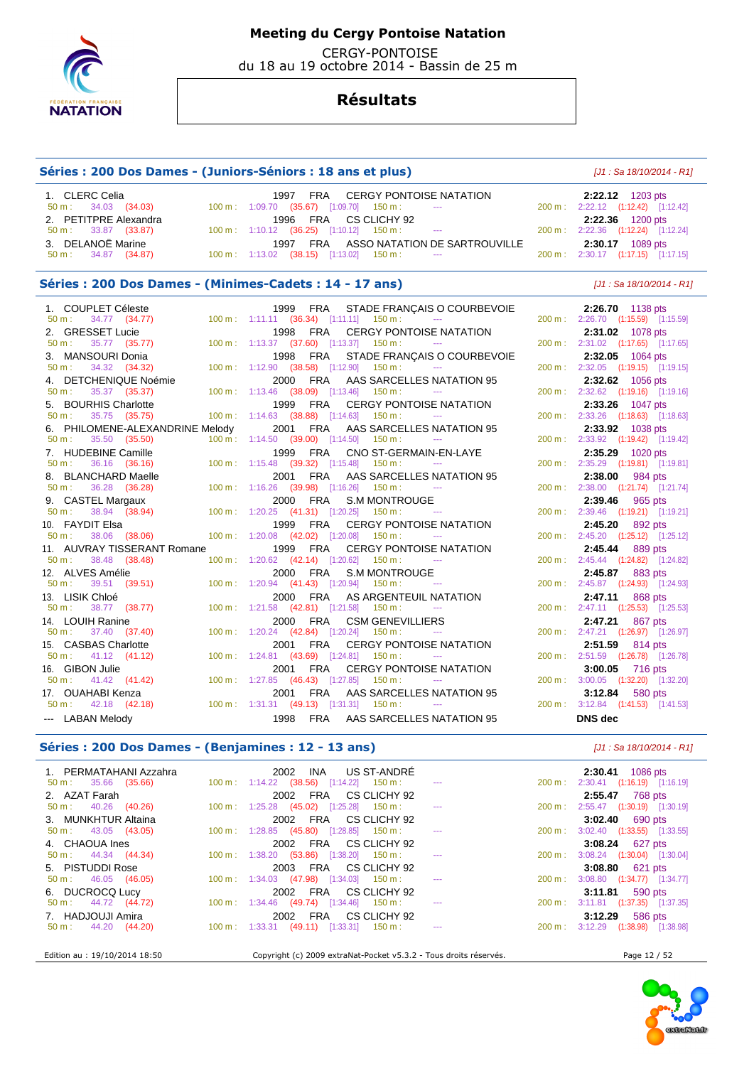

 CERGY-PONTOISE du 18 au 19 octobre 2014 - Bassin de 25 m

## **Résultats**

## **Séries : 200 Dos Dames - (Juniors-Séniors : 18 ans et plus)** [J1 : Sa 18/10/2014 - R1] 1. CLERC Celia **1997 FRA CERGY PONTOISE NATATION** 2:22.12 1203 pts<br>
50 m : 34.03 (34.03) 100 m : 1:09.70 (35.67) [1:09.70] 150 m : --- 200 m : 2:22.12 (1:12.42) [1:12.42]  $100 \text{ m}$  :  $1:09.70$  (35.67)  $[1:09.70]$   $150 \text{ m}$  : 2. PETITPRE Alexandra 1996 FRA CS CLICHY 92 **2:22.36** 1200 pts  $100 \text{ m}$  : 1:10.12 (36.25) [1:10.12] 150 m : 3. DELANOË Marine 1997 FRA ASSO NATATION DE SARTROUVILLE **2:30.17** 1089 pts

100 m : 1:13.02 (38.15) [1:13.02] 150 m : ---

**Séries : 200 Dos Dames - (Minimes-Cadets : 14 - 17 ans)** [J1 : Sa 18/10/2014 - R1]

| 1. COUPLET Céleste                                                                  | 1999 FRA STADE FRANÇAIS O COURBEVOIE<br>50 m: 34.77 (34.77) 100 m: 1:11.11 (36.34) [1:11.11] 150 m: ---                                                                | 2:26.70 1138 pts<br>200 m: 2:26.70 (1:15.59) [1:15.59]                                      |
|-------------------------------------------------------------------------------------|------------------------------------------------------------------------------------------------------------------------------------------------------------------------|---------------------------------------------------------------------------------------------|
| 2. GRESSET Lucie<br>35.77 (35.77)<br>50 m :<br>3. MANSOURI Donia                    | 1998 FRA CERGY PONTOISE NATATION<br>100 m: 1:13.37 (37.60) [1:13.37] 150 m: ---<br>1998 FRA STADE FRANÇAIS O COURBEVOIE                                                | 2:31.02 1078 pts<br>200 m: 2:31.02 (1:17.65) [1:17.65]<br>2:32.05 1064 pts                  |
| $50 \text{ m}: 34.32 (34.32)$<br>4. DETCHENIQUE Noémie                              | 100 m: 1:12.90 (38.58) [1:12.90] 150 m: ---<br>2000 FRA AAS SARCELLES NATATION 95                                                                                      | 200 m: 2:32.05 (1:19.15) [1:19.15]<br>2:32.62 1056 pts                                      |
| 35.37 (35.37)<br>50 m:<br>5. BOURHIS Charlotte                                      | $100 \text{ m}$ : 1:13.46 (38.09) [1:13.46] 150 m : ---<br>1999 FRA CERGY PONTOISE NATATION                                                                            | 200 m: 2:32.62 (1:19.16) [1:19.16]<br>2:33.26 1047 pts                                      |
| 35.75 (35.75)<br>$50 \text{ m}$ :<br>6. PHILOMENE-ALEXANDRINE Melody                | 100 m: 1:14.63 (38.88) [1:14.63] 150 m: ---<br>2001 FRA AAS SARCELLES NATATION 95                                                                                      | 200 m: 2:33.26 (1:18.63) [1:18.63]<br>2:33.92 1038 pts                                      |
| 50 m:<br>35.50 (35.50)<br>7. HUDEBINE Camille<br>50 m:                              | 100 m: 1:14.50 (39.00) [1:14.50] 150 m:<br><b>Contract Contract</b><br>1999 FRA CNO ST-GERMAIN-EN-LAYE                                                                 | 200 m: 2:33.92 (1:19.42) [1:19.42]<br>2:35.29 1020 pts                                      |
| 36.16 (36.16)<br>8. BLANCHARD Maelle<br>36.28 (36.28)<br>50 m:                      | 100 m: 1:15.48 (39.32) [1:15.48] 150 m: ---<br>2001 FRA AAS SARCELLES NATATION 95<br>100 m: 1:16.26 (39.98) [1:16.26] 150 m:                                           | 200 m: 2:35.29 (1:19.81) [1:19.81]<br>2:38.00 984 pts<br>200 m: 2:38.00 (1:21.74) [1:21.74] |
| 9. CASTEL Margaux<br>38.94 (38.94)<br>$50 \text{ m}$ :                              | 2000 FRA S.M MONTROUGE<br>$100 \text{ m}: 1:20.25$ $(41.31)$ $[1:20.25]$ $150 \text{ m}:$<br><b>State Street</b>                                                       | 2:39.46 965 pts<br>200 m: 2:39.46 (1:19.21) [1:19.21]                                       |
| 10. FAYDIT Elsa<br>$50 \text{ m}: 38.06 (38.06)$                                    | 1999 FRA CERGY PONTOISE NATATION<br>100 m: 1:20.08 (42.02) [1:20.08] 150 m: ---                                                                                        | 2:45.20 892 pts<br>200 m: 2:45.20 (1:25.12) [1:25.12]                                       |
| 11. AUVRAY TISSERANT Romane<br>$50 \text{ m}: 38.48 (38.48)$                        | 1999 FRA CERGY PONTOISE NATATION<br>100 m: 1:20.62 (42.14) [1:20.62] 150 m:<br><b>State State</b>                                                                      | 2:45.44 889 pts<br>200 m: 2:45.44 (1:24.82) [1:24.82]                                       |
| 12. ALVES Amélie<br>50 m : 39.51 (39.51)<br>13. LISIK Chloé                         | 2000 FRA S.M MONTROUGE<br>$100 \text{ m}: 1:20.94$ (41.43) [1:20.94] 150 m :<br>2000 FRA AS ARGENTEUIL NATATION                                                        | 2:45.87 883 pts<br>200 m: 2:45.87 (1:24.93) [1:24.93]<br>2:47.11 868 pts                    |
| 50 m : 38.77 (38.77)<br>14. LOUIH Ranine                                            | $100 \text{ m}: 1:21.58$ (42.81) [1:21.58] 150 m : ---<br>2000 FRA CSM GENEVILLIERS                                                                                    | 200 m: 2:47.11 (1:25.53) [1:25.53]<br>2:47.21 867 pts                                       |
| 37.40 (37.40)<br>$50 \text{ m}$ :<br>15. CASBAS Charlotte                           | 100 m: 1:20.24 (42.84) [1:20.24] 150 m: ---<br>2001 FRA CERGY PONTOISE NATATION                                                                                        | 200 m: 2:47.21 (1:26.97) [1:26.97]<br>2:51.59 814 pts                                       |
| $50 \text{ m}: 41.12 (41.12)$<br>16. GIBON Julie                                    | 100 m: 1:24.81 (43.69) [1:24.81] 150 m:<br>2001 FRA CERGY PONTOISE NATATION                                                                                            | 200 m: 2:51.59 (1:26.78) [1:26.78]<br>3:00.05 716 pts                                       |
| $50 \text{ m}: 41.42 (41.42)$<br>17. OUAHABI Kenza<br>$50 \text{ m}: 42.18 (42.18)$ | 100 m: 1:27.85 (46.43) [1:27.85] 150 m:<br><b>Contract Contract</b><br>2001 FRA AAS SARCELLES NATATION 95<br>$100 \text{ m}: 1:31.31 (49.13) [1:31.31] 150 \text{ m}:$ | 200 m: 3:00.05 (1:32.20) [1:32.20]<br>3:12.84 580 pts<br>200 m: 3:12.84 (1:41.53) [1:41.53] |
| --- LABAN Melody                                                                    | 1998 FRA AAS SARCELLES NATATION 95                                                                                                                                     | DNS dec                                                                                     |

### **Séries : 200 Dos Dames - (Benjamines : 12 - 13 ans)** [J1 : Sa 18/10/2014 - R1]

| 1. PERMATAHANI Azzahra                         | INA US ST-ANDRÉ<br>2002<br>$\sim$ 100 $\pm$ 100 $\pm$                       | $2:30.41$ 1086 pts                                    |
|------------------------------------------------|-----------------------------------------------------------------------------|-------------------------------------------------------|
| $50 \text{ m}: 35.66 (35.66)$<br>2. AZAT Farah | $100 \text{ m}: 1:14.22$ (38.56) [1:14.22] 150 m :<br>2002 FRA CS CLICHY 92 | 200 m: 2:30.41 (1:16.19) [1:16.19]<br>2:55.47 768 pts |
| $50 \text{ m}: 40.26 (40.26)$                  | $100 \text{ m}: 1:25.28$ (45.02) [1:25.28] 150 m :<br>$\sim$ $\sim$         | 200 m: 2:55.47 (1:30.19) [1:30.19]                    |
| 3. MUNKHTUR Altaina                            | 2002 FRA CS CLICHY 92                                                       | <b>3:02.40</b> 690 pts                                |
| $50 \text{ m}: 43.05 (43.05)$                  | $100 \text{ m}: 1:28.85$ (45.80) [1:28.85] 150 m :<br>$\sim$ $\sim$         | 200 m: 3:02.40 (1:33.55) [1:33.55]                    |
| 4. CHAOUA Ines                                 | 2002 FRA CS CLICHY 92                                                       | <b>3:08.24</b> 627 pts                                |
| $50 \text{ m}: 44.34 (44.34)$                  | $100 \text{ m}: 1:38.20$ (53.86) [1:38.20] 150 m :<br>$\sim$                | 200 m: 3:08.24 (1:30.04) [1:30.04]                    |
| 5. PISTUDDI Rose                               | 2003 FRA CS CLICHY 92                                                       | 3:08.80 621 pts                                       |
| $50 \text{ m}: 46.05 (46.05)$                  | $100 \text{ m}: 1:34.03$ (47.98) [1:34.03] 150 m :<br>$\sim$                | 200 m: 3:08.80 (1:34.77) [1:34.77]                    |
| 6. DUCROCQ Lucy                                | 2002 FRA CS CLICHY 92                                                       | 3:11.81 590 pts                                       |
| $50 \text{ m}: 44.72 (44.72)$                  | $100 \text{ m}: 1:34.46$ (49.74) [1:34.46] 150 m :<br>$\sim$ $\sim$         | 200 m: 3:11.81 (1:37.35) [1:37.35]                    |
| 7. HADJOUJI Amira                              | 2002 FRA CS CLICHY 92                                                       | 3:12.29 586 pts                                       |
| $50 \text{ m}: 44.20 (44.20)$                  | $100 \text{ m}: 1:33.31$ (49.11) [1:33.31] 150 m :<br>$\sim$ $\sim$         | 3:12.29 (1:38.98) [1:38.98]<br>$200 \text{ m}$ :      |
| Edition au : 19/10/2014 18:50                  | Copyright (c) 2009 extraNat-Pocket v5.3.2 - Tous droits réservés.           | Page 12 / 52                                          |

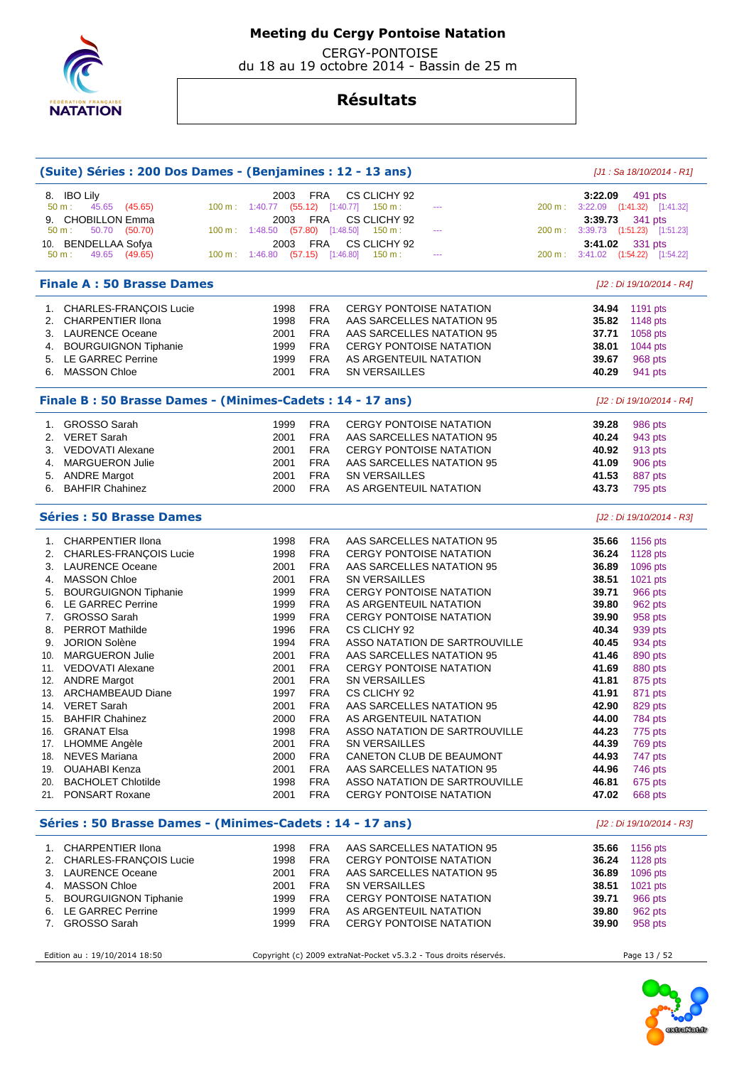

CERGY-PONTOISE

du 18 au 19 octobre 2014 - Bassin de 25 m

|     | (Suite) Séries : 200 Dos Dames - (Benjamines : 12 - 13 ans) |                                  |                          |                                                                   |                               |        |                | [J1 : Sa 18/10/2014 - R1]                     |
|-----|-------------------------------------------------------------|----------------------------------|--------------------------|-------------------------------------------------------------------|-------------------------------|--------|----------------|-----------------------------------------------|
| 8.  | <b>IBO Lily</b><br>45.65 (45.65)<br>50 m:                   | 2003                             | <b>FRA</b>               | CS CLICHY 92<br>100 m: 1:40.77 (55.12) [1:40.77] 150 m:           | $\scriptstyle\cdots$          |        | 3:22.09        | 491 pts<br>200 m: 3:22.09 (1:41.32) [1:41.32] |
| 9.  | <b>CHOBILLON Emma</b>                                       | 2003                             | FRA                      | CS CLICHY 92                                                      |                               |        | 3:39.73        | 341 pts                                       |
|     | 50.70 (50.70)<br>50 m:                                      | 100 m: 1:48.50                   | $(57.80)$ [1:48.50]      | 150 m:                                                            | $\scriptstyle\cdots$          |        |                | 200 m: 3:39.73 (1:51.23) [1:51.23]            |
| 10. | <b>BENDELLAA Sofya</b>                                      | 2003                             | <b>FRA</b>               | CS CLICHY 92                                                      |                               |        | 3:41.02        | 331 pts                                       |
|     | 49.65 (49.65)<br>50 m:                                      | 100 m: 1:46.80 (57.15) [1:46.80] |                          | 150 m :                                                           | $\scriptstyle\cdots$          | 200 m: |                | 3:41.02 (1:54.22) [1:54.22]                   |
|     | <b>Finale A: 50 Brasse Dames</b>                            |                                  |                          |                                                                   |                               |        |                | [J2 : Di 19/10/2014 - R4]                     |
|     | 1. CHARLES-FRANÇOIS Lucie                                   | 1998                             | <b>FRA</b>               | <b>CERGY PONTOISE NATATION</b>                                    |                               |        | 34.94          | 1191 pts                                      |
| 2.  | <b>CHARPENTIER Ilona</b>                                    | 1998                             | <b>FRA</b>               | AAS SARCELLES NATATION 95                                         |                               |        | 35.82          | 1148 pts                                      |
|     | 3. LAURENCE Oceane                                          | 2001                             | <b>FRA</b>               | AAS SARCELLES NATATION 95                                         |                               |        | 37.71          | 1058 pts                                      |
|     | 4. BOURGUIGNON Tiphanie                                     | 1999                             | <b>FRA</b>               | <b>CERGY PONTOISE NATATION</b>                                    |                               |        | 38.01          | 1044 pts                                      |
|     | 5. LE GARREC Perrine                                        | 1999                             | <b>FRA</b>               | AS ARGENTEUIL NATATION                                            |                               |        | 39.67          | 968 pts                                       |
| 6.  | <b>MASSON Chloe</b>                                         | 2001                             | <b>FRA</b>               | SN VERSAILLES                                                     |                               |        | 40.29          | 941 pts                                       |
|     | Finale B: 50 Brasse Dames - (Minimes-Cadets: 14 - 17 ans)   |                                  |                          |                                                                   |                               |        |                | [J2 : Di 19/10/2014 - R4]                     |
| 1.  | <b>GROSSO Sarah</b>                                         | 1999                             | <b>FRA</b>               | <b>CERGY PONTOISE NATATION</b>                                    |                               |        | 39.28          | 986 pts                                       |
| 2.  | <b>VERET Sarah</b>                                          | 2001                             | <b>FRA</b>               | AAS SARCELLES NATATION 95                                         |                               |        | 40.24          | 943 pts                                       |
| 3.  | <b>VEDOVATI Alexane</b>                                     | 2001                             | <b>FRA</b>               | <b>CERGY PONTOISE NATATION</b>                                    |                               |        | 40.92          | 913 pts                                       |
| 4.  | <b>MARGUERON Julie</b>                                      | 2001                             | <b>FRA</b>               | AAS SARCELLES NATATION 95                                         |                               |        | 41.09          | 906 pts                                       |
| 5.  | <b>ANDRE Margot</b>                                         | 2001                             | <b>FRA</b>               | SN VERSAILLES                                                     |                               |        | 41.53          | 887 pts                                       |
|     | 6. BAHFIR Chahinez                                          | 2000                             | <b>FRA</b>               | AS ARGENTEUIL NATATION                                            |                               |        | 43.73          | 795 pts                                       |
|     | <b>Séries : 50 Brasse Dames</b>                             |                                  |                          |                                                                   |                               |        |                | [J2 : Di 19/10/2014 - R3]                     |
| 1.  | <b>CHARPENTIER Ilona</b>                                    | 1998                             | <b>FRA</b>               | AAS SARCELLES NATATION 95                                         |                               |        | 35.66          | 1156 pts                                      |
| 2.  | CHARLES-FRANÇOIS Lucie                                      | 1998                             | <b>FRA</b>               | <b>CERGY PONTOISE NATATION</b>                                    |                               |        | 36.24          | 1128 pts                                      |
| 3.  | <b>LAURENCE Oceane</b>                                      | 2001                             | <b>FRA</b>               | AAS SARCELLES NATATION 95                                         |                               |        | 36.89          | 1096 pts                                      |
| 4.  | <b>MASSON Chloe</b>                                         | 2001                             | <b>FRA</b>               | <b>SN VERSAILLES</b>                                              |                               |        | 38.51          | 1021 pts                                      |
| 5.  | <b>BOURGUIGNON Tiphanie</b>                                 | 1999                             | <b>FRA</b>               | <b>CERGY PONTOISE NATATION</b>                                    |                               |        | 39.71          | 966 pts                                       |
| 6.  | LE GARREC Perrine                                           | 1999                             | <b>FRA</b>               | AS ARGENTEUIL NATATION                                            |                               |        | 39.80          | 962 pts                                       |
| 7.  | <b>GROSSO Sarah</b>                                         | 1999                             | <b>FRA</b>               | <b>CERGY PONTOISE NATATION</b>                                    |                               |        | 39.90          | 958 pts                                       |
| 8.  | <b>PERROT Mathilde</b>                                      | 1996                             | <b>FRA</b>               | CS CLICHY 92                                                      |                               |        | 40.34          | 939 pts                                       |
| 9.  | <b>JORION Solène</b>                                        | 1994                             | <b>FRA</b>               |                                                                   | ASSO NATATION DE SARTROUVILLE |        | 40.45          | 934 pts                                       |
| 10. | <b>MARGUERON Julie</b>                                      | 2001                             | <b>FRA</b>               | AAS SARCELLES NATATION 95                                         |                               |        | 41.46          | 890 pts                                       |
|     | 11. VEDOVATI Alexane                                        | 2001                             | <b>FRA</b>               | <b>CERGY PONTOISE NATATION</b>                                    |                               |        | 41.69          | 880 pts                                       |
|     | 12. ANDRE Margot                                            | 2001                             | <b>FRA</b>               | <b>SN VERSAILLES</b>                                              |                               |        | 41.81          |                                               |
|     | 13. ARCHAMBEAUD Diane                                       | 1997                             | <b>FRA</b>               | CS CLICHY 92                                                      |                               |        | 41.91          | 875 pts<br>871 pts                            |
| 14. | <b>VERET Sarah</b>                                          | 2001                             | <b>FRA</b>               | AAS SARCELLES NATATION 95                                         |                               |        | 42.90          |                                               |
|     | 15. BAHFIR Chahinez                                         | 2000                             | <b>FRA</b>               | AS ARGENTEUIL NATATION                                            |                               |        | 44.00          | 829 pts<br>784 pts                            |
|     |                                                             |                                  |                          |                                                                   |                               |        |                |                                               |
| 16. | <b>GRANAT Elsa</b>                                          | 1998                             | <b>FRA</b><br><b>FRA</b> |                                                                   | ASSO NATATION DE SARTROUVILLE |        | 44.23<br>44.39 | 775 pts                                       |
|     | 17. LHOMME Angèle                                           | 2001                             |                          | SN VERSAILLES                                                     |                               |        | 44.93          | 769 pts                                       |
|     | 18. NEVES Mariana                                           | 2000                             | <b>FRA</b><br><b>FRA</b> | CANETON CLUB DE BEAUMONT                                          |                               |        |                | 747 pts<br>746 pts                            |
|     | 19. OUAHABI Kenza                                           | 2001                             |                          | AAS SARCELLES NATATION 95                                         |                               |        | 44.96          |                                               |
|     | 20. BACHOLET Chlotilde<br>21. PONSART Roxane                | 1998<br>2001                     | <b>FRA</b><br><b>FRA</b> | <b>CERGY PONTOISE NATATION</b>                                    | ASSO NATATION DE SARTROUVILLE |        | 46.81<br>47.02 | 675 pts<br>668 pts                            |
|     | Séries : 50 Brasse Dames - (Minimes-Cadets : 14 - 17 ans)   |                                  |                          |                                                                   |                               |        |                | [J2 : Di 19/10/2014 - R3]                     |
|     | 1. CHARPENTIER Ilona                                        | 1998                             | <b>FRA</b>               | AAS SARCELLES NATATION 95                                         |                               |        | 35.66          | 1156 pts                                      |
|     | 2. CHARLES-FRANÇOIS Lucie                                   | 1998                             | <b>FRA</b>               | <b>CERGY PONTOISE NATATION</b>                                    |                               |        | 36.24          | 1128 pts                                      |
|     | 3. LAURENCE Oceane                                          | 2001                             | <b>FRA</b>               | AAS SARCELLES NATATION 95                                         |                               |        | 36.89          | 1096 pts                                      |
|     | 4. MASSON Chloe                                             | 2001                             | <b>FRA</b>               | SN VERSAILLES                                                     |                               |        | 38.51          | 1021 pts                                      |
|     | 5. BOURGUIGNON Tiphanie                                     | 1999                             | <b>FRA</b>               | <b>CERGY PONTOISE NATATION</b>                                    |                               |        | 39.71          | 966 pts                                       |
|     | 6. LE GARREC Perrine                                        | 1999                             | <b>FRA</b>               | AS ARGENTEUIL NATATION                                            |                               |        | 39.80          | 962 pts                                       |
| 7.  | <b>GROSSO Sarah</b>                                         | 1999                             | <b>FRA</b>               | <b>CERGY PONTOISE NATATION</b>                                    |                               |        | 39.90          | 958 pts                                       |
|     |                                                             |                                  |                          |                                                                   |                               |        |                |                                               |
|     | Edition au : 19/10/2014 18:50                               |                                  |                          | Copyright (c) 2009 extraNat-Pocket v5.3.2 - Tous droits réservés. |                               |        |                | Page 13 / 52                                  |

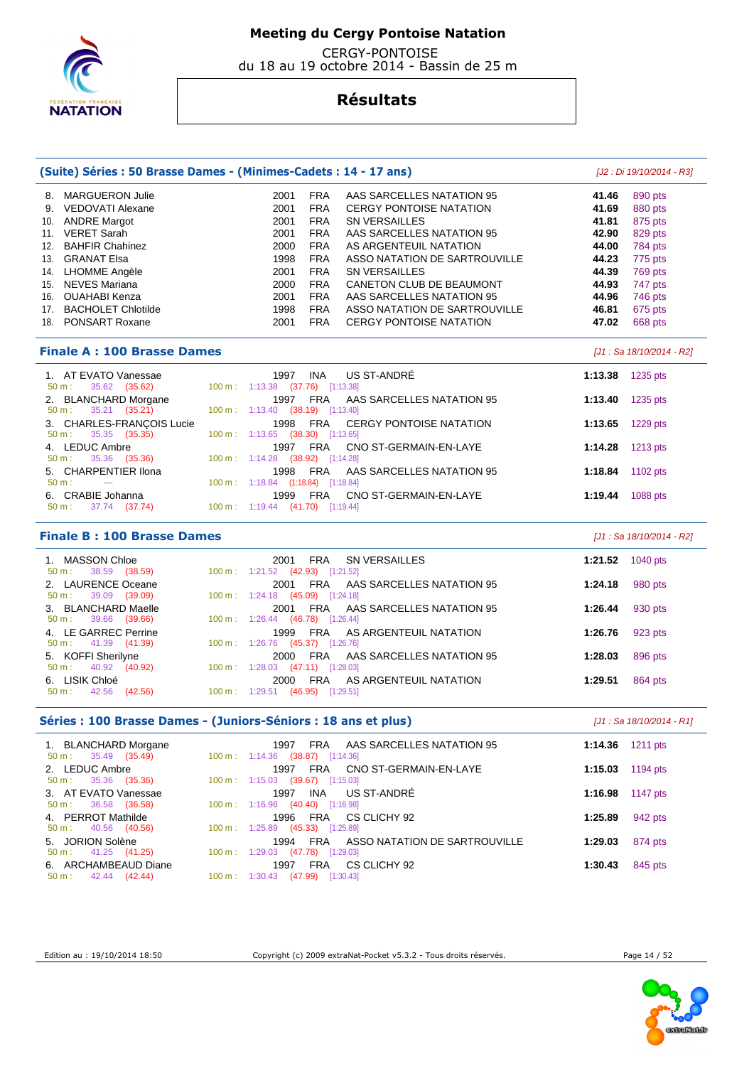

 CERGY-PONTOISE du 18 au 19 octobre 2014 - Bassin de 25 m

## **Résultats**

| (Suite) Séries : 50 Brasse Dames - (Minimes-Cadets : 14 - 17 ans) |                                                            | [J2 : Di 19/10/2014 - R3]      |         |          |
|-------------------------------------------------------------------|------------------------------------------------------------|--------------------------------|---------|----------|
| <b>MARGUERON Julie</b><br>8.                                      | <b>FRA</b><br>2001                                         | AAS SARCELLES NATATION 95      | 41.46   | 890 pts  |
| <b>VEDOVATI Alexane</b><br>9.                                     | 2001<br><b>FRA</b>                                         | <b>CERGY PONTOISE NATATION</b> | 41.69   | 880 pts  |
| <b>ANDRE Margot</b><br>10.                                        | 2001<br><b>FRA</b>                                         | <b>SN VERSAILLES</b>           | 41.81   | 875 pts  |
| <b>VERET Sarah</b><br>11.                                         | 2001<br><b>FRA</b>                                         | AAS SARCELLES NATATION 95      | 42.90   | 829 pts  |
| <b>BAHFIR Chahinez</b><br>12.                                     | <b>FRA</b><br>2000                                         | AS ARGENTEUIL NATATION         | 44.00   | 784 pts  |
| <b>GRANAT Elsa</b><br>13.                                         | <b>FRA</b><br>1998                                         | ASSO NATATION DE SARTROUVILLE  | 44.23   | 775 pts  |
| LHOMME Angèle<br>14.                                              | <b>FRA</b><br>2001                                         | <b>SN VERSAILLES</b>           | 44.39   | 769 pts  |
| <b>NEVES Mariana</b><br>15.                                       | <b>FRA</b><br>2000                                         | CANETON CLUB DE BEAUMONT       | 44.93   | 747 pts  |
| <b>OUAHABI Kenza</b><br>16.                                       | <b>FRA</b><br>2001                                         | AAS SARCELLES NATATION 95      | 44.96   | 746 pts  |
| <b>BACHOLET Chlotilde</b><br>17.                                  | 1998<br><b>FRA</b>                                         | ASSO NATATION DE SARTROUVILLE  | 46.81   | 675 pts  |
| <b>PONSART Roxane</b><br>18.                                      | <b>FRA</b><br>2001                                         | <b>CERGY PONTOISE NATATION</b> | 47.02   | 668 pts  |
| <b>Finale A: 100 Brasse Dames</b>                                 |                                                            | [J1 : Sa 18/10/2014 - R2]      |         |          |
| 1. AT EVATO Vanessae<br>35.62<br>50 m:<br>(35.62)                 | <b>INA</b><br>1997<br>1:13.38 (37.76)<br>$100 \text{ m}$ : | US ST-ANDRÉ<br>[1:13.38]       | 1:13.38 | 1235 pts |
| 2. BLANCHARD Morgane<br>35.21 (35.21)<br>50 m:                    | <b>FRA</b><br>1997<br>100 m: 1:13.40 (38.19) [1:13.40]     | AAS SARCELLES NATATION 95      | 1:13.40 | 1235 pts |
| 3. CHARLES-FRANÇOIS Lucie<br>35.35 (35.35)<br>$50 m$ :            | FRA<br>1998<br>100 m: 1:13.65 (38.30) [1:13.65]            | <b>CERGY PONTOISE NATATION</b> | 1:13.65 | 1229 pts |

| 4. LEDUC Ambre                | 1997 FRA CNO ST-GERMAIN-EN-LAYE     | 1:14.28 1213 pts           |
|-------------------------------|-------------------------------------|----------------------------|
| $50 \text{ m}: 35.36 (35.36)$ | 100 m: 1:14.28 (38.92) [1:14.28]    |                            |
| 5. CHARPENTIER IIona          | 1998 FRA AAS SARCELLES NATATION 95  | 1:18.84 $1102 \text{ pts}$ |
| 50 m : ---                    | 100 m: 1:18.84 (1:18.84) [1:18.84]  |                            |
| 6. CRABIE Johanna             | 1999 FRA CNO ST-GERMAIN-EN-LAYE     | 1:19.44 $1088 \text{ pts}$ |
| 50 m : 37.74 (37.74)          | 100 m : 1:19.44 $(41.70)$ [1:19.44] |                            |

### **Finale B : 100 Brasse Dames** [J1 : Sa 18/10/2014 - R2]

| 1. MASSON Chloe<br>$50 \text{ m}: 38.59 (38.59)$       | SN VERSAILLES<br>FRA<br>2001<br>$100 \text{ m}: 1:21.52$<br>$(42.93)$ [1:21.52]             | 1040 $pts$<br>1:21.52 |
|--------------------------------------------------------|---------------------------------------------------------------------------------------------|-----------------------|
| 2. LAURENCE Oceane<br>$50 \text{ m}: 39.09 (39.09)$    | AAS SARCELLES NATATION 95<br>2001<br>FRA<br>$100 \text{ m}: 1:24.18$<br>$(45.09)$ [1:24.18] | 980 pts<br>1:24.18    |
| 3. BLANCHARD Maelle<br>$50 \text{ m}: 39.66 (39.66)$   | 2001 FRA AAS SARCELLES NATATION 95<br>100 m : $1:26.44$ (46.78) [1:26.44]                   | 930 pts<br>1:26.44    |
| 4. LE GARREC Perrine<br>$50 \text{ m}: 41.39 (41.39)$  | AS ARGENTEUIL NATATION<br>1999<br>FRA<br>100 m: 1:26.76<br>$(45.37)$ [1:26.76]              | 923 pts<br>1:26.76    |
| 5. KOFFI Sherilyne<br>40.92 (40.92)<br>$50 m$ :        | FRA AAS SARCELLES NATATION 95<br>2000<br>$100 \text{ m}: 1:28.03$<br>$(47.11)$ [1:28.03]    | 896 pts<br>1:28.03    |
| 6. LISIK Chloé<br>(42.56)<br>42.56<br>$50 \text{ m}$ : | AS ARGENTEUIL NATATION<br>2000<br>FRA<br>100 m: 1:29.51<br>$(46.95)$ [1:29.51]              | 864 pts<br>1:29.51    |

### **Séries : 100 Brasse Dames - (Juniors-Séniors : 18 ans et plus)** [J1 : Sa 18/10/2014 - R1]

| 1. BLANCHARD Morgane<br>$50 \text{ m}: 35.49 (35.49)$ | FRA AAS SARCELLES NATATION 95<br>1997<br>100 m: 1:14.36 (38.87) [1:14.36]                 | 1:14.36 1211 pts    |
|-------------------------------------------------------|-------------------------------------------------------------------------------------------|---------------------|
| 2. LEDUC Ambre<br>$50 \text{ m}: 35.36 (35.36)$       | CNO ST-GERMAIN-EN-LAYE<br>FRA<br>1997<br>$100 \text{ m}: 1:15.03$<br>$(39.67)$ [1:15.03]  | 1194 pts<br>1:15.03 |
| 3. AT EVATO Vanessae<br>$50 \text{ m}: 36.58 (36.58)$ | INA US ST-ANDRÉ<br>1997<br>100 m: 1:16.98 (40.40) [1:16.98]                               | 1:16.98 1147 pts    |
| 4. PERROT Mathilde<br>$50 \text{ m}: 40.56 (40.56)$   | CS CLICHY 92<br>FRA<br>1996<br>100 m: 1:25.89 (45.33) [1:25.89]                           | 1:25.89<br>942 pts  |
| 5. JORION Solène<br>$50 \text{ m}: 41.25 (41.25)$     | 1994 FRA ASSO NATATION DE SARTROUVILLE<br>$100 \text{ m}: 1:29.03$<br>$(47.78)$ [1:29.03] | 874 pts<br>1:29.03  |
| 6. ARCHAMBEAUD Diane<br>$50 \text{ m}: 42.44 (42.44)$ | CS CLICHY 92<br><b>FRA</b><br>1997<br>100 m: 1:30.43 (47.99) [1:30.43]                    | 845 pts<br>1:30.43  |



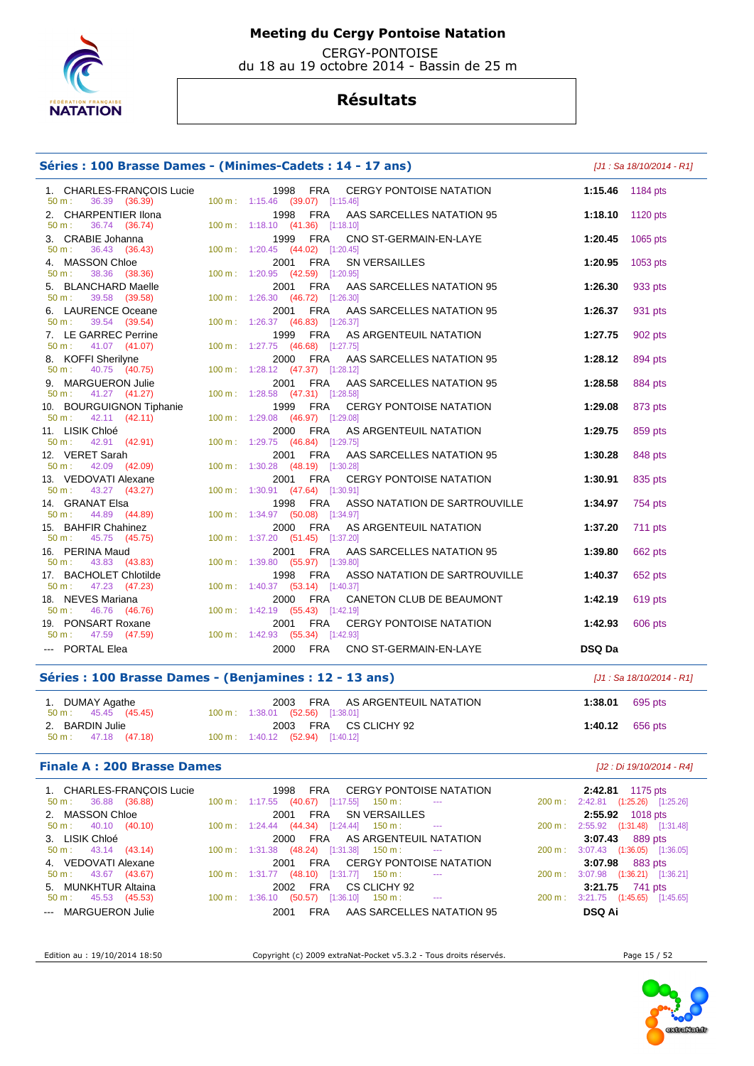

 CERGY-PONTOISE du 18 au 19 octobre 2014 - Bassin de 25 m

## **Résultats**

### **Séries : 100 Brasse Dames - (Minimes-Cadets : 14 - 17 ans)** [J1 : Sa 18/10/2014 - R1]

 1. CHARLES-FRANÇOIS Lucie 1998 FRA CERGY PONTOISE NATATION **1:15.46** 1184 pts 50 m : 36.39 (36.39) 100 m : 1:15.46 (39.07) [1:15.46] 2. CHARPENTIER Ilona 1998 FRA AAS SARCELLES NATATION 95 **1:18.10** 1120 pts 1:18.10 (41.36) [1:18.10] 3. CRABIE Johanna 1999 FRA CNO ST-GERMAIN-EN-LAYE **1:20.45** 1065 pts 50 m : 36.43 (36.43) 100 m : 1:20.45 (44.02) [1:20.45] 4. MASSON Chloe 2001 FRA SN VERSAILLES **1:20.95** 1053 pts 50 m : 38.36 (38.36) 100 m : 1:20.95 (42.59) [1:20.95] 5. BLANCHARD Maelle 2001 FRA AAS SARCELLES NATATION 95 **1:26.30** 933 pts 50 m : 39.58 (39.58) 100 m : 1:26.30 (46.72) [1:26.30] 6. LAURENCE Oceane 2001 FRA AAS SARCELLES NATATION 95 **1:26.37** 931 pts 50 m : 39.54 (39.54) 100 m : 1:26.37 (46.83) [1:26.37] 7. LE GARREC Perrine 1999 FRA AS ARGENTEUIL NATATION **1:27.75** 902 pts 50 m : 41.07 (41.07) 100 m : 1:27.75 (46.68) [1:27.75] 8. KOFFI Sherilyne 2000 FRA AAS SARCELLES NATATION 95 **1:28.12** 894 pts 50 m : 40.75 (40.75) 100 m : 1:28.12 (47.37) [1:28.12] 9. MARGUERON Julie 2001 FRA AAS SARCELLES NATATION 95 **1:28.58** 884 pts 1:28.58 (47.31) [1:28.58] 10. BOURGUIGNON Tiphanie 1999 FRA CERGY PONTOISE NATATION **1:29.08** 873 pts 50 m : 42.11 (42.11) 100 m : 1:29.08 (46.97) [1:29.08] 11. LISIK Chloé 2000 FRA AS ARGENTEUIL NATATION **1:29.75** 859 pts 50 m : 42.91 (42.91) 100 m : 1:29.75 (46.84) [1:29.75] 12. VERET Sarah 2001 FRA AAS SARCELLES NATATION 95 **1:30.28** 848 pts 1:30.28 (48.19) [1:30.28] 13. VEDOVATI Alexane **2001 FRA CERGY PONTOISE NATATION 1:30.91 1:30.91 1:30.91 1:30** pts 50 m : 43.27 (43.27) 100 m : 1:30.91 (47.64) [1:30.91] 14. GRANAT Elsa 1998 FRA ASSO NATATION DE SARTROUVILLE **1:34.97** 754 pts 50 m : 44.89 (44.89) 100 m : 1:34.97 (50.08) [1:34.97] 15. BAHFIR Chahinez 2000 FRA AS ARGENTEUIL NATATION **1:37.20** 711 pts 50 m : 45.75 (45.75) 100 m : 1:37.20 (51.45) [1:37.20] 16. PERINA Maud 2001 FRA AAS SARCELLES NATATION 95 **1:39.80** 662 pts 50 m : 43.83 (43.83) 100 m : 1:39.80 (55.97) [1:39.80] 17. BACHOLET Chlotilde 1998 FRA ASSO NATATION DE SARTROUVILLE **1:40.37** 652 pts<br>
50 m : 47.23 (47.23) 100 m : 1:40.37 (53.14) [1:40.37] 100 m : 1:40.37 (53.14) [1:40.37] 18. NEVES Mariana 2000 FRA CANETON CLUB DE BEAUMONT **1:42.19** 619 pts 50 m : 46.76 (46.76) 100 m : 1:42.19 (55.43) [1:42.19] 19. PONSART Roxane 2001 FRA CERGY PONTOISE NATATION **1:42.93** 606 pts 50 m : 47.59 (47.59) 100 m : 1:42.93 (55.34) [1:42.93] --- PORTAL Elea 2000 FRA CNO ST-GERMAIN-EN-LAYE **DSQ Da** 

### **Séries : 100 Brasse Dames - (Benjamines : 12 - 13 ans)** [J1 : Sa 18/10/2014 - R1]

| 1. DUMAY Agathe<br>50 m : 45.45 (45.45)          | 2003 FRA AS ARGENTEUIL NATATION<br>100 m: 1:38.01 (52.56) [1:38.01] | 1:38.01 695 pts |  |
|--------------------------------------------------|---------------------------------------------------------------------|-----------------|--|
| 2. BARDIN Julie<br>$50 \text{ m}: 47.18 (47.18)$ | 2003 FRA CS CLICHY 92<br>$100 \text{ m}: 1:40.12$ (52.94) [1:40.12] | 1:40.12 656 pts |  |

### **Finale A : 200 Brasse Dames** [J2 : Di 19/10/2014 - R4]

| 1. CHARLES-FRANÇOIS Lucie     | 1998 FRA CERGY PONTOISE NATATION                                                                         | $2:42.81$ 1175 pts                               |
|-------------------------------|----------------------------------------------------------------------------------------------------------|--------------------------------------------------|
| $50 \text{ m}: 36.88 (36.88)$ | $100 \text{ m}: 1:17.55$ (40.67) [1:17.55] 150 m : ---                                                   | 200 m: 2:42.81 (1:25.26) [1:25.26]               |
| 2. MASSON Chloe               | FRA SN VERSAILLES<br>2001                                                                                | 2:55.92 1018 pts                                 |
| $50 \text{ m}: 40.10 (40.10)$ | $100 \text{ m}: \quad 1:24.44 \quad (44.34) \quad [1:24.44] \quad 150 \text{ m}: \quad \quad \text{---}$ | 200 m: 2:55.92 (1:31.48) [1:31.48]               |
| 3. LISIK Chloé                | 2000 FRA AS ARGENTEUIL NATATION                                                                          | 3:07.43 889 pts                                  |
| $50 \text{ m}: 43.14 (43.14)$ | $100 \text{ m}: 1:31.38$ (48.24) [1:31.38] 150 m : ---                                                   | 200 m: 3:07.43 (1:36.05) [1:36.05]               |
| 4. VEDOVATI Alexane           | 2001 FRA CERGY PONTOISE NATATION                                                                         | 3:07.98 883 pts                                  |
| $50 \text{ m}: 43.67 (43.67)$ | $100 \text{ m}: 1:31.77$ (48.10) [1:31.77] 150 m : ---                                                   | 3:07.98 (1:36.21) [1:36.21]<br>$200 \text{ m}$ : |
| 5. MUNKHTUR Altaina           | 2002 FRA CS CLICHY 92                                                                                    | 3:21.75 741 pts                                  |
| $50 \text{ m}: 45.53 (45.53)$ | $100 \text{ m}: 1:36.10 \quad (50.57) \quad [1:36.10] \quad 150 \text{ m}: \quad \text{---}$             | 200 m: 3:21.75 (1:45.65) [1:45.65]               |
| --- MARGUERON Julie           | FRA AAS SARCELLES NATATION 95<br>2001                                                                    | <b>DSQ Ai</b>                                    |

Edition au : 19/10/2014 18:50 Copyright (c) 2009 extraNat-Pocket v5.3.2 - Tous droits réservés. Page 15 / 52

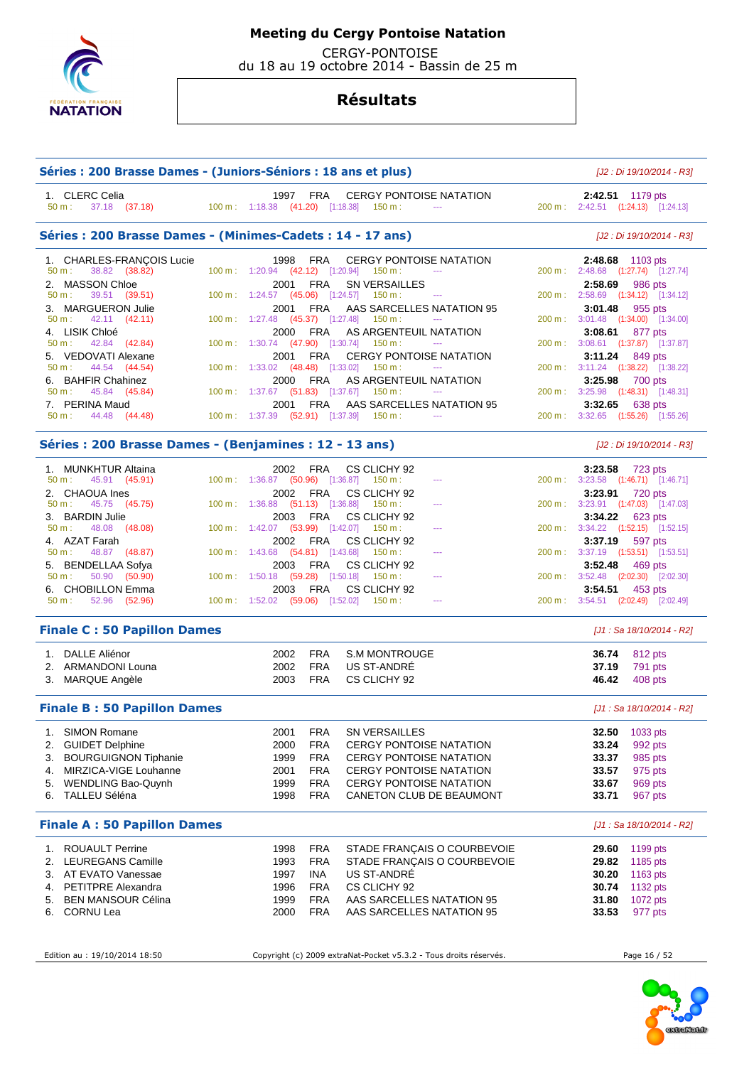

 CERGY-PONTOISE du 18 au 19 octobre 2014 - Bassin de 25 m

## **Résultats**

| Séries : 200 Brasse Dames - (Juniors-Séniors : 18 ans et plus) |                                                |                     |                                                                                                             |                  | [J2 : Di 19/10/2014 - R3]                      |
|----------------------------------------------------------------|------------------------------------------------|---------------------|-------------------------------------------------------------------------------------------------------------|------------------|------------------------------------------------|
| 1. CLERC Celia<br>37.18 (37.18)<br>50 m:                       |                                                | 1997 FRA            | <b>CERGY PONTOISE NATATION</b><br>$100 \text{ m}: 1:18.38$ $(41.20)$ $[1:18.38]$ $150 \text{ m}:$<br>$\sim$ | 2:42.51 1179 pts | 200 m: 2:42.51 (1:24.13) [1:24.13]             |
| Séries : 200 Brasse Dames - (Minimes-Cadets : 14 - 17 ans)     |                                                |                     |                                                                                                             |                  | [J2 : Di 19/10/2014 - R3]                      |
| 1. CHARLES-FRANÇOIS Lucie                                      |                                                | 1998<br><b>FRA</b>  | <b>CERGY PONTOISE NATATION</b>                                                                              | 2:48.68 1103 pts |                                                |
| 38.82 (38.82)<br>50 m:                                         | 100 m: 1:20.94 (42.12) [1:20.94]               |                     | $150 m$ :<br>$-$                                                                                            |                  | 200 m : 2:48.68 (1:27.74) [1:27.74]            |
| 2. MASSON Chloe                                                |                                                | FRA<br>2001         | <b>SN VERSAILLES</b>                                                                                        | 2:58.69          | 986 pts                                        |
| 50 m:<br>39.51 (39.51)                                         | 100 m : 1:24.57 (45.06) [1:24.57]              |                     | 150 m :<br>$\sim$ $\sim$                                                                                    |                  | 200 m: 2:58.69 (1:34.12) [1:34.12]             |
| 3. MARGUERON Julie<br>50 m:<br>42.11 (42.11)                   | 100 m : $1:27.48$ (45.37) [1:27.48]            | <b>FRA</b><br>2001  | AAS SARCELLES NATATION 95<br>$150 m$ :<br>$\cdots$                                                          | 3:01.48          | 955 pts<br>200 m: 3:01.48 (1:34.00) [1:34.00]  |
| 4. LISIK Chloé                                                 |                                                | <b>FRA</b><br>2000  | AS ARGENTEUIL NATATION                                                                                      | 3:08.61          | 877 pts                                        |
| 42.84 (42.84)<br>50 m:                                         | 100 m: 1:30.74 (47.90) [1:30.74]               |                     | 150 m :<br>$-$                                                                                              |                  | 200 m: 3:08.61 (1:37.87) [1:37.87]             |
| 5. VEDOVATI Alexane                                            |                                                | 2001<br>FRA         | <b>CERGY PONTOISE NATATION</b>                                                                              | 3:11.24          | 849 pts                                        |
| $50 m$ :<br>44.54 (44.54)                                      | 100 m: 1:33.02                                 | $(48.48)$ [1:33.02] | 150 m :<br>$\sim$ $\sim$                                                                                    |                  | 200 m: 3:11.24 (1:38.22) [1:38.22]             |
| 6. BAHFIR Chahinez                                             |                                                | <b>FRA</b><br>2000  | AS ARGENTEUIL NATATION                                                                                      | 3:25.98          | 700 pts                                        |
| 45.84 (45.84)<br>50 m:                                         |                                                |                     | $100 \text{ m}: 1:37.67$ (51.83) [1:37.67] 150 m :                                                          |                  | 200 m: 3:25.98 (1:48.31) [1:48.31]             |
| 7. PERINA Maud                                                 |                                                | <b>FRA</b><br>2001  | AAS SARCELLES NATATION 95                                                                                   | 3:32.65          | 638 pts                                        |
| 50 m:<br>44.48 (44.48)                                         | $100 \text{ m}: 1:37.39$ $(52.91)$ $[1:37.39]$ |                     | $150 m$ :<br>$\sim$ $\sim$                                                                                  |                  | 200 m: 3:32.65 (1:55.26) [1:55.26]             |
| Séries : 200 Brasse Dames - (Benjamines : 12 - 13 ans)         |                                                |                     |                                                                                                             |                  | [J2 : Di 19/10/2014 - R3]                      |
| 1. MUNKHTUR Altaina                                            |                                                | 2002<br>FRA         | CS CLICHY 92                                                                                                | 3:23.58          | 723 pts                                        |
| 45.91 (45.91)<br>50 m:                                         | 100 m: 1:36.87 (50.96) [1:36.87]               |                     | 150 m :<br>---                                                                                              |                  | 200 m: 3:23.58 (1:46.71) [1:46.71]             |
| 2. CHAOUA Ines                                                 |                                                | 2002<br>FRA         | CS CLICHY 92                                                                                                | 3:23.91          | 720 pts                                        |
| 50 m:<br>45.75 (45.75)                                         | 100 m: 1:36.88 (51.13) [1:36.88]               |                     | 150 m :<br>$\cdots$                                                                                         |                  | 200 m: 3:23.91 (1:47.03) [1:47.03]             |
| 3. BARDIN Julie                                                |                                                | FRA<br>2003         | CS CLICHY 92                                                                                                | 3:34.22          | 623 pts                                        |
| 48.08<br>(48.08)<br>50 m:                                      | 100 m: 1:42.07 (53.99) [1:42.07]               |                     | $-150 \text{ m}$ :<br>$- - -$                                                                               |                  | 200 m : 3:34.22 (1:52.15) [1:52.15]            |
| 4. AZAT Farah                                                  |                                                | 2002 FRA            | CS CLICHY 92                                                                                                | 3:37.19          | 597 pts                                        |
| 48.87 (48.87)<br>50 m:                                         | $100 \text{ m}: 1:43.68$ (54.81) [1:43.68]     |                     | 150 m :<br>$- - -$                                                                                          |                  | 200 m: 3:37.19 (1:53.51) [1:53.51]             |
| <b>BENDELLAA Sofya</b><br>5.<br>50 m:<br>50.90<br>(50.90)      | $100 \text{ m}: 1:50.18$ (59.28) [1:50.18]     | FRA<br>2003         | CS CLICHY 92<br>150 m :<br><u>.</u>                                                                         | 3:52.48          | 469 pts<br>200 m : 3:52.48 (2:02.30) [2:02.30] |
|                                                                |                                                | FRA<br>2003         | CS CLICHY 92                                                                                                |                  |                                                |
| 6. CHOBILLON Emma<br>52.96<br>50 m:<br>(52.96)                 | 100 m: 1:52.02 (59.06) [1:52.02]               |                     | 150 m :<br>---                                                                                              | 3:54.51          | 453 pts<br>200 m: 3:54.51 (2:02.49) [2:02.49]  |
| <b>Finale C: 50 Papillon Dames</b>                             |                                                |                     |                                                                                                             |                  | [J1 : Sa 18/10/2014 - R2]                      |
| 1. DALLE Aliénor                                               |                                                | <b>FRA</b><br>2002  | <b>S.M MONTROUGE</b>                                                                                        | 36.74            | 812 pts                                        |
| 2. ARMANDONI Louna                                             |                                                | <b>FRA</b><br>2002  | <b>US ST-ANDRE</b>                                                                                          | 37.19            | 791 pts                                        |
| 3. MARQUE Angèle                                               |                                                | <b>FRA</b><br>2003  | CS CLICHY 92                                                                                                | 46.42            | 408 pts                                        |
|                                                                |                                                |                     |                                                                                                             |                  |                                                |
| <b>Finale B: 50 Papillon Dames</b>                             |                                                |                     |                                                                                                             |                  | [J1 : Sa 18/10/2014 - R2]                      |
| SIMON Romane<br>1.                                             |                                                | 2001<br><b>FRA</b>  | SN VERSAILLES                                                                                               | 32.50            | 1033 pts                                       |
| <b>GUIDET Delphine</b><br>2.                                   |                                                | 2000<br><b>FRA</b>  | <b>CERGY PONTOISE NATATION</b>                                                                              | 33.24            | 992 pts                                        |
| <b>BOURGUIGNON Tiphanie</b><br>3.                              |                                                | <b>FRA</b><br>1999  | <b>CERGY PONTOISE NATATION</b>                                                                              | 33.37            | 985 pts                                        |
| MIRZICA-VIGE Louhanne<br>4.                                    |                                                | <b>FRA</b><br>2001  | <b>CERGY PONTOISE NATATION</b>                                                                              | 33.57            | 975 pts                                        |
| WENDLING Bao-Quynh<br>5.                                       |                                                | 1999<br><b>FRA</b>  | <b>CERGY PONTOISE NATATION</b>                                                                              | 33.67            | 969 pts                                        |
| TALLEU Séléna<br>6.                                            |                                                | <b>FRA</b><br>1998  | <b>CANETON CLUB DE BEAUMONT</b>                                                                             | 33.71            | 967 pts                                        |
| <b>Finale A: 50 Papillon Dames</b>                             |                                                |                     |                                                                                                             |                  | [J1 : Sa 18/10/2014 - R2]                      |
| <b>ROUAULT Perrine</b><br>1.                                   |                                                | 1998<br><b>FRA</b>  | STADE FRANÇAIS O COURBEVOIE                                                                                 | 29.60            | 1199 pts                                       |
| <b>LEUREGANS Camille</b><br>2.                                 |                                                | <b>FRA</b><br>1993  | STADE FRANÇAIS O COURBEVOIE                                                                                 | 29.82            | 1185 pts                                       |
| AT EVATO Vanessae<br>3.                                        |                                                | 1997<br><b>INA</b>  | US ST-ANDRE                                                                                                 | 30.20            | 1163 pts                                       |
|                                                                |                                                | 1996<br><b>FRA</b>  | CS CLICHY 92                                                                                                | 30.74            | 1132 pts                                       |
| <b>PETITPRE Alexandra</b><br>4.                                |                                                |                     |                                                                                                             |                  |                                                |
| 5.<br><b>BEN MANSOUR Célina</b>                                |                                                | <b>FRA</b><br>1999  | AAS SARCELLES NATATION 95                                                                                   | 31.80            | 1072 pts                                       |

Edition au : 19/10/2014 18:50 Copyright (c) 2009 extraNat-Pocket v5.3.2 - Tous droits réservés. Page 16 / 52

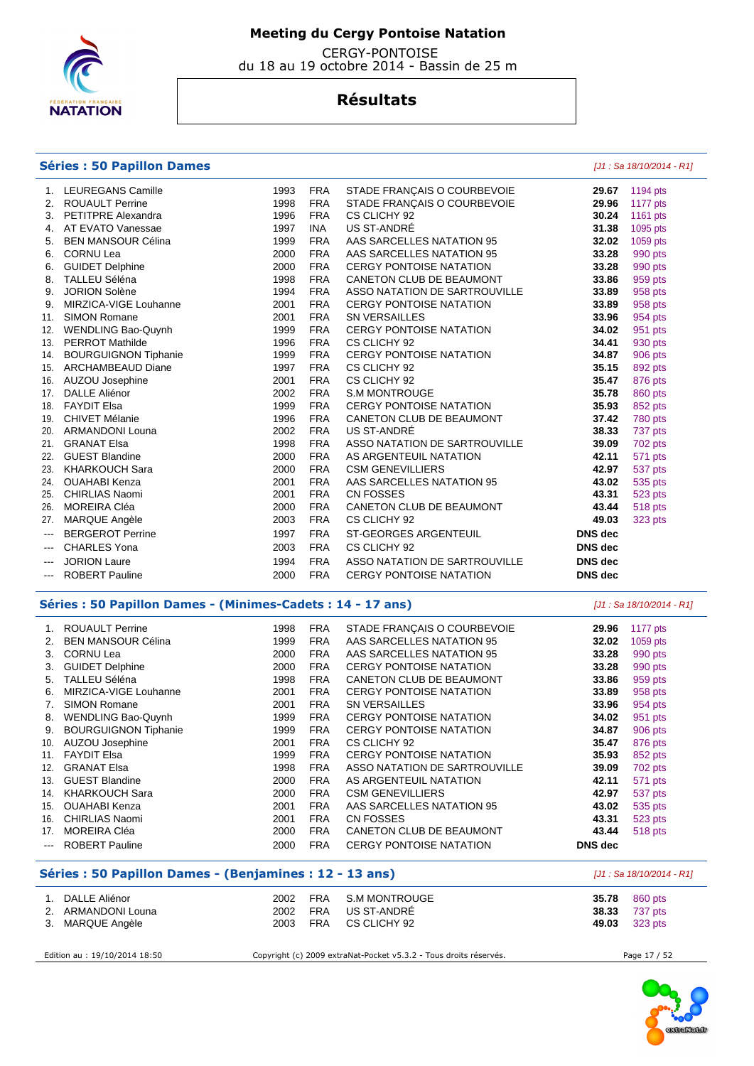

 CERGY-PONTOISE du 18 au 19 octobre 2014 - Bassin de 25 m

## **Résultats**

### **Séries : 50 Papillon Dames** [J1 : Sa 18/10/2014 - R1]

|                          | <b>LEUREGANS Camille</b>  | 1993 | <b>FRA</b> | STADE FRANÇAIS O COURBEVOIE    | 29.67          | 1194 pts |
|--------------------------|---------------------------|------|------------|--------------------------------|----------------|----------|
|                          | 2. ROUAULT Perrine        | 1998 | <b>FRA</b> | STADE FRANÇAIS O COURBEVOIE    | 29.96          | 1177 pts |
|                          | 3. PETITPRE Alexandra     | 1996 | <b>FRA</b> | CS CLICHY 92                   | 30.24          | 1161 pts |
| 4.                       | AT EVATO Vanessae         | 1997 | <b>INA</b> | US ST-ANDRÉ                    | 31.38          | 1095 pts |
| 5.                       | <b>BEN MANSOUR Célina</b> | 1999 | <b>FRA</b> | AAS SARCELLES NATATION 95      | 32.02          | 1059 pts |
|                          | 6. CORNU Lea              | 2000 | <b>FRA</b> | AAS SARCELLES NATATION 95      | 33.28          | 990 pts  |
| 6.                       | <b>GUIDET Delphine</b>    | 2000 | <b>FRA</b> | CERGY PONTOISE NATATION        | 33.28          | 990 pts  |
|                          | 8. TALLEU Séléna          | 1998 | <b>FRA</b> | CANETON CLUB DE BEAUMONT       | 33.86          | 959 pts  |
| 9.                       | <b>JORION Solène</b>      | 1994 | <b>FRA</b> | ASSO NATATION DE SARTROUVILLE  | 33.89          | 958 pts  |
| 9.                       | MIRZICA-VIGE Louhanne     | 2001 | <b>FRA</b> | <b>CERGY PONTOISE NATATION</b> | 33.89          | 958 pts  |
| 11.                      | <b>SIMON Romane</b>       | 2001 | <b>FRA</b> | <b>SN VERSAILLES</b>           | 33.96          | 954 pts  |
| 12.                      | <b>WENDLING Bao-Quynh</b> | 1999 | <b>FRA</b> | CERGY PONTOISE NATATION        | 34.02          | 951 pts  |
| 13.                      | <b>PERROT Mathilde</b>    | 1996 | <b>FRA</b> | CS CLICHY 92                   | 34.41          | 930 pts  |
|                          | 14. BOURGUIGNON Tiphanie  | 1999 | <b>FRA</b> | <b>CERGY PONTOISE NATATION</b> | 34.87          | 906 pts  |
| 15.                      | <b>ARCHAMBEAUD Diane</b>  | 1997 | <b>FRA</b> | CS CLICHY 92                   | 35.15          | 892 pts  |
| 16.                      | AUZOU Josephine           | 2001 | <b>FRA</b> | CS CLICHY 92                   | 35.47          | 876 pts  |
| 17.                      | <b>DALLE Aliénor</b>      | 2002 | <b>FRA</b> | S.M MONTROUGE                  | 35.78          | 860 pts  |
|                          | 18. FAYDIT Elsa           | 1999 | <b>FRA</b> | CERGY PONTOISE NATATION        | 35.93          | 852 pts  |
| 19.                      | <b>CHIVET Mélanie</b>     | 1996 | <b>FRA</b> | CANETON CLUB DE BEAUMONT       | 37.42          | 780 pts  |
|                          | 20. ARMANDONI Louna       | 2002 | <b>FRA</b> | US ST-ANDRE                    | 38.33          | 737 pts  |
| 21.                      | <b>GRANAT Elsa</b>        | 1998 | <b>FRA</b> | ASSO NATATION DE SARTROUVILLE  | 39.09          | 702 pts  |
| 22.                      | <b>GUEST Blandine</b>     | 2000 | <b>FRA</b> | AS ARGENTEUIL NATATION         | 42.11          | 571 pts  |
|                          | 23. KHARKOUCH Sara        | 2000 | <b>FRA</b> | <b>CSM GENEVILLIERS</b>        | 42.97          | 537 pts  |
| 24.                      | <b>OUAHABI Kenza</b>      | 2001 | <b>FRA</b> | AAS SARCELLES NATATION 95      | 43.02          | 535 pts  |
| 25.                      | <b>CHIRLIAS Naomi</b>     | 2001 | <b>FRA</b> | CN FOSSES                      | 43.31          | 523 pts  |
| 26.                      | <b>MOREIRA Cléa</b>       | 2000 | <b>FRA</b> | CANETON CLUB DE BEAUMONT       | 43.44          | 518 pts  |
| 27.                      | MARQUE Angèle             | 2003 | <b>FRA</b> | CS CLICHY 92                   | 49.03          | 323 pts  |
| $\hspace{0.05cm} \ldots$ | <b>BERGEROT Perrine</b>   | 1997 | <b>FRA</b> | ST-GEORGES ARGENTEUIL          | <b>DNS</b> dec |          |
| $\sim$ $\sim$            | <b>CHARLES Yona</b>       | 2003 | <b>FRA</b> | CS CLICHY 92                   | <b>DNS</b> dec |          |
|                          | <b>JORION Laure</b>       | 1994 | <b>FRA</b> | ASSO NATATION DE SARTROUVILLE  | <b>DNS</b> dec |          |
| ---                      | <b>ROBERT Pauline</b>     | 2000 | <b>FRA</b> | <b>CERGY PONTOISE NATATION</b> | <b>DNS</b> dec |          |
|                          |                           |      |            |                                |                |          |

### **Séries : 50 Papillon Dames - (Minimes-Cadets : 14 - 17 ans)** [J1 : Sa 18/10/2014 - R1]

|                        | <b>ROUAULT Perrine</b>      | 1998 | FRA        | STADE FRANÇAIS O COURBEVOIE    | 29.96          | 1177 pts |
|------------------------|-----------------------------|------|------------|--------------------------------|----------------|----------|
| 2.                     | <b>BEN MANSOUR Célina</b>   | 1999 | <b>FRA</b> | AAS SARCELLES NATATION 95      | 32.02          | 1059 pts |
| 3.                     | <b>CORNU Lea</b>            | 2000 | <b>FRA</b> | AAS SARCELLES NATATION 95      | 33.28          | 990 pts  |
| 3.                     | <b>GUIDET Delphine</b>      | 2000 | <b>FRA</b> | <b>CERGY PONTOISE NATATION</b> | 33.28          | 990 pts  |
| 5.                     | TALLEU Séléna               | 1998 | <b>FRA</b> | CANETON CLUB DE BEAUMONT       | 33.86          | 959 pts  |
| 6.                     | MIRZICA-VIGE Louhanne       | 2001 | <b>FRA</b> | <b>CERGY PONTOISE NATATION</b> | 33.89          | 958 pts  |
| 7.                     | SIMON Romane                | 2001 | <b>FRA</b> | <b>SN VERSAILLES</b>           | 33.96          | 954 pts  |
| 8.                     | WENDLING Bao-Quynh          | 1999 | FRA        | <b>CERGY PONTOISE NATATION</b> | 34.02          | 951 pts  |
| 9.                     | <b>BOURGUIGNON Tiphanie</b> | 1999 | <b>FRA</b> | <b>CERGY PONTOISE NATATION</b> | 34.87          | 906 pts  |
| 10.                    | AUZOU Josephine             | 2001 | FRA        | CS CLICHY 92                   | 35.47          | 876 pts  |
| 11.                    | <b>FAYDIT Elsa</b>          | 1999 | <b>FRA</b> | <b>CERGY PONTOISE NATATION</b> | 35.93          | 852 pts  |
| 12.                    | <b>GRANAT Elsa</b>          | 1998 | <b>FRA</b> | ASSO NATATION DE SARTROUVILLE  | 39.09          | 702 pts  |
| 13.                    | <b>GUEST Blandine</b>       | 2000 | <b>FRA</b> | AS ARGENTEUIL NATATION         | 42.11          | 571 pts  |
| 14.                    | <b>KHARKOUCH Sara</b>       | 2000 | <b>FRA</b> | <b>CSM GENEVILLIERS</b>        | 42.97          | 537 pts  |
| 15.                    | <b>OUAHABI Kenza</b>        | 2001 | <b>FRA</b> | AAS SARCELLES NATATION 95      | 43.02          | 535 pts  |
| 16.                    | <b>CHIRLIAS Naomi</b>       | 2001 | <b>FRA</b> | CN FOSSES                      | 43.31          | 523 pts  |
| 17.                    | <b>MOREIRA CIéa</b>         | 2000 | <b>FRA</b> | CANETON CLUB DE BEAUMONT       | 43.44          | 518 pts  |
| $\qquad \qquad \cdots$ | <b>ROBERT Pauline</b>       | 2000 | <b>FRA</b> | <b>CERGY PONTOISE NATATION</b> | <b>DNS</b> dec |          |

### **Séries : 50 Papillon Dames - (Benjamines : 12 - 13 ans)** [J1 : Sa 18/10/2014 - R1]

| 2. | DALLE Aliénor<br>ARMANDONI Louna | 2002<br>2002 | FRA<br><b>FRA</b> | S.M MONTROUGE<br>US ST-ANDRÉ | <b>35.78</b> 860 pts<br><b>38.33</b> 737 pts |
|----|----------------------------------|--------------|-------------------|------------------------------|----------------------------------------------|
|    | 3. MARQUE Angèle                 | 2003         | <b>FRA</b>        | CS CLICHY 92                 | 49.03 323 pts                                |

Edition au : 19/10/2014 18:50 Copyright (c) 2009 extraNat-Pocket v5.3.2 - Tous droits réservés. Page 17 / 52

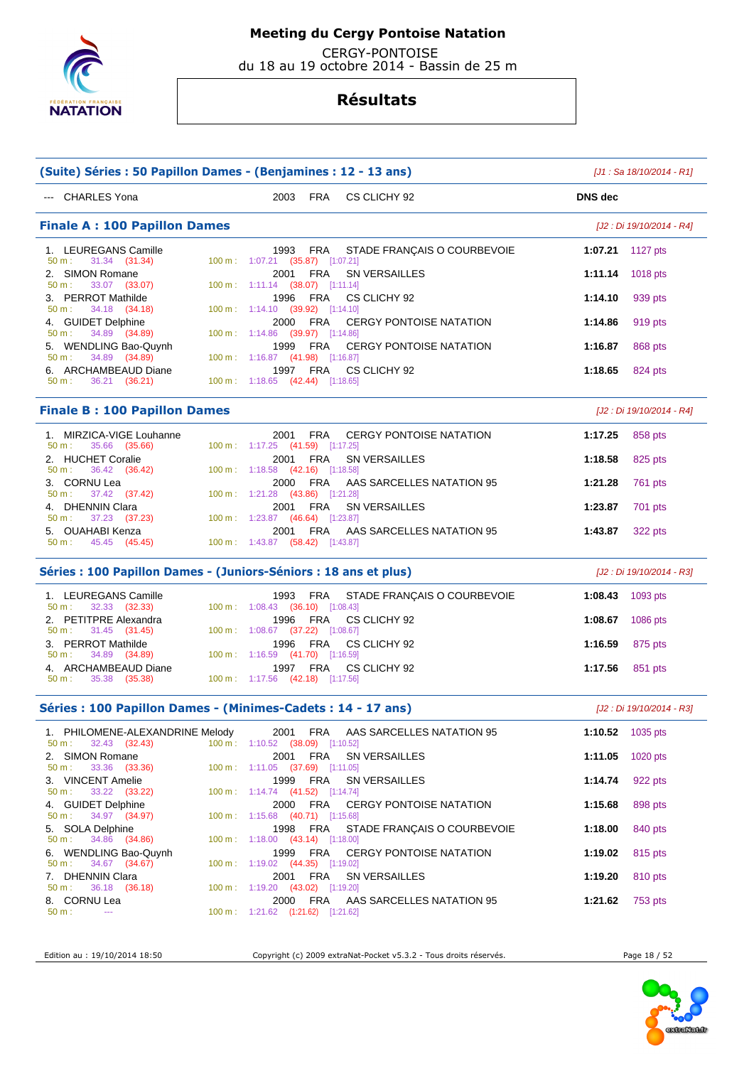

 CERGY-PONTOISE du 18 au 19 octobre 2014 - Bassin de 25 m

# **Résultats**

| (Suite) Séries : 50 Papillon Dames - (Benjamines : 12 - 13 ans)  |                                              |            |                                    |                            | $[J1: Sa 18/10/2014 - R1]$ |  |
|------------------------------------------------------------------|----------------------------------------------|------------|------------------------------------|----------------------------|----------------------------|--|
| --- CHARLES Yona                                                 | 2003 FRA                                     |            | CS CLICHY 92                       | <b>DNS</b> dec             |                            |  |
| <b>Finale A: 100 Papillon Dames</b>                              |                                              |            |                                    |                            | [J2 : Di 19/10/2014 - R4]  |  |
| 1. LEUREGANS Camille<br>50 m:<br>31.34 (31.34)                   | 1993<br>100 m: 1:07.21 (35.87) [1:07.21]     | FRA        | STADE FRANÇAIS O COURBEVOIE        | 1:07.21 1127 pts           |                            |  |
| 2. SIMON Romane<br>33.07 (33.07)<br>50 m:                        | 2001<br>100 m: 1:11.14 (38.07) [1:11.14]     | <b>FRA</b> | SN VERSAILLES                      | 1:11.14                    | 1018 pts                   |  |
| 3. PERROT Mathilde<br>$50 m$ :<br>34.18 (34.18)                  | 1996<br>100 m: 1:14.10 (39.92) [1:14.10]     | FRA        | CS CLICHY 92                       | 1:14.10                    | 939 pts                    |  |
| 4. GUIDET Delphine<br>34.89 (34.89)<br>$50 m$ :                  | 2000<br>100 m: 1:14.86 (39.97) [1:14.86]     | FRA        | CERGY PONTOISE NATATION            | 1:14.86                    | 919 pts                    |  |
| 5. WENDLING Bao-Quynh<br>34.89 (34.89)<br>50 m:                  | 1999<br>100 m: 1:16.87 (41.98) [1:16.87]     | FRA        | <b>CERGY PONTOISE NATATION</b>     | 1:16.87                    | 868 pts                    |  |
| 6. ARCHAMBEAUD Diane<br>36.21 (36.21)<br>$50 m$ :                | 1997 FRA<br>100 m: 1:18.65 (42.44) [1:18.65] |            | CS CLICHY 92                       | 1:18.65                    | 824 pts                    |  |
| <b>Finale B: 100 Papillon Dames</b>                              |                                              |            |                                    |                            | [J2 : Di 19/10/2014 - R4]  |  |
| 1. MIRZICA-VIGE Louhanne<br>50 m:<br>35.66 (35.66)               | 2001<br>100 m: 1:17.25 (41.59) [1:17.25]     | FRA        | <b>CERGY PONTOISE NATATION</b>     | 1:17.25                    | 858 pts                    |  |
| 2. HUCHET Coralie<br>50 m:<br>36.42 (36.42)                      | 2001<br>100 m: 1:18.58 (42.16) [1:18.58]     | FRA        | SN VERSAILLES                      | 1:18.58                    | 825 pts                    |  |
| 3. CORNU Lea<br>37.42 (37.42)<br>50 m:                           | 2000<br>100 m: 1:21.28 (43.86) [1:21.28]     | FRA        | AAS SARCELLES NATATION 95          | 1:21.28                    | 761 pts                    |  |
| 4. DHENNIN Clara<br>37.23 (37.23)<br>50 m:                       | 2001<br>100 m: 1:23.87 (46.64) [1:23.87]     | FRA        | SN VERSAILLES                      | 1:23.87                    | 701 pts                    |  |
| 5. OUAHABI Kenza<br>45.45 (45.45)<br>$50 m$ :                    | 2001<br>100 m: 1:43.87 (58.42) [1:43.87]     | FRA        | AAS SARCELLES NATATION 95          | 1:43.87                    | 322 pts                    |  |
| Séries : 100 Papillon Dames - (Juniors-Séniors : 18 ans et plus) |                                              |            |                                    | [J2 : Di 19/10/2014 - R3]  |                            |  |
| 1. LEUREGANS Camille<br>50 m:<br>32.33 (32.33)                   | 1993<br>100 m: 1:08.43 (36.10) [1:08.43]     | <b>FRA</b> | STADE FRANÇAIS O COURBEVOIE        | 1:08.43                    | 1093 pts                   |  |
| 2. PETITPRE Alexandra<br>31.45 (31.45)<br>50 m:                  | 1996<br>100 m: 1:08.67 (37.22) [1:08.67]     | FRA        | CS CLICHY 92                       | 1:08.67                    | 1086 pts                   |  |
| 3. PERROT Mathilde<br>50 m:<br>34.89 (34.89)                     | 1996<br>100 m: 1:16.59 (41.70) [1:16.59]     | FRA        | CS CLICHY 92                       | 1:16.59                    | 875 pts                    |  |
| 4. ARCHAMBEAUD Diane<br>35.38 (35.38)<br>$50 m$ :                | 1997 FRA<br>100 m: 1:17.56 (42.18) [1:17.56] |            | CS CLICHY 92                       | 1:17.56                    | 851 pts                    |  |
| Séries : 100 Papillon Dames - (Minimes-Cadets : 14 - 17 ans)     |                                              |            |                                    |                            | [J2 : Di 19/10/2014 - R3]  |  |
| 1. PHILOMENE-ALEXANDRINE Melody                                  |                                              |            | 2001 FRA AAS SARCELLES NATATION 95 | 1:10.52 $1035 \text{ pts}$ |                            |  |
| 50 m:<br>32.43 (32.43)<br>2. SIMON Romane                        | 100 m: 1:10.52 (38.09) [1:10.52]<br>2001 FRA |            | <b>SN VERSAILLES</b>               | 1:11.05                    | 1020 pts                   |  |
| 33.36 (33.36)<br>50 m:<br>3. VINCENT Amelie                      | 100 m: 1:11.05 (37.69) [1:11.05]<br>1999     | FRA        | SN VERSAILLES                      | 1:14.74                    | 922 pts                    |  |
| 33.22 (33.22)<br>50 m:<br>4. GUIDET Delphine                     | 100 m: 1:14.74 (41.52) [1:14.74]<br>2000 FRA |            | CERGY PONTOISE NATATION            | 1:15.68                    | 898 pts                    |  |
| 34.97 (34.97)<br>50 m:<br>5. SOLA Delphine                       | 100 m: 1:15.68 (40.71) [1:15.68]<br>1998     | FRA        | STADE FRANÇAIS O COURBEVOIE        | 1:18.00                    | 840 pts                    |  |
| 34.86 (34.86)<br>$50 m$ :<br>6. WENDLING Bao-Quynh               | 100 m: 1:18.00 (43.14) [1:18.00]<br>1999     | FRA        | <b>CERGY PONTOISE NATATION</b>     | 1:19.02                    | 815 pts                    |  |
| 34.67 (34.67)<br>50 m:<br>7. DHENNIN Clara                       | 100 m: 1:19.02 (44.35) [1:19.02]<br>2001     | FRA        | <b>SN VERSAILLES</b>               | 1:19.20                    | 810 pts                    |  |
| 50 m:<br>36.18 (36.18)<br>8. CORNU Lea                           | 100 m: 1:19.20 (43.02) [1:19.20]<br>2000 FRA |            | AAS SARCELLES NATATION 95          | 1:21.62                    | 753 pts                    |  |
| $50 m$ :<br>$\sim$                                               | 100 m: 1:21.62 (1:21.62) [1:21.62]           |            |                                    |                            |                            |  |

Edition au : 19/10/2014 18:50 Copyright (c) 2009 extraNat-Pocket v5.3.2 - Tous droits réservés. Page 18 / 52

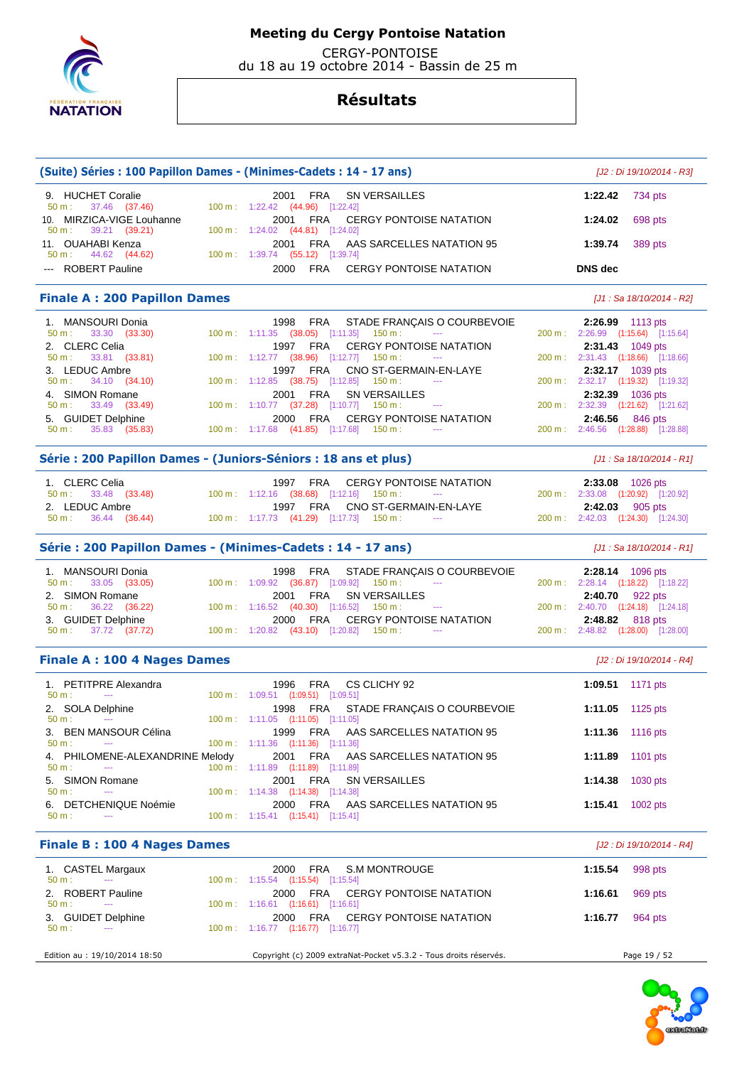

 CERGY-PONTOISE du 18 au 19 octobre 2014 - Bassin de 25 m

|                                                       | (Suite) Séries : 100 Papillon Dames - (Minimes-Cadets : 14 - 17 ans)                          |                        | [J2 : Di 19/10/2014 - R3]          |
|-------------------------------------------------------|-----------------------------------------------------------------------------------------------|------------------------|------------------------------------|
| 9. HUCHET Coralie<br>37.46 (37.46)<br>50 m:           | 2001<br>FRA<br><b>SN VERSAILLES</b><br>100 m: 1:22.42 (44.96) [1:22.42]                       | 1:22.42                | 734 pts                            |
| 10. MIRZICA-VIGE Louhanne<br>39.21 (39.21)<br>50 m:   | FRA<br><b>CERGY PONTOISE NATATION</b><br>2001<br>100 m: 1:24.02 (44.81) [1:24.02]             | 1:24.02                | 698 pts                            |
| 11. OUAHABI Kenza<br>50 m:<br>44.62 (44.62)           | FRA<br>2001<br>AAS SARCELLES NATATION 95<br>$100 \text{ m}: 1:39.74$ $(55.12)$ $[1:39.74]$    | 1:39.74                | 389 pts                            |
| --- ROBERT Pauline                                    | <b>FRA</b><br>2000<br><b>CERGY PONTOISE NATATION</b>                                          | <b>DNS</b> dec         |                                    |
| <b>Finale A: 200 Papillon Dames</b>                   |                                                                                               |                        | [J1 : Sa 18/10/2014 - R2]          |
| 1. MANSOURI Donia                                     | 1998<br>FRA<br>STADE FRANÇAIS O COURBEVOIE                                                    | 2:26.99 1113 pts       |                                    |
| 33.30 (33.30)<br>50 m:                                | 100 m: 1:11.35 (38.05) [1:11.35]<br>$150 m$ :                                                 |                        | 200 m: 2:26.99 (1:15.64) [1:15.64] |
| 2. CLERC Celia<br>50 m:<br>33.81 (33.81)              | <b>CERGY PONTOISE NATATION</b><br>1997<br>FRA<br>100 m : 1:12.77 (38.96) [1:12.77]<br>150 m : | 2:31.43 1049 pts       | 200 m: 2:31.43 (1:18.66) [1:18.66] |
| 3. LEDUC Ambre                                        | 1997<br>FRA<br>CNO ST-GERMAIN-EN-LAYE                                                         | 2:32.17 1039 pts       |                                    |
| 34.10 (34.10)<br>$50 m$ :                             | 100 m: 1:12.85 (38.75) [1:12.85]<br>$150 \text{ m}$ :                                         |                        | 200 m: 2:32.17 (1:19.32) [1:19.32] |
| 4. SIMON Romane                                       | FRA<br><b>SN VERSAILLES</b><br>2001                                                           | 2:32.39 1036 pts       |                                    |
| 33.49 (33.49)<br>50 m:                                | 100 m : 1:10.77 (37.28) [1:10.77]<br>$150 m$ :                                                |                        | 200 m: 2:32.39 (1:21.62) [1:21.62] |
| 5. GUIDET Delphine                                    | FRA<br><b>CERGY PONTOISE NATATION</b><br>2000                                                 | 2:46.56                | 846 pts                            |
| 35.83 (35.83)<br>50 m:                                | 100 m: 1:17.68 (41.85) [1:17.68]<br>150 m :                                                   |                        | 200 m: 2:46.56 (1:28.88) [1:28.88] |
|                                                       | Série : 200 Papillon Dames - (Juniors-Séniors : 18 ans et plus)                               |                        | [J1 : Sa 18/10/2014 - R1]          |
| 1. CLERC Celia                                        | <b>CERGY PONTOISE NATATION</b><br>1997<br>FRA                                                 | 2:33.08 1026 pts       |                                    |
| 50 m:<br>33.48 (33.48)                                | 100 m: 1:12.16 (38.68) [1:12.16]<br>$150 m$ :                                                 |                        | 200 m: 2:33.08 (1:20.92) [1:20.92] |
| 2. LEDUC Ambre                                        | CNO ST-GERMAIN-EN-LAYE<br>1997 FRA                                                            | 2:42.03                | 905 pts                            |
| $50 \text{ m}: 36.44 (36.44)$                         | 100 m: 1:17.73 (41.29) [1:17.73] 150 m:                                                       |                        | 200 m: 2:42.03 (1:24.30) [1:24.30] |
|                                                       | Série : 200 Papillon Dames - (Minimes-Cadets : 14 - 17 ans)                                   |                        | [J1: Sa 18/10/2014 - R1]           |
| 1. MANSOURI Donia                                     | 1998<br>FRA<br>STADE FRANÇAIS O COURBEVOIE                                                    | 2:28.14 1096 pts       |                                    |
| 33.05 (33.05)<br>$50 m$ :                             | 100 m : 1:09.92 (36.87) [1:09.92]<br>$150 m$ :                                                |                        | 200 m: 2:28.14 (1:18.22) [1:18.22] |
| 2. SIMON Romane                                       | FRA<br>SN VERSAILLES<br>2001                                                                  | <b>2:40.70</b> 922 pts |                                    |
| 36.22<br>(36.22)<br>50 m:                             | 100 m: 1:16.52 (40.30) [1:16.52]<br>150 m :                                                   |                        | 200 m: 2:40.70 (1:24.18) [1:24.18] |
| 3. GUIDET Delphine                                    | FRA<br><b>CERGY PONTOISE NATATION</b><br>2000                                                 | 2:48.82                | 818 pts                            |
| 37.72 (37.72)<br>50 m:                                | $100 \text{ m}: 1:20.82$ $(43.10)$ $[1:20.82]$ $150 \text{ m}:$                               |                        | 200 m: 2:48.82 (1:28.00) [1:28.00] |
| <b>Finale A: 100 4 Nages Dames</b>                    |                                                                                               |                        | [J2 : Di 19/10/2014 - R4]          |
| 1. PETITPRE Alexandra<br>50 m:                        | 1996<br><b>FRA</b><br>CS CLICHY 92<br>$100 \text{ m}$ : $1:09.51$ $(1:09.51)$ $[1:09.51]$     | 1:09.51                | 1171 pts                           |
| 2. SOLA Delphine                                      | 1998<br>FRA<br>STADE FRANÇAIS O COURBEVOIE                                                    | 1:11.05 1125 pts       |                                    |
| 50 m :                                                | $100 \text{ m}: 1:11.05$ $(1:11.05)$ $[1:11.05]$                                              |                        |                                    |
| 3. BEN MANSOUR Célina                                 | 1999 FRA<br>AAS SARCELLES NATATION 95                                                         | 1:11.36 1116 pts       |                                    |
| 50 m:<br>$\sim$                                       | 100 m: 1:11.36 (1:11.36) [1:11.36]                                                            |                        |                                    |
| 4. PHILOMENE-ALEXANDRINE Melody<br>50 m:              | AAS SARCELLES NATATION 95<br>2001<br><b>FRA</b><br>100 m: 1:11.89 (1:11.89) [1:11.89]         | 1:11.89                | 1101 pts                           |
| 5. SIMON Romane                                       | FRA<br><b>SN VERSAILLES</b><br>2001                                                           | 1:14.38                | 1030 pts                           |
| 50 m:<br>$\scriptstyle\cdots$                         | 100 m: 1:14.38 (1:14.38) [1:14.38]                                                            |                        |                                    |
| 6. DETCHENIQUE Noémie<br>$50 m$ :<br>$\sim$ $\sim$    | <b>FRA</b><br>AAS SARCELLES NATATION 95<br>2000<br>100 m: 1:15.41 (1:15.41) [1:15.41]         | 1:15.41                | 1002 pts                           |
| <b>Finale B: 100 4 Nages Dames</b>                    |                                                                                               |                        | [J2 : Di 19/10/2014 - R4]          |
|                                                       |                                                                                               |                        | 998 pts                            |
| 1. CASTEL Margaux<br>50 m:<br>$\sim 100$ mass $^{-1}$ | 2000<br>FRA<br>S.M MONTROUGE<br>100 m: 1:15.54 (1:15.54) [1:15.54]                            | 1:15.54                |                                    |
| 2. ROBERT Pauline                                     | 2000<br>FRA<br><b>CERGY PONTOISE NATATION</b>                                                 | 1:16.61                | 969 pts                            |
| $50 m$ :<br>$\sim$                                    | $100 \text{ m}$ : 1:16.61 (1:16.61) [1:16.61]                                                 |                        |                                    |
| 3. GUIDET Delphine<br>50 m:                           | 2000<br>FRA<br><b>CERGY PONTOISE NATATION</b><br>100 m: 1:16.77 (1:16.77) [1:16.77]           | 1:16.77                | 964 pts                            |
|                                                       |                                                                                               |                        |                                    |
| Edition au : 19/10/2014 18:50                         | Copyright (c) 2009 extraNat-Pocket v5.3.2 - Tous droits réservés.                             |                        | Page 19 / 52                       |

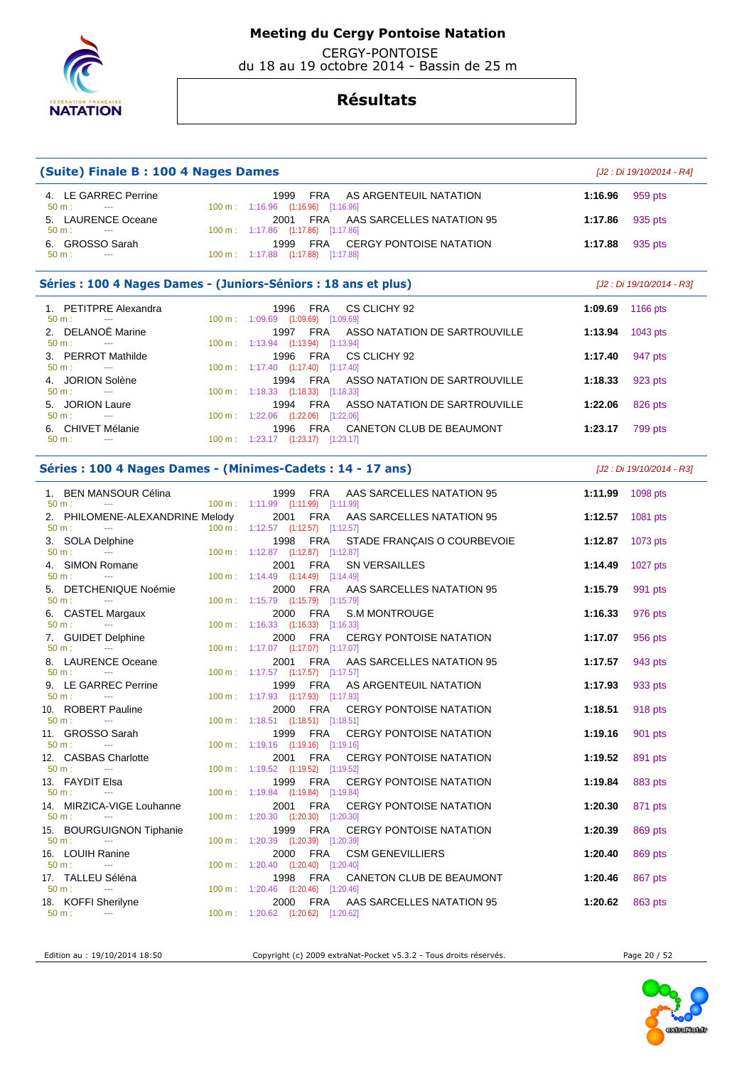

 CERGY-PONTOISE du 18 au 19 octobre 2014 - Bassin de 25 m

## **Résultats**

| (Suite) Finale B: 100 4 Nages Dames                              |                                                                                                                                 |                           | [J2 : Di 19/10/2014 - R4] |  |
|------------------------------------------------------------------|---------------------------------------------------------------------------------------------------------------------------------|---------------------------|---------------------------|--|
| 4. LE GARREC Perrine<br>$50 m$ :<br>$\sim$ $\sim$                | 1999<br><b>FRA</b><br>AS ARGENTEUIL NATATION<br>100 m: 1:16.96 (1:16.96) [1:16.96]                                              | 1:16.96                   | 959 pts                   |  |
| 5. LAURENCE Oceane<br>$50 m$ :<br>$\sim$                         | FRA<br>AAS SARCELLES NATATION 95<br>2001<br>100 m: 1:17.86 (1:17.86) [1:17.86]                                                  | 1:17.86                   | 935 pts                   |  |
| 6. GROSSO Sarah<br>$50 m$ :<br>$\sim$                            | FRA<br>CERGY PONTOISE NATATION<br>1999<br>100 m: 1:17.88 (1:17.88) [1:17.88]                                                    | 1:17.88                   | 935 pts                   |  |
|                                                                  | Séries : 100 4 Nages Dames - (Juniors-Séniors : 18 ans et plus)                                                                 | [J2 : Di 19/10/2014 - R3] |                           |  |
| 1. PETITPRE Alexandra<br>$50 m$ :<br>$\sim$ $\sim$               | 1996<br><b>FRA</b><br>CS CLICHY 92<br>100 m: 1:09.69 (1:09.69) [1:09.69]                                                        | 1:09.69                   | 1166 pts                  |  |
| 2. DELANOË Marine<br>50 m:<br>$\sim$                             | 1997<br>FRA<br>ASSO NATATION DE SARTROUVILLE<br>100 m: 1:13.94 (1:13.94) [1:13.94]                                              | 1:13.94                   | 1043 pts                  |  |
| 3. PERROT Mathilde<br>$\sim$                                     | 1996<br>FRA<br>CS CLICHY 92                                                                                                     | 1:17.40                   | 947 pts                   |  |
| $50 m$ :<br>4. JORION Solène<br>$50 m$ :<br>$\scriptstyle\cdots$ | 100 m: 1:17.40 (1:17.40) [1:17.40]<br>1994 FRA<br>ASSO NATATION DE SARTROUVILLE                                                 | 1:18.33                   | 923 pts                   |  |
| 5. JORION Laure                                                  | 100 m: 1:18.33 (1:18.33) [1:18.33]<br>1994<br>FRA<br>ASSO NATATION DE SARTROUVILLE                                              | 1:22.06                   | 826 pts                   |  |
| 50 m:<br>$\sim$<br>6. CHIVET Mélanie                             | 100 m: 1:22.06 (1:22.06) [1:22.06]<br>1996<br>FRA<br>CANETON CLUB DE BEAUMONT                                                   | 1:23.17                   | 799 pts                   |  |
| 50 m:<br>$\sim$                                                  | 100 m: 1:23.17 (1:23.17) [1:23.17]                                                                                              |                           |                           |  |
|                                                                  | Séries : 100 4 Nages Dames - (Minimes-Cadets : 14 - 17 ans)                                                                     |                           | [J2 : Di 19/10/2014 - R3] |  |
| 1. BEN MANSOUR Célina<br>50 m:<br>$\sim$ $\sim$                  | 1999<br>FRA<br>AAS SARCELLES NATATION 95<br>100 m: 1:11.99 (1:11.99) [1:11.99]                                                  | 1:11.99                   | 1098 pts                  |  |
| 2. PHILOMENE-ALEXANDRINE Melody<br>$50 m$ :                      | 2001 FRA<br>AAS SARCELLES NATATION 95<br>100 m: 1:12.57 (1:12.57) [1:12.57]                                                     | 1:12.57                   | 1081 pts                  |  |
| 3. SOLA Delphine<br>50 m:<br>$\rightarrow$                       | 1998<br>FRA<br>STADE FRANÇAIS O COURBEVOIE<br>100 m: 1:12.87 (1:12.87) [1:12.87]                                                | 1:12.87                   | 1073 pts                  |  |
| <b>SIMON Romane</b><br>50 m:<br>$\sim$                           | 2001<br>FRA<br>SN VERSAILLES<br>100 m: 1:14.49 (1:14.49) [1:14.49]                                                              | 1:14.49                   | 1027 pts                  |  |
| 5. DETCHENIQUE Noémie<br>$50 m$ :<br>$\sim$                      | AAS SARCELLES NATATION 95<br>2000<br>FRA<br>100 m: 1:15.79 (1:15.79) [1:15.79]                                                  | 1:15.79                   | 991 pts                   |  |
| 6. CASTEL Margaux<br>50 m:<br>$\sim$                             | 2000<br>FRA<br><b>S.M MONTROUGE</b><br>100 m: 1:16.33 (1:16.33) [1:16.33]                                                       | 1:16.33                   | 976 pts                   |  |
| 7. GUIDET Delphine<br>$50 m$ :<br>$\sim$                         | FRA<br><b>CERGY PONTOISE NATATION</b><br>2000<br>100 m: 1:17.07 (1:17.07) [1:17.07]                                             | 1:17.07                   | 956 pts                   |  |
| 8. LAURENCE Oceane                                               | FRA<br>2001<br>AAS SARCELLES NATATION 95                                                                                        | 1:17.57                   | 943 pts                   |  |
| $50 m$ :<br>$\sim$<br>9. LE GARREC Perrine<br>$50 m$ :           | $100 \text{ m}: 1:17.57$ $(1:17.57)$ $[1:17.57]$<br>1999<br>FRA<br>AS ARGENTEUIL NATATION<br>100 m: 1:17.93 (1:17.93) [1:17.93] | 1:17.93                   | 933 pts                   |  |
| $\sim$<br>10. ROBERT Pauline                                     | 2000<br>FRA<br><b>CERGY PONTOISE NATATION</b>                                                                                   | 1:18.51                   | 918 pts                   |  |
| $50 \text{ m}$ : ---<br>11. GROSSO Sarah                         | 100 m: 1:18.51 (1:18.51) [1:18.51]<br>1999 FRA CERGY PONTOISE NATATION                                                          | 1:19.16                   | 901 pts                   |  |
| $50 m$ :<br>$\sim$<br>12. CASBAS Charlotte                       | 100 m: 1:19.16 (1:19.16) [1:19.16]<br>2001<br>FRA<br><b>CERGY PONTOISE NATATION</b>                                             | 1:19.52                   | 891 pts                   |  |
| $50 m$ :<br>$\sim$<br>13. FAYDIT Elsa                            | 100 m: 1:19.52 (1:19.52) [1:19.52]<br>FRA<br>CERGY PONTOISE NATATION<br>1999                                                    | 1:19.84                   | 883 pts                   |  |
| 50 m:<br>$\scriptstyle\cdots$<br>14. MIRZICA-VIGE Louhanne       | 100 m: 1:19.84 (1:19.84) [1:19.84]<br>FRA<br>2001<br><b>CERGY PONTOISE NATATION</b>                                             | 1:20.30                   | 871 pts                   |  |
| 50 m:<br>$\scriptstyle\cdots$<br>15. BOURGUIGNON Tiphanie        | 100 m: 1:20.30 (1:20.30) [1:20.30]<br>1999<br>FRA<br><b>CERGY PONTOISE NATATION</b>                                             | 1:20.39                   | 869 pts                   |  |
| $50 m$ :<br>16. LOUIH Ranine                                     | 100 m: 1:20.39 (1:20.39) [1:20.39]<br><b>FRA</b><br>2000<br><b>CSM GENEVILLIERS</b>                                             | 1:20.40                   | 869 pts                   |  |
| $50 m$ :<br>$\scriptstyle\cdots$<br>17. TALLEU Séléna            | 100 m: 1:20.40 (1:20.40) [1:20.40]<br>1998<br><b>FRA</b><br>CANETON CLUB DE BEAUMONT                                            | 1:20.46                   | 867 pts                   |  |
| 50 m:<br>$\scriptstyle\cdots$<br>18. KOFFI Sherilyne             | 100 m : 1:20.46 (1:20.46) [1:20.46]<br>AAS SARCELLES NATATION 95<br>2000<br>FRA                                                 | 1:20.62                   | 863 pts                   |  |
| 50 m:                                                            | 100 m: 1:20.62 (1:20.62) [1:20.62]                                                                                              |                           |                           |  |

Edition au : 19/10/2014 18:50 Copyright (c) 2009 extraNat-Pocket v5.3.2 - Tous droits réservés. Page 20 / 52

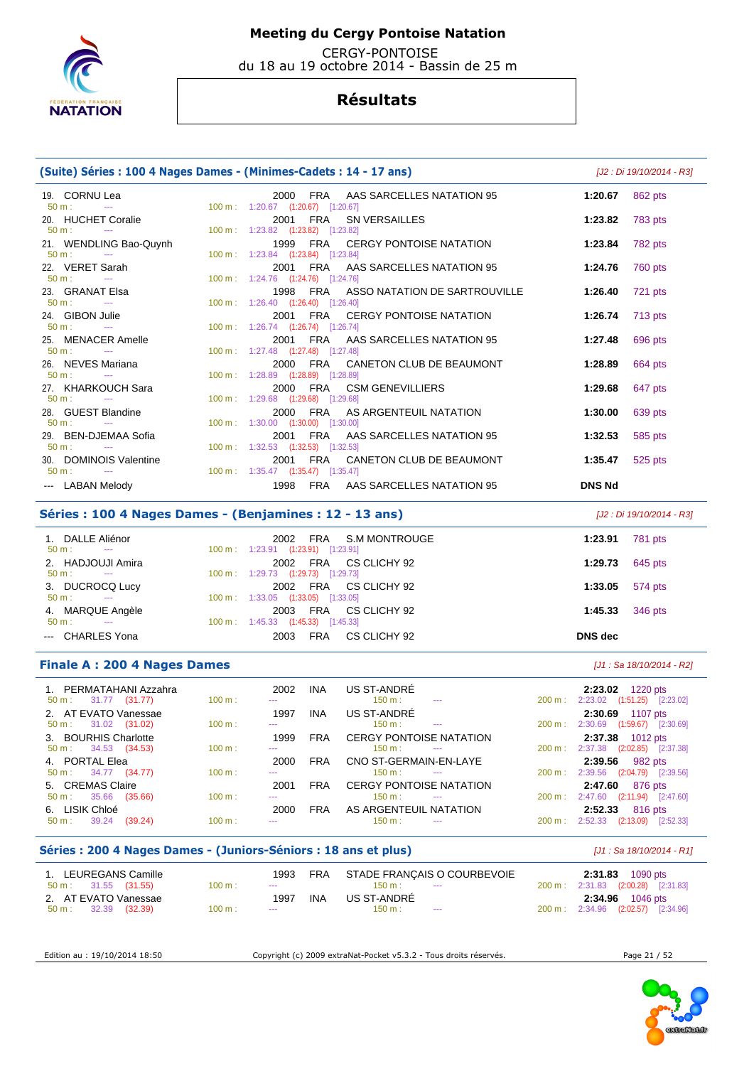

 CERGY-PONTOISE du 18 au 19 octobre 2014 - Bassin de 25 m

## **Résultats**

| (Suite) Séries : 100 4 Nages Dames - (Minimes-Cadets : 14 - 17 ans) |                                                                              | [J2 : Di 19/10/2014 - R3] |         |
|---------------------------------------------------------------------|------------------------------------------------------------------------------|---------------------------|---------|
| 19. CORNU Lea<br>$50 \text{ m}$ :                                   | 2000 FRA AAS SARCELLES NATATION 95<br>100 m: 1:20.67 (1:20.67) [1:20.67]     | 1:20.67                   | 862 pts |
| 20. HUCHET Coralie<br>$50 \text{ m}$ :<br><b>State State</b>        | 2001 FRA SN VERSAILLES<br>100 m: 1:23.82 (1:23.82) [1:23.82]                 | 1:23.82                   | 783 pts |
| 21. WENDLING Bao-Quynh<br>$50 \text{ m}$ : $-$                      | 1999 FRA CERGY PONTOISE NATATION<br>100 m: 1:23.84 (1:23.84) [1:23.84]       | 1:23.84                   | 782 pts |
| 22. VERET Sarah<br>$50 \text{ m}$ :<br><b>State State</b>           | 2001 FRA AAS SARCELLES NATATION 95<br>100 m: 1:24.76 (1:24.76) [1:24.76]     | 1:24.76                   | 760 pts |
| 23. GRANAT Elsa<br>$50 \text{ m}$ : $-$                             | 1998 FRA ASSO NATATION DE SARTROUVILLE<br>100 m: 1:26.40 (1:26.40) [1:26.40] | 1:26.40                   | 721 pts |
| 24. GIBON Julie<br>$50 \text{ m}$ :                                 | 2001 FRA CERGY PONTOISE NATATION<br>100 m: 1:26.74 (1:26.74) [1:26.74]       | 1:26.74                   | 713 pts |
| 25. MENACER Amelle<br>$50 \text{ m}$ : $-$                          | 2001 FRA AAS SARCELLES NATATION 95<br>100 m: 1:27.48 (1:27.48) [1:27.48]     | 1:27.48                   | 696 pts |
| 26. NEVES Mariana<br>$50 \text{ m}$ : $-$                           | 2000 FRA CANETON CLUB DE BEAUMONT<br>100 m: 1:28.89 (1:28.89) [1:28.89]      | 1:28.89                   | 664 pts |
| 27. KHARKOUCH Sara<br>$50 m$ :                                      | 2000 FRA CSM GENEVILLIERS<br>100 m: 1:29.68 (1:29.68) [1:29.68]              | 1:29.68                   | 647 pts |
| 28. GUEST Blandine<br>$50 \text{ m}$ : $-$                          | 2000 FRA AS ARGENTEUIL NATATION<br>100 m: 1:30.00 (1:30.00) [1:30.00]        | 1:30.00                   | 639 pts |
| 29. BEN-DJEMAA Sofia<br>$50 m$ :                                    | 2001 FRA AAS SARCELLES NATATION 95<br>100 m: 1:32.53 (1:32.53) [1:32.53]     | 1:32.53                   | 585 pts |
| 30. DOMINOIS Valentine<br>$50 \text{ m}$ : $-$                      | CANETON CLUB DE BEAUMONT<br>2001 FRA<br>100 m: 1:35.47 (1:35.47) [1:35.47]   | 1:35.47                   | 525 pts |
| --- LABAN Melody                                                    | 1998 FRA AAS SARCELLES NATATION 95                                           | <b>DNS Nd</b>             |         |

## **Séries : 100 4 Nages Dames - (Benjamines : 12 - 13 ans)** [J2 : Di 19/10/2014 - R3]

| 1. DALLE Aliénor<br>$50 \text{ m}$ :<br>$\sim$ $\sim$         | FRA S.M MONTROUGE<br>2002<br>100 m: 1:23.91 (1:23.91) [1:23.91]                 | 781 pts<br>1:23.91 |
|---------------------------------------------------------------|---------------------------------------------------------------------------------|--------------------|
| 2. HADJOUJI Amira<br>$50 \text{ m}$ :<br><b>State College</b> | 2002 FRA CS CLICHY 92<br>100 m: 1:29.73 (1:29.73) [1:29.73]                     | 645 pts<br>1:29.73 |
| 3. DUCROCQ Lucy                                               | FRA CS CLICHY 92<br>2002                                                        | 574 pts<br>1:33.05 |
| 50 m :<br>$\sim$<br>4. MARQUE Angèle                          | $100 \text{ m}: 1:33.05$ $(1:33.05)$ $[1:33.05]$<br>CS CLICHY 92<br>FRA<br>2003 | 1:45.33<br>346 pts |
| $50 \text{ m}$ :<br>$\sim$<br>--- CHARLES Yona                | 100 m: 1:45.33 (1:45.33) [1:45.33]<br>CS CLICHY 92<br><b>FRA</b><br>2003        | <b>DNS</b> dec     |

### **Finale A : 200 4 Nages Dames** *Mages Dames Mages <b>Dames Mages Dames <i>Mages Dames Mages Dames Mages Dames Mages Dames Mages Dames Mages Dames Mages Dames Mages Dames Mages Dames*

| 1. PERMATAHANI Azzahra<br>$50 \text{ m}: 31.77 (31.77)$ | 100 m: | 2002<br>$\frac{1}{2}$ | <b>INA</b> | US ST-ANDRE<br>150 m :<br>$\sim$                                     | $200 \text{ m}$ : | 2:23.02 1220 pts<br>2:23.02 (1:51.25) [2:23.02]                      |
|---------------------------------------------------------|--------|-----------------------|------------|----------------------------------------------------------------------|-------------------|----------------------------------------------------------------------|
| 2. AT EVATO Vanessae<br>$50 \text{ m}: 31.02 (31.02)$   | 100 m: | 1997<br>$\cdots$      | <b>INA</b> | US ST-ANDRÉ<br>150 m:<br>$\sim$                                      | $200 \text{ m}$ : | 2:30.69 1107 pts<br>2:30.69 (1:59.67) [2:30.69]                      |
| 3. BOURHIS Charlotte<br>$50 \text{ m}: 34.53 (34.53)$   | 100 m: | 1999<br>$\cdots$      | <b>FRA</b> | <b>CERGY PONTOISE NATATION</b><br>150 m :<br>$\sim$ $\sim$           | 200 m:            | 2:37.38 1012 pts<br>2:37.38<br>$(2:02.85)$ $[2:37.38]$               |
| 4. PORTAL Elea<br>50 m : 34.77 (34.77)                  | 100 m: | 2000<br>$\frac{1}{2}$ | <b>FRA</b> | CNO ST-GERMAIN-EN-LAYE<br>150 m:                                     |                   | 2:39.56 982 pts<br>$200 \text{ m}: 2:39.56$<br>$(2:04.79)$ [2:39.56] |
| 5. CREMAS Claire<br>50 m: 35.66<br>(35.66)              | 100 m: | 2001<br>$\cdots$      | <b>FRA</b> | <b>CERGY PONTOISE NATATION</b><br>$150 \text{ m}$ :<br>$\frac{1}{2}$ | $200 \text{ m}$ : | 2:47.60<br>876 pts<br>$(2:11.94)$ $[2:47.60]$<br>2:47.60             |
| 6. LISIK Chloé<br>39.24<br>(39.24)<br>$50 \text{ m}$ :  | 100 m: | 2000<br>$\cdots$      | <b>FRA</b> | AS ARGENTEUIL NATATION<br>150 m :<br>$\cdots$                        | 200 m:            | 2:52.33<br>816 pts<br>2:52.33<br>(2:13.09)<br>[2:52.33]              |

## **Séries : 200 4 Nages Dames - (Juniors-Séniors : 18 ans et plus)** [J1 : Sa 18/10/2014 - R1]

| 1. LEUREGANS Camille          |                   | 1993                 | FRA        | STADE FRANÇAIS O COURBEVOIE |  | 2:31.83 1090 pts                   |
|-------------------------------|-------------------|----------------------|------------|-----------------------------|--|------------------------------------|
| 50 m : 31.55 (31.55)          | $100 \text{ m}$ : | $\sim$ $\sim$ $\sim$ |            | 150 m:<br><b>Service</b>    |  | 200 m: 2:31.83 (2:00.28) [2:31.83] |
| 2. AT EVATO Vanessae          |                   | 1997                 | <b>INA</b> | US ST-ANDRÉ                 |  | <b>2:34.96</b> 1046 pts            |
| $50 \text{ m}: 32.39 (32.39)$ | $100 \text{ m}$ : | $\cdots$             |            | $150 \text{ m}$ :<br>$-$    |  | 200 m: 2:34.96 (2:02.57) [2:34.96] |

Edition au : 19/10/2014 18:50 Copyright (c) 2009 extraNat-Pocket v5.3.2 - Tous droits réservés. Page 21 / 52

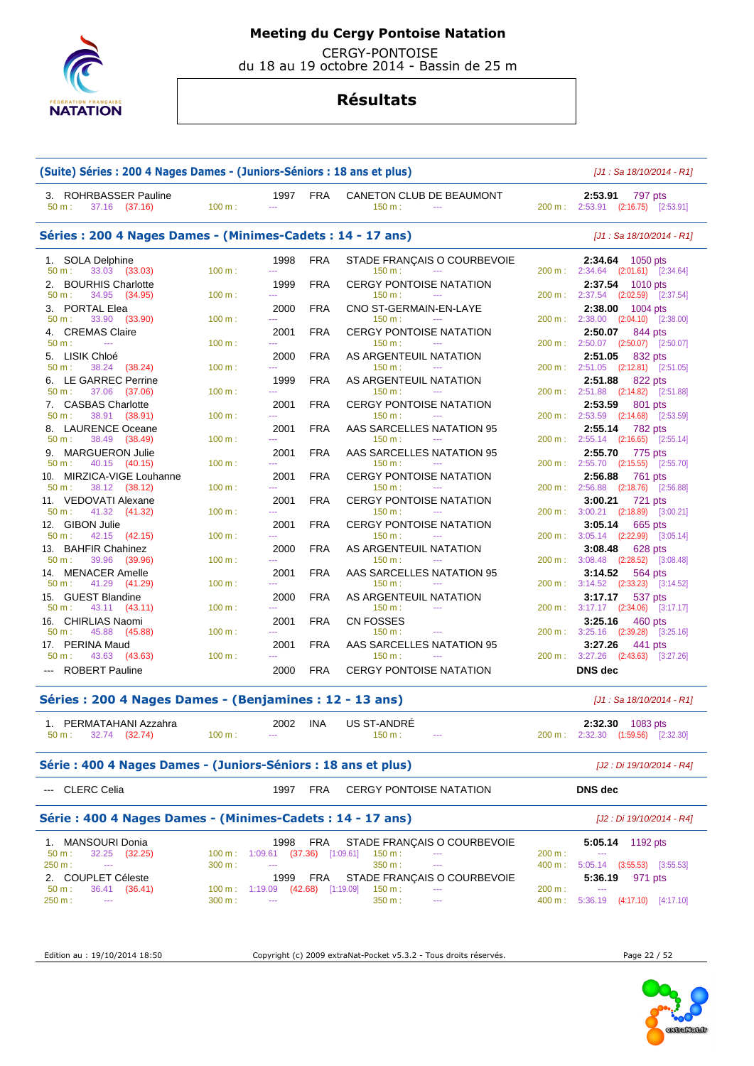

CERGY-PONTOISE

du 18 au 19 octobre 2014 - Bassin de 25 m

## **Résultats**

| (Suite) Séries : 200 4 Nages Dames - (Juniors-Séniors : 18 ans et plus)        |                  |                                                                  |            |                                                                |                   | [J1 : Sa 18/10/2014 - R1]                                                                                    |
|--------------------------------------------------------------------------------|------------------|------------------------------------------------------------------|------------|----------------------------------------------------------------|-------------------|--------------------------------------------------------------------------------------------------------------|
| 3. ROHRBASSER Pauline<br>$50 m$ :<br>37.16 (37.16)                             | 100 m:           | 1997<br>$\sim$                                                   | <b>FRA</b> | CANETON CLUB DE BEAUMONT<br>150 m:<br>$\sim$ $\sim$            |                   | 2:53.91<br>797 pts<br>200 m: 2:53.91 (2:16.75) [2:53.91]                                                     |
| Séries: 200 4 Nages Dames - (Minimes-Cadets: 14 - 17 ans)                      |                  | [J1 : Sa 18/10/2014 - R1]                                        |            |                                                                |                   |                                                                                                              |
| <b>SOLA Delphine</b><br>1.<br>33.03 (33.03)<br>50 m:                           | 100 m:           | 1998<br><u></u>                                                  | <b>FRA</b> | STADE FRANÇAIS O COURBEVOIE<br>150 m:<br>$\sim$                |                   | 2:34.64<br>1050 pts<br>200 m: 2:34.64 (2:01.61) [2:34.64]                                                    |
| <b>BOURHIS Charlotte</b><br>2.<br>50 m:<br>34.95 (34.95)                       | 100 m:           | 1999<br>$\sim$                                                   | <b>FRA</b> | <b>CERGY PONTOISE NATATION</b><br>150 m:<br>$\sim$             |                   | 2:37.54<br>1010 pts<br>200 m: 2:37.54 (2:02.59) [2:37.54]                                                    |
| PORTAL Elea<br>3.<br>33.90 (33.90)<br>50 m:                                    | 100 m:           | 2000<br>$\overline{a}$                                           | <b>FRA</b> | CNO ST-GERMAIN-EN-LAYE<br>150 m:<br>$\sim$ $\sim$              | $200 \text{ m}$ : | 2:38.00<br>1004 pts<br>2:38.00 (2:04.10) [2:38.00]                                                           |
| 4. CREMAS Claire<br>50 m:<br>$\mathbb{Z} \to \mathbb{Z}$                       | 100 m:           | 2001<br>$\sim$                                                   | <b>FRA</b> | <b>CERGY PONTOISE NATATION</b><br>150 m:<br>$\sim$             |                   | 2:50.07<br>844 pts<br>200 m: 2:50.07 (2:50.07) [2:50.07]                                                     |
| 5. LISIK Chloé                                                                 |                  | 2000                                                             | <b>FRA</b> | AS ARGENTEUIL NATATION                                         |                   | 2:51.05<br>832 pts                                                                                           |
| 50 m:<br>38.24<br>(38.24)<br>6. LE GARREC Perrine<br>50 m:<br>37.06<br>(37.06) | 100 m:<br>100 m: | шш.<br>1999<br>шш.                                               | <b>FRA</b> | 150 m:<br>$\sim$<br>AS ARGENTEUIL NATATION<br>150 m:<br>$\sim$ |                   | 200 m: 2:51.05<br>$(2:12.81)$ $[2:51.05]$<br>2:51.88<br>822 pts<br>200 m: 2:51.88<br>$(2:14.82)$ $[2:51.88]$ |
| 7. CASBAS Charlotte                                                            |                  | 2001<br><b>LLL</b>                                               | <b>FRA</b> | <b>CERGY PONTOISE NATATION</b><br>$\sim$                       |                   | 2:53.59<br>801 pts                                                                                           |
| 38.91<br>50 m:<br>(38.91)<br>8. LAURENCE Oceane<br>50 m:<br>38.49<br>(38.49)   | 100 m:<br>100 m: | 2001<br><u></u>                                                  | <b>FRA</b> | 150 m:<br>AAS SARCELLES NATATION 95<br>150 m:<br>$\sim$        |                   | 200 m: 2:53.59<br>$(2:14.68)$ $[2:53.59]$<br>2:55.14<br>782 pts<br>200 m: 2:55.14 (2:16.65) [2:55.14]        |
| <b>MARGUERON Julie</b><br>9.<br>40.15 (40.15)<br>50 m:                         | 100 m:           | 2001<br>$\sim$                                                   | <b>FRA</b> | AAS SARCELLES NATATION 95<br>150 m:<br>$\sim$                  |                   | 2:55.70<br>775 pts<br>200 m: 2:55.70<br>$(2:15.55)$ $[2:55.70]$                                              |
| 10. MIRZICA-VIGE Louhanne<br>38.12 (38.12)<br>50 m:                            | 100 m:           | 2001<br>$\overline{a}$                                           | <b>FRA</b> | <b>CERGY PONTOISE NATATION</b><br>150 m:<br>$\sim$             |                   | 2:56.88<br>761 pts<br>200 m: 2:56.88<br>$(2:18.76)$ $[2:56.88]$                                              |
| 11. VEDOVATI Alexane<br>50 m:<br>41.32<br>(41.32)                              | 100 m:           | 2001<br><u></u>                                                  | <b>FRA</b> | <b>CERGY PONTOISE NATATION</b><br>150 m:<br><u>.</u>           | $200 \text{ m}$ : | 3:00.21<br>721 pts<br>3:00.21<br>(2:18.89)<br>[3:00.21]                                                      |
| 12. GIBON Julie<br>42.15<br>50 m:<br>(42.15)                                   | 100 m:           | 2001<br><u></u>                                                  | <b>FRA</b> | <b>CERGY PONTOISE NATATION</b><br>150 m:                       | $200 \text{ m}$ : | 3:05.14<br>665 pts<br>3:05.14 (2:22.99) [3:05.14]                                                            |
| 13. BAHFIR Chahinez<br>50 m:<br>39.96<br>(39.96)                               | 100 m:           | 2000<br><u></u>                                                  | <b>FRA</b> | AS ARGENTEUIL NATATION<br>150 m:<br>$\sim$                     |                   | 3:08.48<br>628 pts<br>200 m: 3:08.48<br>(2:28.52)<br>[3:08.48]                                               |
| <b>MENACER Amelle</b><br>14.<br>50 m:<br>41.29<br>(41.29)                      | 100 m:           | 2001<br><u></u>                                                  | <b>FRA</b> | AAS SARCELLES NATATION 95<br>150 m:                            |                   | 3:14.52<br>564 pts<br>200 m : 3:14.52<br>$(2:33.23)$ $[3:14.52]$                                             |
| GUEST Blandine<br>15.<br>50 m:<br>43.11 (43.11)                                | 100 m:           | 2000<br>$- - -$                                                  | <b>FRA</b> | AS ARGENTEUIL NATATION<br>150 m:<br>$-$                        |                   | 3:17.17<br>537 pts<br>200 m: 3:17.17 (2:34.06) [3:17.17]                                                     |
| 16. CHIRLIAS Naomi<br>45.88<br>50 m:<br>(45.88)                                | 100 m:           | 2001                                                             | <b>FRA</b> | <b>CN FOSSES</b><br>150 m:<br>$\sim$                           |                   | 3:25.16<br>460 pts<br>200 m: 3:25.16                                                                         |
| 17. PERINA Maud                                                                |                  | 2001                                                             | <b>FRA</b> | AAS SARCELLES NATATION 95                                      |                   | $(2:39.28)$ $[3:25.16]$<br>3:27.26<br>441 pts                                                                |
| 43.63<br>50 m:<br>(43.63)<br><b>ROBERT Pauline</b>                             | 100 m:           | шш.<br>2000                                                      | <b>FRA</b> | 150 m:<br><b>CERGY PONTOISE NATATION</b>                       | $200 \text{ m}$ : | 3:27.26<br>$(2:43.63)$ $[3:27.26]$<br><b>DNS</b> dec                                                         |
| Séries: 200 4 Nages Dames - (Benjamines: 12 - 13 ans)                          |                  |                                                                  |            |                                                                |                   | [J1 : Sa 18/10/2014 - R1]                                                                                    |
| 1. PERMATAHANI Azzahra                                                         |                  | 2002                                                             | INA        | <b>US ST-ANDRE</b>                                             |                   | 2:32.30 1083 pts                                                                                             |
| 32.74 (32.74)<br>50 m:                                                         | 100 m:           |                                                                  |            | 150 m:<br>$\cdots$                                             |                   | 200 m: 2:32.30 (1:59.56) [2:32.30]                                                                           |
| Série : 400 4 Nages Dames - (Juniors-Séniors : 18 ans et plus)                 |                  |                                                                  |            |                                                                |                   | [J2 : Di 19/10/2014 - R4]                                                                                    |
| CLERC Celia                                                                    |                  | 1997                                                             | <b>FRA</b> | <b>CERGY PONTOISE NATATION</b>                                 |                   | <b>DNS</b> dec                                                                                               |
| Série: 400 4 Nages Dames - (Minimes-Cadets: 14 - 17 ans)                       |                  |                                                                  |            |                                                                |                   | [J2 : Di 19/10/2014 - R4]                                                                                    |
| 1. MANSOURI Donia<br>50 m:<br>32.25 (32.25)                                    | 100 m:           | 1998<br>$1:09.61$ (37.36) $[1:09.61]$                            | <b>FRA</b> | STADE FRANÇAIS O COURBEVOIE<br>150 m:<br>---                   | 200 m:            | 5:05.14 1192 pts<br>---                                                                                      |
| 250 m:<br>---                                                                  | 300 m:           | $\overline{a}$                                                   |            | 350 m :<br>$\overline{a}$                                      | 400 m:            | $5:05.14$ $(3:55.53)$ $[3:55.53]$<br>5:36.19 971 pts                                                         |
| 2. COUPLET Céleste<br>50 m:<br>36.41 (36.41)<br>250 m:<br>---                  | 300 m:           | 1999<br>100 m: 1:19.09 (42.68) [1:19.09]<br>$\scriptstyle\cdots$ | <b>FRA</b> | STADE FRANÇAIS O COURBEVOIE<br>150 m:<br>350 m:<br>$\cdots$    | 200 m:<br>400 m:  | ---<br>5:36.19 (4:17.10) [4:17.10]                                                                           |
|                                                                                |                  |                                                                  |            |                                                                |                   |                                                                                                              |

Edition au : 19/10/2014 18:50 Copyright (c) 2009 extraNat-Pocket v5.3.2 - Tous droits réservés. Page 22 / 52

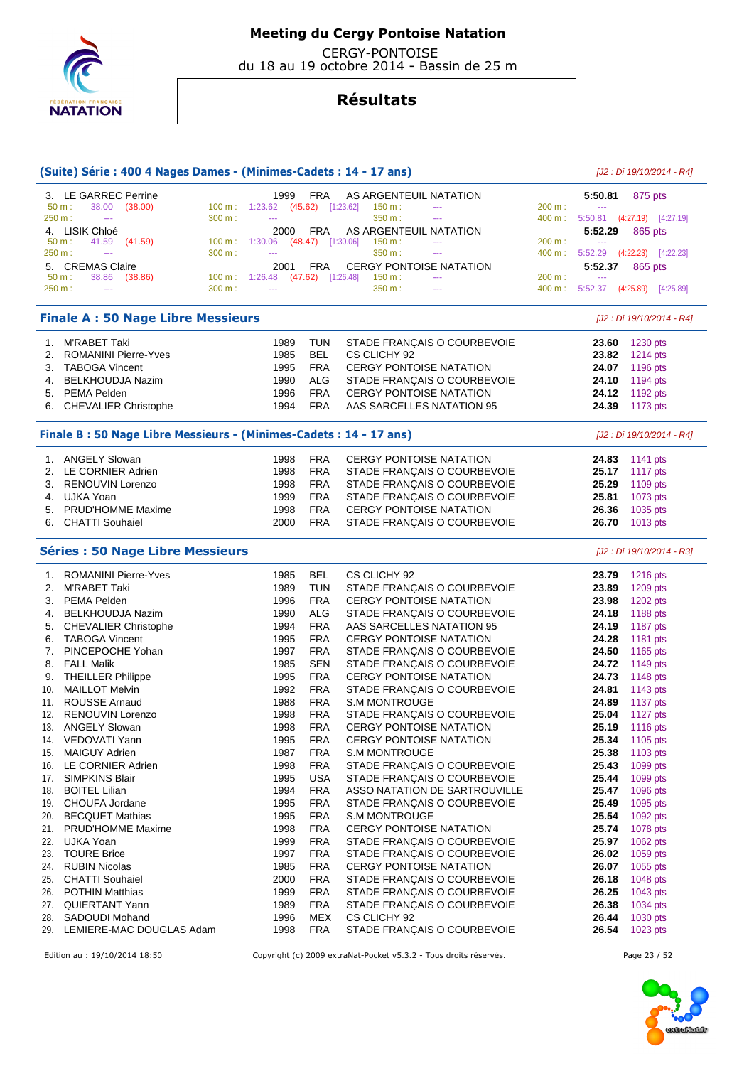

 CERGY-PONTOISE du 18 au 19 octobre 2014 - Bassin de 25 m

| 3. LE GARREC Perrine<br><b>FRA</b><br>AS ARGENTEUIL NATATION<br>1999<br>5:50.81<br>875 pts<br>50 m:<br>38.00<br>(38.00)<br>100 m: 1:23.62 (45.62) [1:23.62]<br>150 m:<br>200 m:<br>$\cdots$<br>$\cdots$<br>350 m:<br>250 m:<br>300 m:<br>5:50.81 (4:27.19) [4:27.19]<br>$\sim$<br>400 m:<br>$\sim$<br>$\scriptstyle\cdots$<br>4. LISIK Chloé<br>FRA<br>AS ARGENTEUIL NATATION<br>2000<br>5:52.29<br>865 pts<br>$100 m$ :<br>200 m:<br>50 m:<br>41.59<br>(41.59)<br>$1:30.06$ (48.47) [1:30.06]<br>150 m:<br>$\scriptstyle\cdots$<br>---<br>300 m:<br>$5:52.29$ $(4:22.23)$ $[4:22.23]$<br>250 m:<br>350 m :<br>400 m:<br>---<br>$\scriptstyle\cdots$<br>5. CREMAS Claire<br><b>CERGY PONTOISE NATATION</b><br>2001<br>FRA<br>5:52.37<br>865 pts<br>38.86<br>$100 \text{ m}: 1:26.48$<br>$(47.62)$ [1:26.48]<br>150 m:<br>200 m:<br>50 m:<br>(38.86)<br>$\scriptstyle\cdots$<br>250 m:<br>300 m:<br>350 m :<br>400 m:<br>5:52.37 (4:25.89) [4:25.89]<br>$\overline{a}$<br>$\overline{a}$<br>---<br><b>Finale A: 50 Nage Libre Messieurs</b><br>[J2 : Di 19/10/2014 - R4]<br>1. M'RABET Taki<br><b>TUN</b><br>STADE FRANÇAIS O COURBEVOIE<br>1989<br>1230 pts<br>23.60<br><b>BEL</b><br><b>ROMANINI Pierre-Yves</b><br>1985<br>CS CLICHY 92<br>1214 pts<br>2.<br>23.82<br>3. TABOGA Vincent<br><b>FRA</b><br><b>CERGY PONTOISE NATATION</b><br>1196 pts<br>1995<br>24.07<br>ALG<br>4. BELKHOUDJA Nazim<br>1990<br>STADE FRANÇAIS O COURBEVOIE<br>24.10<br>1194 pts<br><b>FRA</b><br>1996<br><b>CERGY PONTOISE NATATION</b><br>24.12<br>5. PEMA Pelden<br>1192 pts<br><b>FRA</b><br>1994<br>AAS SARCELLES NATATION 95<br>24.39<br>6. CHEVALIER Christophe<br>1173 pts<br>Finale B: 50 Nage Libre Messieurs - (Minimes-Cadets: 14 - 17 ans)<br>[J2 : Di 19/10/2014 - R4]<br>1. ANGELY Slowan<br>1998<br><b>FRA</b><br><b>CERGY PONTOISE NATATION</b><br>24.83<br>1141 pts<br><b>FRA</b><br>25.17<br>2. LE CORNIER Adrien<br>1998<br>STADE FRANÇAIS O COURBEVOIE<br>1117 pts<br><b>FRA</b><br>1998<br>STADE FRANÇAIS O COURBEVOIE<br>25.29<br>1109 pts<br>3. RENOUVIN Lorenzo<br><b>FRA</b><br>4. UJKA Yoan<br>1999<br>STADE FRANÇAIS O COURBEVOIE<br>25.81<br>1073 pts<br><b>PRUD'HOMME Maxime</b><br><b>FRA</b><br>CERGY PONTOISE NATATION<br>26.36<br>5.<br>1998<br>1035 pts<br><b>FRA</b><br>6. CHATTI Souhaiel<br>2000<br>26.70<br>STADE FRANÇAIS O COURBEVOIE<br>1013 pts<br><b>Séries : 50 Nage Libre Messieurs</b><br>[J2 : Di 19/10/2014 - R3]<br>1. ROMANINI Pierre-Yves<br>1985<br>BEL<br>CS CLICHY 92<br>23.79<br>1216 pts<br>2. M'RABET Taki<br>1989<br><b>TUN</b><br>STADE FRANÇAIS O COURBEVOIE<br>1209 pts<br>23.89<br>3. PEMA Pelden<br><b>FRA</b><br><b>CERGY PONTOISE NATATION</b><br>23.98<br>1202 pts<br>1996<br>1990<br>ALG<br>24.18<br>1188 pts<br>4. BELKHOUDJA Nazim<br>STADE FRANÇAIS O COURBEVOIE<br><b>FRA</b><br><b>CHEVALIER Christophe</b><br>1994<br>AAS SARCELLES NATATION 95<br>24.19<br>1187 pts<br>5.<br><b>FRA</b><br>24.28<br><b>TABOGA Vincent</b><br>1995<br><b>CERGY PONTOISE NATATION</b><br>1181 pts<br>6.<br>PINCEPOCHE Yohan<br>1997<br><b>FRA</b><br>24.50<br>STADE FRANÇAIS O COURBEVOIE<br>1165 pts<br>7.<br><b>SEN</b><br>24.72<br><b>FALL Malik</b><br>1985<br>STADE FRANÇAIS O COURBEVOIE<br>1149 pts<br>8.<br><b>FRA</b><br><b>CERGY PONTOISE NATATION</b><br>24.73<br><b>THEILLER Philippe</b><br>1995<br>1148 pts<br>9.<br>1992<br><b>FRA</b><br><b>MAILLOT Melvin</b><br>STADE FRANÇAIS O COURBEVOIE<br>24.81<br>1143 pts<br>10.<br><b>FRA</b><br><b>ROUSSE Arnaud</b><br>1988<br>24.89<br>11.<br><b>S.M MONTROUGE</b><br>1137 pts<br>1998<br><b>FRA</b><br>25.04<br>12.<br><b>RENOUVIN Lorenzo</b><br>STADE FRANÇAIS O COURBEVOIE<br>1127 $pts$<br><b>FRA</b><br><b>ANGELY Slowan</b><br>1998<br><b>CERGY PONTOISE NATATION</b><br>25.19<br>1116 pts<br>13.<br><b>FRA</b><br>25.34<br>VEDOVATI Yann<br>1995<br><b>CERGY PONTOISE NATATION</b><br>1105 pts<br>14.<br>25.38<br><b>MAIGUY Adrien</b><br>1987<br><b>FRA</b><br><b>S.M MONTROUGE</b><br>1103 pts<br>15.<br><b>FRA</b><br>LE CORNIER Adrien<br>1998<br>STADE FRANÇAIS O COURBEVOIE<br>25.43<br>1099 pts<br>16.<br>SIMPKINS Blair<br>1995<br>USA<br>STADE FRANÇAIS O COURBEVOIE<br>25.44<br>1099 pts<br>17.<br><b>BOITEL Lilian</b><br><b>FRA</b><br>25.47<br>1994<br>ASSO NATATION DE SARTROUVILLE<br>1096 pts<br>18.<br><b>FRA</b><br>CHOUFA Jordane<br>1995<br>STADE FRANÇAIS O COURBEVOIE<br>25.49<br>1095 pts<br>19.<br><b>FRA</b><br>25.54<br><b>BECQUET Mathias</b><br>1995<br><b>S.M MONTROUGE</b><br>1092 pts<br>20.<br>25.74<br><b>PRUD'HOMME Maxime</b><br>1998<br><b>FRA</b><br><b>CERGY PONTOISE NATATION</b><br>1078 pts<br>21.<br><b>FRA</b><br>25.97<br>UJKA Yoan<br>1999<br>STADE FRANÇAIS O COURBEVOIE<br>1062 pts<br>22.<br><b>TOURE Brice</b><br><b>FRA</b><br>23.<br>1997<br>STADE FRANÇAIS O COURBEVOIE<br>26.02<br>1059 pts<br>26.07<br><b>RUBIN Nicolas</b><br>1985<br><b>FRA</b><br><b>CERGY PONTOISE NATATION</b><br>1055 pts<br>24.<br><b>FRA</b><br><b>CHATTI Souhaiel</b><br>2000<br>STADE FRANÇAIS O COURBEVOIE<br>26.18<br>1048 pts<br>25.<br><b>FRA</b><br><b>POTHIN Matthias</b><br>1999<br>STADE FRANÇAIS O COURBEVOIE<br>26.25<br>1043 pts<br>26.<br>26.38<br>27. QUIERTANT Yann<br>1989<br><b>FRA</b><br>STADE FRANÇAIS O COURBEVOIE<br>1034 pts<br>SADOUDI Mohand<br>1996<br>MEX<br>CS CLICHY 92<br>26.44<br>1030 pts<br>28.<br>STADE FRANÇAIS O COURBEVOIE<br>29. LEMIERE-MAC DOUGLAS Adam<br>1998<br><b>FRA</b><br>26.54<br>1023 pts<br>Edition au : 19/10/2014 18:50<br>Copyright (c) 2009 extraNat-Pocket v5.3.2 - Tous droits réservés.<br>Page 23 / 52 | (Suite) Série : 400 4 Nages Dames - (Minimes-Cadets : 14 - 17 ans) |  |  |  | [J2 : Di 19/10/2014 - R4] |
|---------------------------------------------------------------------------------------------------------------------------------------------------------------------------------------------------------------------------------------------------------------------------------------------------------------------------------------------------------------------------------------------------------------------------------------------------------------------------------------------------------------------------------------------------------------------------------------------------------------------------------------------------------------------------------------------------------------------------------------------------------------------------------------------------------------------------------------------------------------------------------------------------------------------------------------------------------------------------------------------------------------------------------------------------------------------------------------------------------------------------------------------------------------------------------------------------------------------------------------------------------------------------------------------------------------------------------------------------------------------------------------------------------------------------------------------------------------------------------------------------------------------------------------------------------------------------------------------------------------------------------------------------------------------------------------------------------------------------------------------------------------------------------------------------------------------------------------------------------------------------------------------------------------------------------------------------------------------------------------------------------------------------------------------------------------------------------------------------------------------------------------------------------------------------------------------------------------------------------------------------------------------------------------------------------------------------------------------------------------------------------------------------------------------------------------------------------------------------------------------------------------------------------------------------------------------------------------------------------------------------------------------------------------------------------------------------------------------------------------------------------------------------------------------------------------------------------------------------------------------------------------------------------------------------------------------------------------------------------------------------------------------------------------------------------------------------------------------------------------------------------------------------------------------------------------------------------------------------------------------------------------------------------------------------------------------------------------------------------------------------------------------------------------------------------------------------------------------------------------------------------------------------------------------------------------------------------------------------------------------------------------------------------------------------------------------------------------------------------------------------------------------------------------------------------------------------------------------------------------------------------------------------------------------------------------------------------------------------------------------------------------------------------------------------------------------------------------------------------------------------------------------------------------------------------------------------------------------------------------------------------------------------------------------------------------------------------------------------------------------------------------------------------------------------------------------------------------------------------------------------------------------------------------------------------------------------------------------------------------------------------------------------------------------------------------------------------------------------------------------------------------------------------------------------------------------------------------------------------------------------------------------------------------------------------------------------------------------------------------------------------------------------------------------------------------------------------------------------------------------------------------------------------------------------------------------------------------------------------------------------------------------------------------------------------------------------------------------------------------------------------------------------------------------------------------------------------------------------------------------------------------------------------------------------------------------------------------------------------------|--------------------------------------------------------------------|--|--|--|---------------------------|
|                                                                                                                                                                                                                                                                                                                                                                                                                                                                                                                                                                                                                                                                                                                                                                                                                                                                                                                                                                                                                                                                                                                                                                                                                                                                                                                                                                                                                                                                                                                                                                                                                                                                                                                                                                                                                                                                                                                                                                                                                                                                                                                                                                                                                                                                                                                                                                                                                                                                                                                                                                                                                                                                                                                                                                                                                                                                                                                                                                                                                                                                                                                                                                                                                                                                                                                                                                                                                                                                                                                                                                                                                                                                                                                                                                                                                                                                                                                                                                                                                                                                                                                                                                                                                                                                                                                                                                                                                                                                                                                                                                                                                                                                                                                                                                                                                                                                                                                                                                                                                                                                                                                                                                                                                                                                                                                                                                                                                                                                                                                                                                                                               |                                                                    |  |  |  |                           |
|                                                                                                                                                                                                                                                                                                                                                                                                                                                                                                                                                                                                                                                                                                                                                                                                                                                                                                                                                                                                                                                                                                                                                                                                                                                                                                                                                                                                                                                                                                                                                                                                                                                                                                                                                                                                                                                                                                                                                                                                                                                                                                                                                                                                                                                                                                                                                                                                                                                                                                                                                                                                                                                                                                                                                                                                                                                                                                                                                                                                                                                                                                                                                                                                                                                                                                                                                                                                                                                                                                                                                                                                                                                                                                                                                                                                                                                                                                                                                                                                                                                                                                                                                                                                                                                                                                                                                                                                                                                                                                                                                                                                                                                                                                                                                                                                                                                                                                                                                                                                                                                                                                                                                                                                                                                                                                                                                                                                                                                                                                                                                                                                               |                                                                    |  |  |  |                           |
|                                                                                                                                                                                                                                                                                                                                                                                                                                                                                                                                                                                                                                                                                                                                                                                                                                                                                                                                                                                                                                                                                                                                                                                                                                                                                                                                                                                                                                                                                                                                                                                                                                                                                                                                                                                                                                                                                                                                                                                                                                                                                                                                                                                                                                                                                                                                                                                                                                                                                                                                                                                                                                                                                                                                                                                                                                                                                                                                                                                                                                                                                                                                                                                                                                                                                                                                                                                                                                                                                                                                                                                                                                                                                                                                                                                                                                                                                                                                                                                                                                                                                                                                                                                                                                                                                                                                                                                                                                                                                                                                                                                                                                                                                                                                                                                                                                                                                                                                                                                                                                                                                                                                                                                                                                                                                                                                                                                                                                                                                                                                                                                                               |                                                                    |  |  |  |                           |
|                                                                                                                                                                                                                                                                                                                                                                                                                                                                                                                                                                                                                                                                                                                                                                                                                                                                                                                                                                                                                                                                                                                                                                                                                                                                                                                                                                                                                                                                                                                                                                                                                                                                                                                                                                                                                                                                                                                                                                                                                                                                                                                                                                                                                                                                                                                                                                                                                                                                                                                                                                                                                                                                                                                                                                                                                                                                                                                                                                                                                                                                                                                                                                                                                                                                                                                                                                                                                                                                                                                                                                                                                                                                                                                                                                                                                                                                                                                                                                                                                                                                                                                                                                                                                                                                                                                                                                                                                                                                                                                                                                                                                                                                                                                                                                                                                                                                                                                                                                                                                                                                                                                                                                                                                                                                                                                                                                                                                                                                                                                                                                                                               |                                                                    |  |  |  |                           |
|                                                                                                                                                                                                                                                                                                                                                                                                                                                                                                                                                                                                                                                                                                                                                                                                                                                                                                                                                                                                                                                                                                                                                                                                                                                                                                                                                                                                                                                                                                                                                                                                                                                                                                                                                                                                                                                                                                                                                                                                                                                                                                                                                                                                                                                                                                                                                                                                                                                                                                                                                                                                                                                                                                                                                                                                                                                                                                                                                                                                                                                                                                                                                                                                                                                                                                                                                                                                                                                                                                                                                                                                                                                                                                                                                                                                                                                                                                                                                                                                                                                                                                                                                                                                                                                                                                                                                                                                                                                                                                                                                                                                                                                                                                                                                                                                                                                                                                                                                                                                                                                                                                                                                                                                                                                                                                                                                                                                                                                                                                                                                                                                               |                                                                    |  |  |  |                           |
|                                                                                                                                                                                                                                                                                                                                                                                                                                                                                                                                                                                                                                                                                                                                                                                                                                                                                                                                                                                                                                                                                                                                                                                                                                                                                                                                                                                                                                                                                                                                                                                                                                                                                                                                                                                                                                                                                                                                                                                                                                                                                                                                                                                                                                                                                                                                                                                                                                                                                                                                                                                                                                                                                                                                                                                                                                                                                                                                                                                                                                                                                                                                                                                                                                                                                                                                                                                                                                                                                                                                                                                                                                                                                                                                                                                                                                                                                                                                                                                                                                                                                                                                                                                                                                                                                                                                                                                                                                                                                                                                                                                                                                                                                                                                                                                                                                                                                                                                                                                                                                                                                                                                                                                                                                                                                                                                                                                                                                                                                                                                                                                                               |                                                                    |  |  |  |                           |
|                                                                                                                                                                                                                                                                                                                                                                                                                                                                                                                                                                                                                                                                                                                                                                                                                                                                                                                                                                                                                                                                                                                                                                                                                                                                                                                                                                                                                                                                                                                                                                                                                                                                                                                                                                                                                                                                                                                                                                                                                                                                                                                                                                                                                                                                                                                                                                                                                                                                                                                                                                                                                                                                                                                                                                                                                                                                                                                                                                                                                                                                                                                                                                                                                                                                                                                                                                                                                                                                                                                                                                                                                                                                                                                                                                                                                                                                                                                                                                                                                                                                                                                                                                                                                                                                                                                                                                                                                                                                                                                                                                                                                                                                                                                                                                                                                                                                                                                                                                                                                                                                                                                                                                                                                                                                                                                                                                                                                                                                                                                                                                                                               |                                                                    |  |  |  |                           |
|                                                                                                                                                                                                                                                                                                                                                                                                                                                                                                                                                                                                                                                                                                                                                                                                                                                                                                                                                                                                                                                                                                                                                                                                                                                                                                                                                                                                                                                                                                                                                                                                                                                                                                                                                                                                                                                                                                                                                                                                                                                                                                                                                                                                                                                                                                                                                                                                                                                                                                                                                                                                                                                                                                                                                                                                                                                                                                                                                                                                                                                                                                                                                                                                                                                                                                                                                                                                                                                                                                                                                                                                                                                                                                                                                                                                                                                                                                                                                                                                                                                                                                                                                                                                                                                                                                                                                                                                                                                                                                                                                                                                                                                                                                                                                                                                                                                                                                                                                                                                                                                                                                                                                                                                                                                                                                                                                                                                                                                                                                                                                                                                               |                                                                    |  |  |  |                           |
|                                                                                                                                                                                                                                                                                                                                                                                                                                                                                                                                                                                                                                                                                                                                                                                                                                                                                                                                                                                                                                                                                                                                                                                                                                                                                                                                                                                                                                                                                                                                                                                                                                                                                                                                                                                                                                                                                                                                                                                                                                                                                                                                                                                                                                                                                                                                                                                                                                                                                                                                                                                                                                                                                                                                                                                                                                                                                                                                                                                                                                                                                                                                                                                                                                                                                                                                                                                                                                                                                                                                                                                                                                                                                                                                                                                                                                                                                                                                                                                                                                                                                                                                                                                                                                                                                                                                                                                                                                                                                                                                                                                                                                                                                                                                                                                                                                                                                                                                                                                                                                                                                                                                                                                                                                                                                                                                                                                                                                                                                                                                                                                                               |                                                                    |  |  |  |                           |
|                                                                                                                                                                                                                                                                                                                                                                                                                                                                                                                                                                                                                                                                                                                                                                                                                                                                                                                                                                                                                                                                                                                                                                                                                                                                                                                                                                                                                                                                                                                                                                                                                                                                                                                                                                                                                                                                                                                                                                                                                                                                                                                                                                                                                                                                                                                                                                                                                                                                                                                                                                                                                                                                                                                                                                                                                                                                                                                                                                                                                                                                                                                                                                                                                                                                                                                                                                                                                                                                                                                                                                                                                                                                                                                                                                                                                                                                                                                                                                                                                                                                                                                                                                                                                                                                                                                                                                                                                                                                                                                                                                                                                                                                                                                                                                                                                                                                                                                                                                                                                                                                                                                                                                                                                                                                                                                                                                                                                                                                                                                                                                                                               |                                                                    |  |  |  |                           |
|                                                                                                                                                                                                                                                                                                                                                                                                                                                                                                                                                                                                                                                                                                                                                                                                                                                                                                                                                                                                                                                                                                                                                                                                                                                                                                                                                                                                                                                                                                                                                                                                                                                                                                                                                                                                                                                                                                                                                                                                                                                                                                                                                                                                                                                                                                                                                                                                                                                                                                                                                                                                                                                                                                                                                                                                                                                                                                                                                                                                                                                                                                                                                                                                                                                                                                                                                                                                                                                                                                                                                                                                                                                                                                                                                                                                                                                                                                                                                                                                                                                                                                                                                                                                                                                                                                                                                                                                                                                                                                                                                                                                                                                                                                                                                                                                                                                                                                                                                                                                                                                                                                                                                                                                                                                                                                                                                                                                                                                                                                                                                                                                               |                                                                    |  |  |  |                           |
|                                                                                                                                                                                                                                                                                                                                                                                                                                                                                                                                                                                                                                                                                                                                                                                                                                                                                                                                                                                                                                                                                                                                                                                                                                                                                                                                                                                                                                                                                                                                                                                                                                                                                                                                                                                                                                                                                                                                                                                                                                                                                                                                                                                                                                                                                                                                                                                                                                                                                                                                                                                                                                                                                                                                                                                                                                                                                                                                                                                                                                                                                                                                                                                                                                                                                                                                                                                                                                                                                                                                                                                                                                                                                                                                                                                                                                                                                                                                                                                                                                                                                                                                                                                                                                                                                                                                                                                                                                                                                                                                                                                                                                                                                                                                                                                                                                                                                                                                                                                                                                                                                                                                                                                                                                                                                                                                                                                                                                                                                                                                                                                                               |                                                                    |  |  |  |                           |
|                                                                                                                                                                                                                                                                                                                                                                                                                                                                                                                                                                                                                                                                                                                                                                                                                                                                                                                                                                                                                                                                                                                                                                                                                                                                                                                                                                                                                                                                                                                                                                                                                                                                                                                                                                                                                                                                                                                                                                                                                                                                                                                                                                                                                                                                                                                                                                                                                                                                                                                                                                                                                                                                                                                                                                                                                                                                                                                                                                                                                                                                                                                                                                                                                                                                                                                                                                                                                                                                                                                                                                                                                                                                                                                                                                                                                                                                                                                                                                                                                                                                                                                                                                                                                                                                                                                                                                                                                                                                                                                                                                                                                                                                                                                                                                                                                                                                                                                                                                                                                                                                                                                                                                                                                                                                                                                                                                                                                                                                                                                                                                                                               |                                                                    |  |  |  |                           |
|                                                                                                                                                                                                                                                                                                                                                                                                                                                                                                                                                                                                                                                                                                                                                                                                                                                                                                                                                                                                                                                                                                                                                                                                                                                                                                                                                                                                                                                                                                                                                                                                                                                                                                                                                                                                                                                                                                                                                                                                                                                                                                                                                                                                                                                                                                                                                                                                                                                                                                                                                                                                                                                                                                                                                                                                                                                                                                                                                                                                                                                                                                                                                                                                                                                                                                                                                                                                                                                                                                                                                                                                                                                                                                                                                                                                                                                                                                                                                                                                                                                                                                                                                                                                                                                                                                                                                                                                                                                                                                                                                                                                                                                                                                                                                                                                                                                                                                                                                                                                                                                                                                                                                                                                                                                                                                                                                                                                                                                                                                                                                                                                               |                                                                    |  |  |  |                           |
|                                                                                                                                                                                                                                                                                                                                                                                                                                                                                                                                                                                                                                                                                                                                                                                                                                                                                                                                                                                                                                                                                                                                                                                                                                                                                                                                                                                                                                                                                                                                                                                                                                                                                                                                                                                                                                                                                                                                                                                                                                                                                                                                                                                                                                                                                                                                                                                                                                                                                                                                                                                                                                                                                                                                                                                                                                                                                                                                                                                                                                                                                                                                                                                                                                                                                                                                                                                                                                                                                                                                                                                                                                                                                                                                                                                                                                                                                                                                                                                                                                                                                                                                                                                                                                                                                                                                                                                                                                                                                                                                                                                                                                                                                                                                                                                                                                                                                                                                                                                                                                                                                                                                                                                                                                                                                                                                                                                                                                                                                                                                                                                                               |                                                                    |  |  |  |                           |
|                                                                                                                                                                                                                                                                                                                                                                                                                                                                                                                                                                                                                                                                                                                                                                                                                                                                                                                                                                                                                                                                                                                                                                                                                                                                                                                                                                                                                                                                                                                                                                                                                                                                                                                                                                                                                                                                                                                                                                                                                                                                                                                                                                                                                                                                                                                                                                                                                                                                                                                                                                                                                                                                                                                                                                                                                                                                                                                                                                                                                                                                                                                                                                                                                                                                                                                                                                                                                                                                                                                                                                                                                                                                                                                                                                                                                                                                                                                                                                                                                                                                                                                                                                                                                                                                                                                                                                                                                                                                                                                                                                                                                                                                                                                                                                                                                                                                                                                                                                                                                                                                                                                                                                                                                                                                                                                                                                                                                                                                                                                                                                                                               |                                                                    |  |  |  |                           |
|                                                                                                                                                                                                                                                                                                                                                                                                                                                                                                                                                                                                                                                                                                                                                                                                                                                                                                                                                                                                                                                                                                                                                                                                                                                                                                                                                                                                                                                                                                                                                                                                                                                                                                                                                                                                                                                                                                                                                                                                                                                                                                                                                                                                                                                                                                                                                                                                                                                                                                                                                                                                                                                                                                                                                                                                                                                                                                                                                                                                                                                                                                                                                                                                                                                                                                                                                                                                                                                                                                                                                                                                                                                                                                                                                                                                                                                                                                                                                                                                                                                                                                                                                                                                                                                                                                                                                                                                                                                                                                                                                                                                                                                                                                                                                                                                                                                                                                                                                                                                                                                                                                                                                                                                                                                                                                                                                                                                                                                                                                                                                                                                               |                                                                    |  |  |  |                           |
|                                                                                                                                                                                                                                                                                                                                                                                                                                                                                                                                                                                                                                                                                                                                                                                                                                                                                                                                                                                                                                                                                                                                                                                                                                                                                                                                                                                                                                                                                                                                                                                                                                                                                                                                                                                                                                                                                                                                                                                                                                                                                                                                                                                                                                                                                                                                                                                                                                                                                                                                                                                                                                                                                                                                                                                                                                                                                                                                                                                                                                                                                                                                                                                                                                                                                                                                                                                                                                                                                                                                                                                                                                                                                                                                                                                                                                                                                                                                                                                                                                                                                                                                                                                                                                                                                                                                                                                                                                                                                                                                                                                                                                                                                                                                                                                                                                                                                                                                                                                                                                                                                                                                                                                                                                                                                                                                                                                                                                                                                                                                                                                                               |                                                                    |  |  |  |                           |
|                                                                                                                                                                                                                                                                                                                                                                                                                                                                                                                                                                                                                                                                                                                                                                                                                                                                                                                                                                                                                                                                                                                                                                                                                                                                                                                                                                                                                                                                                                                                                                                                                                                                                                                                                                                                                                                                                                                                                                                                                                                                                                                                                                                                                                                                                                                                                                                                                                                                                                                                                                                                                                                                                                                                                                                                                                                                                                                                                                                                                                                                                                                                                                                                                                                                                                                                                                                                                                                                                                                                                                                                                                                                                                                                                                                                                                                                                                                                                                                                                                                                                                                                                                                                                                                                                                                                                                                                                                                                                                                                                                                                                                                                                                                                                                                                                                                                                                                                                                                                                                                                                                                                                                                                                                                                                                                                                                                                                                                                                                                                                                                                               |                                                                    |  |  |  |                           |
|                                                                                                                                                                                                                                                                                                                                                                                                                                                                                                                                                                                                                                                                                                                                                                                                                                                                                                                                                                                                                                                                                                                                                                                                                                                                                                                                                                                                                                                                                                                                                                                                                                                                                                                                                                                                                                                                                                                                                                                                                                                                                                                                                                                                                                                                                                                                                                                                                                                                                                                                                                                                                                                                                                                                                                                                                                                                                                                                                                                                                                                                                                                                                                                                                                                                                                                                                                                                                                                                                                                                                                                                                                                                                                                                                                                                                                                                                                                                                                                                                                                                                                                                                                                                                                                                                                                                                                                                                                                                                                                                                                                                                                                                                                                                                                                                                                                                                                                                                                                                                                                                                                                                                                                                                                                                                                                                                                                                                                                                                                                                                                                                               |                                                                    |  |  |  |                           |
|                                                                                                                                                                                                                                                                                                                                                                                                                                                                                                                                                                                                                                                                                                                                                                                                                                                                                                                                                                                                                                                                                                                                                                                                                                                                                                                                                                                                                                                                                                                                                                                                                                                                                                                                                                                                                                                                                                                                                                                                                                                                                                                                                                                                                                                                                                                                                                                                                                                                                                                                                                                                                                                                                                                                                                                                                                                                                                                                                                                                                                                                                                                                                                                                                                                                                                                                                                                                                                                                                                                                                                                                                                                                                                                                                                                                                                                                                                                                                                                                                                                                                                                                                                                                                                                                                                                                                                                                                                                                                                                                                                                                                                                                                                                                                                                                                                                                                                                                                                                                                                                                                                                                                                                                                                                                                                                                                                                                                                                                                                                                                                                                               |                                                                    |  |  |  |                           |
|                                                                                                                                                                                                                                                                                                                                                                                                                                                                                                                                                                                                                                                                                                                                                                                                                                                                                                                                                                                                                                                                                                                                                                                                                                                                                                                                                                                                                                                                                                                                                                                                                                                                                                                                                                                                                                                                                                                                                                                                                                                                                                                                                                                                                                                                                                                                                                                                                                                                                                                                                                                                                                                                                                                                                                                                                                                                                                                                                                                                                                                                                                                                                                                                                                                                                                                                                                                                                                                                                                                                                                                                                                                                                                                                                                                                                                                                                                                                                                                                                                                                                                                                                                                                                                                                                                                                                                                                                                                                                                                                                                                                                                                                                                                                                                                                                                                                                                                                                                                                                                                                                                                                                                                                                                                                                                                                                                                                                                                                                                                                                                                                               |                                                                    |  |  |  |                           |
|                                                                                                                                                                                                                                                                                                                                                                                                                                                                                                                                                                                                                                                                                                                                                                                                                                                                                                                                                                                                                                                                                                                                                                                                                                                                                                                                                                                                                                                                                                                                                                                                                                                                                                                                                                                                                                                                                                                                                                                                                                                                                                                                                                                                                                                                                                                                                                                                                                                                                                                                                                                                                                                                                                                                                                                                                                                                                                                                                                                                                                                                                                                                                                                                                                                                                                                                                                                                                                                                                                                                                                                                                                                                                                                                                                                                                                                                                                                                                                                                                                                                                                                                                                                                                                                                                                                                                                                                                                                                                                                                                                                                                                                                                                                                                                                                                                                                                                                                                                                                                                                                                                                                                                                                                                                                                                                                                                                                                                                                                                                                                                                                               |                                                                    |  |  |  |                           |
|                                                                                                                                                                                                                                                                                                                                                                                                                                                                                                                                                                                                                                                                                                                                                                                                                                                                                                                                                                                                                                                                                                                                                                                                                                                                                                                                                                                                                                                                                                                                                                                                                                                                                                                                                                                                                                                                                                                                                                                                                                                                                                                                                                                                                                                                                                                                                                                                                                                                                                                                                                                                                                                                                                                                                                                                                                                                                                                                                                                                                                                                                                                                                                                                                                                                                                                                                                                                                                                                                                                                                                                                                                                                                                                                                                                                                                                                                                                                                                                                                                                                                                                                                                                                                                                                                                                                                                                                                                                                                                                                                                                                                                                                                                                                                                                                                                                                                                                                                                                                                                                                                                                                                                                                                                                                                                                                                                                                                                                                                                                                                                                                               |                                                                    |  |  |  |                           |
|                                                                                                                                                                                                                                                                                                                                                                                                                                                                                                                                                                                                                                                                                                                                                                                                                                                                                                                                                                                                                                                                                                                                                                                                                                                                                                                                                                                                                                                                                                                                                                                                                                                                                                                                                                                                                                                                                                                                                                                                                                                                                                                                                                                                                                                                                                                                                                                                                                                                                                                                                                                                                                                                                                                                                                                                                                                                                                                                                                                                                                                                                                                                                                                                                                                                                                                                                                                                                                                                                                                                                                                                                                                                                                                                                                                                                                                                                                                                                                                                                                                                                                                                                                                                                                                                                                                                                                                                                                                                                                                                                                                                                                                                                                                                                                                                                                                                                                                                                                                                                                                                                                                                                                                                                                                                                                                                                                                                                                                                                                                                                                                                               |                                                                    |  |  |  |                           |
|                                                                                                                                                                                                                                                                                                                                                                                                                                                                                                                                                                                                                                                                                                                                                                                                                                                                                                                                                                                                                                                                                                                                                                                                                                                                                                                                                                                                                                                                                                                                                                                                                                                                                                                                                                                                                                                                                                                                                                                                                                                                                                                                                                                                                                                                                                                                                                                                                                                                                                                                                                                                                                                                                                                                                                                                                                                                                                                                                                                                                                                                                                                                                                                                                                                                                                                                                                                                                                                                                                                                                                                                                                                                                                                                                                                                                                                                                                                                                                                                                                                                                                                                                                                                                                                                                                                                                                                                                                                                                                                                                                                                                                                                                                                                                                                                                                                                                                                                                                                                                                                                                                                                                                                                                                                                                                                                                                                                                                                                                                                                                                                                               |                                                                    |  |  |  |                           |
|                                                                                                                                                                                                                                                                                                                                                                                                                                                                                                                                                                                                                                                                                                                                                                                                                                                                                                                                                                                                                                                                                                                                                                                                                                                                                                                                                                                                                                                                                                                                                                                                                                                                                                                                                                                                                                                                                                                                                                                                                                                                                                                                                                                                                                                                                                                                                                                                                                                                                                                                                                                                                                                                                                                                                                                                                                                                                                                                                                                                                                                                                                                                                                                                                                                                                                                                                                                                                                                                                                                                                                                                                                                                                                                                                                                                                                                                                                                                                                                                                                                                                                                                                                                                                                                                                                                                                                                                                                                                                                                                                                                                                                                                                                                                                                                                                                                                                                                                                                                                                                                                                                                                                                                                                                                                                                                                                                                                                                                                                                                                                                                                               |                                                                    |  |  |  |                           |
|                                                                                                                                                                                                                                                                                                                                                                                                                                                                                                                                                                                                                                                                                                                                                                                                                                                                                                                                                                                                                                                                                                                                                                                                                                                                                                                                                                                                                                                                                                                                                                                                                                                                                                                                                                                                                                                                                                                                                                                                                                                                                                                                                                                                                                                                                                                                                                                                                                                                                                                                                                                                                                                                                                                                                                                                                                                                                                                                                                                                                                                                                                                                                                                                                                                                                                                                                                                                                                                                                                                                                                                                                                                                                                                                                                                                                                                                                                                                                                                                                                                                                                                                                                                                                                                                                                                                                                                                                                                                                                                                                                                                                                                                                                                                                                                                                                                                                                                                                                                                                                                                                                                                                                                                                                                                                                                                                                                                                                                                                                                                                                                                               |                                                                    |  |  |  |                           |
|                                                                                                                                                                                                                                                                                                                                                                                                                                                                                                                                                                                                                                                                                                                                                                                                                                                                                                                                                                                                                                                                                                                                                                                                                                                                                                                                                                                                                                                                                                                                                                                                                                                                                                                                                                                                                                                                                                                                                                                                                                                                                                                                                                                                                                                                                                                                                                                                                                                                                                                                                                                                                                                                                                                                                                                                                                                                                                                                                                                                                                                                                                                                                                                                                                                                                                                                                                                                                                                                                                                                                                                                                                                                                                                                                                                                                                                                                                                                                                                                                                                                                                                                                                                                                                                                                                                                                                                                                                                                                                                                                                                                                                                                                                                                                                                                                                                                                                                                                                                                                                                                                                                                                                                                                                                                                                                                                                                                                                                                                                                                                                                                               |                                                                    |  |  |  |                           |
|                                                                                                                                                                                                                                                                                                                                                                                                                                                                                                                                                                                                                                                                                                                                                                                                                                                                                                                                                                                                                                                                                                                                                                                                                                                                                                                                                                                                                                                                                                                                                                                                                                                                                                                                                                                                                                                                                                                                                                                                                                                                                                                                                                                                                                                                                                                                                                                                                                                                                                                                                                                                                                                                                                                                                                                                                                                                                                                                                                                                                                                                                                                                                                                                                                                                                                                                                                                                                                                                                                                                                                                                                                                                                                                                                                                                                                                                                                                                                                                                                                                                                                                                                                                                                                                                                                                                                                                                                                                                                                                                                                                                                                                                                                                                                                                                                                                                                                                                                                                                                                                                                                                                                                                                                                                                                                                                                                                                                                                                                                                                                                                                               |                                                                    |  |  |  |                           |
|                                                                                                                                                                                                                                                                                                                                                                                                                                                                                                                                                                                                                                                                                                                                                                                                                                                                                                                                                                                                                                                                                                                                                                                                                                                                                                                                                                                                                                                                                                                                                                                                                                                                                                                                                                                                                                                                                                                                                                                                                                                                                                                                                                                                                                                                                                                                                                                                                                                                                                                                                                                                                                                                                                                                                                                                                                                                                                                                                                                                                                                                                                                                                                                                                                                                                                                                                                                                                                                                                                                                                                                                                                                                                                                                                                                                                                                                                                                                                                                                                                                                                                                                                                                                                                                                                                                                                                                                                                                                                                                                                                                                                                                                                                                                                                                                                                                                                                                                                                                                                                                                                                                                                                                                                                                                                                                                                                                                                                                                                                                                                                                                               |                                                                    |  |  |  |                           |
|                                                                                                                                                                                                                                                                                                                                                                                                                                                                                                                                                                                                                                                                                                                                                                                                                                                                                                                                                                                                                                                                                                                                                                                                                                                                                                                                                                                                                                                                                                                                                                                                                                                                                                                                                                                                                                                                                                                                                                                                                                                                                                                                                                                                                                                                                                                                                                                                                                                                                                                                                                                                                                                                                                                                                                                                                                                                                                                                                                                                                                                                                                                                                                                                                                                                                                                                                                                                                                                                                                                                                                                                                                                                                                                                                                                                                                                                                                                                                                                                                                                                                                                                                                                                                                                                                                                                                                                                                                                                                                                                                                                                                                                                                                                                                                                                                                                                                                                                                                                                                                                                                                                                                                                                                                                                                                                                                                                                                                                                                                                                                                                                               |                                                                    |  |  |  |                           |
|                                                                                                                                                                                                                                                                                                                                                                                                                                                                                                                                                                                                                                                                                                                                                                                                                                                                                                                                                                                                                                                                                                                                                                                                                                                                                                                                                                                                                                                                                                                                                                                                                                                                                                                                                                                                                                                                                                                                                                                                                                                                                                                                                                                                                                                                                                                                                                                                                                                                                                                                                                                                                                                                                                                                                                                                                                                                                                                                                                                                                                                                                                                                                                                                                                                                                                                                                                                                                                                                                                                                                                                                                                                                                                                                                                                                                                                                                                                                                                                                                                                                                                                                                                                                                                                                                                                                                                                                                                                                                                                                                                                                                                                                                                                                                                                                                                                                                                                                                                                                                                                                                                                                                                                                                                                                                                                                                                                                                                                                                                                                                                                                               |                                                                    |  |  |  |                           |
|                                                                                                                                                                                                                                                                                                                                                                                                                                                                                                                                                                                                                                                                                                                                                                                                                                                                                                                                                                                                                                                                                                                                                                                                                                                                                                                                                                                                                                                                                                                                                                                                                                                                                                                                                                                                                                                                                                                                                                                                                                                                                                                                                                                                                                                                                                                                                                                                                                                                                                                                                                                                                                                                                                                                                                                                                                                                                                                                                                                                                                                                                                                                                                                                                                                                                                                                                                                                                                                                                                                                                                                                                                                                                                                                                                                                                                                                                                                                                                                                                                                                                                                                                                                                                                                                                                                                                                                                                                                                                                                                                                                                                                                                                                                                                                                                                                                                                                                                                                                                                                                                                                                                                                                                                                                                                                                                                                                                                                                                                                                                                                                                               |                                                                    |  |  |  |                           |
|                                                                                                                                                                                                                                                                                                                                                                                                                                                                                                                                                                                                                                                                                                                                                                                                                                                                                                                                                                                                                                                                                                                                                                                                                                                                                                                                                                                                                                                                                                                                                                                                                                                                                                                                                                                                                                                                                                                                                                                                                                                                                                                                                                                                                                                                                                                                                                                                                                                                                                                                                                                                                                                                                                                                                                                                                                                                                                                                                                                                                                                                                                                                                                                                                                                                                                                                                                                                                                                                                                                                                                                                                                                                                                                                                                                                                                                                                                                                                                                                                                                                                                                                                                                                                                                                                                                                                                                                                                                                                                                                                                                                                                                                                                                                                                                                                                                                                                                                                                                                                                                                                                                                                                                                                                                                                                                                                                                                                                                                                                                                                                                                               |                                                                    |  |  |  |                           |
|                                                                                                                                                                                                                                                                                                                                                                                                                                                                                                                                                                                                                                                                                                                                                                                                                                                                                                                                                                                                                                                                                                                                                                                                                                                                                                                                                                                                                                                                                                                                                                                                                                                                                                                                                                                                                                                                                                                                                                                                                                                                                                                                                                                                                                                                                                                                                                                                                                                                                                                                                                                                                                                                                                                                                                                                                                                                                                                                                                                                                                                                                                                                                                                                                                                                                                                                                                                                                                                                                                                                                                                                                                                                                                                                                                                                                                                                                                                                                                                                                                                                                                                                                                                                                                                                                                                                                                                                                                                                                                                                                                                                                                                                                                                                                                                                                                                                                                                                                                                                                                                                                                                                                                                                                                                                                                                                                                                                                                                                                                                                                                                                               |                                                                    |  |  |  |                           |
|                                                                                                                                                                                                                                                                                                                                                                                                                                                                                                                                                                                                                                                                                                                                                                                                                                                                                                                                                                                                                                                                                                                                                                                                                                                                                                                                                                                                                                                                                                                                                                                                                                                                                                                                                                                                                                                                                                                                                                                                                                                                                                                                                                                                                                                                                                                                                                                                                                                                                                                                                                                                                                                                                                                                                                                                                                                                                                                                                                                                                                                                                                                                                                                                                                                                                                                                                                                                                                                                                                                                                                                                                                                                                                                                                                                                                                                                                                                                                                                                                                                                                                                                                                                                                                                                                                                                                                                                                                                                                                                                                                                                                                                                                                                                                                                                                                                                                                                                                                                                                                                                                                                                                                                                                                                                                                                                                                                                                                                                                                                                                                                                               |                                                                    |  |  |  |                           |
|                                                                                                                                                                                                                                                                                                                                                                                                                                                                                                                                                                                                                                                                                                                                                                                                                                                                                                                                                                                                                                                                                                                                                                                                                                                                                                                                                                                                                                                                                                                                                                                                                                                                                                                                                                                                                                                                                                                                                                                                                                                                                                                                                                                                                                                                                                                                                                                                                                                                                                                                                                                                                                                                                                                                                                                                                                                                                                                                                                                                                                                                                                                                                                                                                                                                                                                                                                                                                                                                                                                                                                                                                                                                                                                                                                                                                                                                                                                                                                                                                                                                                                                                                                                                                                                                                                                                                                                                                                                                                                                                                                                                                                                                                                                                                                                                                                                                                                                                                                                                                                                                                                                                                                                                                                                                                                                                                                                                                                                                                                                                                                                                               |                                                                    |  |  |  |                           |
|                                                                                                                                                                                                                                                                                                                                                                                                                                                                                                                                                                                                                                                                                                                                                                                                                                                                                                                                                                                                                                                                                                                                                                                                                                                                                                                                                                                                                                                                                                                                                                                                                                                                                                                                                                                                                                                                                                                                                                                                                                                                                                                                                                                                                                                                                                                                                                                                                                                                                                                                                                                                                                                                                                                                                                                                                                                                                                                                                                                                                                                                                                                                                                                                                                                                                                                                                                                                                                                                                                                                                                                                                                                                                                                                                                                                                                                                                                                                                                                                                                                                                                                                                                                                                                                                                                                                                                                                                                                                                                                                                                                                                                                                                                                                                                                                                                                                                                                                                                                                                                                                                                                                                                                                                                                                                                                                                                                                                                                                                                                                                                                                               |                                                                    |  |  |  |                           |
|                                                                                                                                                                                                                                                                                                                                                                                                                                                                                                                                                                                                                                                                                                                                                                                                                                                                                                                                                                                                                                                                                                                                                                                                                                                                                                                                                                                                                                                                                                                                                                                                                                                                                                                                                                                                                                                                                                                                                                                                                                                                                                                                                                                                                                                                                                                                                                                                                                                                                                                                                                                                                                                                                                                                                                                                                                                                                                                                                                                                                                                                                                                                                                                                                                                                                                                                                                                                                                                                                                                                                                                                                                                                                                                                                                                                                                                                                                                                                                                                                                                                                                                                                                                                                                                                                                                                                                                                                                                                                                                                                                                                                                                                                                                                                                                                                                                                                                                                                                                                                                                                                                                                                                                                                                                                                                                                                                                                                                                                                                                                                                                                               |                                                                    |  |  |  |                           |
|                                                                                                                                                                                                                                                                                                                                                                                                                                                                                                                                                                                                                                                                                                                                                                                                                                                                                                                                                                                                                                                                                                                                                                                                                                                                                                                                                                                                                                                                                                                                                                                                                                                                                                                                                                                                                                                                                                                                                                                                                                                                                                                                                                                                                                                                                                                                                                                                                                                                                                                                                                                                                                                                                                                                                                                                                                                                                                                                                                                                                                                                                                                                                                                                                                                                                                                                                                                                                                                                                                                                                                                                                                                                                                                                                                                                                                                                                                                                                                                                                                                                                                                                                                                                                                                                                                                                                                                                                                                                                                                                                                                                                                                                                                                                                                                                                                                                                                                                                                                                                                                                                                                                                                                                                                                                                                                                                                                                                                                                                                                                                                                                               |                                                                    |  |  |  |                           |
|                                                                                                                                                                                                                                                                                                                                                                                                                                                                                                                                                                                                                                                                                                                                                                                                                                                                                                                                                                                                                                                                                                                                                                                                                                                                                                                                                                                                                                                                                                                                                                                                                                                                                                                                                                                                                                                                                                                                                                                                                                                                                                                                                                                                                                                                                                                                                                                                                                                                                                                                                                                                                                                                                                                                                                                                                                                                                                                                                                                                                                                                                                                                                                                                                                                                                                                                                                                                                                                                                                                                                                                                                                                                                                                                                                                                                                                                                                                                                                                                                                                                                                                                                                                                                                                                                                                                                                                                                                                                                                                                                                                                                                                                                                                                                                                                                                                                                                                                                                                                                                                                                                                                                                                                                                                                                                                                                                                                                                                                                                                                                                                                               |                                                                    |  |  |  |                           |
|                                                                                                                                                                                                                                                                                                                                                                                                                                                                                                                                                                                                                                                                                                                                                                                                                                                                                                                                                                                                                                                                                                                                                                                                                                                                                                                                                                                                                                                                                                                                                                                                                                                                                                                                                                                                                                                                                                                                                                                                                                                                                                                                                                                                                                                                                                                                                                                                                                                                                                                                                                                                                                                                                                                                                                                                                                                                                                                                                                                                                                                                                                                                                                                                                                                                                                                                                                                                                                                                                                                                                                                                                                                                                                                                                                                                                                                                                                                                                                                                                                                                                                                                                                                                                                                                                                                                                                                                                                                                                                                                                                                                                                                                                                                                                                                                                                                                                                                                                                                                                                                                                                                                                                                                                                                                                                                                                                                                                                                                                                                                                                                                               |                                                                    |  |  |  |                           |
|                                                                                                                                                                                                                                                                                                                                                                                                                                                                                                                                                                                                                                                                                                                                                                                                                                                                                                                                                                                                                                                                                                                                                                                                                                                                                                                                                                                                                                                                                                                                                                                                                                                                                                                                                                                                                                                                                                                                                                                                                                                                                                                                                                                                                                                                                                                                                                                                                                                                                                                                                                                                                                                                                                                                                                                                                                                                                                                                                                                                                                                                                                                                                                                                                                                                                                                                                                                                                                                                                                                                                                                                                                                                                                                                                                                                                                                                                                                                                                                                                                                                                                                                                                                                                                                                                                                                                                                                                                                                                                                                                                                                                                                                                                                                                                                                                                                                                                                                                                                                                                                                                                                                                                                                                                                                                                                                                                                                                                                                                                                                                                                                               |                                                                    |  |  |  |                           |
|                                                                                                                                                                                                                                                                                                                                                                                                                                                                                                                                                                                                                                                                                                                                                                                                                                                                                                                                                                                                                                                                                                                                                                                                                                                                                                                                                                                                                                                                                                                                                                                                                                                                                                                                                                                                                                                                                                                                                                                                                                                                                                                                                                                                                                                                                                                                                                                                                                                                                                                                                                                                                                                                                                                                                                                                                                                                                                                                                                                                                                                                                                                                                                                                                                                                                                                                                                                                                                                                                                                                                                                                                                                                                                                                                                                                                                                                                                                                                                                                                                                                                                                                                                                                                                                                                                                                                                                                                                                                                                                                                                                                                                                                                                                                                                                                                                                                                                                                                                                                                                                                                                                                                                                                                                                                                                                                                                                                                                                                                                                                                                                                               |                                                                    |  |  |  |                           |
|                                                                                                                                                                                                                                                                                                                                                                                                                                                                                                                                                                                                                                                                                                                                                                                                                                                                                                                                                                                                                                                                                                                                                                                                                                                                                                                                                                                                                                                                                                                                                                                                                                                                                                                                                                                                                                                                                                                                                                                                                                                                                                                                                                                                                                                                                                                                                                                                                                                                                                                                                                                                                                                                                                                                                                                                                                                                                                                                                                                                                                                                                                                                                                                                                                                                                                                                                                                                                                                                                                                                                                                                                                                                                                                                                                                                                                                                                                                                                                                                                                                                                                                                                                                                                                                                                                                                                                                                                                                                                                                                                                                                                                                                                                                                                                                                                                                                                                                                                                                                                                                                                                                                                                                                                                                                                                                                                                                                                                                                                                                                                                                                               |                                                                    |  |  |  |                           |
|                                                                                                                                                                                                                                                                                                                                                                                                                                                                                                                                                                                                                                                                                                                                                                                                                                                                                                                                                                                                                                                                                                                                                                                                                                                                                                                                                                                                                                                                                                                                                                                                                                                                                                                                                                                                                                                                                                                                                                                                                                                                                                                                                                                                                                                                                                                                                                                                                                                                                                                                                                                                                                                                                                                                                                                                                                                                                                                                                                                                                                                                                                                                                                                                                                                                                                                                                                                                                                                                                                                                                                                                                                                                                                                                                                                                                                                                                                                                                                                                                                                                                                                                                                                                                                                                                                                                                                                                                                                                                                                                                                                                                                                                                                                                                                                                                                                                                                                                                                                                                                                                                                                                                                                                                                                                                                                                                                                                                                                                                                                                                                                                               |                                                                    |  |  |  |                           |
|                                                                                                                                                                                                                                                                                                                                                                                                                                                                                                                                                                                                                                                                                                                                                                                                                                                                                                                                                                                                                                                                                                                                                                                                                                                                                                                                                                                                                                                                                                                                                                                                                                                                                                                                                                                                                                                                                                                                                                                                                                                                                                                                                                                                                                                                                                                                                                                                                                                                                                                                                                                                                                                                                                                                                                                                                                                                                                                                                                                                                                                                                                                                                                                                                                                                                                                                                                                                                                                                                                                                                                                                                                                                                                                                                                                                                                                                                                                                                                                                                                                                                                                                                                                                                                                                                                                                                                                                                                                                                                                                                                                                                                                                                                                                                                                                                                                                                                                                                                                                                                                                                                                                                                                                                                                                                                                                                                                                                                                                                                                                                                                                               |                                                                    |  |  |  |                           |

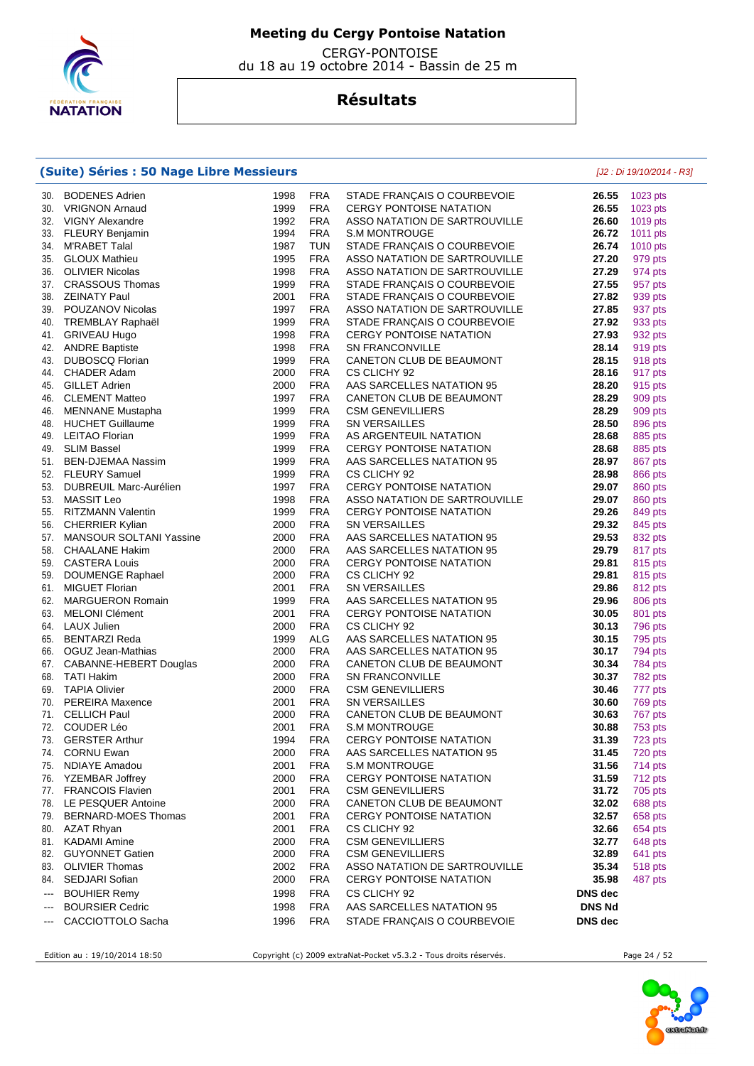

 CERGY-PONTOISE du 18 au 19 octobre 2014 - Bassin de 25 m

## **Résultats**

### **(Suite) Séries : 50 Nage Libre Messieurs** [J2 : Di 19/10/2014 - R3]

| 30.                      | <b>BODENES Adrien</b>                            | 1998         | <b>FRA</b>               | STADE FRANÇAIS O COURBEVOIE                         | 26.55          | 1023 pts           |
|--------------------------|--------------------------------------------------|--------------|--------------------------|-----------------------------------------------------|----------------|--------------------|
| 30.                      | <b>VRIGNON Arnaud</b>                            | 1999         | <b>FRA</b>               | <b>CERGY PONTOISE NATATION</b>                      | 26.55          | 1023 pts           |
| 32.                      | VIGNY Alexandre                                  | 1992         | <b>FRA</b>               | ASSO NATATION DE SARTROUVILLE                       | 26.60          | 1019 pts           |
| 33.                      | FLEURY Benjamin                                  | 1994         | <b>FRA</b>               | <b>S.M MONTROUGE</b>                                | 26.72          | 1011 pts           |
| 34.                      | M'RABET Talal                                    | 1987         | <b>TUN</b>               | STADE FRANÇAIS O COURBEVOIE                         | 26.74          | 1010 pts           |
| 35.                      | <b>GLOUX Mathieu</b>                             | 1995         | <b>FRA</b>               | ASSO NATATION DE SARTROUVILLE                       | 27.20          | 979 pts            |
| 36.                      | <b>OLIVIER Nicolas</b>                           | 1998         | <b>FRA</b>               | ASSO NATATION DE SARTROUVILLE                       | 27.29          | 974 pts            |
| 37.                      | <b>CRASSOUS Thomas</b>                           | 1999         | <b>FRA</b>               | STADE FRANÇAIS O COURBEVOIE                         | 27.55          | 957 pts            |
| 38.                      | <b>ZEINATY Paul</b>                              | 2001         | <b>FRA</b>               | STADE FRANÇAIS O COURBEVOIE                         | 27.82          | 939 pts            |
| 39.                      | POUZANOV Nicolas                                 | 1997         | <b>FRA</b>               | ASSO NATATION DE SARTROUVILLE                       | 27.85          | 937 pts            |
| 40.                      | <b>TREMBLAY Raphaël</b>                          | 1999         | <b>FRA</b>               | STADE FRANÇAIS O COURBEVOIE                         | 27.92          | 933 pts            |
| 41.                      | <b>GRIVEAU Hugo</b>                              | 1998         | <b>FRA</b>               | <b>CERGY PONTOISE NATATION</b>                      | 27.93          | 932 pts            |
| 42.                      | <b>ANDRE Baptiste</b>                            | 1998         | <b>FRA</b>               | <b>SN FRANCONVILLE</b>                              | 28.14          | 919 pts            |
| 43.                      | <b>DUBOSCQ Florian</b>                           | 1999         | <b>FRA</b>               | CANETON CLUB DE BEAUMONT                            | 28.15          | 918 pts            |
| 44.                      | CHADER Adam                                      | 2000         | <b>FRA</b>               | CS CLICHY 92                                        | 28.16          | 917 pts            |
| 45.                      | <b>GILLET Adrien</b>                             | 2000         | <b>FRA</b><br><b>FRA</b> | AAS SARCELLES NATATION 95                           | 28.20          | 915 pts            |
| 46.<br>46.               | <b>CLEMENT Matteo</b><br><b>MENNANE Mustapha</b> | 1997<br>1999 | <b>FRA</b>               | CANETON CLUB DE BEAUMONT<br><b>CSM GENEVILLIERS</b> | 28.29<br>28.29 | 909 pts<br>909 pts |
| 48.                      | <b>HUCHET Guillaume</b>                          | 1999         | <b>FRA</b>               | SN VERSAILLES                                       | 28.50          | 896 pts            |
| 49.                      | <b>LEITAO Florian</b>                            | 1999         | <b>FRA</b>               | AS ARGENTEUIL NATATION                              | 28.68          | 885 pts            |
| 49.                      | <b>SLIM Bassel</b>                               | 1999         | <b>FRA</b>               | <b>CERGY PONTOISE NATATION</b>                      | 28.68          | 885 pts            |
| 51.                      | BEN-DJEMAA Nassim                                | 1999         | <b>FRA</b>               | AAS SARCELLES NATATION 95                           | 28.97          | 867 pts            |
|                          | 52. FLEURY Samuel                                | 1999         | <b>FRA</b>               | CS CLICHY 92                                        | 28.98          | 866 pts            |
| 53.                      | DUBREUIL Marc-Aurélien                           | 1997         | <b>FRA</b>               | <b>CERGY PONTOISE NATATION</b>                      | 29.07          | 860 pts            |
| 53.                      | MASSIT Leo                                       | 1998         | <b>FRA</b>               | ASSO NATATION DE SARTROUVILLE                       | 29.07          | 860 pts            |
|                          | 55. RITZMANN Valentin                            | 1999         | <b>FRA</b>               | <b>CERGY PONTOISE NATATION</b>                      | 29.26          | 849 pts            |
| 56.                      | CHERRIER Kylian                                  | 2000         | <b>FRA</b>               | SN VERSAILLES                                       | 29.32          | 845 pts            |
| 57.                      | <b>MANSOUR SOLTANI Yassine</b>                   | 2000         | <b>FRA</b>               | AAS SARCELLES NATATION 95                           | 29.53          | 832 pts            |
| 58.                      | <b>CHAALANE Hakim</b>                            | 2000         | <b>FRA</b>               | AAS SARCELLES NATATION 95                           | 29.79          | 817 pts            |
| 59.                      | <b>CASTERA Louis</b>                             | 2000         | <b>FRA</b>               | <b>CERGY PONTOISE NATATION</b>                      | 29.81          | 815 pts            |
| 59.                      | <b>DOUMENGE Raphael</b>                          | 2000         | <b>FRA</b>               | CS CLICHY 92                                        | 29.81          | 815 pts            |
| 61.                      | <b>MIGUET Florian</b>                            | 2001         | <b>FRA</b>               | SN VERSAILLES                                       | 29.86          | 812 pts            |
| 62.                      | <b>MARGUERON Romain</b>                          | 1999         | <b>FRA</b>               | AAS SARCELLES NATATION 95                           | 29.96          | 806 pts            |
| 63.                      | <b>MELONI Clément</b>                            | 2001         | <b>FRA</b>               | <b>CERGY PONTOISE NATATION</b>                      | 30.05          | 801 pts            |
| 64.                      | LAUX Julien                                      | 2000         | <b>FRA</b>               | CS CLICHY 92                                        | 30.13          | 796 pts            |
| 65.                      | <b>BENTARZI Reda</b>                             | 1999         | ALG                      | AAS SARCELLES NATATION 95                           | 30.15          | 795 pts            |
| 66.                      | OGUZ Jean-Mathias                                | 2000         | <b>FRA</b>               | AAS SARCELLES NATATION 95                           | 30.17          | 794 pts            |
| 67.                      | CABANNE-HEBERT Douglas                           | 2000         | <b>FRA</b>               | CANETON CLUB DE BEAUMONT                            | 30.34          | 784 pts            |
| 68.                      | <b>TATI Hakim</b>                                | 2000         | <b>FRA</b>               | <b>SN FRANCONVILLE</b>                              | 30.37          | 782 pts            |
| 69.                      | <b>TAPIA Olivier</b>                             | 2000         | <b>FRA</b>               | <b>CSM GENEVILLIERS</b>                             | 30.46          | 777 pts            |
| 70.                      | <b>PEREIRA Maxence</b>                           | 2001         | <b>FRA</b>               | <b>SN VERSAILLES</b>                                | 30.60          | 769 pts            |
| 71.                      | <b>CELLICH Paul</b>                              | 2000         | <b>FRA</b>               | CANETON CLUB DE BEAUMONT                            | 30.63          | 767 pts            |
| 72.                      | COUDER Léo                                       | 2001         | <b>FRA</b>               | <b>S.M MONTROUGE</b>                                | 30.88          | 753 pts            |
| 73.                      | <b>GERSTER Arthur</b>                            | 1994<br>2000 | <b>FRA</b>               | <b>CERGY PONTOISE NATATION</b>                      | 31.39          | 723 pts            |
| 74.<br>75.               | <b>CORNU Ewan</b><br><b>NDIAYE Amadou</b>        | 2001         | <b>FRA</b><br><b>FRA</b> | AAS SARCELLES NATATION 95<br><b>S.M MONTROUGE</b>   | 31.45<br>31.56 | 720 pts<br>714 pts |
| 76.                      | <b>YZEMBAR Joffrey</b>                           | 2000         | <b>FRA</b>               | <b>CERGY PONTOISE NATATION</b>                      | 31.59          | 712 pts            |
|                          | 77. FRANCOIS Flavien                             | 2001         | <b>FRA</b>               | <b>CSM GENEVILLIERS</b>                             | 31.72          | 705 pts            |
|                          | 78. LE PESQUER Antoine                           | 2000         | <b>FRA</b>               | CANETON CLUB DE BEAUMONT                            | 32.02          | 688 pts            |
| 79.                      | BERNARD-MOES Thomas                              | 2001         | <b>FRA</b>               | <b>CERGY PONTOISE NATATION</b>                      | 32.57          | 658 pts            |
| 80.                      | <b>AZAT Rhyan</b>                                | 2001         | <b>FRA</b>               | CS CLICHY 92                                        | 32.66          | 654 pts            |
| 81.                      | <b>KADAMI</b> Amine                              | 2000         | <b>FRA</b>               | <b>CSM GENEVILLIERS</b>                             | 32.77          | 648 pts            |
| 82.                      | <b>GUYONNET Gatien</b>                           | 2000         | <b>FRA</b>               | <b>CSM GENEVILLIERS</b>                             | 32.89          | 641 pts            |
| 83.                      | <b>OLIVIER Thomas</b>                            | 2002         | <b>FRA</b>               | ASSO NATATION DE SARTROUVILLE                       | 35.34          | 518 pts            |
| 84.                      | SEDJARI Sofian                                   | 2000         | <b>FRA</b>               | <b>CERGY PONTOISE NATATION</b>                      | 35.98          | 487 pts            |
| $\hspace{0.05cm} \ldots$ | <b>BOUHIER Remy</b>                              | 1998         | <b>FRA</b>               | CS CLICHY 92                                        | DNS dec        |                    |
| $\qquad \qquad \cdots$   | <b>BOURSIER Cedric</b>                           | 1998         | <b>FRA</b>               | AAS SARCELLES NATATION 95                           | <b>DNS Nd</b>  |                    |
| $\qquad \qquad \cdots$   | CACCIOTTOLO Sacha                                | 1996         | <b>FRA</b>               | STADE FRANÇAIS O COURBEVOIE                         | DNS dec        |                    |
|                          |                                                  |              |                          |                                                     |                |                    |

Edition au : 19/10/2014 18:50 Copyright (c) 2009 extraNat-Pocket v5.3.2 - Tous droits réservés. Page 24 / 52

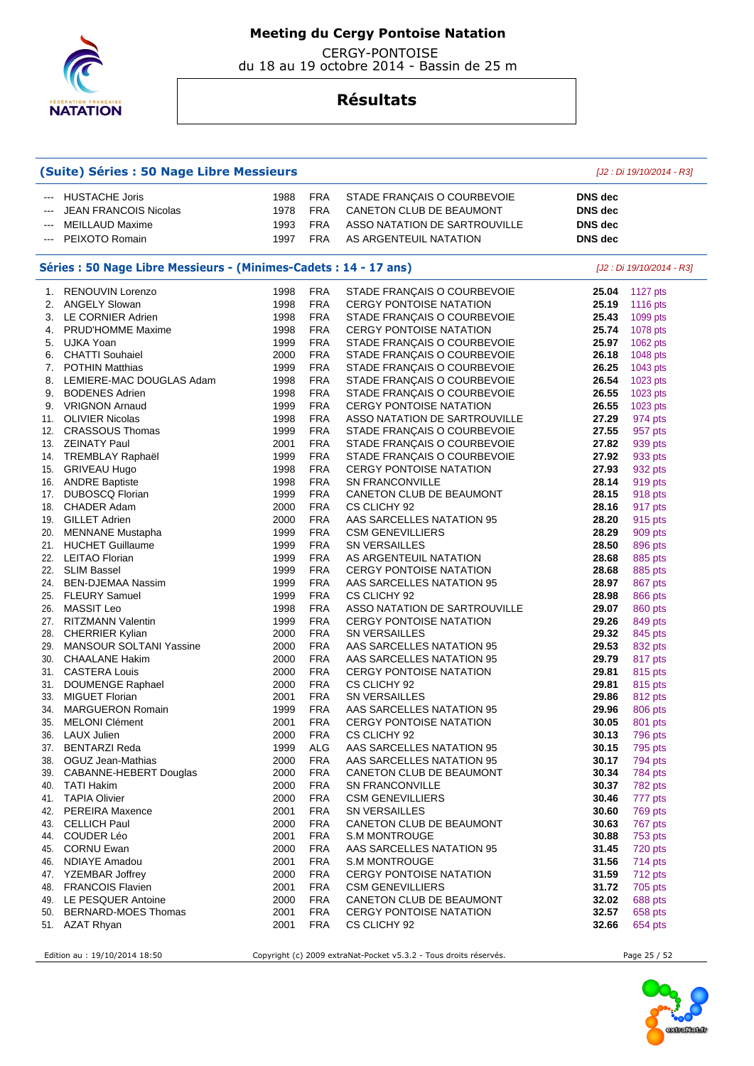

 CERGY-PONTOISE du 18 au 19 octobre 2014 - Bassin de 25 m

## **Résultats**

| (Suite) Séries : 50 Nage Libre Messieurs |                                                                   |              |                          |                                                                 | [J2 : Di 19/10/2014 - R3]        |                           |  |
|------------------------------------------|-------------------------------------------------------------------|--------------|--------------------------|-----------------------------------------------------------------|----------------------------------|---------------------------|--|
| $---$                                    | <b>HUSTACHE Joris</b><br><b>JEAN FRANCOIS Nicolas</b>             | 1988<br>1978 | <b>FRA</b><br><b>FRA</b> | STADE FRANÇAIS O COURBEVOIE<br>CANETON CLUB DE BEAUMONT         | <b>DNS</b> dec<br><b>DNS</b> dec |                           |  |
|                                          | <b>MEILLAUD Maxime</b>                                            | 1993         | <b>FRA</b>               | ASSO NATATION DE SARTROUVILLE                                   | <b>DNS</b> dec                   |                           |  |
| ---                                      | PEIXOTO Romain                                                    | 1997         | <b>FRA</b>               | AS ARGENTEUIL NATATION                                          | <b>DNS</b> dec                   |                           |  |
|                                          |                                                                   |              |                          |                                                                 |                                  |                           |  |
|                                          | Séries : 50 Nage Libre Messieurs - (Minimes-Cadets : 14 - 17 ans) |              |                          |                                                                 |                                  | [J2 : Di 19/10/2014 - R3] |  |
|                                          | 1. RENOUVIN Lorenzo                                               | 1998         | <b>FRA</b>               | STADE FRANÇAIS O COURBEVOIE                                     | 25.04                            | 1127 pts                  |  |
|                                          | 2. ANGELY Slowan                                                  | 1998         | <b>FRA</b>               | <b>CERGY PONTOISE NATATION</b>                                  | 25.19                            | 1116 pts                  |  |
| 3.                                       | LE CORNIER Adrien                                                 | 1998         | <b>FRA</b>               | STADE FRANÇAIS O COURBEVOIE                                     | 25.43                            | 1099 pts                  |  |
| 4.                                       | <b>PRUD'HOMME Maxime</b>                                          | 1998         | <b>FRA</b>               | <b>CERGY PONTOISE NATATION</b>                                  | 25.74                            | 1078 pts                  |  |
|                                          | 5. UJKA Yoan                                                      | 1999         | <b>FRA</b>               | STADE FRANÇAIS O COURBEVOIE                                     | 25.97                            | 1062 pts                  |  |
|                                          | 6. CHATTI Souhaiel                                                | 2000         | <b>FRA</b>               | STADE FRANÇAIS O COURBEVOIE                                     | 26.18                            | 1048 pts                  |  |
| 7.                                       | <b>POTHIN Matthias</b>                                            | 1999<br>1998 | <b>FRA</b><br><b>FRA</b> | STADE FRANÇAIS O COURBEVOIE                                     | 26.25<br>26.54                   | 1043 pts                  |  |
| 8.                                       | LEMIERE-MAC DOUGLAS Adam<br><b>BODENES Adrien</b>                 | 1998         | <b>FRA</b>               | STADE FRANÇAIS O COURBEVOIE                                     | 26.55                            | 1023 pts                  |  |
| 9.<br>9.                                 | <b>VRIGNON Arnaud</b>                                             | 1999         | <b>FRA</b>               | STADE FRANÇAIS O COURBEVOIE                                     | 26.55                            | 1023 pts                  |  |
| 11.                                      | <b>OLIVIER Nicolas</b>                                            | 1998         | <b>FRA</b>               | <b>CERGY PONTOISE NATATION</b><br>ASSO NATATION DE SARTROUVILLE | 27.29                            | 1023 pts<br>974 pts       |  |
| 12.                                      | <b>CRASSOUS Thomas</b>                                            | 1999         | <b>FRA</b>               | STADE FRANÇAIS O COURBEVOIE                                     | 27.55                            | 957 pts                   |  |
|                                          | 13. ZEINATY Paul                                                  | 2001         | <b>FRA</b>               | STADE FRANÇAIS O COURBEVOIE                                     | 27.82                            | 939 pts                   |  |
|                                          | 14. TREMBLAY Raphaël                                              | 1999         | <b>FRA</b>               | STADE FRANÇAIS O COURBEVOIE                                     | 27.92                            | 933 pts                   |  |
| 15.                                      | <b>GRIVEAU Hugo</b>                                               | 1998         | <b>FRA</b>               | <b>CERGY PONTOISE NATATION</b>                                  | 27.93                            | 932 pts                   |  |
|                                          | 16. ANDRE Baptiste                                                | 1998         | <b>FRA</b>               | <b>SN FRANCONVILLE</b>                                          | 28.14                            | 919 pts                   |  |
| 17.                                      | <b>DUBOSCQ Florian</b>                                            | 1999         | <b>FRA</b>               | CANETON CLUB DE BEAUMONT                                        | 28.15                            | 918 pts                   |  |
| 18.                                      | <b>CHADER Adam</b>                                                | 2000         | <b>FRA</b>               | CS CLICHY 92                                                    | 28.16                            | 917 pts                   |  |
| 19.                                      | <b>GILLET Adrien</b>                                              | 2000         | <b>FRA</b>               | AAS SARCELLES NATATION 95                                       | 28.20                            | 915 pts                   |  |
| 20.                                      | MENNANE Mustapha                                                  | 1999         | <b>FRA</b>               | <b>CSM GENEVILLIERS</b>                                         | 28.29                            | 909 pts                   |  |
| 21.                                      | <b>HUCHET Guillaume</b>                                           | 1999         | <b>FRA</b>               | <b>SN VERSAILLES</b>                                            | 28.50                            | 896 pts                   |  |
|                                          | 22. LEITAO Florian                                                | 1999         | <b>FRA</b>               | AS ARGENTEUIL NATATION                                          | 28.68                            | 885 pts                   |  |
|                                          | 22. SLIM Bassel                                                   | 1999         | <b>FRA</b>               | <b>CERGY PONTOISE NATATION</b>                                  | 28.68                            | 885 pts                   |  |
| 24.                                      | <b>BEN-DJEMAA Nassim</b>                                          | 1999         | <b>FRA</b>               | AAS SARCELLES NATATION 95                                       | 28.97                            | 867 pts                   |  |
| 25.                                      | <b>FLEURY Samuel</b>                                              | 1999         | <b>FRA</b>               | CS CLICHY 92                                                    | 28.98                            | 866 pts                   |  |
| 26.                                      | <b>MASSIT Leo</b>                                                 | 1998         | <b>FRA</b>               | ASSO NATATION DE SARTROUVILLE                                   | 29.07                            | 860 pts                   |  |
| 27.                                      | <b>RITZMANN Valentin</b>                                          | 1999         | <b>FRA</b>               | <b>CERGY PONTOISE NATATION</b>                                  | 29.26                            | 849 pts                   |  |
| 28.                                      | <b>CHERRIER Kylian</b>                                            | 2000         | <b>FRA</b>               | <b>SN VERSAILLES</b>                                            | 29.32                            | 845 pts                   |  |
| 29.                                      | <b>MANSOUR SOLTANI Yassine</b>                                    | 2000         | <b>FRA</b>               | AAS SARCELLES NATATION 95                                       | 29.53                            | 832 pts                   |  |
| 30.                                      | <b>CHAALANE Hakim</b>                                             | 2000         | <b>FRA</b>               | AAS SARCELLES NATATION 95                                       | 29.79                            | 817 pts                   |  |
| 31.                                      | <b>CASTERA Louis</b>                                              | 2000         | <b>FRA</b>               | <b>CERGY PONTOISE NATATION</b>                                  | 29.81                            | 815 pts                   |  |
| 31.                                      | DOUMENGE Raphael                                                  | 2000         | <b>FRA</b>               | CS CLICHY 92                                                    | 29.81                            | 815 pts                   |  |
| 33.                                      | <b>MIGUET Florian</b>                                             | 2001         | <b>FRA</b>               | <b>SN VERSAILLES</b>                                            | 29.86                            | 812 pts                   |  |
| 34.                                      | <b>MARGUERON Romain</b>                                           | 1999         | <b>FRA</b>               | AAS SARCELLES NATATION 95                                       | 29.96                            | 806 pts                   |  |
| 35.                                      | MELONI Clément                                                    | 2001         | <b>FRA</b>               | <b>CERGY PONTOISE NATATION</b>                                  | 30.05                            | 801 pts                   |  |
| 36.                                      | LAUX Julien                                                       | 2000         | <b>FRA</b>               | CS CLICHY 92                                                    | 30.13                            | 796 pts                   |  |
|                                          | 37. BENTARZI Reda                                                 | 1999         | <b>ALG</b>               | AAS SARCELLES NATATION 95                                       | 30.15                            | 795 pts                   |  |
|                                          | 38. OGUZ Jean-Mathias                                             | 2000         | <b>FRA</b>               | AAS SARCELLES NATATION 95                                       | 30.17                            | 794 pts                   |  |
|                                          | 39. CABANNE-HEBERT Douglas                                        | 2000         | <b>FRA</b>               | CANETON CLUB DE BEAUMONT                                        | 30.34                            | 784 pts                   |  |
|                                          | 40. TATI Hakim                                                    | 2000         | <b>FRA</b>               | <b>SN FRANCONVILLE</b>                                          | 30.37                            | 782 pts                   |  |
|                                          | 41. TAPIA Olivier                                                 | 2000         | <b>FRA</b>               | <b>CSM GENEVILLIERS</b>                                         | 30.46                            | 777 pts                   |  |
| 42.                                      | <b>PEREIRA Maxence</b>                                            | 2001         | FRA                      | <b>SN VERSAILLES</b>                                            | 30.60                            | 769 pts                   |  |
| 43.                                      | <b>CELLICH Paul</b>                                               | 2000         | <b>FRA</b>               | CANETON CLUB DE BEAUMONT                                        | 30.63                            | 767 pts                   |  |
| 44.                                      | COUDER Léo                                                        | 2001         | <b>FRA</b>               | <b>S.M MONTROUGE</b>                                            | 30.88                            | 753 pts                   |  |
|                                          | 45. CORNU Ewan                                                    | 2000         | <b>FRA</b>               | AAS SARCELLES NATATION 95                                       | 31.45                            | 720 pts                   |  |
|                                          | 46. NDIAYE Amadou<br>47. YZEMBAR Joffrey                          | 2001         | <b>FRA</b>               | <b>S.M MONTROUGE</b>                                            | 31.56                            | 714 pts                   |  |
|                                          |                                                                   | 2000         | <b>FRA</b>               | <b>CERGY PONTOISE NATATION</b>                                  | 31.59                            | 712 pts                   |  |
| 48.                                      | <b>FRANCOIS Flavien</b><br>49. LE PESQUER Antoine                 | 2001<br>2000 | <b>FRA</b><br><b>FRA</b> | <b>CSM GENEVILLIERS</b><br>CANETON CLUB DE BEAUMONT             | 31.72<br>32.02                   | 705 pts                   |  |
| 50.                                      | <b>BERNARD-MOES Thomas</b>                                        | 2001         | <b>FRA</b>               | <b>CERGY PONTOISE NATATION</b>                                  | 32.57                            | 688 pts<br>658 pts        |  |
|                                          | 51. AZAT Rhyan                                                    | 2001         | <b>FRA</b>               | CS CLICHY 92                                                    | 32.66                            | 654 pts                   |  |
|                                          |                                                                   |              |                          |                                                                 |                                  |                           |  |

Edition au : 19/10/2014 18:50 Copyright (c) 2009 extraNat-Pocket v5.3.2 - Tous droits réservés. Page 25 / 52

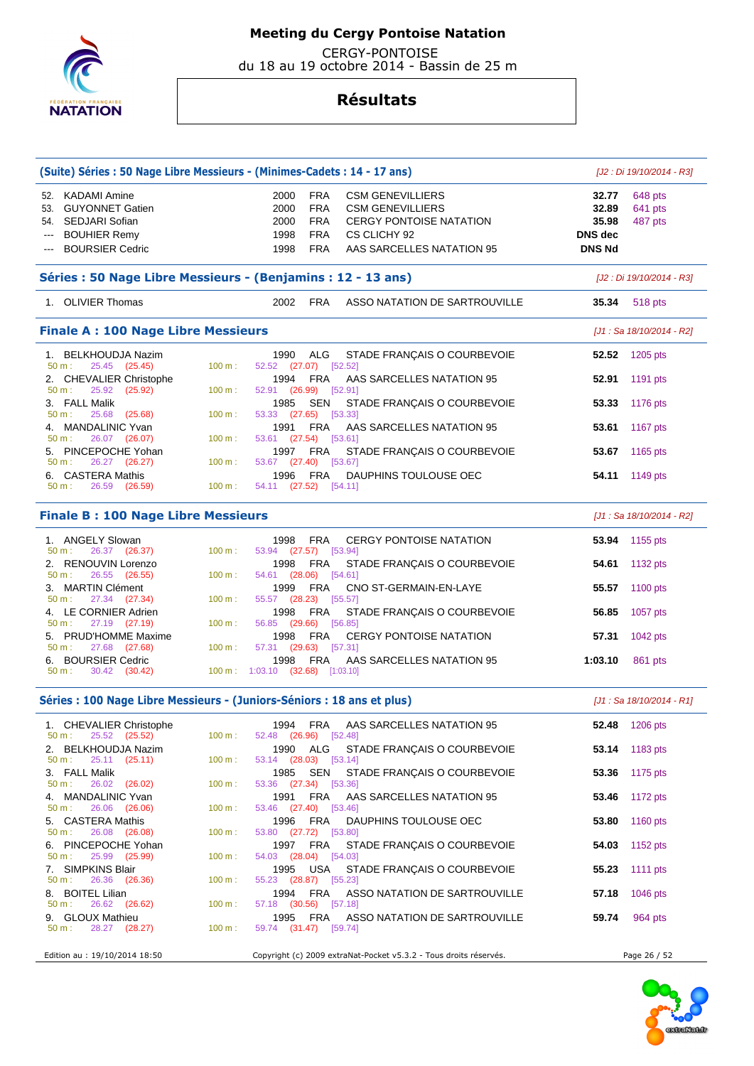

 CERGY-PONTOISE du 18 au 19 octobre 2014 - Bassin de 25 m

| (Suite) Séries : 50 Nage Libre Messieurs - (Minimes-Cadets : 14 - 17 ans)                                      |                           |                                                        |                                                                    |                                                                                                                                   |                                                            | [J2 : Di 19/10/2014 - R3]     |  |  |
|----------------------------------------------------------------------------------------------------------------|---------------------------|--------------------------------------------------------|--------------------------------------------------------------------|-----------------------------------------------------------------------------------------------------------------------------------|------------------------------------------------------------|-------------------------------|--|--|
| 52. KADAMI Amine<br>53. GUYONNET Gatien<br>54. SEDJARI Sofian<br><b>BOUHIER Remy</b><br><b>BOURSIER Cedric</b> |                           | 2000<br>2000<br>2000<br>1998<br>1998                   | <b>FRA</b><br><b>FRA</b><br><b>FRA</b><br><b>FRA</b><br><b>FRA</b> | <b>CSM GENEVILLIERS</b><br><b>CSM GENEVILLIERS</b><br><b>CERGY PONTOISE NATATION</b><br>CS CLICHY 92<br>AAS SARCELLES NATATION 95 | 32.77<br>32.89<br>35.98<br><b>DNS</b> dec<br><b>DNS Nd</b> | 648 pts<br>641 pts<br>487 pts |  |  |
| Séries : 50 Nage Libre Messieurs - (Benjamins : 12 - 13 ans)                                                   |                           | [J2 : Di 19/10/2014 - R3]                              |                                                                    |                                                                                                                                   |                                                            |                               |  |  |
| 1. OLIVIER Thomas                                                                                              |                           | 2002 FRA                                               |                                                                    | ASSO NATATION DE SARTROUVILLE                                                                                                     | 35.34                                                      | 518 pts                       |  |  |
| <b>Finale A: 100 Nage Libre Messieurs</b>                                                                      |                           | [J1 : Sa 18/10/2014 - R2]                              |                                                                    |                                                                                                                                   |                                                            |                               |  |  |
| 1. BELKHOUDJA Nazim<br>25.45 (25.45)<br>50 m:                                                                  | 100 m:                    | 1990<br>52.52 (27.07) [52.52]                          | ALG                                                                | STADE FRANÇAIS O COURBEVOIE                                                                                                       | 52.52                                                      | 1205 pts                      |  |  |
| 2. CHEVALIER Christophe<br>25.92<br>(25.92)<br>50 m:                                                           | 100 m:                    | 1994<br>52.91 (26.99)                                  | FRA                                                                | AAS SARCELLES NATATION 95<br>[52.91]                                                                                              | 52.91                                                      | 1191 pts                      |  |  |
| 3. FALL Malik<br>25.68<br>(25.68)<br>50 m:                                                                     | 100 m:                    | 1985<br>53.33 (27.65) [53.33]                          | SEN                                                                | STADE FRANÇAIS O COURBEVOIE                                                                                                       | 53.33                                                      | 1176 pts                      |  |  |
| 4. MANDALINIC Yvan<br>26.07 (26.07)<br>50 m:                                                                   | 100 m:                    | 1991<br>53.61 (27.54) [53.61]                          | FRA                                                                | AAS SARCELLES NATATION 95                                                                                                         | 53.61                                                      | 1167 pts                      |  |  |
| 5. PINCEPOCHE Yohan<br>26.27 (26.27)<br>50 m:                                                                  | 100 m:                    | 1997<br>53.67 (27.40) [53.67]                          | FRA                                                                | STADE FRANÇAIS O COURBEVOIE                                                                                                       | 53.67                                                      | 1165 pts                      |  |  |
| 6. CASTERA Mathis<br>26.59 (26.59)<br>50 m:                                                                    | 100 m:                    | 1996<br>54.11 (27.52) [54.11]                          | <b>FRA</b>                                                         | DAUPHINS TOULOUSE OEC                                                                                                             | 54.11                                                      | 1149 pts                      |  |  |
| <b>Finale B: 100 Nage Libre Messieurs</b>                                                                      | [J1 : Sa 18/10/2014 - R2] |                                                        |                                                                    |                                                                                                                                   |                                                            |                               |  |  |
| 1. ANGELY Slowan                                                                                               |                           | 1998                                                   | <b>FRA</b>                                                         | <b>CERGY PONTOISE NATATION</b>                                                                                                    | 53.94                                                      | 1155 pts                      |  |  |
| 26.37 (26.37)<br>50 m:<br>2. RENOUVIN Lorenzo                                                                  | 100 m:                    | 53.94 (27.57) [53.94]<br>1998                          | FRA                                                                | STADE FRANÇAIS O COURBEVOIE                                                                                                       | 54.61                                                      | 1132 pts                      |  |  |
| 26.55 (26.55)<br>50 m:<br>3. MARTIN Clément                                                                    | 100 m:                    | 54.61 (28.06) [54.61]<br>1999                          | FRA                                                                | CNO ST-GERMAIN-EN-LAYE                                                                                                            | 55.57                                                      | 1100 pts                      |  |  |
| 27.34 (27.34)<br>50 m:<br>4. LE CORNIER Adrien<br>50 m:                                                        | 100 m:                    | 55.57 (28.23) [55.57]<br>1998                          | <b>FRA</b>                                                         | STADE FRANÇAIS O COURBEVOIE                                                                                                       | 56.85                                                      | 1057 pts                      |  |  |
| 27.19 (27.19)<br>5. PRUD'HOMME Maxime<br>27.68 (27.68)<br>50 m:                                                | 100 m:<br>100 m:          | 56.85 (29.66) [56.85]<br>1998<br>57.31 (29.63) [57.31] | FRA                                                                | <b>CERGY PONTOISE NATATION</b>                                                                                                    | 57.31                                                      | 1042 pts                      |  |  |
| 6. BOURSIER Cedric<br>30.42 (30.42)<br>50 m:                                                                   |                           | 1998<br>100 m: 1:03.10 (32.68) [1:03.10]               | FRA                                                                | AAS SARCELLES NATATION 95                                                                                                         | 1:03.10                                                    | 861 pts                       |  |  |
| Séries : 100 Nage Libre Messieurs - (Juniors-Séniors : 18 ans et plus)                                         |                           |                                                        |                                                                    |                                                                                                                                   |                                                            | $[J1: Sa 18/10/2014 - R1]$    |  |  |
| 1. CHEVALIER Christophe<br>$50 \text{ m}: 25.52 (25.52)$                                                       | 100 m:                    | 52.48 (26.96) [52.48]                                  |                                                                    | 1994 FRA AAS SARCELLES NATATION 95                                                                                                |                                                            | <b>52.48</b> 1206 pts         |  |  |
| 2. BELKHOUDJA Nazim<br>25.11 (25.11)<br>50 m:                                                                  | 100 m:                    | 53.14 (28.03) [53.14]                                  | 1990 ALG                                                           | STADE FRANÇAIS O COURBEVOIE                                                                                                       |                                                            | <b>53.14</b> 1183 pts         |  |  |
| 3. FALL Malik<br>26.02 (26.02)<br>$50 m$ :                                                                     | 100 m:                    | 53.36 (27.34) [53.36]                                  |                                                                    | 1985 SEN STADE FRANÇAIS O COURBEVOIE                                                                                              | 53.36                                                      | 1175 pts                      |  |  |
| 4. MANDALINIC Yvan<br>26.06 (26.06)<br>50 m:                                                                   | 100 m:                    | 1991<br>53.46 (27.40) [53.46]                          | FRA                                                                | AAS SARCELLES NATATION 95                                                                                                         | 53.46                                                      | 1172 pts                      |  |  |
| 5. CASTERA Mathis<br>50 m:<br>26.08 (26.08)                                                                    | 100 m:                    | 1996<br>53.80 (27.72) [53.80]                          | FRA                                                                | DAUPHINS TOULOUSE OEC                                                                                                             | 53.80                                                      | 1160 pts                      |  |  |
| 6. PINCEPOCHE Yohan<br>25.99 (25.99)<br>$50 m$ :                                                               | 100 m:                    | 54.03 (28.04) [54.03]                                  |                                                                    | 1997 FRA STADE FRANÇAIS O COURBEVOIE                                                                                              | 54.03                                                      | 1152 pts                      |  |  |
| 7. SIMPKINS Blair<br>50 m:<br>26.36 (26.36)                                                                    | $100 \text{ m}$ :         | 1995<br>55.23 (28.87) [55.23]                          | USA                                                                | STADE FRANÇAIS O COURBEVOIE                                                                                                       | 55.23                                                      | <b>1111 pts</b>               |  |  |
| 8. BOITEL Lilian<br>26.62 (26.62)<br>$50 m$ :                                                                  | 100 m:                    | 57.18 (30.56) [57.18]                                  |                                                                    | 1994 FRA ASSO NATATION DE SARTROUVILLE                                                                                            | 57.18                                                      | 1046 pts                      |  |  |
| 9. GLOUX Mathieu<br>50 m:<br>28.27 (28.27)                                                                     | 100 m:                    | 59.74 (31.47) [59.74]                                  |                                                                    | 1995 FRA ASSO NATATION DE SARTROUVILLE                                                                                            | 59.74                                                      | 964 pts                       |  |  |
| Edition au : 19/10/2014 18:50                                                                                  |                           |                                                        |                                                                    | Copyright (c) 2009 extraNat-Pocket v5.3.2 - Tous droits réservés.                                                                 |                                                            | Page 26 / 52                  |  |  |

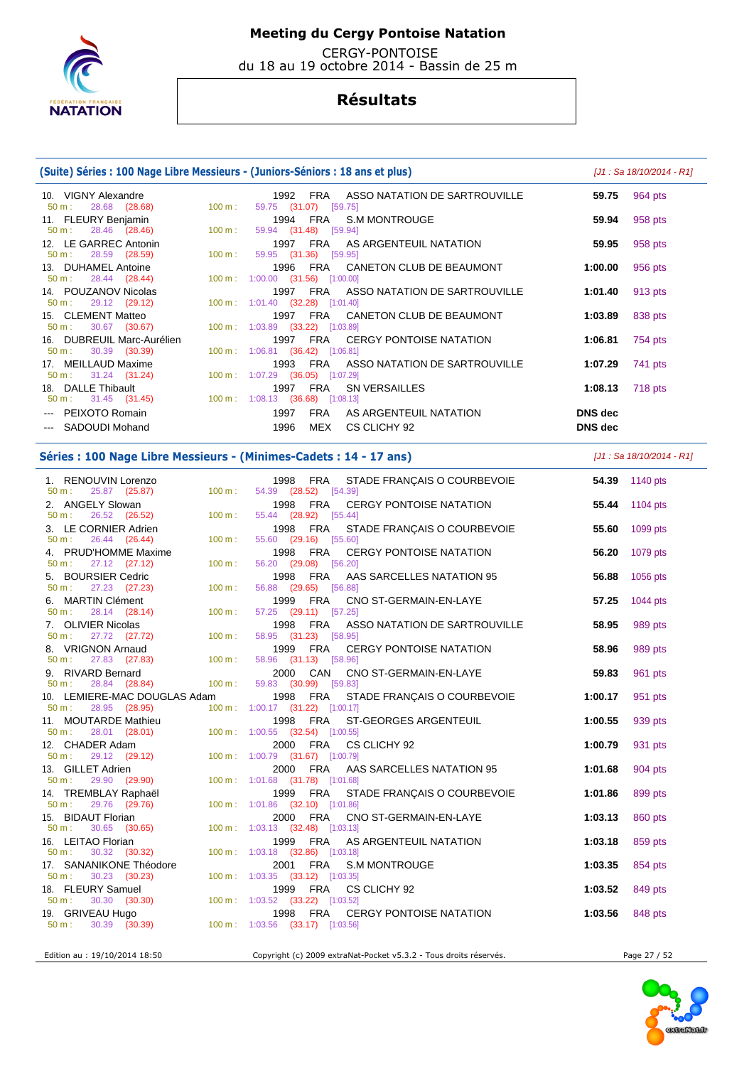

 CERGY-PONTOISE du 18 au 19 octobre 2014 - Bassin de 25 m

## **Résultats**

## **(Suite) Séries : 100 Nage Libre Messieurs - (Juniors-Séniors : 18 ans et plus)** [J1 : Sa 18/10/2014 - R1]

 10. VIGNY Alexandre 1992 FRA ASSO NATATION DE SARTROUVILLE **59.75** 964 pts 59.75 (31.07) 11. FLEURY Benjamin 1994 FRA S.M MONTROUGE **59.94** 958 pts 59.94 (31.48) [59.94] 12. LE GARREC Antonin 1997 FRA AS ARGENTEUIL NATATION **59.95** 958 pts 50 m : 28.59 (28.59) 100 m : 59.95 (31.36) 13. DUHAMEL Antoine 1996 FRA CANETON CLUB DE BEAUMONT **1:00.00** 956 pts 50 m : 28.44 (28.44) 100 m : 1:00.00 (31.56) [1:00.00] 14. POUZANOV Nicolas 1997 FRA ASSO NATATION DE SARTROUVILLE **1:01.40** 913 pts 1:01.40 (32.28) [1:01.40] 15. CLEMENT Matteo 1997 FRA CANETON CLUB DE BEAUMONT **1:03.89** 838 pts 50 m : 30.67 (30.67) 100 m : 1:03.89 (33.22) [1:03.89] 16. DUBREUIL Marc-Aurélien 1997 FRA CERGY PONTOISE NATATION **1:06.81** 754 pts 1:06.81 (36.42) [1:06.81] 17. MEILLAUD Maxime 1993 FRA ASSO NATATION DE SARTROUVILLE **1:07.29** 741 pts 50 m : 31.24 (31.24) 100 m : 1:07.29 (36.05) [1:07.29] 18. DALLE Thibault 1997 FRA SN VERSAILLES **1:08.13** 718 pts 50 m : 31.45 (31.45) 100 m : 1:08.13 (36.68) [1:08.13] --- PEIXOTO Romain 1997 FRA AS ARGENTEUIL NATATION **DNS dec**  --- SADOUDI Mohand 1996 MEX CS CLICHY 92 **DNS dec** 

### **Séries : 100 Nage Libre Messieurs - (Minimes-Cadets : 14 - 17 ans)** [J1 : Sa 18/10/2014 - R1]

 1. RENOUVIN Lorenzo 1998 FRA STADE FRANÇAIS O COURBEVOIE **54.39** 1140 pts 54.39 (28.52) 2. ANGELY Slowan 1998 FRA CERGY PONTOISE NATATION **55.44** 1104 pts 55.44 (28.92) [55.44] 3. LE CORNIER Adrien 1998 FRA STADE FRANÇAIS O COURBEVOIE **55.60** 1099 pts 50 m : 26.44 (26.44) 100 m : 55.60 (29.16) 4. PRUD'HOMME Maxime 1998 FRA CERGY PONTOISE NATATION **56.20** 1079 pts 56.20 (29.08) [56.20] 5. BOURSIER Cedric 1998 FRA AAS SARCELLES NATATION 95 **56.88** 1056 pts 50 m : 27.23 (27.23) 100 m : 56.88 (29.65) [56.88] 6. MARTIN Clément 1999 FRA CNO ST-GERMAIN-EN-LAYE **57.25** 1044 pts 50 m : 28.14 (28.14) 100 m : 57.25 (29.11) [57.25] 7. OLIVIER Nicolas 1998 FRA ASSO NATATION DE SARTROUVILLE **58.95** 989 pts 58.95 (31.23) [58.95] 8. VRIGNON Arnaud 1999 FRA CERGY PONTOISE NATATION **58.96** 989 pts  $50 \text{ m}$  : 27.83 (27.83) 9. RIVARD Bernard 2000 CAN CNO ST-GERMAIN-EN-LAYE **59.83** 961 pts 50 m : 28.84 (28.84) 100 m : 10. LEMIERE-MAC DOUGLAS Adam 1998 FRA STADE FRANÇAIS O COURBEVOIE **1:00.17** 951 pts 50 m : 28.95 (28.95) 100 m : 1:00.17 (31.22) [1:00.17] 11. MOUTARDE Mathieu 1998 FRA ST-GEORGES ARGENTEUIL **1:00.55** 939 pts 50 m : 28.01 (28.01) 100 m : 1:00.55 (32.54) [1:00.55] 12. CHADER Adam 2000 FRA CS CLICHY 92 **1:00.79** 931 pts 50 m : 29.12 (29.12) 100 m : 1:00.79 (31.67) [1:00.79] 13. GILLET Adrien 2000 FRA AAS SARCELLES NATATION 95 **1:01.68** 904 pts  $(31.78)$   $[1:01.68]$  14. TREMBLAY Raphaël 1999 FRA STADE FRANÇAIS O COURBEVOIE **1:01.86** 899 pts 50 m : 29.76 (29.76) 100 m : 1:01.86 (32.10) [1:01.86] 15. BIDAUT Florian 2000 FRA CNO ST-GERMAIN-EN-LAYE **1:03.13** 860 pts 50 m : 30.65 (30.65) 100 m : 1:03.13 (32.48) [1:03.13] 16. LEITAO Florian 1999 FRA AS ARGENTEUIL NATATION **1:03.18** 859 pts 1:03.18 (32.86) [1:03.18] 17. SANANIKONE Théodore 2001 FRA S.M MONTROUGE **1:03.35** 854 pts 50 m : 30.23 (30.23) 100 m : 1:03.35 (33.12) [1:03.35] 18. FLEURY Samuel 1999 FRA CS CLICHY 92 **1:03.52** 849 pts 50 m : 30.30 (30.30) 100 m : 1:03.52 (33.22) [1:03.52] 19. GRIVEAU Hugo 1998 FRA CERGY PONTOISE NATATION **1:03.56** 848 pts 1:03.56 (33.17) [1:03.56]

Edition au : 19/10/2014 18:50 Copyright (c) 2009 extraNat-Pocket v5.3.2 - Tous droits réservés. Page 27 / 52



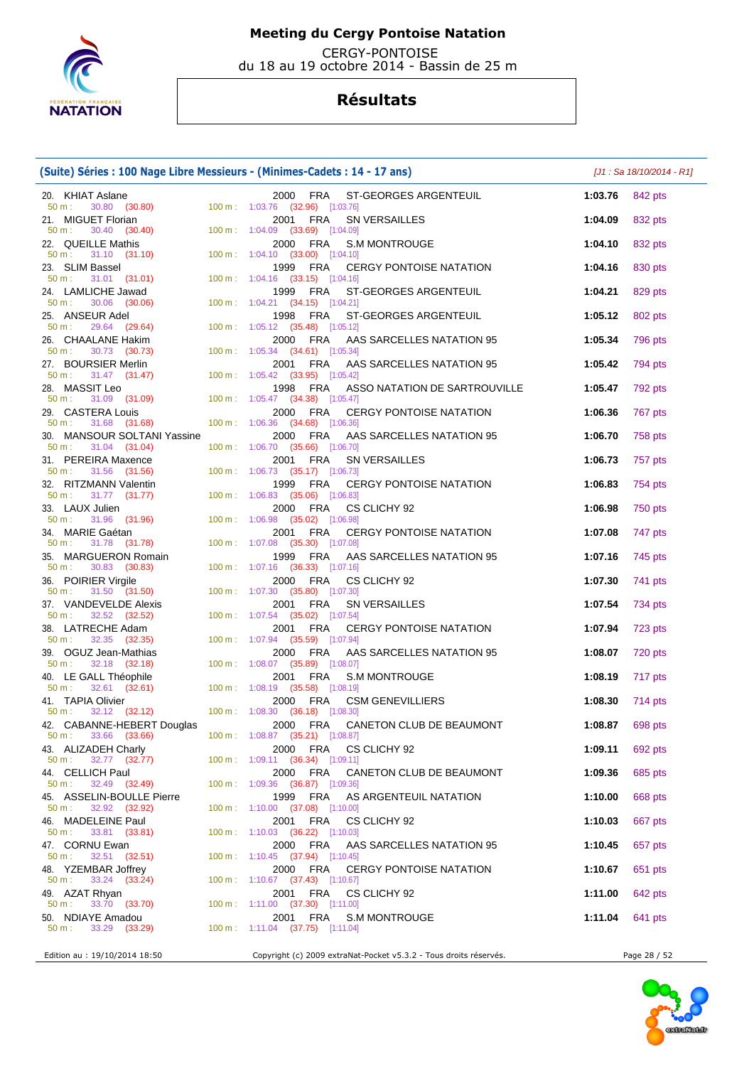

 CERGY-PONTOISE du 18 au 19 octobre 2014 - Bassin de 25 m

|                                                                              | (Suite) Séries : 100 Nage Libre Messieurs - (Minimes-Cadets : 14 - 17 ans)                                                                             |                 | [J1 : Sa 18/10/2014 - R1] |
|------------------------------------------------------------------------------|--------------------------------------------------------------------------------------------------------------------------------------------------------|-----------------|---------------------------|
| 20. KHIAT Aslane<br>50 m:<br>30.80 (30.80)                                   | 2000 FRA ST-GEORGES ARGENTEUIL<br>100 m: 1:03.76 (32.96) [1:03.76]                                                                                     | 1:03.76         | 842 pts                   |
| 21. MIGUET Florian<br>50 m : 30.40 (30.40) 100 m : 1:04.09 (33.69) [1:04.09] | 2001<br>FRA<br><b>SN VERSAILLES</b>                                                                                                                    | 1:04.09         | 832 pts                   |
| 22. QUEILLE Mathis                                                           | 2000 FRA<br><b>S.M MONTROUGE</b>                                                                                                                       | 1:04.10         | 832 pts                   |
| 31.10 (31.10)<br>$50 m$ :<br>23. SLIM Bassel                                 | 100 m: 1:04.10 (33.00) [1:04.10]<br>1999 FRA<br>CERGY PONTOISE NATATION                                                                                | 1:04.16         | 830 pts                   |
| 31.01 (31.01)<br>50 m:<br>24. LAMLICHE Jawad                                 | 100 m: 1:04.16 (33.15) [1:04.16]<br>FRA<br>ST-GEORGES ARGENTEUIL<br>1999                                                                               | 1:04.21         | 829 pts                   |
| 30.06 (30.06)<br>$50 m$ :<br>25. ANSEUR Adel                                 | 100 m: 1:04.21 (34.15) [1:04.21]<br>1998<br>FRA<br>ST-GEORGES ARGENTEUIL                                                                               | 1:05.12         | 802 pts                   |
| 29.64 (29.64)<br>50 m:<br>26. CHAALANE Hakim                                 | 100 m: 1:05.12 (35.48) [1:05.12]<br>2000 FRA<br>AAS SARCELLES NATATION 95                                                                              | 1:05.34         | 796 pts                   |
| $50 \text{ m}: 30.73 (30.73)$<br>27. BOURSIER Merlin                         | 100 m: 1:05.34 (34.61) [1:05.34]<br>FRA<br>AAS SARCELLES NATATION 95<br>2001                                                                           | 1:05.42         | 794 pts                   |
| $50 \text{ m}: 31.47 (31.47)$<br>28. MASSIT Leo                              | 100 m: 1:05.42 (33.95) [1:05.42]<br>FRA<br>1998<br>ASSO NATATION DE SARTROUVILLE                                                                       | 1:05.47         | 792 pts                   |
| 50 m : 31.09 (31.09) 100 m : 1:05.47 (34.38) [1:05.47]<br>29. CASTERA Louis  | 2000 FRA<br><b>CERGY PONTOISE NATATION</b>                                                                                                             | 1:06.36         | 767 pts                   |
| 31.68 (31.68)<br>50 m:<br>30. MANSOUR SOLTANI Yassine                        | 100 m: 1:06.36 (34.68) [1:06.36]<br>2000<br>FRA<br>AAS SARCELLES NATATION 95                                                                           | 1:06.70         | 758 pts                   |
| 31.04 (31.04)<br>50 m:<br>31. PEREIRA Maxence                                | 100 m: 1:06.70 (35.66) [1:06.70]<br>SN VERSAILLES<br>2001<br>FRA                                                                                       | 1:06.73         | 757 pts                   |
| $31.56$ (31.56)<br>MAAH ::<br>$50 m$ :<br>32. RITZMANN Valentin              | 100 m: 1:06.73 (35.17) [1:06.73]<br>1999<br>FRA<br><b>CERGY PONTOISE NATATION</b>                                                                      | 1:06.83         | 754 pts                   |
| 50 m:<br>31.77 (31.77)<br>33. LAUX Julien                                    | 100 m: 1:06.83 (35.06) [1:06.83]<br>2000 FRA<br>CS CLICHY 92                                                                                           | 1:06.98         | 750 pts                   |
| 50 m : 31.96 (31.96)                                                         | 100 m: 1:06.98 (35.02) [1:06.98]                                                                                                                       |                 |                           |
| 34. MARIE Gaétan<br>31.78 (31.78)<br>50 m:                                   | 2001 FRA<br><b>CERGY PONTOISE NATATION</b><br>100 m: 1:07.08 (35.30) [1:07.08]                                                                         | 1:07.08         | 747 pts                   |
| 35. MARGUERON Romain<br>30.83 (30.83)<br>$50 m$ :                            | 1999 FRA<br>AAS SARCELLES NATATION 95<br>100 m: 1:07.16 (36.33) [1:07.16]                                                                              | 1:07.16         | 745 pts                   |
| 36. POIRIER Virgile<br>31.50 (31.50)<br>$50 m$ :                             | 2000<br>FRA<br>CS CLICHY 92<br>100 m: 1:07.30 (35.80) [1:07.30]                                                                                        | 1:07.30         | 741 pts                   |
| 37. VANDEVELDE Alexis<br>32.52 (32.52)<br>$50 m$ :                           | SN VERSAILLES<br>FRA<br>2001<br>100 m: 1:07.54 (35.02) [1:07.54]                                                                                       | 1:07.54         | 734 pts                   |
| 38. LATRECHE Adam<br>32.35 (32.35)<br>50 m:                                  | 2001<br>FRA<br><b>CERGY PONTOISE NATATION</b><br>100 m: 1:07.94 (35.59) [1:07.94]                                                                      | 1:07.94         | 723 pts                   |
| 39. OGUZ Jean-Mathias<br>$50 m$ :                                            | AAS SARCELLES NATATION 95<br>2000 FRA                                                                                                                  | 1:08.07         | 720 pts                   |
| 40. LE GALL Théophile<br>50 m:                                               | 32.18 (32.18) 100 m: 1:08.07 (35.89) [1:08.07]<br>ALL Théophile 2001 FRA S.N<br>32.61 (32.61) 100 m: 1:08.19 (35.58) [1:08.19]<br><b>S.M MONTROUGE</b> | 1:08.19         | 717 pts                   |
| 41. TAPIA Olivier<br>$50 \text{ m}: 32.12 (32.12)$                           | 2000 FRA<br><b>CSM GENEVILLIERS</b><br>100 m: 1:08.30 (36.18) [1:08.30]                                                                                | 1:08.30         | 714 pts                   |
| 42. CABANNE-HEBERT Douglas<br>33.66 (33.66)<br>50 m:                         | 2000 FRA CANETON CLUB DE BEAUMONT<br>100 m : 1:08.87 (35.21) [1:08.87]                                                                                 | 1:08.87 698 pts |                           |
| 43. ALIZADEH Charly<br>32.77 (32.77)<br>50 m:                                | FRA<br>2000<br>CS CLICHY 92<br>100 m: 1:09.11 (36.34) [1:09.11]                                                                                        | 1:09.11         | 692 pts                   |
| 44. CELLICH Paul<br>32.49 (32.49)<br>$50 m$ :                                | CANETON CLUB DE BEAUMONT<br>2000<br>FRA<br>100 m: 1:09.36 (36.87) [1:09.36]                                                                            | 1:09.36         | 685 pts                   |
| 45. ASSELIN-BOULLE Pierre<br>50 m:                                           | 1999<br>FRA<br>AS ARGENTEUIL NATATION                                                                                                                  | 1:10.00         | 668 pts                   |
| 32.92 (32.92)<br>46. MADELEINE Paul                                          | $100 \text{ m}$ : $1:10.00$ (37.08) [1:10.00]<br>FRA<br>2001<br>CS CLICHY 92                                                                           | 1:10.03         | 667 pts                   |
| 33.81 (33.81)<br>$50 \text{ m}$ :<br>47. CORNU Ewan                          | $100 \text{ m}: 1:10.03$ $(36.22)$ [1:10.03]<br>2000 FRA<br>AAS SARCELLES NATATION 95                                                                  | 1:10.45         | 657 pts                   |
| $32.51$ $(32.51)$<br>50 m:<br>48. YZEMBAR Joffrey                            | 100 m: 1:10.45 (37.94) [1:10.45]<br>2000<br>FRA<br><b>CERGY PONTOISE NATATION</b>                                                                      | 1:10.67         | 651 pts                   |
| 33.24 (33.24)<br>$50 m$ :<br>49. AZAT Rhyan                                  | 100 m : 1:10.67 $(37.43)$ [1:10.67]<br>2001<br>FRA<br>CS CLICHY 92                                                                                     | 1:11.00         | 642 pts                   |
| 33.70 (33.70)<br>$50 m$ :<br>50. NDIAYE Amadou                               | 100 m: 1:11.00 (37.30) [1:11.00]<br>2001 FRA<br>S.M MONTROUGE                                                                                          | 1:11.04         | 641 pts                   |
| $50 m$ :<br>33.29 (33.29)                                                    | 100 m : $1:11.04$ (37.75) [1:11.04]                                                                                                                    |                 |                           |
| Edition au : 19/10/2014 18:50                                                | Copyright (c) 2009 extraNat-Pocket v5.3.2 - Tous droits réservés.                                                                                      |                 | Page 28 / 52              |

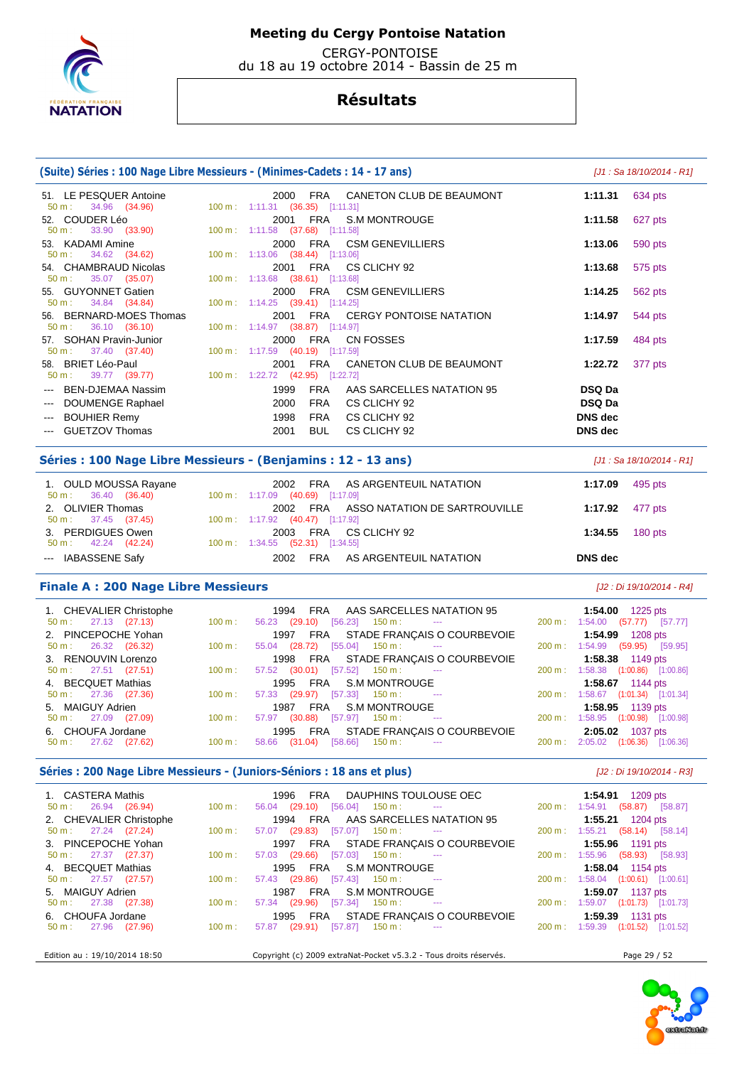

 CERGY-PONTOISE du 18 au 19 octobre 2014 - Bassin de 25 m

## **Résultats**

### **(Suite) Séries : 100 Nage Libre Messieurs - (Minimes-Cadets : 14 - 17 ans)** [J1 : Sa 18/10/2014 - R1] 51. LE PESQUER Antoine 2000 FRA CANETON CLUB DE BEAUMONT **1:11.31** 634 pts 50 m : 34.96 (34.96) 100 m : 1:11.31 (36.35) [1:11.31] 52. COUDER Léo 2001 FRA S.M MONTROUGE **1:11.58** 627 pts 50 m : 33.90 (33.90) 100 m : 1:11.58 (37.68) [1:11.58] 53. KADAMI Amine 2000 FRA CSM GENEVILLIERS **1:13.06** 590 pts 50 m : 34.62 (34.62) 100 m : 1:13.06 (38.44) [1:13.06] 54. CHAMBRAUD Nicolas 2001 FRA CS CLICHY 92 **1:13.68** 575 pts 50 m : 35.07 (35.07) 100 m : 1:13.68 (38.61) [1:13.68] 55. GUYONNET Gatien 2000 FRA CSM GENEVILLIERS **1:14.25** 562 pts 50 m : 34.84 (34.84) 100 m : 1:14.25 (39.41) [1:14.25] 56. BERNARD-MOES Thomas 2001 FRA CERGY PONTOISE NATATION **1:14.97** 544 pts 50 m : 36.10 (36.10) 100 m : 1:14.97 (38.87) [1:14.97] 57. SOHAN Pravin-Junior 2000 FRA CN FOSSES **1:17.59** 484 pts 50 m : 37.40 (37.40) 100 m : 1:17.59 (40.19) [1:17.59] 58. BRIET Léo-Paul 2001 FRA CANETON CLUB DE BEAUMONT **1:22.72** 377 pts 50 m : 39.77 (39.77) 100 m : 1:22.72 (42.95) [1:22.72] --- BEN-DJEMAA Nassim 1999 FRA AAS SARCELLES NATATION 95 **DSQ Da**  --- DOUMENGE Raphael 2000 FRA CS CLICHY 92 **DSQ Da**  --- BOUHIER Remy 1998 FRA CS CLICHY 92 **DNS dec**  --- GUETZOV Thomas 2001 BUL CS CLICHY 92 **DNS dec Séries : 100 Nage Libre Messieurs - (Benjamins : 12 - 13 ans)** [J1 : Sa 18/10/2014 - R1] 1. OULD MOUSSA Rayane 2002 FRA AS ARGENTEUIL NATATION **1:17.09** 495 pts 50 m : 36.40 (36.40) 100 m : 1:17.09 (40.69) [1:17.09] 2. OLIVIER Thomas 2002 FRA ASSO NATATION DE SARTROUVILLE **1:17.92** 477 pts 50 m : 37.45 (37.45) 100 m : 1:17.92 (40.47) [1:17.92] 3. PERDIGUES Owen 2003 FRA CS CLICHY 92 **1:34.55** 180 pts 50 m : 42.24 (42.24) 100 m : 1:34.55 (52.31) [1:34.55] --- IABASSENE Safy 2002 FRA AS ARGENTEUIL NATATION **DNS dec Finale A : 200 Nage Libre Messieurs Example 2018** *Magnetic Library (J2 : Di 19/10/2014 - R4]*

| 1. CHEVALIER Christophe<br>$50 \text{ m}: 27.13 (27.13)$ | $100 \text{ m}$ : | 1994 FRA AAS SARCELLES NATATION 95<br>$56.23$ (29.10) [56.23] 150 m : ---                      |                 | 1:54.00 1225 pts<br>200 m: 1:54.00 (57.77) [57.77]            |
|----------------------------------------------------------|-------------------|------------------------------------------------------------------------------------------------|-----------------|---------------------------------------------------------------|
| 2. PINCEPOCHE Yohan<br>$50 \text{ m}: 26.32 (26.32)$     | $100 \text{ m}$ : | 1997 FRA STADE FRANÇAIS O COURBEVOIE<br>$55.04$ (28.72) [55.04] 150 m : ---                    |                 | 1:54.99 1208 pts<br>200 m: 1:54.99 (59.95) [59.95]            |
| 3. RENOUVIN Lorenzo<br>$50 \text{ m}: 27.51 (27.51)$     | $100 \text{ m}$ : | 1998 FRA STADE FRANÇAIS O COURBEVOIE<br>57.52 (30.01) [57.52] 150 m : ---                      |                 | <b>1:58.38</b> 1149 pts<br>200 m: 1:58.38 (1:00.86) [1:00.86] |
| 4. BECQUET Mathias<br>$50 \text{ m}: 27.36 (27.36)$      | $100 \text{ m}$ : | 1995 FRA S.M MONTROUGE<br>57.33 (29.97) [57.33] 150 m : ---                                    |                 | <b>1:58.67</b> 1144 pts<br>200 m: 1:58.67 (1:01.34) [1:01.34] |
| 5. MAIGUY Adrien<br>$50 \text{ m}: 27.09$ (27.09)        | $100 \text{ m}$ : | 1987 FRA S.M MONTROUGE<br>57.97 (30.88) [57.97] 150 m :                                        |                 | 1:58.95 1139 pts<br>200 m: 1:58.95 (1:00.98) [1:00.98]        |
| 6. CHOUFA Jordane<br>$50 \text{ m}: 27.62 (27.62)$       | 100 m :           | 1995 FRA STADE FRANÇAIS O COURBEVOIE<br>$150 \text{ m}$ : $---$<br>[58.66]<br>(31.04)<br>58.66 | 200 m : 2:05.02 | <b>2:05.02</b> 1037 pts<br>(1:06.36)<br>[1:06.36]             |

## Séries : 200 Nage Libre Messieurs - (Juniors-Séniors : 18 ans et plus) **[J2 : Di 19/10/2014 - R3]**

| 1. CASTERA Mathis<br>$50 \text{ m}: 26.94 (26.94)$ | $100 \text{ m}$ : | 1996 FRA DAUPHINS TOULOUSE OEC<br>56.04 (29.10) [56.04] 150 m : --- | 1:54.91 1209 pts<br>200 m: 1:54.91 (58.87) [58.87] |
|----------------------------------------------------|-------------------|---------------------------------------------------------------------|----------------------------------------------------|
| 2. CHEVALIER Christophe                            |                   | 1994 FRA AAS SARCELLES NATATION 95                                  | 1:55.21 $1204 \text{ pts}$                         |
| $50 \text{ m}: 27.24 (27.24)$                      | $100 \text{ m}$ : | 57.07 (29.83) [57.07] 150 m : ---                                   | 200 m: 1:55.21 (58.14) [58.14]                     |
| 3. PINCEPOCHE Yohan                                |                   | 1997 FRA STADE FRANÇAIS O COURBEVOIE                                | 1:55.96 1191 pts                                   |
| $50 \text{ m}: 27.37 (27.37)$                      | $100 \text{ m}$ : | $57.03$ (29.66) $[57.03]$ 150 m : ---                               | 200 m: 1:55.96 (58.93) [58.93]                     |
| 4. BECQUET Mathias                                 |                   | 1995 FRA S.M. MONTROUGE<br>43 (29.86) [57.43] 150 m : ---           | <b>1:58.04</b> 1154 pts                            |
| $50 \text{ m}: 27.57 (27.57)$                      | $100 \text{ m}$ : | 57.43 (29.86) [57.43] 150 m :                                       | 200 m: 1:58.04 (1:00.61) [1:00.61]                 |
| 5. MAIGUY Adrien                                   |                   | FRA S.M MONTROUGE<br>1987                                           | 1:59.07 1137 pts                                   |
| $50 \text{ m}: 27.38 (27.38)$                      | $100 \text{ m}$ : | 57.34 (29.96) [57.34] 150 m : ---                                   | 200 m: 1:59.07 (1:01.73) [1:01.73]                 |
| 6. CHOUFA Jordane                                  |                   | 1995 FRA STADE FRANÇAIS O COURBEVOIE                                | 1:59.39 1131 pts                                   |
| $50 \text{ m}: 27.96 (27.96)$                      | $100 \text{ m}$ : | $57.87$ (29.91) $[57.87]$ 150 m : ---                               | 200 m: 1:59.39 (1:01.52) [1:01.52]                 |
|                                                    |                   |                                                                     |                                                    |
| Edition au : 19/10/2014 18:50                      |                   | Copyright (c) 2009 extraNat-Pocket v5.3.2 - Tous droits réservés.   | Page 29 / 52                                       |

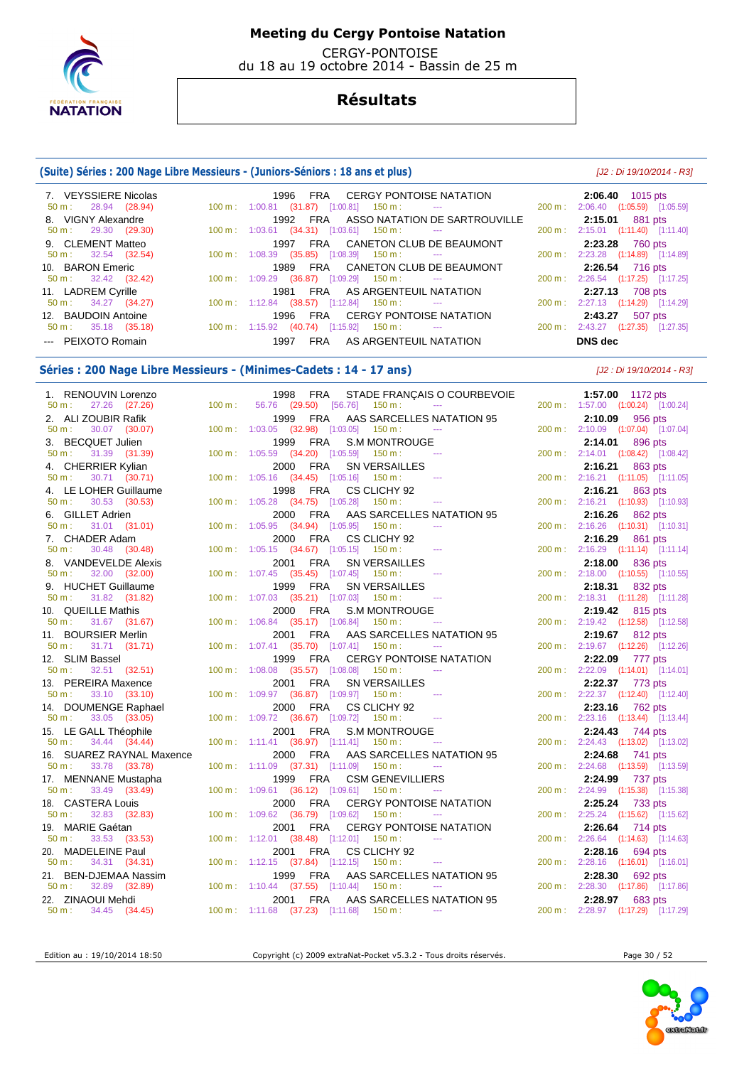

 CERGY-PONTOISE du 18 au 19 octobre 2014 - Bassin de 25 m

## **Résultats**

### **(Suite) Séries : 200 Nage Libre Messieurs - (Juniors-Séniors : 18 ans et plus)** [J2 : Di 19/10/2014 - R3]

| 7. VEYSSIERE Nicolas          | 1996 FRA CERGY PONTOISE NATATION                                               | $2:06.40$ 1015 pts                 |
|-------------------------------|--------------------------------------------------------------------------------|------------------------------------|
| $50 \text{ m}: 28.94 (28.94)$ | 100 m: 1:00.81 (31.87) [1:00.81] 150 m: --- 200 m: 2:06.40 (1:05.59) [1:05.59] |                                    |
| 8. VIGNY Alexandre            | 1992 FRA ASSO NATATION DE SARTROUVILLE                                         | <b>2:15.01</b> 881 pts             |
| $50 \text{ m}: 29.30 (29.30)$ | $100 \text{ m}: 1:03.61$ $(34.31)$ $[1:03.61]$ $150 \text{ m}:$ ---            | 200 m: 2:15.01 (1:11.40) [1:11.40] |
| 9. CLEMENT Matteo             | 1997 FRA CANETON CLUB DE BEAUMONT                                              | 2:23.28 760 pts                    |
| $50 \text{ m}: 32.54 (32.54)$ | $100 \text{ m}: 1:08.39$ $(35.85)$ $[1:08.39]$ $150 \text{ m}:$ ---            | 200 m: 2:23.28 (1:14.89) [1:14.89] |
| 10. BARON Emeric              | 1989 FRA CANETON CLUB DE BEAUMONT                                              | 2:26.54 716 pts                    |
| $50 \text{ m}: 32.42 (32.42)$ | $100 \text{ m}: 1:09.29$ (36.87) [1:09.29] 150 m : ---                         | 200 m: 2:26.54 (1:17.25) [1:17.25] |
| 11. LADREM Cyrille            | 1981 FRA AS ARGENTEUIL NATATION                                                | 2:27.13 708 pts                    |
| $50 \text{ m}: 34.27 (34.27)$ | $100 \text{ m}: 1:12.84$ (38.57) [1:12.84] 150 m : ---                         | 200 m: 2:27.13 (1:14.29) [1:14.29] |
| 12. BAUDOIN Antoine           | 1996 FRA CERGY PONTOISE NATATION                                               | 2:43.27<br>507 pts                 |
| $50 \text{ m}: 35.18 (35.18)$ | $100 \text{ m}: 1:15.92$ (40.74) [1:15.92] 150 m : ---                         | 200 m: 2:43.27 (1:27.35) [1:27.35] |
| --- PEIXOTO Romain            | FRA AS ARGENTEUIL NATATION<br>1997                                             | DNS dec                            |

## Séries : 200 Nage Libre Messieurs - (Minimes-Cadets : 14 - 17 ans) [J2 : Di 19/10/2014 - R3]

| 1. RENOUVIN Lorenzo                              |                   | 1998 FRA STADE FRANÇAIS O COURBEVOIE                                                               | 1:57.00 1172 pts                                         |
|--------------------------------------------------|-------------------|----------------------------------------------------------------------------------------------------|----------------------------------------------------------|
| 50 m: 27.26 (27.26)                              | $100 \text{ m}$ : | 56.76 (29.50) [56.76] 150 m : ---                                                                  | 200 m: 1:57.00 (1:00.24) [1:00.24]                       |
| 2. ALI ZOUBIR Rafik                              |                   | FRA<br>AAS SARCELLES NATATION 95<br>1999                                                           | 2:10.09<br>956 pts                                       |
| 30.07 (30.07)<br>$50 m$ :                        |                   | 100 m: 1:03.05 (32.98) [1:03.05] 150 m:<br>$\sim 100$ mass $^{-1}$                                 | 200 m: 2:10.09 (1:07.04) [1:07.04]                       |
| 3. BECQUET Julien                                |                   | 1999 FRA<br>S.M MONTROUGE                                                                          | 2:14.01 896 pts                                          |
| 31.39 (31.39)<br>$50 m$ :                        |                   | 100 m: 1:05.59 (34.20) [1:05.59] 150 m:                                                            | 200 m: 2:14.01 (1:08.42) [1:08.42]                       |
| 4. CHERRIER Kylian                               |                   | 2000<br>FRA<br><b>SN VERSAILLES</b>                                                                | 2:16.21<br>863 pts                                       |
| 30.71 (30.71)<br>$50 m$ :                        |                   | 100 m: 1:05.16 (34.45) [1:05.16] 150 m:<br>$\sim$ 1000 $\mu$                                       | 200 m: 2:16.21 (1:11.05) [1:11.05]                       |
| 4. LE LOHER Guillaume                            |                   | 1998<br>FRA<br>CS CLICHY 92                                                                        | 2:16.21<br>863 pts                                       |
| 30.53 (30.53)<br>50 m:                           |                   | $100 \text{ m}: 1:05.28$ $(34.75)$ $[1:05.28]$ $150 \text{ m}:$                                    | 200 m: 2:16.21 (1:10.93) [1:10.93]                       |
| 6. GILLET Adrien                                 |                   | 2000 FRA<br>AAS SARCELLES NATATION 95                                                              | 2:16.26 862 pts                                          |
| $31.01$ (31.01)<br>$50 m$ :                      |                   | 100 m: 1:05.95 (34.94) [1:05.95] 150 m:<br>$\sim$                                                  | 200 m: 2:16.26 (1:10.31) [1:10.31]                       |
| 7. CHADER Adam<br>$50 m$ :                       |                   | 2000<br>FRA<br>CS CLICHY 92                                                                        | 2:16.29<br>861 pts<br>200 m: 2:16.29 (1:11.14) [1:11.14] |
| 30.48 (30.48)                                    |                   | 100 m: 1:05.15 (34.67) [1:05.15] 150 m:<br>$\sim$ 0.000 $\mu$                                      |                                                          |
| 8. VANDEVELDE Alexis<br>50 m:<br>32.00 (32.00)   |                   | FRA<br>2001<br><b>SN VERSAILLES</b><br>100 m: 1:07.45 (35.45) [1:07.45] 150 m:                     | 2:18.00 836 pts<br>200 m: 2:18.00 (1:10.55) [1:10.55]    |
| 9. HUCHET Guillaume                              |                   | 1999<br>FRA<br><b>SN VERSAILLES</b>                                                                | 2:18.31 832 pts                                          |
| 31.82 (31.82)<br>$50 m$ :                        |                   | 100 m: 1:07.03 (35.21) [1:07.03] 150 m:<br>$\sim 100$ mass $^{-1}$                                 | 200 m: 2:18.31 (1:11.28) [1:11.28]                       |
| 10. QUEILLE Mathis                               |                   | 2000<br>FRA<br>S.M MONTROUGE                                                                       | 2:19.42<br>815 pts                                       |
| 50 m:<br>31.67 (31.67)                           |                   | 100 m: 1:06.84 (35.17) [1:06.84] 150 m:<br>$\sim$                                                  | 200 m : 2:19.42 (1:12.58) [1:12.58]                      |
| 11. BOURSIER Merlin                              |                   | FRA<br>AAS SARCELLES NATATION 95<br>2001                                                           | $2:19.67$ 812 pts                                        |
| 31.71 (31.71)<br>$50 m$ :                        |                   | $100 \text{ m}: 1:07.41$ $(35.70)$ $[1:07.41]$ $150 \text{ m}:$                                    | 200 m: 2:19.67 (1:12.26) [1:12.26]                       |
| 12. SLIM Bassel                                  |                   | FRA<br><b>CERGY PONTOISE NATATION</b><br>1999                                                      | 2:22.09 777 pts                                          |
| $50 \text{ m}: 32.51 (32.51)$                    |                   | 100 m: 1:08.08 (35.57) [1:08.08] 150 m:                                                            | 200 m: 2:22.09 (1:14.01) [1:14.01]                       |
| 13. PEREIRA Maxence                              |                   | 2001<br>FRA<br><b>SN VERSAILLES</b>                                                                | 2:22.37 773 pts                                          |
| 33.10 (33.10)<br>$50 m$ :                        |                   | 100 m: 1:09.97 (36.87) [1:09.97] 150 m:<br>$\sim 100$ mass $^{-1}$                                 | 200 m: 2:22.37 (1:12.40) [1:12.40]                       |
| 14. DOUMENGE Raphael                             |                   | FRA<br>CS CLICHY 92<br>2000                                                                        | 2:23.16 762 pts                                          |
| 33.05 (33.05)<br>50 m:                           |                   | 100 m: 1:09.72 (36.67) [1:09.72] 150 m:<br>$\sim$ $-$                                              | 200 m: 2:23.16 (1:13.44) [1:13.44]                       |
| 15. LE GALL Théophile                            |                   | 2001<br>FRA<br><b>S.M MONTROUGE</b>                                                                | 2:24.43 744 pts                                          |
| 50 m :<br>34.44 (34.44)                          |                   | 100 m: 1:11.41 (36.97) [1:11.41] 150 m:                                                            | 200 m: 2:24.43 (1:13.02) [1:13.02]                       |
| 16. SUAREZ RAYNAL Maxence                        |                   | 2000 FRA<br>AAS SARCELLES NATATION 95                                                              | 2:24.68 741 pts                                          |
| 33.78 (33.78)<br>50 m :                          |                   | 100 m: 1:11.09 (37.31) [1:11.09] 150 m:                                                            | 200 m : 2:24.68 (1:13.59) [1:13.59]                      |
| 17. MENNANE Mustapha                             |                   | 1999<br>FRA<br><b>CSM GENEVILLIERS</b>                                                             | 2:24.99<br>737 pts                                       |
| 50 m:<br>33.49 (33.49)                           |                   | $100 \text{ m}: 1:09.61$ (36.12) [1:09.61] 150 m :<br><b>Contract Contract</b>                     | 200 m: 2:24.99 (1:15.38) [1:15.38]                       |
| 18. CASTERA Louis                                |                   | <b>CERGY PONTOISE NATATION</b><br>2000<br>FRA                                                      | 2:25.24<br>733 pts                                       |
| $50 m$ :<br>32.83 (32.83)                        |                   | 100 m: 1:09.62 (36.79) [1:09.62] 150 m:<br><b>State State</b>                                      | 200 m: 2:25.24 (1:15.62) [1:15.62]                       |
| 19. MARIE Gaétan                                 |                   | FRA<br>2001<br>CERGY PONTOISE NATATION                                                             | 2:26.64 714 pts                                          |
| 33.53 (33.53)<br>50 m:                           |                   | 100 m: 1:12.01 (38.48) [1:12.01] 150 m:                                                            | 200 m: 2:26.64 (1:14.63) [1:14.63]                       |
| 20. MADELEINE Paul                               |                   | 2001<br>FRA<br>CS CLICHY 92                                                                        | 2:28.16<br>694 pts                                       |
| $50 \text{ m}$ :<br>34.31 (34.31)                |                   | $100 \text{ m}: 1:12.15$ (37.84) [1:12.15] 150 m :<br>$\sim 100$ and                               | 200 m: 2:28.16 (1:16.01) [1:16.01]                       |
| 21. BEN-DJEMAA Nassim<br>32.89 (32.89)<br>50 m : |                   | AAS SARCELLES NATATION 95<br>FRA<br>1999<br>$100 \text{ m}: 1:10.44$ (37.55) [1:10.44] 150 m : --- | 2:28.30<br>692 pts<br>200 m: 2:28.30 (1:17.86) [1:17.86] |
| 22. ZINAOUI Mehdi                                |                   | 2001 FRA AAS SARCELLES NATATION 95                                                                 |                                                          |
| $50 \text{ m}: 34.45 (34.45)$                    |                   | $100 \text{ m}: 1:11.68$ $(37.23)$ $[1:11.68]$ $150 \text{ m}:$                                    | 2:28.97 683 pts<br>200 m: 2:28.97 (1:17.29) [1:17.29]    |
|                                                  |                   |                                                                                                    |                                                          |

Edition au : 19/10/2014 18:50 Copyright (c) 2009 extraNat-Pocket v5.3.2 - Tous droits réservés. Page 30 / 52

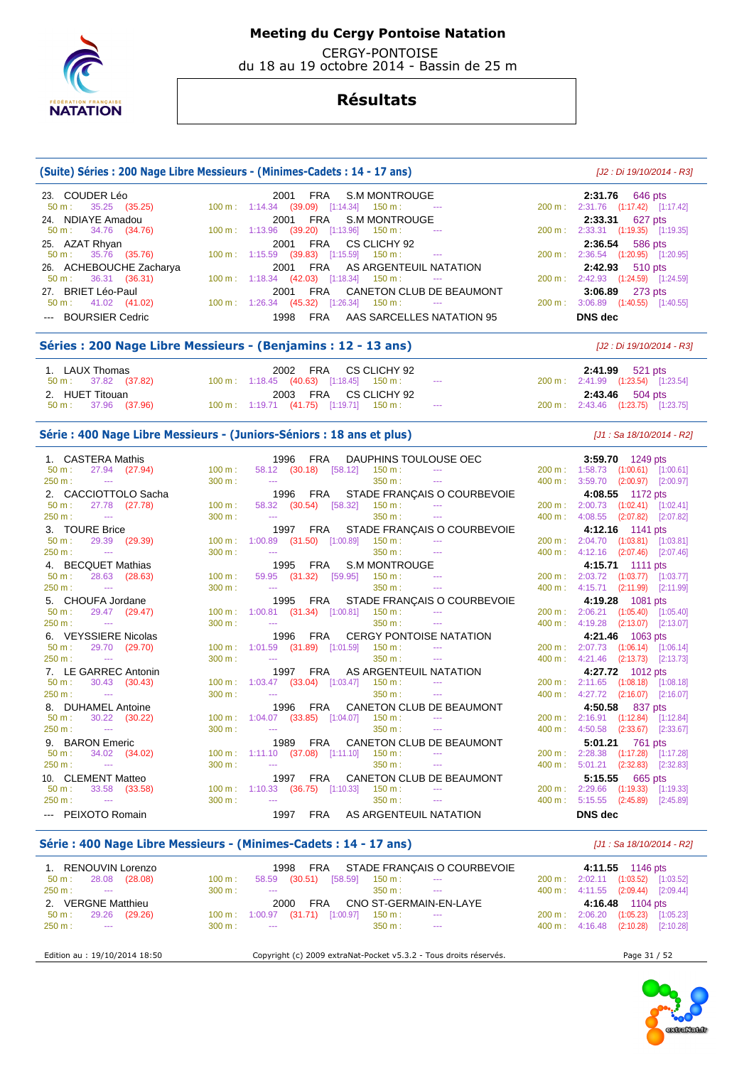

 CERGY-PONTOISE du 18 au 19 octobre 2014 - Bassin de 25 m

## **Résultats**

### **(Suite) Séries : 200 Nage Libre Messieurs - (Minimes-Cadets : 14 - 17 ans)** [J2 : Di 19/10/2014 - R3]

| 23. COUDER Léo                | 2001 FRA S.M MONTROUGE                                               | <b>2:31.76</b> 646 pts                                 |
|-------------------------------|----------------------------------------------------------------------|--------------------------------------------------------|
| $50 \text{ m}: 35.25 (35.25)$ | $100 \text{ m}: 1:14.34$ (39.09) [1:14.34] 150 m : ---               | 200 m: 2:31.76 (1:17.42) [1:17.42]                     |
| 24. NDIAYE Amadou             | 2001 FRA S.M MONTROUGE                                               | 2:33.31 627 pts                                        |
| 50 m : 34.76 (34.76)          | 100 m : 1:13.96 (39.20) [1:13.96] 150 m :<br>$\sim 100$ mass $^{-1}$ | 200 m: 2:33.31 (1:19.35) [1:19.35]                     |
| 25. AZAT Rhyan                | 2001 FRA CS CLICHY 92                                                | 2:36.54 586 pts                                        |
| $50 \text{ m}: 35.76 (35.76)$ | $100 \text{ m}: 1:15.59$ (39.83) [1:15.59] 150 m : ---               | 200 m: 2:36.54 (1:20.95) [1:20.95]                     |
| 26. ACHEBOUCHE Zacharya       | 2001 FRA AS ARGENTEUIL NATATION                                      | 2:42.93 510 pts                                        |
| $50 \text{ m}: 36.31 (36.31)$ | $100 \text{ m}: 1:18.34$ (42.03) [1:18.34] 150 m : ---               | 200 m: 2:42.93 (1:24.59) [1:24.59]                     |
| 27. BRIET Léo-Paul            | 2001 FRA CANETON CLUB DE BEAUMONT                                    | 3:06.89 273 pts                                        |
| $50 \text{ m}: 41.02 (41.02)$ | $100 \text{ m}$ : $1:26.34$ (45.32) [1:26.34] 150 m : ---            | $3:06.89$ $(1:40.55)$ $[1:40.55]$<br>$200 \text{ m}$ : |
| --- BOURSIER Cedric           | FRA AAS SARCELLES NATATION 95<br>1998                                | DNS dec                                                |

### **Séries : 200 Nage Libre Messieurs - (Benjamins : 12 - 13 ans)** [J2 : Di 19/10/2014 - R3]

| 1. LAUX Thomas       | 2002 FRA CS CLICHY 92                                 | <b>2:41.99</b> 521 pts             |
|----------------------|-------------------------------------------------------|------------------------------------|
| 50 m : 37.82 (37.82) | $100 \text{ m}: 1:18.45$ (40.63) [1:18.45] 150 m : -- | 200 m: 2:41.99 (1:23.54) [1:23.54] |
|                      |                                                       |                                    |
| 2. HUET Titouan      | 2003 FRA CS CLICHY 92                                 | <b>2:43.46</b> 504 pts             |

### Série : 400 Nage Libre Messieurs - (Juniors-Séniors : 18 ans et plus) *[J1 : Sa 18/10/2014 - R2]*

| 1. CASTERA Mathis                  |                   | 1996 FRA                                                                |                   | 3:59.70 1249 pts                   |
|------------------------------------|-------------------|-------------------------------------------------------------------------|-------------------|------------------------------------|
| 27.94 (27.94)<br>$50 \text{ m}$ :  | 100 m:            | $58.12$ (30.18) [58.12] 150 m : ---                                     |                   | 200 m: 1:58.73 (1:00.61) [1:00.61] |
| 250 m:<br>and the state of         | 300 m:            | 350 m:<br><b>Contract Contract</b><br><b>Service</b> Contractor         | 400 m:            | 3:59.70 (2:00.97) [2:00.97]        |
| 2. CACCIOTTOLO Sacha               |                   | 1996 FRA STADE FRANÇAIS O COURBEVOIE                                    |                   | 4:08.55 1172 pts                   |
| 27.78 (27.78)<br>$50 \text{ m}$ :  | $100 \text{ m}$ : | 58.32 (30.54) [58.32]<br>150 m :                                        | 200 m:            | 2:00.73 (1:02.41) [1:02.41]        |
| 250 m:<br><b>State State</b>       | 300 m:            | $350 \text{ m}$ :<br>$\sim$ $\sim$<br><b>State State</b>                | 400 m:            | 4:08.55 (2:07.82) [2:07.82]        |
| 3. TOURE Brice                     |                   | 1997 FRA STADE FRANÇAIS O COURBEVOIE                                    |                   | 4:12.16 1141 pts                   |
| 29.39 (29.39)<br>$50 \text{ m}$ :  | 100 m:            | 1:00.89 (31.50) [1:00.89]<br>$150 m:$ ---                               | $200 \text{ m}$ : | 2:04.70 (1:03.81) [1:03.81]        |
| 250 m:<br><b>State State</b>       | 300 m:            | 350 m:<br><b>Contractor</b><br><b>Search College</b>                    | 400 m:            | 4:12.16 (2:07.46) [2:07.46]        |
| 4. BECQUET Mathias                 |                   | 1995 FRA S.M MONTROUGE                                                  |                   | 4:15.71 1111 pts                   |
| 28.63 (28.63)<br>$50 m$ :          | $100 \text{ m}$ : | the company of the company of the<br>59.95 (31.32) [59.95]<br>$150 m$ : | 200 m:            | 2:03.72 (1:03.77) [1:03.77]        |
| $250 m:$ ---                       | 300 m:            | $350 \text{ m}$ : $---$<br>the company of the company                   | 400 m:            | 4:15.71 (2:11.99) [2:11.99]        |
| 5. CHOUFA Jordane                  |                   | 1995 FRA STADE FRANÇAIS O COURBEVOIE                                    |                   | 4:19.28 1081 pts                   |
| 29.47 (29.47)<br>$50 \text{ m}$ :  |                   | 100 m: 1:00.81 (31.34) [1:00.81]<br>$150 \text{ m}$ : ---               | $200 m$ :         | 2:06.21 (1:05.40) [1:05.40]        |
| 250 m:<br><b>Contractor</b>        | 300 m:            | $350 \text{ m}$ : $-$<br><b>Search College</b>                          | $400 \text{ m}$ : | 4:19.28 (2:13.07) [2:13.07]        |
| 6. VEYSSIERE Nicolas               |                   | CERGY PONTOISE NATATION<br>1996 FRA                                     |                   | 4:21.46 1063 pts                   |
| 29.70 (29.70)<br>$50 \text{ m}$ :  |                   | 100 m: 1:01.59 (31.89) [1:01.59] 150 m:                                 | 200 m:            | 2:07.73 (1:06.14) [1:06.14]        |
| $250 m:$ ---                       | 300 m:            | $350 \text{ m}$ :<br><b>State State</b>                                 | 400 m:            | 4:21.46 (2:13.73) [2:13.73]        |
| 7. LE GARREC Antonin               |                   | 1997 FRA AS ARGENTEUIL NATATION                                         |                   | 4:27.72 1012 pts                   |
| $50 \text{ m}$ :<br>30.43 (30.43)  |                   | $100 \text{ m}$ : $1:03.47$ (33.04) [1:03.47] 150 m :                   | $200 \text{ m}$ : | 2:11.65 (1:08.18) [1:08.18]        |
| 250 m:<br><b>Contract Contract</b> | 300 m:            | 350 m:<br><b>State State</b>                                            | 400 m:            | 4:27.72 (2:16.07) [2:16.07]        |
| 8. DUHAMEL Antoine                 |                   | 1996 FRA CANETON CLUB DE BEAUMONT                                       |                   | 4:50.58 837 pts                    |
| 30.22 (30.22)<br>$50 \text{ m}$ :  |                   | 100 m: 1:04.07 (33.85) [1:04.07] 150 m: ---                             | $200 \text{ m}$ : | 2:16.91 (1:12.84) [1:12.84]        |
| 250 m:<br><b>State State</b>       | 300 m:            | 350 m:                                                                  | 400 m:            | 4:50.58 (2:33.67) [2:33.67]        |
| 9. BARON Emeric                    |                   | 1989 FRA CANETON CLUB DE BEAUMONT                                       |                   | 5:01.21 761 pts                    |
| 34.02 (34.02)<br>$50 \text{ m}$ :  |                   | $100 \text{ m}$ : 1:11.10 (37.08) [1:11.10] 150 m :                     | $200 \text{ m}$ : | 2:28.38 (1:17.28) [1:17.28]        |
| 250 m:<br><b>State State</b>       | 300 m:            | 350 m:<br><b>Contract Contract</b>                                      | 400 m:            | 5:01.21<br>$(2:32.83)$ $[2:32.83]$ |
| 10. CLEMENT Matteo                 |                   | CANETON CLUB DE BEAUMONT<br>1997 FRA                                    |                   | 5:15.55 665 pts                    |
| 33.58 (33.58)<br>50 m:             |                   | $100 \text{ m}$ : 1:10.33 (36.75) [1:10.33] 150 m : ---                 | 200 m:            | 2:29.66 (1:19.33) [1:19.33]        |
| 250 m:<br><b>State State</b>       | 300 m:            | 350 m:<br>$\sim$ $\sim$<br><b>State State</b>                           | 400 m:            | 5:15.55 (2:45.89) [2:45.89]        |
| --- PEIXOTO Romain                 |                   | 1997 FRA AS ARGENTEUIL NATATION                                         |                   | <b>DNS</b> dec                     |

### **Série : 400 Nage Libre Messieurs - (Minimes-Cadets : 14 - 17 ans)** [J1 : Sa 18/10/2014 - R2]

| 1. RENOUVIN Lorenzo          | FRA STADE FRANÇAIS O COURBEVOIE<br>1998                                                           | 4:11.55 1146 pts                                  |
|------------------------------|---------------------------------------------------------------------------------------------------|---------------------------------------------------|
| (28.08)<br>28.08<br>$50 m$ : | (30.51)<br>$[58.59]$<br>150 m :<br>100 m:<br>58.59<br>$\sim$ $\sim$                               | 2:02.11 (1:03.52)<br>[1:03.52]<br>200 m:          |
| 250 m:<br>$\sim$ $\sim$      | 300 m:<br>350 m :<br>$\sim$ $\sim$ $\sim$<br>$\sim$ $\sim$                                        | 400 m: 4:11.55 (2:09.44)<br>[2:09.44]             |
| 2. VERGNE Matthieu           | CNO ST-GERMAIN-EN-LAYE<br><b>FRA</b><br>2000                                                      | 4:16.48 1104 pts                                  |
| 29.26<br>(29.26)<br>$50 m$ : | (31.71)<br>[1:00.97]<br>1:00.97<br>$150 \text{ m}$ :<br>$100 \text{ m}$ :<br>$\sim$ $\sim$ $\sim$ | 2:06.20<br>(1:05.23)<br>[1:05.23]<br>200 m:       |
| $250 m$ :<br><b>Service</b>  | 350 m:<br>300 m:<br>$\sim$ $\sim$<br>$\sim$ $\sim$                                                | $400 \text{ m}: 4:16.48$ $(2:10.28)$<br>[2:10.28] |
|                              |                                                                                                   |                                                   |

Edition au : 19/10/2014 18:50 Copyright (c) 2009 extraNat-Pocket v5.3.2 - Tous droits réservés. Page 31 / 52

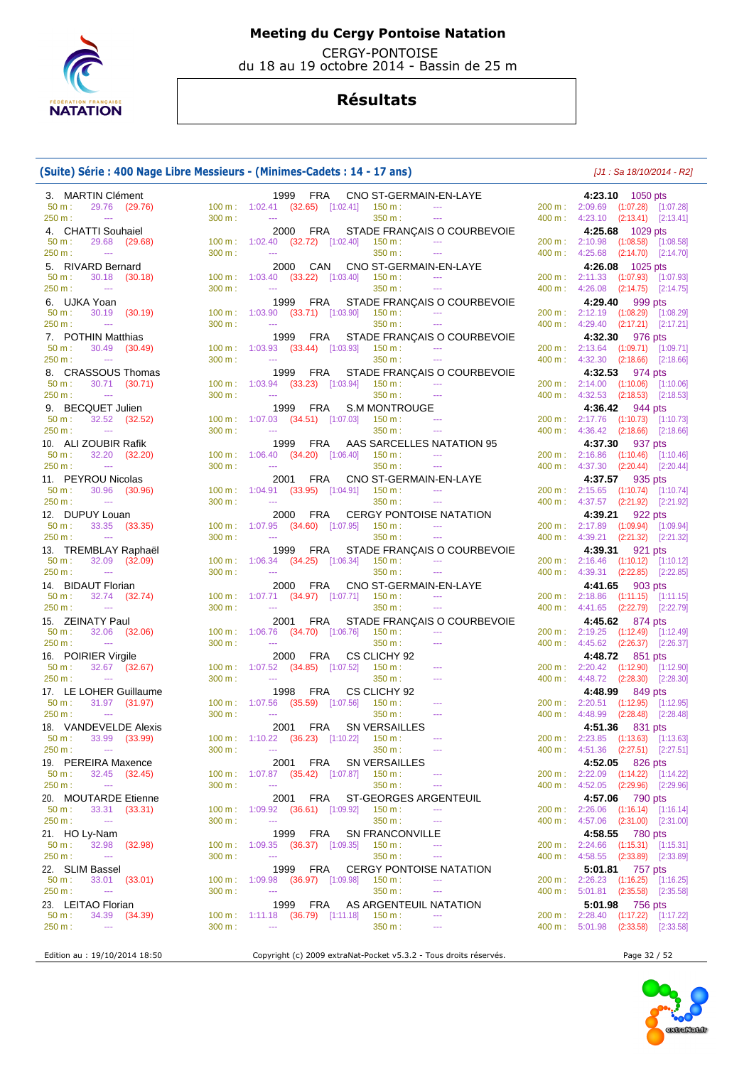

 CERGY-PONTOISE du 18 au 19 octobre 2014 - Bassin de 25 m

## **Résultats**

## **(Suite) Série : 400 Nage Libre Messieurs - (Minimes-Cadets : 14 - 17 ans)** [J1 : Sa 18/10/2014 - R2]

| 3. MARTIN Clément                                  |        | 1999 FRA<br>CNO ST-GERMAIN-EN-LAYE                                                                                                                  | 4:23.10 1050 pts                                                         |
|----------------------------------------------------|--------|-----------------------------------------------------------------------------------------------------------------------------------------------------|--------------------------------------------------------------------------|
| 29.76 (29.76)<br>50 m:                             |        | $100 \text{ m}: 1:02.41 \text{ (32.65)}$ $[1:02.41]$ $150 \text{ m}:$<br>$\sim 10^{11}$ and $\sim 10^{11}$                                          | 200 m: 2:09.69 (1:07.28) [1:07.28]                                       |
| 250 m:<br>$\sim$                                   | 300 m: | 350 m:<br><b>Contract Contract</b><br>$\sim$ $\sim$                                                                                                 | 400 m: 4:23.10 (2:13.41) [2:13.41]                                       |
| 4. CHATTI Souhaiel                                 |        | 2000 FRA<br>STADE FRANÇAIS O COURBEVOIE                                                                                                             | 4:25.68 1029 pts                                                         |
| 50 m:<br>29.68 (29.68)                             |        | 100 m: 1:02.40 (32.72) [1:02.40] 150 m:<br><b>Contractor</b>                                                                                        | 200 m: 2:10.98 (1:08.58) [1:08.58]                                       |
| 250 m:<br>$\sim$                                   | 300 m: | $\mathcal{L}_{\text{max}}$ . The $\mathcal{L}_{\text{max}}$<br>350 m:<br>$\sim$                                                                     | 400 m: 4:25.68 (2:14.70) [2:14.70]                                       |
| 5. RIVARD Bernard                                  |        | 2000 CAN CNO ST-GERMAIN-EN-LAYE                                                                                                                     | 4:26.08 1025 pts                                                         |
| 30.18 (30.18)<br>$50 m$ :                          |        | 100 m: 1:03.40 (33.22) [1:03.40] 150 m:<br>$\sim 100$ and $\sim 100$                                                                                | 200 m: 2:11.33 (1:07.93) [1:07.93]                                       |
| 250 m:<br>$\sim 100$ and $\sim 100$                | 300 m: | 350 m:<br>$\sim$<br>$\sim$                                                                                                                          | 400 m: 4:26.08 (2:14.75) [2:14.75]                                       |
| 6. UJKA Yoan                                       |        | STADE FRANÇAIS O COURBEVOIE<br>1999 FRA                                                                                                             | 4:29.40 999 pts                                                          |
| 30.19 (30.19)<br>$50 m$ :                          |        | $100 \text{ m}$ : $1:03.90$ (33.71) [1:03.90] 150 m :<br>$\sim 100$ mass $^{-1}$                                                                    | 200 m: 2:12.19 (1:08.29) [1:08.29]                                       |
| 250 m:<br>$\sim$                                   | 300 m: | 350 m:<br>$\sim$ $\sim$ $\sim$<br><b>State State</b>                                                                                                | 400 m: 4:29.40 (2:17.21) [2:17.21]                                       |
| 7. POTHIN Matthias                                 |        | 1999 FRA<br>STADE FRANÇAIS O COURBEVOIE                                                                                                             | 4:32.30 976 pts                                                          |
| 50 m:<br>30.49 (30.49)                             |        | $150 m$ :<br>$100 \text{ m}$ : $1:03.93$ $(33.44)$ $[1:03.93]$<br>$\sim 100$ mass $^{-1}$                                                           | 200 m: 2:13.64 (1:09.71) [1:09.71]                                       |
| 250 m:<br>$\sim$                                   | 300 m: | $\sim$ $\sim$<br>350 m:<br>$\sim$ $\sim$                                                                                                            | 400 m: 4:32.30 (2:18.66) [2:18.66]                                       |
| 8. CRASSOUS Thomas                                 |        | 1999 FRA STADE FRANÇAIS O COURBEVOIE                                                                                                                | 4:32.53 974 pts                                                          |
| 30.71 (30.71)<br>50 m:                             |        | 100 m: 1:03.94 (33.23) [1:03.94] 150 m:<br>$\sim$ $\sim$ $\sim$                                                                                     | 200 m: 2:14.00 (1:10.06) [1:10.06]                                       |
| 250 m:<br><b>Continued</b>                         | 300 m: | 350 m:<br>$\sim$<br>$\sim$                                                                                                                          | 400 m: 4:32.53 (2:18.53) [2:18.53]                                       |
| 9. BECQUET Julien                                  |        | S.M MONTROUGE<br>1999 FRA                                                                                                                           | 4:36.42 944 pts                                                          |
| 32.52 (32.52)<br>50 m:<br>250 m:<br><b>College</b> | 300 m: | $100 \text{ m}: 1:07.03$ $(34.51)$ $[1:07.03]$ $150 \text{ m}:$<br>$\sim 100$ and $\sim 100$<br>350 m:<br>$\sim$ $\sim$<br><b>Contract Contract</b> | 200 m: 2:17.76 (1:10.73) [1:10.73]                                       |
|                                                    |        |                                                                                                                                                     | 400 m: 4:36.42 (2:18.66) [2:18.66]                                       |
| 10. ALI ZOUBIR Rafik                               |        | 1999 FRA<br>AAS SARCELLES NATATION 95<br><b>Continued</b>                                                                                           | 4:37.30 937 pts                                                          |
| 50 m:<br>32.20 (32.20)<br>250 m:<br>$\sim$         | 300 m: | $100 \text{ m}$ : $1:06.40$ $(34.20)$ $[1:06.40]$ $150 \text{ m}$ :<br>350 m:<br>$\sim$ $\sim$<br>$\sim$ $\sim$ $\sim$                              | 200 m: 2:16.86 (1:10.46) [1:10.46]<br>400 m: 4:37.30 (2:20.44) [2:20.44] |
|                                                    |        |                                                                                                                                                     |                                                                          |
| 11. PEYROU Nicolas<br>30.96 (30.96)<br>50 m:       |        | 2001 FRA<br>CNO ST-GERMAIN-EN-LAYE<br>100 m: 1:04.91 (33.95) [1:04.91] 150 m:                                                                       | 4:37.57 935 pts<br>200 m: 2:15.65 (1:10.74) [1:10.74]                    |
| 250 m:<br>$\sim 100$ and $\sim 100$                | 300 m: | 350 m:<br>$\sim$<br>$\sim$                                                                                                                          | 400 m: 4:37.57 (2:21.92) [2:21.92]                                       |
| 12. DUPUY Louan                                    |        |                                                                                                                                                     |                                                                          |
| 33.35 (33.35)<br>$50 m$ :                          |        | <b>CERGY PONTOISE NATATION</b><br>2000 FRA<br>100 m: 1:07.95 (34.60) [1:07.95]<br>$150 m$ :<br>$\sim 100$ mass $^{-1}$                              | 4:39.21 922 pts<br>200 m: 2:17.89 (1:09.94) [1:09.94]                    |
| 250 m:<br><b>Contract Contract</b>                 | 300 m: | 350 m:<br>$\sim$ $\sim$ $\sim$<br>$\sim$ $\sim$                                                                                                     | 400 m: 4:39.21 (2:21.32) [2:21.32]                                       |
| 13. TREMBLAY Raphaël                               |        | 1999 FRA<br>STADE FRANÇAIS O COURBEVOIE                                                                                                             | 4:39.31 921 pts                                                          |
| 32.09 (32.09)<br>50 m:                             |        | $100 \text{ m}: 1:06.34$ $(34.25)$ $[1:06.34]$ $150 \text{ m}:$<br>$\sim 100$ mass $^{-1}$                                                          | 200 m: 2:16.46 (1:10.12) [1:10.12]                                       |
| 250 m:<br>$\sim$                                   | 300 m: | $\sim$ $\sim$<br>350 m:<br>$\sim$ $\sim$                                                                                                            | 400 m : 4:39.31 (2:22.85) [2:22.85]                                      |
| 14. BIDAUT Florian                                 |        | CNO ST-GERMAIN-EN-LAYE<br>2000 FRA                                                                                                                  | 4:41.65 903 pts                                                          |
| 32.74 (32.74)<br>50 m:                             |        | 100 m: 1:07.71 (34.97) [1:07.71] 150 m:<br>$\sim$                                                                                                   | 200 m: 2:18.86 (1:11.15) [1:11.15]                                       |
| 250 m:<br>$\sim 100$ and $\sim 100$                | 300 m: | 350 m:<br>$\sim$<br>$\sim 100$ mass $^{-1}$                                                                                                         | 400 m : 4:41.65 (2:22.79) [2:22.79]                                      |
| 15. ZEINATY Paul                                   |        | STADE FRANÇAIS O COURBEVOIE<br>2001 FRA                                                                                                             | 4:45.62 874 pts                                                          |
| 32.06 (32.06)<br>$50 m$ :                          |        | $100 \text{ m}: 1:06.76$ $(34.70)$ $[1:06.76]$ $150 \text{ m}:$<br>$\sim$ $\sim$                                                                    | 200 m: 2:19.25 (1:12.49) [1:12.49]                                       |
| 250 m:<br><b>Contract Contract</b>                 | 300 m: | 350 m:<br>$\mathbb{Z} \to \mathbb{Z}$<br>$\sim$ $\sim$                                                                                              | 400 m : 4:45.62 (2:26.37) [2:26.37]                                      |
| 16. POIRIER Virgile                                |        | 2000 FRA<br>CS CLICHY 92                                                                                                                            | 4:48.72 851 pts                                                          |
| 32.67 (32.67)<br>50 m:                             |        | 100 m: 1:07.52 (34.85) [1:07.52]<br>$150 \text{ m}$ :                                                                                               | 200 m: 2:20.42 (1:12.90) [1:12.90]                                       |
| 250 m:<br>$\sim 100$ mass $^{-1}$                  | 300 m: | $\sim$<br>350 m:                                                                                                                                    | 400 m: 4:48.72 (2:28.30) [2:28.30]                                       |
| 17. LE LOHER Guillaume                             |        | CS CLICHY 92<br>1998 FRA                                                                                                                            | 4:48.99 849 pts                                                          |
| $50 m$ :<br>31.97 (31.97)                          |        | 100 m: 1:07.56 (35.59) [1:07.56] 150 m:                                                                                                             | 200 m: 2:20.51 (1:12.95) [1:12.95]                                       |
| 250 m:<br>$\sim 100$ and $\sim 100$                | 300 m: | 350 m:<br>$\sim$                                                                                                                                    | 400 m: 4:48.99 (2:28.48) [2:28.48]                                       |
| 18. VANDEVELDE Alexis                              |        | SN VERSAILLES<br>2001 FRA                                                                                                                           | 4:51.36 831 pts                                                          |
| 33.99 (33.99)<br>50 m:                             |        | 100 m: 1:10.22 (36.23) [1:10.22]<br>$150 m$ :<br>$\sim$                                                                                             | 200 m: 2:23.85 (1:13.63) [1:13.63]                                       |
| 250 m:<br>$\sim$                                   | 300 m: | 350 m:<br>$\sim$ $\sim$ $\sim$<br>$\sim$ $\sim$                                                                                                     | 400 m: 4:51.36 (2:27.51) [2:27.51]                                       |
| 19. PEREIRA Maxence                                |        | 2001 FRA<br><b>SN VERSAILLES</b>                                                                                                                    | 4:52.05 826 pts                                                          |
| 50 m:<br>32.45 (32.45)                             |        | $100 \text{ m}: 1:07.87$ $(35.42)$ $[1:07.87]$ $150 \text{ m}:$<br>---                                                                              | 200 m: 2:22.09 (1:14.22) [1:14.22]                                       |
| 250 m:<br>$\sim$                                   | 300 m: | 350 m:<br>$\sim$ $\sim$<br>$\scriptstyle\cdots$                                                                                                     | 400 m: 4:52.05 (2:29.96) [2:29.96]                                       |
| 20. MOUTARDE Etienne                               |        | ST-GEORGES ARGENTEUIL<br><b>FRA</b><br>2001                                                                                                         | 4:57.06 790 pts                                                          |
| 50 m:<br>33.31 (33.31)                             |        | 100 m: 1:09.92 (36.61) [1:09.92]<br>150 m:<br>$\overline{a}$                                                                                        | 200 m: 2:26.06 (1:16.14) [1:16.14]                                       |
| 250 m:<br>$\rightarrow$ $\rightarrow$              | 300 m: | 350 m :<br>$\sim$<br>$\scriptstyle\cdots$                                                                                                           | 400 m: 4:57.06 (2:31.00) [2:31.00]                                       |
| 21. HO Ly-Nam                                      |        | 1999 FRA<br><b>SN FRANCONVILLE</b>                                                                                                                  | 4:58.55 780 pts                                                          |
| $50 m$ :<br>32.98<br>(32.98)                       | 100 m: | $1:09.35$ (36.37) $[1:09.35]$<br>150 m:<br>$- - -$                                                                                                  | 200 m: 2:24.66 (1:15.31) [1:15.31]                                       |
| 250 m:<br>$\scriptstyle\cdots$                     | 300 m: | 350 m :<br>$\sim$<br>$\cdots$                                                                                                                       | 400 m: 4:58.55 (2:33.89) [2:33.89]                                       |
| 22. SLIM Bassel                                    |        | 1999 FRA<br><b>CERGY PONTOISE NATATION</b>                                                                                                          | 5:01.81 757 pts                                                          |
| 50 m:<br>33.01 (33.01)                             | 100 m: | $1:09.98$ (36.97) [1:09.98]<br>150 m :<br>$\cdots$                                                                                                  | 200 m: 2:26.23 (1:16.25) [1:16.25]                                       |
| 250 m:<br>$\sim$                                   | 300 m: | 350 m:<br>$\sim$<br>$\scriptstyle\cdots$                                                                                                            | 400 m: 5:01.81 (2:35.58) [2:35.58]                                       |
| 23. LEITAO Florian                                 |        | AS ARGENTEUIL NATATION<br>1999<br>FRA                                                                                                               | 5:01.98 756 pts                                                          |
| $50 m$ :<br>34.39 (34.39)                          |        | $100 \text{ m}: 1:11.18$ $(36.79)$ $[1:11.18]$<br>$150 m$ :<br>---                                                                                  | 200 m: 2:28.40 (1:17.22) [1:17.22]                                       |
| 250 m:<br>$\rightarrow$ $\rightarrow$              | 300 m: | $\sim$<br>350 m:<br>---                                                                                                                             | 400 m: 5:01.98 (2:33.58) [2:33.58]                                       |
|                                                    |        |                                                                                                                                                     |                                                                          |
| Edition au : 19/10/2014 18:50                      |        | Copyright (c) 2009 extraNat-Pocket v5.3.2 - Tous droits réservés.                                                                                   | Page 32 / 52                                                             |

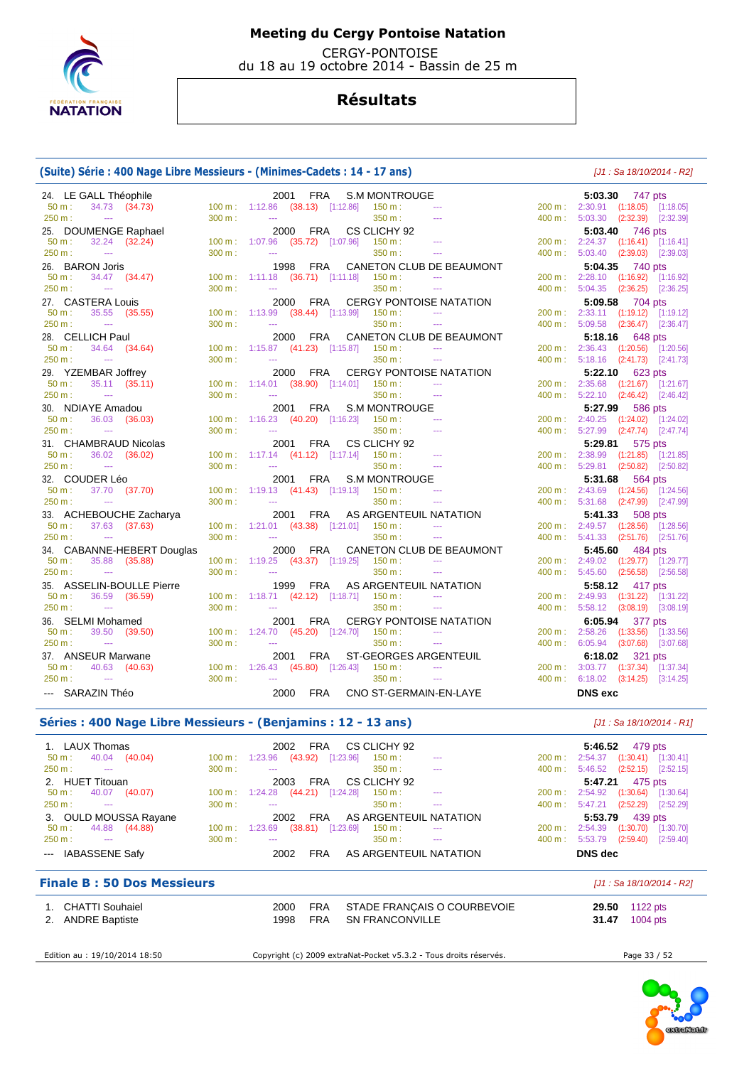

 CERGY-PONTOISE du 18 au 19 octobre 2014 - Bassin de 25 m

## **Résultats**

## **(Suite) Série : 400 Nage Libre Messieurs - (Minimes-Cadets : 14 - 17 ans)** [J1 : Sa 18/10/2014 - R2]

| 24. LE GALL Théophile               |        | FRA<br><b>S.M MONTROUGE</b><br>2001                                                  | 5:03.30 747 pts                    |
|-------------------------------------|--------|--------------------------------------------------------------------------------------|------------------------------------|
| 50 m:<br>34.73 (34.73)              |        | 100 m: 1:12.86 (38.13) [1:12.86]<br>$150 m$ :                                        | 200 m: 2:30.91 (1:18.05) [1:18.05] |
| 250 m:<br>$\mathbb{Z}_{\geq 0}$     | 300 m: | 350 m:<br>$\sim$ $\sim$<br>$\sim$ $\sim$                                             | 400 m: 5:03.30 (2:32.39) [2:32.39] |
| 25. DOUMENGE Raphael                |        | CS CLICHY 92<br>2000 FRA                                                             | 5:03.40 746 pts                    |
| $50 m$ :<br>$32.24$ $(32.24)$       |        | 100 m: 1:07.96 (35.72) [1:07.96]<br>$150 m$ :<br>$\sim$ $\sim$                       | 200 m: 2:24.37 (1:16.41) [1:16.41] |
| 250 m:<br>$\sim$ $\sim$             | 300 m: | 350 m:<br>$\sim$ $\sim$<br>$\sim$ $\sim$                                             | 400 m: 5:03.40 (2:39.03) [2:39.03] |
| 26. BARON Joris                     |        | CANETON CLUB DE BEAUMONT<br>1998 FRA                                                 | 5:04.35<br>740 pts                 |
| $50 m$ :<br>34.47 (34.47)           |        | 100 m: 1:11.18 (36.71) [1:11.18]<br>150 m:<br>$\sim$ $\sim$                          | 200 m: 2:28.10 (1:16.92) [1:16.92] |
| 250 m:<br><b>State State</b>        | 300 m: | 350 m:<br>$\sim$ $\sim$ $\sim$<br>$-$                                                | 400 m: 5:04.35 (2:36.25) [2:36.25] |
| 27. CASTERA Louis                   |        | <b>CERGY PONTOISE NATATION</b><br>FRA<br>2000                                        | 5:09.58 704 pts                    |
| $50 m$ :<br>35.55 (35.55)           |        | 100 m: 1:13.99 (38.44) [1:13.99] 150 m:<br>$\sim$ $\sim$                             | 200 m: 2:33.11 (1:19.12) [1:19.12] |
| 250 m:<br><b>Continued</b>          | 300 m: | $\frac{1}{2}$<br>350 m:<br>$\sim$ $\sim$                                             | 400 m: 5:09.58 (2:36.47) [2:36.47] |
| 28. CELLICH Paul                    |        | CANETON CLUB DE BEAUMONT<br>2000 FRA                                                 | 5:18.16 648 pts                    |
| $50 m$ :<br>34.64 (34.64)           |        | 100 m: 1:15.87 (41.23) [1:15.87]<br>150 m:<br>$\sim$ $\sim$                          | 200 m: 2:36.43 (1:20.56) [1:20.56] |
| 250 m:<br>$\sim$                    | 300 m: | <b>Section</b><br>350 m:<br>$\sim$ $\sim$                                            | 400 m: 5:18.16 (2:41.73) [2:41.73] |
| 29. YZEMBAR Joffrey                 |        | <b>CERGY PONTOISE NATATION</b><br>FRA<br>2000                                        | 5:22.10 623 pts                    |
| $50 m$ :<br>35.11 (35.11)           |        | 100 m: 1:14.01 (38.90) [1:14.01]<br>$150 m$ :<br>$\sim$ $\sim$                       | 200 m: 2:35.68 (1:21.67) [1:21.67] |
| 250 m:<br>$\sim$                    | 300 m: | 350 m:<br>$\sim$ $\sim$ $\sim$<br>$\sim$                                             | 400 m: 5:22.10 (2:46.42) [2:46.42] |
| 30. NDIAYE Amadou                   |        | 2001 FRA<br><b>S.M MONTROUGE</b>                                                     | 5:27.99 586 pts                    |
| $50 m$ :<br>36.03 (36.03)           |        | 100 m: 1:16.23 (40.20) [1:16.23]<br>$150 \text{ m}$ :<br>$\sim$ $\sim$               | 200 m: 2:40.25 (1:24.02) [1:24.02] |
| 250 m:<br>$\sim$                    | 300 m: | $\sim$ $\sim$<br>350 m:<br>$\sim$ $\sim$                                             | 400 m: 5:27.99 (2:47.74) [2:47.74] |
| 31. CHAMBRAUD Nicolas               |        | CS CLICHY 92<br>2001 FRA                                                             | 5:29.81<br>575 pts                 |
| $50 m$ :<br>36.02 (36.02)           |        | 100 m: 1:17.14 (41.12) [1:17.14]<br>$150 \text{ m}$ :<br>$\sim$ $\sim$               | 200 m: 2:38.99 (1:21.85) [1:21.85] |
| 250 m:<br>$\sim 100$ and $\sim 100$ | 300 m: | 350 m:<br>$\sim$ $\sim$<br>$\sim$ $\sim$                                             | 400 m: 5:29.81 (2:50.82) [2:50.82] |
| 32. COUDER Léo                      |        | 2001 FRA<br><b>S.M MONTROUGE</b>                                                     | 5:31.68 564 pts                    |
| 37.70 (37.70)<br>$50 \text{ m}$ :   |        | 100 m: 1:19.13 (41.43) [1:19.13] 150 m:<br>$\mathbb{Z} \to \mathbb{Z}$               | 200 m: 2:43.69 (1:24.56) [1:24.56] |
| 250 m:<br>$\sim 100$ and $\sim 100$ | 300 m: | 350 m:<br>$\frac{1}{2}$ and $\frac{1}{2}$<br>$\sim$ $\sim$                           | 400 m: 5:31.68 (2:47.99) [2:47.99] |
| 33. ACHEBOUCHE Zacharya             |        | AS ARGENTEUIL NATATION<br>2001<br>FRA                                                | 5:41.33 508 pts                    |
| $50 m$ :<br>37.63 (37.63)           |        | 100 m: 1:21.01 (43.38) [1:21.01]<br>$150 \text{ m}$ :<br>$\mathbb{Z} \to \mathbb{Z}$ | 200 m: 2:49.57 (1:28.56) [1:28.56] |
| 250 m:<br>$\sim$                    | 300 m: | 350 m:<br><b>Section</b><br>$\sim$ $\sim$                                            | 400 m: 5:41.33 (2:51.76) [2:51.76] |
| 34. CABANNE-HEBERT Douglas          |        | CANETON CLUB DE BEAUMONT<br>2000 FRA                                                 | 5:45.60 484 pts                    |
| $50 m$ :<br>35.88 (35.88)           |        | 100 m: 1:19.25 (43.37) [1:19.25]<br>$150 m$ :<br>$\sim$ $\sim$                       | 200 m: 2:49.02 (1:29.77) [1:29.77] |
| 250 m:<br><b>Contract</b>           | 300 m: | 350 m:<br>$\sim$ $\sim$<br>$\sim$ $\sim$                                             | 400 m: 5:45.60 (2:56.58) [2:56.58] |
| 35. ASSELIN-BOULLE Pierre           |        | AS ARGENTEUIL NATATION<br>1999 FRA                                                   | 5:58.12 417 pts                    |
| 50 m:<br>36.59 (36.59)              |        | 100 m: 1:18.71 (42.12) [1:18.71] 150 m:                                              | 200 m: 2:49.93 (1:31.22) [1:31.22] |
| 250 m:<br><b>State State</b>        | 300 m: | 350 m:<br>$\sim$<br>$\sim$                                                           | 400 m: 5:58.12 (3:08.19) [3:08.19] |
| 36. SELMI Mohamed                   |        | <b>CERGY PONTOISE NATATION</b><br><b>FRA</b><br>2001                                 | 6:05.94<br>377 pts                 |
| 50 m:<br>39.50 (39.50)              |        | 100 m: 1:24.70 (45.20) [1:24.70]<br>150 m:<br>$\mathbb{Z} \to \mathbb{Z}$            | 200 m: 2:58.26 (1:33.56) [1:33.56] |
| 250 m:<br><b>State State</b>        | 300 m: | $\sim$ $\sim$<br>350 m:<br>$\mathbb{Z} \to \mathbb{Z}$                               | 400 m: 6:05.94 (3:07.68) [3:07.68] |
| 37. ANSEUR Marwane                  |        | <b>ST-GEORGES ARGENTEUIL</b><br>FRA<br>2001                                          | 6:18.02 321 pts                    |
| 50 m:<br>40.63 (40.63)              |        | 100 m: 1:26.43 (45.80) [1:26.43] 150 m:                                              | 200 m: 3:03.77 (1:37.34) [1:37.34] |
| 250 m:<br><b>Contract Contract</b>  | 300 m: | 350 m:<br>$\sim$ $\sim$<br>$\sim$ $\sim$ $\sim$                                      | 400 m: 6:18.02 (3:14.25) [3:14.25] |
| --- SARAZIN Théo                    |        | CNO ST-GERMAIN-EN-LAYE<br>2000<br>FRA                                                | <b>DNS</b> exc                     |

## **Séries : 400 Nage Libre Messieurs - (Benjamins : 12 - 13 ans)** [J1 : Sa 18/10/2014 - R1]

| 1. LAUX Thomas                       | <b>FRA</b><br>CS CLICHY 92<br>2002                                                  | 5:46.52 479 pts                                          |
|--------------------------------------|-------------------------------------------------------------------------------------|----------------------------------------------------------|
| 40.04<br>(40.04)<br>$50 m$ :         | [1:23.96]<br>(43.92)<br>1:23.96<br>$150 \text{ m}$ :<br>$100 \text{ m}$ :<br>$-$    | (1:30.41)<br>2:54.37<br>[1:30.41]<br>200 m:              |
| 250 m:<br>$\sim$ $\sim$              | $300 \text{ m}$ :<br>350 m:<br>$\frac{1}{2}$<br>$-$                                 | 5:46.52<br>$(2:52.15)$ $[2:52.15]$<br>400 m:             |
| 2. HUET Titouan                      | CS CLICHY 92<br><b>FRA</b><br>2003                                                  | 5:47.21<br>475 pts                                       |
| 40.07<br>(40.07)<br>$50 \text{ m}$ : | (44.21)<br>1:24.28<br>[1:24.28]<br>$150 \text{ m}$ :<br>$100 \text{ m}$ :<br>$\sim$ | 2:54.92<br>(1:30.64)<br>[1:30.64]<br>$200 \text{ m}$ :   |
| 250 m:<br>$\sim$ $\sim$              | 350 m:<br>$300 \text{ m}$ :<br>$\frac{1}{2}$<br>$-$                                 | (2:52.29)<br>5:47.21<br>$400 \text{ m}$ :<br>$[2:52.29]$ |
| 3. OULD MOUSSA Rayane                | AS ARGENTEUIL NATATION<br><b>FRA</b><br>2002                                        | 5:53.79<br>439 pts                                       |
| 44.88<br>(44.88)<br>50 m:            | (38.81)<br>[1:23.69]<br>$150 \text{ m}$ :<br>1:23.69<br>$100 \text{ m}$ :<br>---    | 2:54.39<br>(1:30.70)<br>[1:30.70]<br>200 m:              |
| 250 m:<br>$\sim$ $\sim$              | 300 m:<br>350 m:<br>$\sim$ $\sim$<br>$-$                                            | 5:53.79<br>(2:59.40)<br>[2:59.40]<br>400 m:              |
| --- IABASSENE Safy                   | AS ARGENTEUIL NATATION<br>FRA<br>2002                                               | DNS dec                                                  |

| <b>Finale B: 50 Dos Messieurs</b>          |              |            |                                                | [J1 : Sa 18/10/2014 - R2]                      |
|--------------------------------------------|--------------|------------|------------------------------------------------|------------------------------------------------|
| 1. CHATTI Souhaiel<br>ANDRE Baptiste<br>2. | 2000<br>1998 | FRA<br>FRA | STADE FRANÇAIS O COURBEVOIE<br>SN FRANCONVILLE | <b>29.50</b> 1122 pts<br><b>31.47</b> 1004 pts |

|  | Edition au : 19/10/2014 18:50 |  |
|--|-------------------------------|--|
|--|-------------------------------|--|

Copyright (c) 2009 extraNat-Pocket v5.3.2 - Tous droits réservés. Page 33 / 52

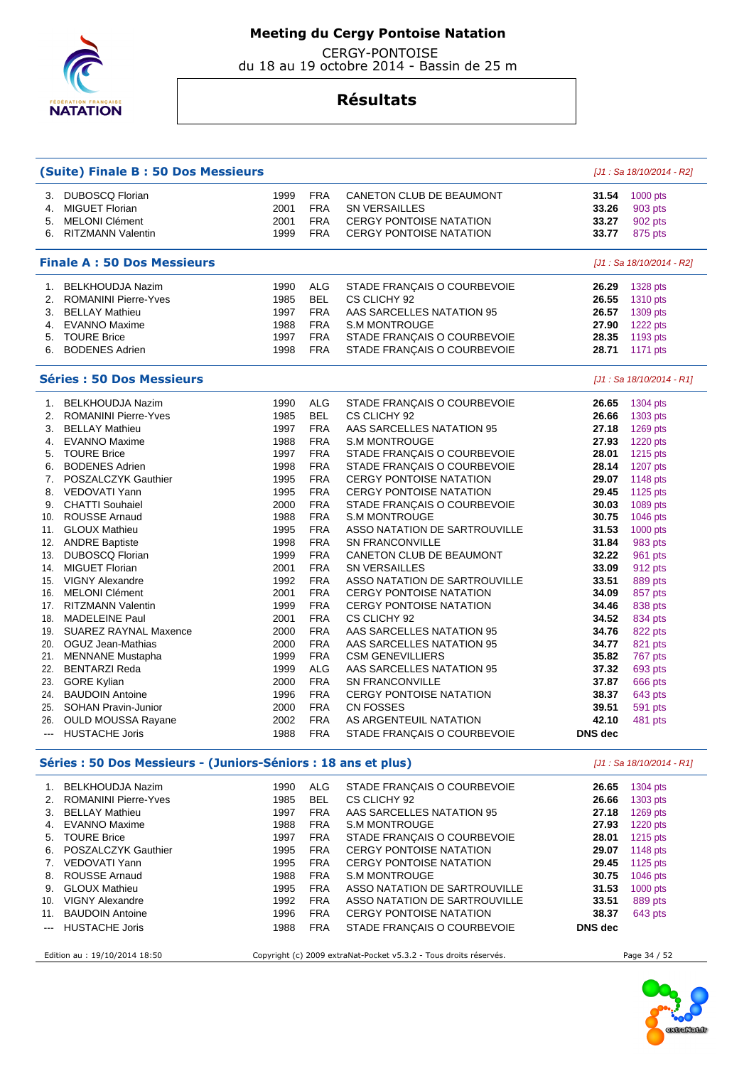

 CERGY-PONTOISE du 18 au 19 octobre 2014 - Bassin de 25 m

|     | <b>(Suite) Finale B: 50 Dos Messieurs</b>                      |      |            |                                                                   |         | [J1 : Sa 18/10/2014 - R2] |
|-----|----------------------------------------------------------------|------|------------|-------------------------------------------------------------------|---------|---------------------------|
| З.  | <b>DUBOSCQ Florian</b>                                         | 1999 | <b>FRA</b> | CANETON CLUB DE BEAUMONT                                          | 31.54   | 1000 pts                  |
| 4.  | <b>MIGUET Florian</b>                                          | 2001 | <b>FRA</b> | <b>SN VERSAILLES</b>                                              | 33.26   | 903 pts                   |
| 5.  | <b>MELONI Clément</b>                                          | 2001 | <b>FRA</b> | <b>CERGY PONTOISE NATATION</b>                                    | 33.27   | 902 pts                   |
|     | 6. RITZMANN Valentin                                           | 1999 | <b>FRA</b> | <b>CERGY PONTOISE NATATION</b>                                    | 33.77   | 875 pts                   |
|     |                                                                |      |            |                                                                   |         |                           |
|     | <b>Finale A: 50 Dos Messieurs</b>                              |      |            |                                                                   |         | [J1 : Sa 18/10/2014 - R2] |
| 1.  | <b>BELKHOUDJA Nazim</b>                                        | 1990 | <b>ALG</b> | STADE FRANÇAIS O COURBEVOIE                                       | 26.29   | 1328 pts                  |
| 2.  | <b>ROMANINI Pierre-Yves</b>                                    | 1985 | <b>BEL</b> | CS CLICHY 92                                                      | 26.55   | 1310 pts                  |
| 3.  | <b>BELLAY Mathieu</b>                                          | 1997 | <b>FRA</b> | AAS SARCELLES NATATION 95                                         | 26.57   | 1309 pts                  |
| 4.  | <b>EVANNO Maxime</b>                                           | 1988 | <b>FRA</b> | <b>S.M MONTROUGE</b>                                              | 27.90   | 1222 pts                  |
| 5.  | <b>TOURE Brice</b>                                             | 1997 | <b>FRA</b> | STADE FRANÇAIS O COURBEVOIE                                       | 28.35   | 1193 pts                  |
| 6.  | <b>BODENES Adrien</b>                                          | 1998 | <b>FRA</b> | STADE FRANÇAIS O COURBEVOIE                                       | 28.71   | 1171 pts                  |
|     | <b>Séries: 50 Dos Messieurs</b>                                |      |            |                                                                   |         | [J1 : Sa 18/10/2014 - R1] |
| 1.  | <b>BELKHOUDJA Nazim</b>                                        | 1990 | <b>ALG</b> | STADE FRANÇAIS O COURBEVOIE                                       | 26.65   | 1304 pts                  |
| 2.  | <b>ROMANINI Pierre-Yves</b>                                    | 1985 | <b>BEL</b> | CS CLICHY 92                                                      | 26.66   | 1303 pts                  |
| 3.  | <b>BELLAY Mathieu</b>                                          | 1997 | <b>FRA</b> | AAS SARCELLES NATATION 95                                         | 27.18   | $1269$ pts                |
| 4.  | <b>EVANNO Maxime</b>                                           | 1988 | <b>FRA</b> | <b>S.M MONTROUGE</b>                                              | 27.93   | 1220 pts                  |
| 5.  | <b>TOURE Brice</b>                                             | 1997 | <b>FRA</b> | STADE FRANÇAIS O COURBEVOIE                                       | 28.01   | 1215 pts                  |
| 6.  | <b>BODENES Adrien</b>                                          | 1998 | <b>FRA</b> | STADE FRANÇAIS O COURBEVOIE                                       | 28.14   | 1207 pts                  |
| 7.  | POSZALCZYK Gauthier                                            | 1995 | <b>FRA</b> | <b>CERGY PONTOISE NATATION</b>                                    | 29.07   | 1148 pts                  |
| 8.  | VEDOVATI Yann                                                  | 1995 | <b>FRA</b> | <b>CERGY PONTOISE NATATION</b>                                    | 29.45   | 1125 pts                  |
| 9.  | <b>CHATTI Souhaiel</b>                                         | 2000 | <b>FRA</b> | STADE FRANÇAIS O COURBEVOIE                                       | 30.03   | 1089 pts                  |
| 10. | <b>ROUSSE Arnaud</b>                                           | 1988 | <b>FRA</b> | <b>S.M MONTROUGE</b>                                              | 30.75   | 1046 pts                  |
| 11. | <b>GLOUX Mathieu</b>                                           | 1995 | <b>FRA</b> | ASSO NATATION DE SARTROUVILLE                                     | 31.53   | 1000 pts                  |
| 12. | <b>ANDRE Baptiste</b>                                          | 1998 | <b>FRA</b> | <b>SN FRANCONVILLE</b>                                            | 31.84   | 983 pts                   |
| 13. | <b>DUBOSCQ Florian</b>                                         | 1999 | <b>FRA</b> | CANETON CLUB DE BEAUMONT                                          | 32.22   | 961 pts                   |
| 14. | <b>MIGUET Florian</b>                                          | 2001 | <b>FRA</b> | <b>SN VERSAILLES</b>                                              | 33.09   | 912 pts                   |
| 15. | <b>VIGNY Alexandre</b>                                         | 1992 | <b>FRA</b> | ASSO NATATION DE SARTROUVILLE                                     | 33.51   | 889 pts                   |
| 16. | <b>MELONI Clément</b>                                          | 2001 | <b>FRA</b> | <b>CERGY PONTOISE NATATION</b>                                    | 34.09   | 857 pts                   |
|     | 17. RITZMANN Valentin                                          | 1999 | <b>FRA</b> | <b>CERGY PONTOISE NATATION</b>                                    | 34.46   | 838 pts                   |
| 18. | <b>MADELEINE Paul</b>                                          | 2001 | <b>FRA</b> | CS CLICHY 92                                                      | 34.52   | 834 pts                   |
| 19. | <b>SUAREZ RAYNAL Maxence</b>                                   | 2000 | <b>FRA</b> | AAS SARCELLES NATATION 95                                         | 34.76   | 822 pts                   |
| 20. | OGUZ Jean-Mathias                                              | 2000 | <b>FRA</b> | AAS SARCELLES NATATION 95                                         | 34.77   | 821 pts                   |
| 21. | <b>MENNANE</b> Mustapha                                        | 1999 | <b>FRA</b> | <b>CSM GENEVILLIERS</b>                                           | 35.82   | 767 pts                   |
| 22. | <b>BENTARZI Reda</b>                                           | 1999 | ALG        | AAS SARCELLES NATATION 95                                         | 37.32   | 693 pts                   |
| 23. | <b>GORE Kylian</b>                                             | 2000 | <b>FRA</b> | <b>SN FRANCONVILLE</b>                                            | 37.87   | 666 pts                   |
| 24. | <b>BAUDOIN Antoine</b>                                         | 1996 | <b>FRA</b> | <b>CERGY PONTOISE NATATION</b>                                    | 38.37   | 643 pts                   |
| 25. | <b>SOHAN Pravin-Junior</b>                                     | 2000 | <b>FRA</b> | <b>CN FOSSES</b>                                                  | 39.51   | 591 pts                   |
|     | 26. OULD MOUSSA Rayane                                         | 2002 | <b>FRA</b> | AS ARGENTEUIL NATATION                                            | 42.10   | 481 pts                   |
|     | <b>HUSTACHE Joris</b>                                          | 1988 | <b>FRA</b> | STADE FRANÇAIS O COURBEVOIE                                       | DNS dec |                           |
|     | Séries : 50 Dos Messieurs - (Juniors-Séniors : 18 ans et plus) |      |            |                                                                   |         | [J1 : Sa 18/10/2014 - R1] |
|     | 1. BELKHOUDJA Nazim                                            | 1990 | <b>ALG</b> | STADE FRANÇAIS O COURBEVOIE                                       | 26.65   | 1304 pts                  |
|     | 2. ROMANINI Pierre-Yves                                        | 1985 | <b>BEL</b> | CS CLICHY 92                                                      | 26.66   | 1303 pts                  |
|     | 3. BELLAY Mathieu                                              | 1997 | <b>FRA</b> | AAS SARCELLES NATATION 95                                         | 27.18   | 1269 pts                  |
|     | 4. EVANNO Maxime                                               | 1988 | <b>FRA</b> | <b>S.M MONTROUGE</b>                                              | 27.93   | 1220 pts                  |
|     | 5. TOURE Brice                                                 | 1997 | <b>FRA</b> | STADE FRANÇAIS O COURBEVOIE                                       | 28.01   | 1215 pts                  |
|     | 6. POSZALCZYK Gauthier                                         | 1995 | <b>FRA</b> | <b>CERGY PONTOISE NATATION</b>                                    | 29.07   | 1148 pts                  |
|     | 7. VEDOVATI Yann                                               | 1995 | <b>FRA</b> | <b>CERGY PONTOISE NATATION</b>                                    | 29.45   | 1125 pts                  |
|     | 8. ROUSSE Arnaud                                               | 1988 | <b>FRA</b> | <b>S.M MONTROUGE</b>                                              | 30.75   | 1046 pts                  |
|     | 9. GLOUX Mathieu                                               | 1995 | FRA        | ASSO NATATION DE SARTROUVILLE                                     | 31.53   | 1000 pts                  |
|     | 10. VIGNY Alexandre                                            | 1992 | <b>FRA</b> | ASSO NATATION DE SARTROUVILLE                                     | 33.51   | 889 pts                   |
|     | 11. BAUDOIN Antoine                                            | 1996 | <b>FRA</b> | <b>CERGY PONTOISE NATATION</b>                                    | 38.37   | 643 pts                   |
| --- | <b>HUSTACHE Joris</b>                                          | 1988 | <b>FRA</b> | STADE FRANÇAIS O COURBEVOIE                                       | DNS dec |                           |
|     | Edition au : 19/10/2014 18:50                                  |      |            | Copyright (c) 2009 extraNat-Pocket v5.3.2 - Tous droits réservés. |         | Page 34 / 52              |

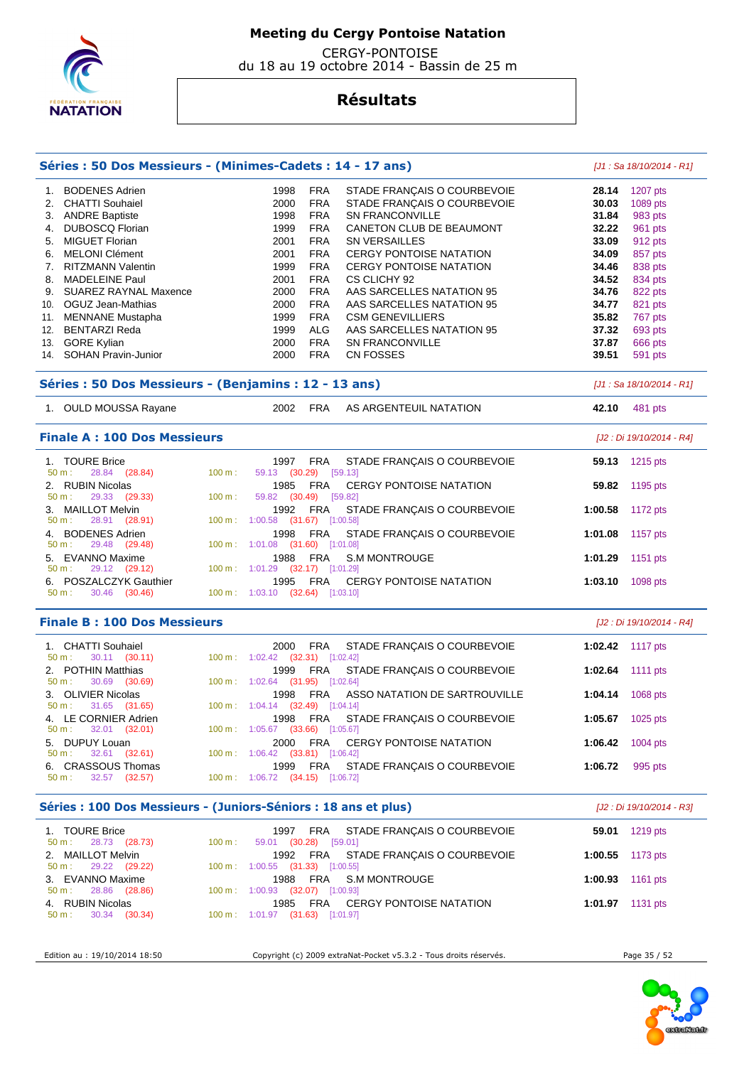

 CERGY-PONTOISE du 18 au 19 octobre 2014 - Bassin de 25 m

# **Résultats**

|                                                                        |                                               |                                          |                       | Séries : 50 Dos Messieurs - (Minimes-Cadets : 14 - 17 ans) |                 | $[J1: Sa 18/10/2014 - R1]$ |
|------------------------------------------------------------------------|-----------------------------------------------|------------------------------------------|-----------------------|------------------------------------------------------------|-----------------|----------------------------|
| <b>BODENES Adrien</b><br>1.                                            |                                               | 1998                                     | <b>FRA</b>            | STADE FRANÇAIS O COURBEVOIE                                | 28.14           | 1207 pts                   |
| <b>CHATTI Souhaiel</b><br>2.                                           |                                               | 2000                                     | <b>FRA</b>            | STADE FRANÇAIS O COURBEVOIE                                | 30.03           | 1089 pts                   |
| <b>ANDRE Baptiste</b><br>3.                                            |                                               | 1998                                     | <b>FRA</b>            | <b>SN FRANCONVILLE</b>                                     | 31.84           | 983 pts                    |
| <b>DUBOSCQ Florian</b><br>4.                                           |                                               | 1999                                     | <b>FRA</b>            | CANETON CLUB DE BEAUMONT                                   | 32.22           | 961 pts                    |
| 5. MIGUET Florian                                                      |                                               | 2001                                     | <b>FRA</b>            | <b>SN VERSAILLES</b>                                       | 33.09           | 912 pts                    |
| <b>MELONI Clément</b><br>6.                                            |                                               | 2001                                     | <b>FRA</b>            | <b>CERGY PONTOISE NATATION</b>                             | 34.09           | 857 pts                    |
| 7. RITZMANN Valentin                                                   |                                               | 1999                                     | <b>FRA</b>            | <b>CERGY PONTOISE NATATION</b>                             | 34.46           | 838 pts                    |
| 8. MADELEINE Paul                                                      |                                               | 2001                                     | <b>FRA</b>            | CS CLICHY 92                                               | 34.52           | 834 pts                    |
| 9. SUAREZ RAYNAL Maxence                                               |                                               | 2000                                     | <b>FRA</b>            | AAS SARCELLES NATATION 95                                  | 34.76           | 822 pts                    |
| 10. OGUZ Jean-Mathias                                                  |                                               | 2000                                     | <b>FRA</b>            | AAS SARCELLES NATATION 95                                  | 34.77           | 821 pts                    |
| 11. MENNANE Mustapha                                                   |                                               | 1999                                     | <b>FRA</b>            | <b>CSM GENEVILLIERS</b>                                    | 35.82           | 767 pts                    |
| 12. BENTARZI Reda                                                      |                                               | 1999                                     | ALG                   | AAS SARCELLES NATATION 95                                  | 37.32           | 693 pts                    |
| 13. GORE Kylian                                                        |                                               | 2000                                     | FRA                   | <b>SN FRANCONVILLE</b>                                     | 37.87           | 666 pts                    |
| 14. SOHAN Pravin-Junior                                                |                                               | 2000                                     | <b>FRA</b>            | CN FOSSES                                                  | 39.51           | 591 pts                    |
| Séries : 50 Dos Messieurs - (Benjamins : 12 - 13 ans)                  |                                               |                                          |                       |                                                            |                 | $[J1: Sa 18/10/2014 - R1]$ |
| 1. OULD MOUSSA Rayane                                                  |                                               | 2002 FRA                                 |                       | AS ARGENTEUIL NATATION                                     | 42.10           | 481 pts                    |
| <b>Finale A: 100 Dos Messieurs</b>                                     |                                               |                                          |                       |                                                            |                 | [J2 : Di 19/10/2014 - R4]  |
| 1. TOURE Brice<br>28.84 (28.84)<br>$50 m$ :                            | 100 m:                                        | 1997 FRA<br>59.13 (30.29) [59.13]        |                       | STADE FRANÇAIS O COURBEVOIE                                | 59.13           | 1215 pts                   |
| <b>RUBIN Nicolas</b><br>2.<br>29.33 (29.33)<br>50 m:                   | 100 m:                                        | 1985<br>59.82 (30.49)                    | FRA<br>[59.82]        | <b>CERGY PONTOISE NATATION</b>                             | 59.82           | 1195 pts                   |
| <b>MAILLOT Melvin</b><br>3.<br>28.91 (28.91)<br>50 m:                  |                                               | 1992<br>100 m: 1:00.58 (31.67) [1:00.58] | <b>FRA</b>            | STADE FRANÇAIS O COURBEVOIE                                | 1:00.58         | 1172 pts                   |
| <b>BODENES Adrien</b><br>4.<br>29.48 (29.48)<br>50 m:                  |                                               | 1998<br>$100 \text{ m}: 1:01.08$ (31.60) | <b>FRA</b>            | STADE FRANÇAIS O COURBEVOIE<br>[1:01.08]                   | 1:01.08         | 1157 pts                   |
| 5. EVANNO Maxime<br>29.12 (29.12)<br>50 m:                             |                                               | 1988<br>100 m: 1:01.29 (32.17) [1:01.29] | <b>FRA</b>            | <b>S.M MONTROUGE</b>                                       | 1:01.29         | 1151 pts                   |
| 6. POSZALCZYK Gauthier<br>50 m:<br>30.46 (30.46)                       |                                               | 1995<br>100 m: 1:03.10 (32.64) [1:03.10] | FRA                   | <b>CERGY PONTOISE NATATION</b>                             | 1:03.10         | 1098 pts                   |
| <b>Finale B: 100 Dos Messieurs</b>                                     |                                               |                                          |                       |                                                            |                 | [J2 : Di 19/10/2014 - R4]  |
| 1. CHATTI Souhaiel<br>50 m:<br>$30.11$ $(30.11)$                       |                                               | 2000<br>100 m: 1:02.42 (32.31) [1:02.42] | FRA                   | STADE FRANÇAIS O COURBEVOIE                                | 1:02.42         | 1117 pts                   |
| 2. POTHIN Matthias<br>30.69<br>50 m:<br>(30.69)                        | $100 \text{ m}: 1:02.64$                      | 1999                                     | <b>FRA</b><br>(31.95) | STADE FRANÇAIS O COURBEVOIE<br>[1:02.64]                   | 1:02.64         | <b>1111 pts</b>            |
| 3. OLIVIER Nicolas<br>50 m:<br>31.65 (31.65)                           |                                               | 1998<br>100 m: 1:04.14 (32.49) [1:04.14] | <b>FRA</b>            | ASSO NATATION DE SARTROUVILLE                              | 1:04.14         | 1068 pts                   |
| 4. LE CORNIER Adrien<br>$50 \text{ m}: 32.01 (32.01)$                  | 100 m: 1:05.67 (33.66) [1:05.67]              | 1998 FRA                                 |                       | STADE FRANÇAIS O COURBEVOIE                                |                 | 1:05.67 1025 pts           |
| 5. DUPUY Louan<br>50 m: 32.61 (32.61) 100 m: 1:06.42 (33.81) [1:06.42] |                                               |                                          | 2000 FRA              | CERGY PONTOISE NATATION                                    |                 | 1:06.42 1004 pts           |
| 6. CRASSOUS Thomas<br>32.57 (32.57)<br>50 m:                           | 100 m: 1:06.72 (34.15) [1:06.72]              |                                          |                       | 1999 FRA STADE FRANÇAIS O COURBEVOIE                       | 1:06.72 995 pts |                            |
| Séries : 100 Dos Messieurs - (Juniors-Séniors : 18 ans et plus)        |                                               |                                          |                       |                                                            |                 | [J2 : Di 19/10/2014 - R3]  |
| 1. TOURE Brice<br>$50 m$ : 28.73 (28.73)                               | $100 \text{ m}$ :                             | 59.01 (30.28) [59.01]                    |                       | 1997 FRA STADE FRANÇAIS O COURBEVOIE                       |                 | 59.01 1219 pts             |
| 2. MAILLOT Melvin<br>29.22 (29.22)<br>50 m:                            | $100 \text{ m}$ : $1:00.55$ (31.33) [1:00.55] | 1992 FRA                                 |                       | STADE FRANÇAIS O COURBEVOIE                                |                 | 1:00.55 1173 pts           |
|                                                                        |                                               |                                          | 1988 FRA              | <b>S.M MONTROUGE</b>                                       |                 | 1:00.93 1161 pts           |
| 3. EVANNO Maxime<br>28.86 (28.86)<br>50 m :                            | 100 m: 1:00.93 (32.07) [1:00.93]              |                                          |                       |                                                            |                 |                            |

Edition au : 19/10/2014 18:50 Copyright (c) 2009 extraNat-Pocket v5.3.2 - Tous droits réservés. Page 35 / 52

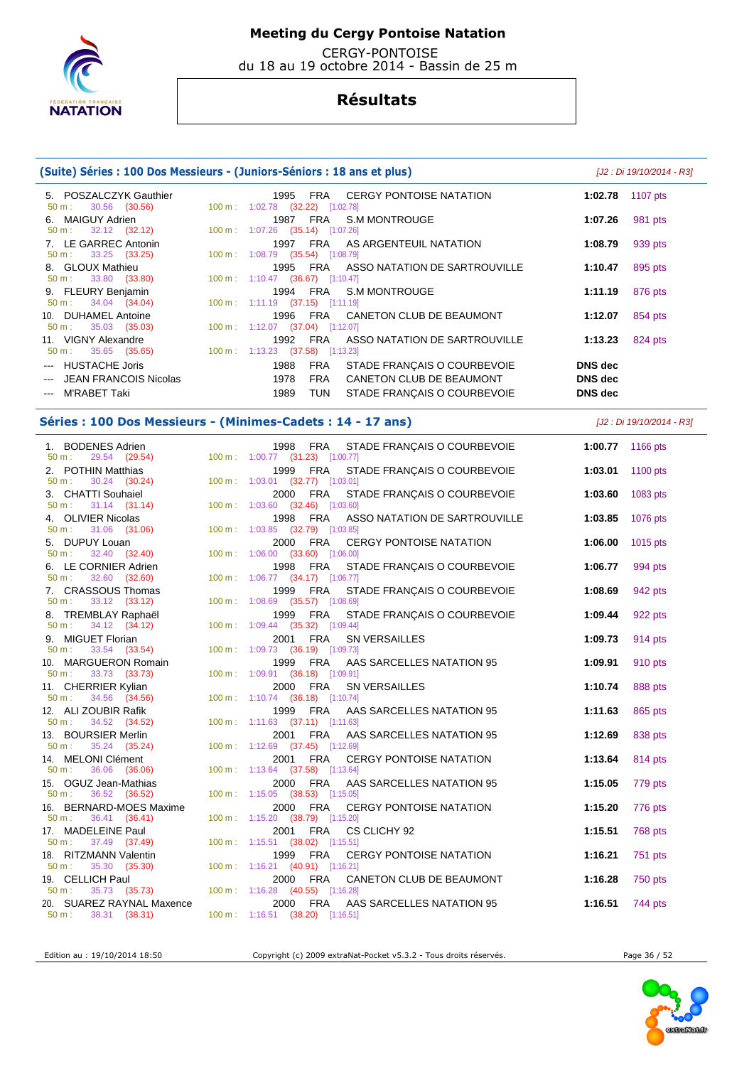

 CERGY-PONTOISE du 18 au 19 octobre 2014 - Bassin de 25 m

## **Résultats**

### **(Suite) Séries : 100 Dos Messieurs - (Juniors-Séniors : 18 ans et plus)** [J2 : Di 19/10/2014 - R3] 5. POSZALCZYK Gauthier 1995 FRA CERGY PONTOISE NATATION **1:02.78** 1107 pts 1:02.78 (32.22) [1:02.78] 6. MAIGUY Adrien 1987 FRA S.M MONTROUGE **1:07.26** 981 pts 1:07.26 (35.14) [1:07.26] 7. LE GARREC Antonin 1997 FRA AS ARGENTEUIL NATATION **1:08.79** 939 pts 50 m : 33.25 (33.25) 100 m : 1:08.79 (35.54) [1:08.79] 8. GLOUX Mathieu 1995 FRA ASSO NATATION DE SARTROUVILLE **1:10.47** 895 pts 50 m : 33.80 (33.80) 100 m : 1:10.47 (36.67) [1:10.47] 9. FLEURY Benjamin 1994 FRA S.M MONTROUGE **1:11.19** 876 pts 50 m : 34.04 (34.04) 100 m : 1:11.19 (37.15) [1:11.19] 10. DUHAMEL Antoine 1996 FRA CANETON CLUB DE BEAUMONT **1:12.07** 854 pts 50 m : 35.03 (35.03) 100 m : 1:12.07 (37.04) [1:12.07] 11. VIGNY Alexandre 1992 FRA ASSO NATATION DE SARTROUVILLE **1:13.23** 824 pts 50 m : 35.65 (35.65) 100 m : 1:13.23 (37.58) [1:13.23] --- HUSTACHE Joris 1988 FRA STADE FRANÇAIS O COURBEVOIE **DNS dec**  --- JEAN FRANCOIS Nicolas 1978 FRA CANETON CLUB DE BEAUMONT **DNS dec**  --- M'RABET Taki 1989 TUN STADE FRANÇAIS O COURBEVOIE **DNS dec Séries : 100 Dos Messieurs - (Minimes-Cadets : 14 - 17 ans)** [J2 : Di 19/10/2014 - R3] 1. BODENES Adrien 1998 FRA STADE FRANÇAIS O COURBEVOIE **1:00.77** 1166 pts 50 m : 29.54 (29.54) 100 m : 1:00.77 (31.23) [1:00.77] 2. POTHIN Matthias 1999 FRA STADE FRANÇAIS O COURBEVOIE **1:03.01** 1100 pts 50 m : 30.24 (30.24) 100 m : 1:03.01 (32.77) [1:03.01] 3. CHATTI Souhaiel 2000 FRA STADE FRANÇAIS O COURBEVOIE **1:03.60** 1083 pts 50 m : 31.14 (31.14) 100 m : 1:03.60 (32.46) [1:03.60] 4. OLIVIER Nicolas 1998 FRA ASSO NATATION DE SARTROUVILLE **1:03.85** 1076 pts 1:03.85 (32.79) [1:03.85] 5. DUPUY Louan 2000 FRA CERGY PONTOISE NATATION **1:06.00** 1015 pts 50 m : 32.40 (32.40) 100 m : 1:06.00 (33.60) [1:06.00] 6. LE CORNIER Adrien 1998 FRA STADE FRANÇAIS O COURBEVOIE **1:06.77** 994 pts 50 m : 32.60 (32.60) 100 m : 1:06.77 (34.17) [1:06.77] 7. CRASSOUS Thomas 1999 FRA STADE FRANÇAIS O COURBEVOIE **1:08.69** 942 pts 50 m : 33.12 (33.12) 100 m : 1:08.69 (35.57) [1:08.69] 8. TREMBLAY Raphaël 1999 FRA STADE FRANÇAIS O COURBEVOIE **1:09.44** 922 pts 1:09.44 (35.32) [1:09.44] 9. MIGUET Florian 2001 FRA SN VERSAILLES **1:09.73** 914 pts 50 m : 33.54 (33.54) 100 m : 1:09.73 (36.19) [1:09.73] 10. MARGUERON Romain 1999 FRA AAS SARCELLES NATATION 95 **1:09.91** 910 pts 50 m : 33.73 (33.73) 100 m : 1:09.91 (36.18) [1:09.91] 11. CHERRIER Kylian 2000 FRA SN VERSAILLES **1:10.74** 888 pts 50 m : 34.56 (34.56) 100 m : 1:10.74 (36.18) [1:10.74] 12. ALI ZOUBIR Rafik 1999 FRA AAS SARCELLES NATATION 95 **1:11.63** 865 pts 50 m : 34.52 (34.52) 100 m : 1:11.63 (37.11) [1:11.63] 13. BOURSIER Merlin 2001 FRA AAS SARCELLES NATATION 95 **1:12.69** 838 pts 1:12.69 (37.45) [1:12.69] 14. MELONI Clément 2001 FRA CERGY PONTOISE NATATION **1:13.64** 814 pts 100 m : 1:13.64 (37.58) [1:13.64] 15. OGUZ Jean-Mathias 2000 FRA AAS SARCELLES NATATION 95 **1:15.05** 779 pts 50 m : 36.52 (36.52) 100 m : 1:15.05 (38.53) [1:15.05] 16. BERNARD-MOES Maxime 2000 FRA CERGY PONTOISE NATATION **1:15.20** 776 pts 50 m : 36.41 (36.41) 100 m : 1:15.20 (38.79) [1:15.20] 17. MADELEINE Paul 2001 FRA CS CLICHY 92 **1:15.51** 768 pts



50 m : 37.49 (37.49) 100 m : 1:15.51 (38.02) [1:15.51]

50 m : 35.30 (35.30) 100 m : 1:16.21 (40.91) [1:16.21]

50 m : 38.31 (38.31) 100 m : 1:16.51 (38.20) [1:16.51]

Edition au : 19/10/2014 18:50 Copyright (c) 2009 extraNat-Pocket v5.3.2 - Tous droits réservés. Page 36 / 52

18. RITZMANN Valentin 1999 FRA CERGY PONTOISE NATATION **1:16.21** 751 pts

19. CELLICH Paul **2000 FRA CANETON CLUB DE BEAUMONT** 1:16.28 750 pts<br>
50 m : 35.73 (35.73) 100 m : 1:16.28 (40.55) [1:16.28]

20. SUAREZ RAYNAL Maxence 2000 FRA AAS SARCELLES NATATION 95 **1:16.51** 744 pts

1:16.28 (40.55) [1:16.28]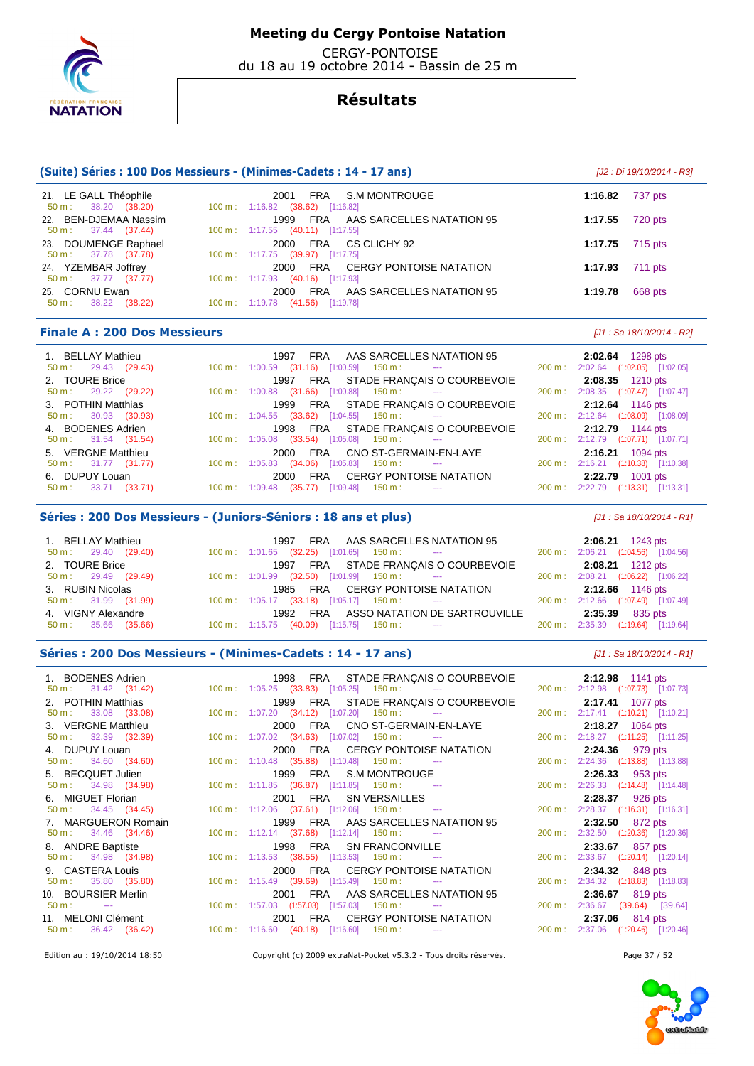

 CERGY-PONTOISE du 18 au 19 octobre 2014 - Bassin de 25 m

## **Résultats**

| (Suite) Séries : 100 Dos Messieurs - (Minimes-Cadets : 14 - 17 ans) | [J2 : Di 19/10/2014 - R3]                                                                   |                    |
|---------------------------------------------------------------------|---------------------------------------------------------------------------------------------|--------------------|
| 21. LE GALL Théophile<br>$50 \text{ m}: 38.20 (38.20)$              | S.M MONTROUGE<br>FRA<br>2001<br>100 m: 1:16.82 (38.62) [1:16.82]                            | 737 pts<br>1:16.82 |
| 22. BEN-DJEMAA Nassim<br>$50 \text{ m}: 37.44 (37.44)$              | FRA AAS SARCELLES NATATION 95<br>1999<br>$100 \text{ m}: 1:17.55$ $(40.11)$ [1:17.55]       | 720 pts<br>1:17.55 |
| 23. DOUMENGE Raphael<br>50 m : 37.78 (37.78)                        | 2000 FRA CS CLICHY 92<br>100 m: 1:17.75 (39.97) [1:17.75]                                   | 715 pts<br>1:17.75 |
| 24. YZEMBAR Joffrey<br>37.77 (37.77)<br>50 m :                      | FRA CERGY PONTOISE NATATION<br>2000<br>100 m : 1:17.93 (40.16) [1:17.93]                    | 711 pts<br>1:17.93 |
| 25. CORNU Ewan<br>38.22 (38.22)<br>$50 \text{ m}$ :                 | AAS SARCELLES NATATION 95<br>FRA<br>2000<br>$100 \text{ m}: 1:19.78$<br>$(41.56)$ [1:19.78] | 668 pts<br>1:19.78 |
|                                                                     |                                                                                             |                    |

### **Finale A : 200 Dos Messieurs** [J1 : Sa 18/10/2014 - R2]

| 1. BELLAY Mathieu<br>$50 \text{ m}: 29.43 (29.43)$  | FRA AAS SARCELLES NATATION 95 2:02.64 1298 pts<br>1997<br>$100 \text{ m}: 1:00.59$ $(31.16)$ $[1:00.59]$ $150 \text{ m}: 1:100 \text{ m}: 1:100 \text{ m}: 1:100 \text{ m}: 1:100 \text{ m}: 1:100 \text{ m}: 1:100 \text{ m}: 1:100 \text{ m}: 1:100 \text{ m}: 1:100 \text{ m}: 1:100 \text{ m}: 1:100 \text{ m}: 1:100 \text{ m}: 1:100 \text{ m}: 1:100 \text{ m}: 1:100 \text{ m}: 1:100$ | 200 m: 2:02.64 (1:02.05) [1:02.05]               |
|-----------------------------------------------------|------------------------------------------------------------------------------------------------------------------------------------------------------------------------------------------------------------------------------------------------------------------------------------------------------------------------------------------------------------------------------------------------|--------------------------------------------------|
| 2. TOURE Brice                                      | 1997 FRA STADE FRANÇAIS O COURBEVOIE                                                                                                                                                                                                                                                                                                                                                           | 2:08.35 1210 pts                                 |
| $50 \text{ m}: 29.22 (29.22)$<br>3. POTHIN Matthias | 100 m : $1:00.88$ (31.66) $[1:00.88]$ 150 m : ---<br>1999 FRA STADE FRANÇAIS O COURBEVOIE 2:12.64 1146 pts                                                                                                                                                                                                                                                                                     | 2:08.35 (1:07.47) [1:07.47]<br>$200 \text{ m}$ : |
| $50 \text{ m}: 30.93 (30.93)$                       | $100 \text{ m}: 1:04.55$ (33.62) [1:04.55] 150 m : ---                                                                                                                                                                                                                                                                                                                                         | 2:12.64 (1:08.09) [1:08.09]<br>200 m :           |
| 4. BODENES Adrien                                   | 1998 FRA STADE FRANÇAIS O COURBEVOIE                                                                                                                                                                                                                                                                                                                                                           | <b>2:12.79</b> 1144 pts                          |
| $50 \text{ m}: 31.54 (31.54)$                       | $100 \text{ m}: 1:05.08$ $(33.54)$ $[1:05.08]$ $150 \text{ m}: 1:05.08$                                                                                                                                                                                                                                                                                                                        | 200 m: 2:12.79 (1:07.71) [1:07.71]               |
| 5. VERGNE Matthieu                                  | 2000 FRA CNO ST-GERMAIN-EN-LAYE                                                                                                                                                                                                                                                                                                                                                                | $2:16.21$ 1094 pts                               |
| $50 \text{ m}: 31.77 (31.77)$                       | 100 m: 1:05.83 (34.06) [1:05.83] 150 m: ---                                                                                                                                                                                                                                                                                                                                                    | 200 m: 2:16.21 (1:10.38) [1:10.38]               |
| 6. DUPUY Louan                                      | FRA CERGY PONTOISE NATATION<br>2000                                                                                                                                                                                                                                                                                                                                                            | 2:22.79 1001 pts                                 |
| $50 \text{ m}: 33.71 (33.71)$                       | $(35.77)$ [1:09.48] 150 m : ---<br>$100 \text{ m}$ : $1:09.48$                                                                                                                                                                                                                                                                                                                                 | 200 m: 2:22.79 (1:13.31) [1:13.31]               |

### **Séries : 200 Dos Messieurs - (Juniors-Séniors : 18 ans et plus)** [J1 : Sa 18/10/2014 - R1]

| 1. BELLAY Mathieu<br>$50 \text{ m}: 29.40 (29.40)$ | 1997 FRA AAS SARCELLES NATATION 95<br>$100 \text{ m}$ : $1:01.65$ (32.25) [1:01.65] $150 \text{ m}$ : --- | $2:06.21$ 1243 pts<br>200 m: 2:06.21 (1:04.56) [1:04.56] |
|----------------------------------------------------|-----------------------------------------------------------------------------------------------------------|----------------------------------------------------------|
| 2. TOURE Brice                                     | 1997 FRA STADE FRANÇAIS O COURBEVOIE                                                                      | <b>2:08.21</b> 1212 pts                                  |
| 50 m : 29.49 (29.49)                               | 100 m: 1:01.99 (32.50) [1:01.99] 150 m: --- 200 m: 2:08.21 (1:06.22) [1:06.22]                            |                                                          |
| 3. RUBIN Nicolas                                   | 1985 FRA CERGY PONTOISE NATATION                                                                          | $2:12.66$ 1146 pts                                       |
| 50 m : 31.99 (31.99)                               | $100 \text{ m}: 1:05.17$ $(33.18)$ $[1:05.17]$ $150 \text{ m}: 1:011 \text{ m}$                           | 200 m: 2:12.66 (1:07.49) [1:07.49]                       |
| 4. VIGNY Alexandre                                 | 1992 FRA ASSO NATATION DE SARTROUVILLE 2:35.39 835 pts                                                    |                                                          |
| $50 \text{ m}: 35.66 (35.66)$                      | 100 m: 1:15.75 (40.09) [1:15.75] 150 m: --- 200 m: 2:35.39 (1:19.64) [1:19.64]                            |                                                          |

### **Séries : 200 Dos Messieurs - (Minimes-Cadets : 14 - 17 ans)** [J1 : Sa 18/10/2014 - R1]

 1. BODENES Adrien 1998 FRA STADE FRANÇAIS O COURBEVOIE **2:12.98** 1141 pts  $1:05.25$  (33.83)  $[1:05.25]$  150 m : 2. POTHIN Matthias **1999 FRA STADE FRANÇAIS O COURBEVOIE 2:17.41 1077** pts<br>
50 m : 33.08 (33.08) 100 m : 1:07.20 (34.12) [1:07.20] 150 m : --- **200 m : 2:17.41** (1:10.21) [1:10.21]  $100 \text{ m}$  :  $1:07.20$   $(34.12)$   $[1:07.20]$   $150 \text{ m}$  : 3. VERGNE Matthieu 2000 FRA CNO ST-GERMAIN-EN-LAYE **2:18.27** 1064 pts 50 m : 32.39 (32.39) 100 m : 1:07.02 (34.63) [1:07.02] 150 m : --- 200 m : 2:18.27 (1:11.25) [1:11.25] 4. DUPUY Louan 2000 FRA CERGY PONTOISE NATATION **2:24.36** 979 pts 50 m : 34.60 (34.60) 100 m : 1:10.48 (35.88) [1:10.48] 150 m : --- 200 m : 2:24.36 (1:13.88) [1:13.88] 5. BECQUET Julien 1999 FRA S.M MONTROUGE **2:26.33** 953 pts 100 m : 1:11.85 (36.87) [1:11.85] 150 m : 6. MIGUET Florian 2001 FRA SN VERSAILLES **2:28.37** 926 pts 50 m : 34.45 (34.45) 100 m : 1:12.06 (37.61) [1:12.06] 150 m : 7. MARGUERON Romain 1999 FRA AAS SARCELLES NATATION 95 **2:32.50** 872 pts 50 m : 34.46 (34.46) 100 m : 1:12.14 (37.68) [1:12.14] 150 m : 8. ANDRE Baptiste 1998 FRA SN FRANCONVILLE **2:33.67** 857 pts 50 m : 34.98 (34.98) 100 m : 1:13.53 (38.55) [1:13.53] 150 m : --- 200 m : 2:33.67 (1:20.14) [1:20.14] 9. CASTERA Louis 2000 FRA CERGY PONTOISE NATATION **2:34.32** 848 pts 50 m : 35.80 (35.80) 100 m : 1:15.49 (39.69) [1:15.49] 150 m : --- 200 m : 2:34.32 (1:18.83) [1:18.83] 10. BOURSIER Merlin 2001 FRA AAS SARCELLES NATATION 95 **2:36.67** 819 pts 1:57.03 (1:57.03) [1:57.03] 150 m : 11. MELONI Clément 2001 FRA CERGY PONTOISE NATATION **2:37.06** 814 pts 50 m : 36.42 (36.42) 100 m : 1:16.60 (40.18) [1:16.60] 150 m : --- 200 m : 2:37.06 (1:20.46) [1:20.46] Edition au : 19/10/2014 18:50 Copyright (c) 2009 extraNat-Pocket v5.3.2 - Tous droits réservés. Page 37 / 52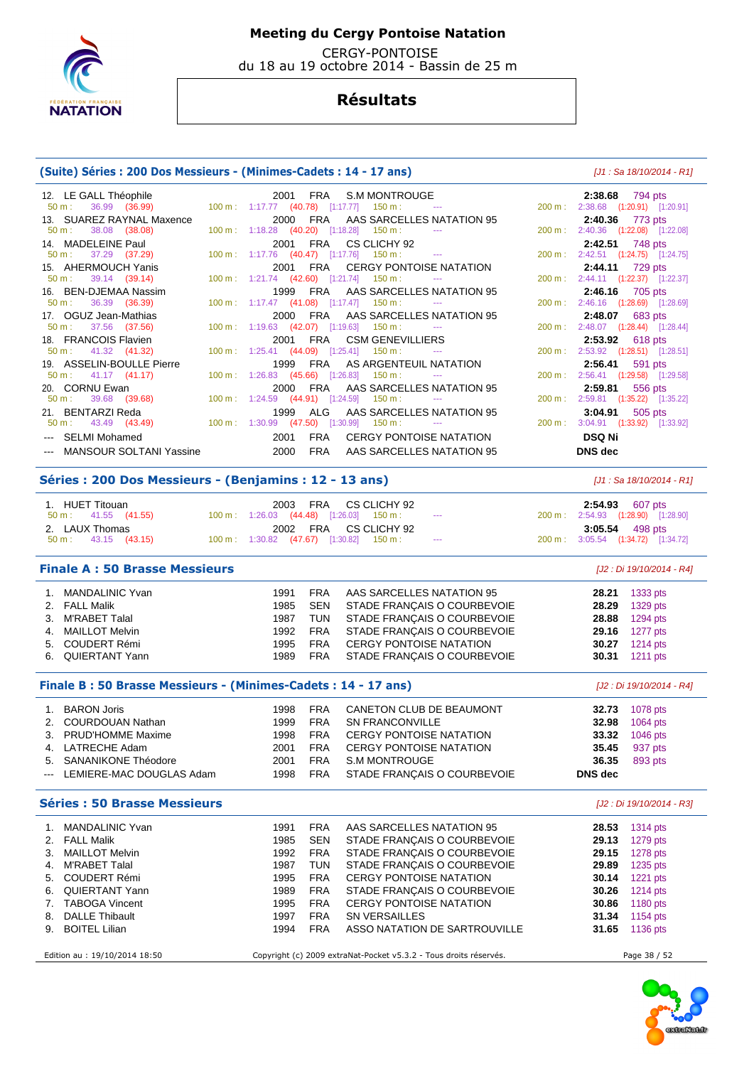

 CERGY-PONTOISE du 18 au 19 octobre 2014 - Bassin de 25 m

## **Résultats**

### **(Suite) Séries : 200 Dos Messieurs - (Minimes-Cadets : 14 - 17 ans)** [J1 : Sa 18/10/2014 - R1]

| 12. LE GALL Théophile                                | <b>FRA</b><br><b>S.M MONTROUGE</b><br>2001                                                                                           | 2:38.68<br>794 pts                                  |
|------------------------------------------------------|--------------------------------------------------------------------------------------------------------------------------------------|-----------------------------------------------------|
| 36.99 (36.99)<br>50 m:                               | 100 m: 1:17.77 (40.78) [1:17.77] 150 m:                                                                                              | 200 m: 2:38.68 (1:20.91) [1:20.91]                  |
| 13. SUAREZ RAYNAL Maxence                            | 2000<br>FRA<br>AAS SARCELLES NATATION 95                                                                                             | 2:40.36<br>773 pts                                  |
| $50 m$ :<br>38.08 (38.08)                            | 100 m: 1:18.28 (40.20) [1:18.28] 150 m:                                                                                              | 200 m: 2:40.36 (1:22.08) [1:22.08]                  |
| 14. MADELEINE Paul                                   | CS CLICHY 92<br>2001<br><b>FRA</b>                                                                                                   | 2:42.51<br>748 pts                                  |
| 37.29 (37.29)<br>$50 m$ :                            | 100 m: 1:17.76 (40.47) [1:17.76]<br>$150 \text{ m}$ :<br>$\scriptstyle\cdots$                                                        | 200 m: 2:42.51 (1:24.75) [1:24.75]                  |
| 15. AHERMOUCH Yanis                                  | <b>CERGY PONTOISE NATATION</b><br>2001<br><b>FRA</b>                                                                                 | 2:44.11<br>729 pts                                  |
| 39.14 (39.14)<br>$50 m$ :                            | 100 m: 1:21.74 (42.60) [1:21.74] 150 m:                                                                                              | 200 m: 2:44.11 (1:22.37) [1:22.37]                  |
| 16. BEN-DJEMAA Nassim                                | FRA<br>AAS SARCELLES NATATION 95<br>1999                                                                                             | 2:46.16<br>705 pts                                  |
| $50 m$ :<br>36.39 (36.39)                            | 100 m: 1:17.47 (41.08) [1:17.47] 150 m:                                                                                              | 200 m: 2:46.16 (1:28.69) [1:28.69]                  |
| 17. OGUZ Jean-Mathias                                | <b>FRA</b><br>AAS SARCELLES NATATION 95<br>2000                                                                                      | 2:48.07<br>683 pts                                  |
| 37.56 (37.56)<br>$50 m$ :                            | 100 m: 1:19.63 (42.07) [1:19.63] 150 m:                                                                                              | 200 m: 2:48.07 (1:28.44) [1:28.44]                  |
| 18. FRANCOIS Flavien                                 | <b>CSM GENEVILLIERS</b><br>2001<br><b>FRA</b>                                                                                        | 2:53.92<br>618 pts                                  |
| 41.32 (41.32)<br>50 m:                               | 100 m: 1:25.41 (44.09) [1:25.41] 150 m:                                                                                              | 200 m: 2:53.92 (1:28.51) [1:28.51]                  |
| 19. ASSELIN-BOULLE Pierre                            | AS ARGENTEUIL NATATION<br><b>FRA</b><br>1999                                                                                         | 2:56.41<br>591 pts                                  |
| $50 \text{ m}: 41.17 (41.17)$                        | 100 m: 1:26.83 (45.66) [1:26.83] 150 m:<br>$\sim$ $\sim$ $\sim$                                                                      | 200 m: 2:56.41 (1:29.58) [1:29.58]                  |
| 20. CORNU Ewan                                       | 2000<br>FRA<br>AAS SARCELLES NATATION 95                                                                                             | 2:59.81<br>556 pts                                  |
| $50 m$ :<br>39.68 (39.68)                            | 100 m: 1:24.59 (44.91) [1:24.59] 150 m:                                                                                              | 200 m: 2:59.81 (1:35.22) [1:35.22]                  |
| 21. BENTARZI Reda                                    | 1999<br>ALG<br>AAS SARCELLES NATATION 95                                                                                             | 3:04.91<br>505 pts                                  |
|                                                      |                                                                                                                                      |                                                     |
| 43.49 (43.49)<br>$50 m$ :                            | $150 m$ :<br>$\sim$ $\sim$ $\sim$                                                                                                    |                                                     |
| --- SELMI Mohamed                                    | 100 m: 1:30.99 (47.50) [1:30.99]<br><b>FRA</b><br>2001<br><b>CERGY PONTOISE NATATION</b>                                             | 200 m: 3:04.91 (1:33.92) [1:33.92]<br><b>DSQ Ni</b> |
|                                                      |                                                                                                                                      |                                                     |
| --- MANSOUR SOLTANI Yassine                          | 2000<br><b>FRA</b><br>AAS SARCELLES NATATION 95                                                                                      | DNS dec                                             |
| Séries: 200 Dos Messieurs - (Benjamins: 12 - 13 ans) |                                                                                                                                      | $[J1: Sa 18/10/2014 - R1]$                          |
|                                                      |                                                                                                                                      |                                                     |
| 1. HUET Titouan<br>$50 \text{ m}$ :                  | 2003<br><b>FRA</b><br>CS CLICHY 92<br>$\frac{1}{2} \left( \frac{1}{2} \right) \left( \frac{1}{2} \right) \left( \frac{1}{2} \right)$ | 2:54.93<br>607 pts                                  |
| 41.55 (41.55)                                        | 100 m: 1:26.03 (44.48) [1:26.03]<br>$150 \text{ m}$ :                                                                                | 200 m: 2:54.93 (1:28.90) [1:28.90]                  |
| 2. LAUX Thomas<br>$50 m$ :                           | 2002 FRA<br>CS CLICHY 92<br>$\cdots$                                                                                                 | 3:05.54<br>498 pts                                  |
| 43.15 (43.15)                                        | 100 m : 1:30.82 (47.67) [1:30.82]<br>$150 \text{ m}$ :                                                                               | 200 m: 3:05.54 (1:34.72) [1:34.72]                  |
| <b>Finale A: 50 Brasse Messieurs</b>                 |                                                                                                                                      | [J2 : Di 19/10/2014 - R4]                           |
|                                                      |                                                                                                                                      |                                                     |
| <b>MANDALINIC Yvan</b><br>1.                         | 1991<br><b>FRA</b><br>AAS SARCELLES NATATION 95                                                                                      | 28.21<br>1333 pts                                   |
| 2. FALL Malik                                        | <b>SEN</b><br>STADE FRANÇAIS O COURBEVOIE<br>1985                                                                                    | 28.29<br>1329 pts                                   |
| M'RABET Talal<br>З.                                  | <b>TUN</b><br>1987<br>STADE FRANÇAIS O COURBEVOIE                                                                                    | 28.88<br>1294 pts                                   |
| <b>MAILLOT Melvin</b><br>4.                          | <b>FRA</b><br>STADE FRANÇAIS O COURBEVOIE<br>1992                                                                                    | 29.16<br>1277 pts                                   |
| <b>COUDERT Rémi</b><br>5.<br>6. QUIERTANT Yann       | <b>FRA</b><br>1995<br><b>CERGY PONTOISE NATATION</b><br>1989<br><b>FRA</b><br>STADE FRANÇAIS O COURBEVOIE                            | 30.27<br>1214 pts<br>30.31<br>1211 pts              |

**Finale B : 50 Brasse Messieurs - (Minimes-Cadets : 14 - 17 ans)** [J2 : Di 19/10/2014 - R4]

| <b>BARON Joris</b>           | 1998  | <b>FRA</b> | CANETON CLUB DE BEAUMONT    | 32.73   | 1078 pts |
|------------------------------|-------|------------|-----------------------------|---------|----------|
| 2. COURDOUAN Nathan          | 1999. | <b>FRA</b> | SN FRANCONVILLE             | 32.98   | 1064 pts |
| 3. PRUD'HOMME Maxime         | 1998  | <b>FRA</b> | CERGY PONTOISE NATATION     | 33.32   | 1046 pts |
| 4. LATRECHE Adam             | 2001  | <b>FRA</b> | CERGY PONTOISE NATATION     | 35.45   | 937 pts  |
| 5. SANANIKONE Théodore       | 2001  | <b>FRA</b> | S.M MONTROUGE               | 36.35   | 893 pts  |
| --- LEMIERE-MAC DOUGLAS Adam | 1998  | FRA        | STADE FRANÇAIS O COURBEVOIE | DNS dec |          |

| <b>Séries : 50 Brasse Messieurs</b> |      |            |                                |       | [J2 : Di 19/10/2014 - R3] |  |
|-------------------------------------|------|------------|--------------------------------|-------|---------------------------|--|
| MANDALINIC Yvan                     | 1991 | <b>FRA</b> | AAS SARCELLES NATATION 95      | 28.53 | 1314 $pts$                |  |
| 2. FALL Malik                       | 1985 | SEN        | STADE FRANÇAIS O COURBEVOIE    | 29.13 | $1279$ pts                |  |
| 3. MAILLOT Melvin                   | 1992 | FRA        | STADE FRANÇAIS O COURBEVOIE    | 29.15 | 1278 pts                  |  |
| 4. M'RABET Talal                    | 1987 | TUN        | STADE FRANÇAIS O COURBEVOIE    | 29.89 | 1235 $pts$                |  |
| 5. COUDERT Rémi                     | 1995 | <b>FRA</b> | <b>CERGY PONTOISE NATATION</b> | 30.14 | $1221$ pts                |  |
| 6. QUIERTANT Yann                   | 1989 | <b>FRA</b> | STADE FRANÇAIS O COURBEVOIE    | 30.26 | 1214 pts                  |  |
| 7. TABOGA Vincent                   | 1995 | <b>FRA</b> | <b>CERGY PONTOISE NATATION</b> | 30.86 | 1180 pts                  |  |
| 8. DALLE Thibault                   | 1997 | <b>FRA</b> | SN VERSAILLES                  | 31.34 | 1154 pts                  |  |
| 9. BOITEL Lilian                    | 1994 | <b>FRA</b> | ASSO NATATION DE SARTROUVILLE  | 31.65 | 1136 pts                  |  |

Edition au : 19/10/2014 18:50 Copyright (c) 2009 extraNat-Pocket v5.3.2 - Tous droits réservés. Page 38 / 52

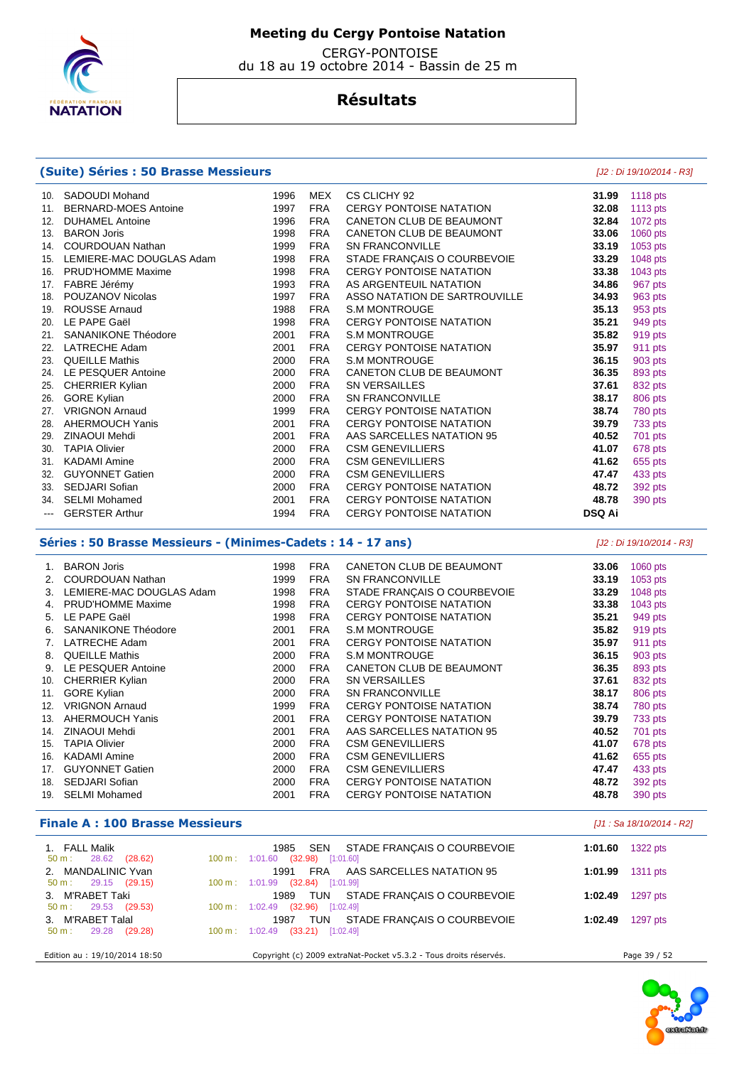

 CERGY-PONTOISE du 18 au 19 octobre 2014 - Bassin de 25 m

## **Résultats**

### **(Suite) Séries : 50 Brasse Messieurs** [J2 : Di 19/10/2014 - R3]

 10. SADOUDI Mohand 1996 MEX CS CLICHY 92 **31.99** 1118 pts 11. BERNARD-MOES Antoine 1997 FRA CERGY PONTOISE NATATION **32.08** 1113 pts 12. DUHAMEL Antoine 1996 FRA CANETON CLUB DE BEAUMONT 32.84 13. BARON Joris 1998 FRA CANETON CLUB DE BEAUMONT **33.06** 1060 pts 14. COURDOUAN Nathan 1999 FRA SN FRANCONVILLE **33.19** 1053 pts 15. LEMIERE-MAC DOUGLAS Adam 1998 FRA STADE FRANÇAIS O COURBEVOIE **33.29** 1048 pts 16. PRUD'HOMME Maxime 1998 FRA CERGY PONTOISE NATATION **33.38** 1043 pts 17. FABRE Jérémy 1993 FRA AS ARGENTEUIL NATATION **34.86** 967 pts 18. POUZANOV Nicolas 1997 FRA ASSO NATATION DE SARTROUVILLE **34.93** 963 pts 19. ROUSSE Arnaud 1988 FRA S.M MONTROUGE **35.13** 953 pts 20. LE PAPE Gaël 1998 FRA CERGY PONTOISE NATATION **35.21** 949 pts 21. SANANIKONE Théodore 2001 FRA S.M MONTROUGE **35.82** 919 pts 22. LATRECHE Adam 2001 FRA CERGY PONTOISE NATATION **35.97** 911 pts 23. QUEILLE Mathis **36.15 2000 FRA** S.M MONTROUGE **36.15**  24. LE PESQUER Antoine 2000 FRA CANETON CLUB DE BEAUMONT **36.35** 893 pts 25. CHERRIER Kylian 2000 FRA SN VERSAILLES **37.61** 832 pts 26. GORE Kylian 2000 FRA SN FRANCONVILLE **38.17** 806 pts 27. VRIGNON Arnaud 1999 FRA CERGY PONTOISE NATATION **38.74** 780 pts 28. AHERMOUCH Yanis 2001 FRA CERGY PONTOISE NATATION **39.79** 733 pts 29. ZINAOUI Mehdi 2001 FRA AAS SARCELLES NATATION 95 **40.52** 701 pts 30. TAPIA Olivier 2000 FRA CSM GENEVILLIERS **41.07** 678 pts 31. KADAMI Amine 2000 FRA CSM GENEVILLIERS **41.62** 655 pts 32. GUYONNET Gatien 2000 FRA CSM GENEVILLIERS **47.47** 433 pts 33. SEDJARI Sofian 2000 FRA CERGY PONTOISE NATATION **48.72** 392 pts 34. SELMI Mohamed 2001 FRA CERGY PONTOISE NATATION **48.78** 390 pts --- GERSTER Arthur 1994 FRA CERGY PONTOISE NATATION **DSQ Ai** 

### **Séries : 50 Brasse Messieurs - (Minimes-Cadets : 14 - 17 ans)** [J2 : Di 19/10/2014 - R3]

|     | <b>BARON Joris</b>         | 1998 | <b>FRA</b> | CANETON CLUB DE BEAUMONT       | 33.06 | 1060 pts |
|-----|----------------------------|------|------------|--------------------------------|-------|----------|
|     | COURDOUAN Nathan           | 1999 | <b>FRA</b> | <b>SN FRANCONVILLE</b>         | 33.19 | 1053 pts |
| 3.  | LEMIERE-MAC DOUGLAS Adam   | 1998 | <b>FRA</b> | STADE FRANÇAIS O COURBEVOIE    | 33.29 | 1048 pts |
| 4.  | <b>PRUD'HOMME Maxime</b>   | 1998 | <b>FRA</b> | <b>CERGY PONTOISE NATATION</b> | 33.38 | 1043 pts |
| 5.  | LE PAPE Gaël               | 1998 | <b>FRA</b> | <b>CERGY PONTOISE NATATION</b> | 35.21 | 949 pts  |
| 6.  | <b>SANANIKONE Théodore</b> | 2001 | <b>FRA</b> | <b>S.M MONTROUGE</b>           | 35.82 | 919 pts  |
|     | LATRECHE Adam              | 2001 | <b>FRA</b> | <b>CERGY PONTOISE NATATION</b> | 35.97 | 911 pts  |
| 8.  | <b>QUEILLE Mathis</b>      | 2000 | <b>FRA</b> | <b>S.M MONTROUGE</b>           | 36.15 | 903 pts  |
| 9.  | LE PESQUER Antoine         | 2000 | <b>FRA</b> | CANETON CLUB DE BEAUMONT       | 36.35 | 893 pts  |
| 10. | <b>CHERRIER Kylian</b>     | 2000 | <b>FRA</b> | <b>SN VERSAILLES</b>           | 37.61 | 832 pts  |
| 11. | <b>GORE Kylian</b>         | 2000 | <b>FRA</b> | <b>SN FRANCONVILLE</b>         | 38.17 | 806 pts  |
| 12. | <b>VRIGNON Arnaud</b>      | 1999 | <b>FRA</b> | <b>CERGY PONTOISE NATATION</b> | 38.74 | 780 pts  |
| 13. | <b>AHERMOUCH Yanis</b>     | 2001 | <b>FRA</b> | <b>CERGY PONTOISE NATATION</b> | 39.79 | 733 pts  |
| 14. | ZINAOUI Mehdi              | 2001 | <b>FRA</b> | AAS SARCELLES NATATION 95      | 40.52 | 701 pts  |
| 15. | <b>TAPIA Olivier</b>       | 2000 | <b>FRA</b> | <b>CSM GENEVILLIERS</b>        | 41.07 | 678 pts  |
| 16. | <b>KADAMI Amine</b>        | 2000 | <b>FRA</b> | <b>CSM GENEVILLIERS</b>        | 41.62 | 655 pts  |
| 17. | <b>GUYONNET Gatien</b>     | 2000 | <b>FRA</b> | <b>CSM GENEVILLIERS</b>        | 47.47 | 433 pts  |
| 18. | <b>SEDJARI Sofian</b>      | 2000 | <b>FRA</b> | <b>CERGY PONTOISE NATATION</b> | 48.72 | 392 pts  |
| 19. | <b>SELMI Mohamed</b>       | 2001 | <b>FRA</b> | <b>CERGY PONTOISE NATATION</b> | 48.78 | 390 pts  |
|     |                            |      |            |                                |       |          |

### **Finale A : 100 Brasse Messieurs** [J1 : Sa 18/10/2014 - R2]

| 1. FALL Malik<br>28.62 (28.62)<br>50 m :          | SEN STADE FRANCAIS O COURBEVOIE<br>1985<br>100 m: 1:01.60 (32.98) [1:01.60]           | 1:01.60 | 1322 pts     |
|---------------------------------------------------|---------------------------------------------------------------------------------------|---------|--------------|
| 2. MANDALINIC Yvan                                | 1991 FRA AAS SARCELLES NATATION 95                                                    | 1:01.99 | 1311 pts     |
| $50 \text{ m}: 29.15 (29.15)$<br>3. M'RABET Taki  | $100 \text{ m}$ : $1:01.99$ (32.84) [1:01.99]<br>1989 TUN STADE FRANCAIS O COURBEVOIE | 1:02.49 | 1297 pts     |
| $50 \text{ m}: 29.53 (29.53)$<br>3. M'RABET Talal | 100 m: 1:02.49 (32.96) [1:02.49]<br>1987 TUN STADE FRANÇAIS O COURBEVOIE              | 1:02.49 | 1297 pts     |
| (29.28)<br>50 m: 29.28                            | $100 \text{ m}$ : $1:02.49$ (33.21) [1:02.49]                                         |         |              |
| Edition au : 19/10/2014 18:50                     | Copyright (c) 2009 extraNat-Pocket v5.3.2 - Tous droits réservés.                     |         | Page 39 / 52 |

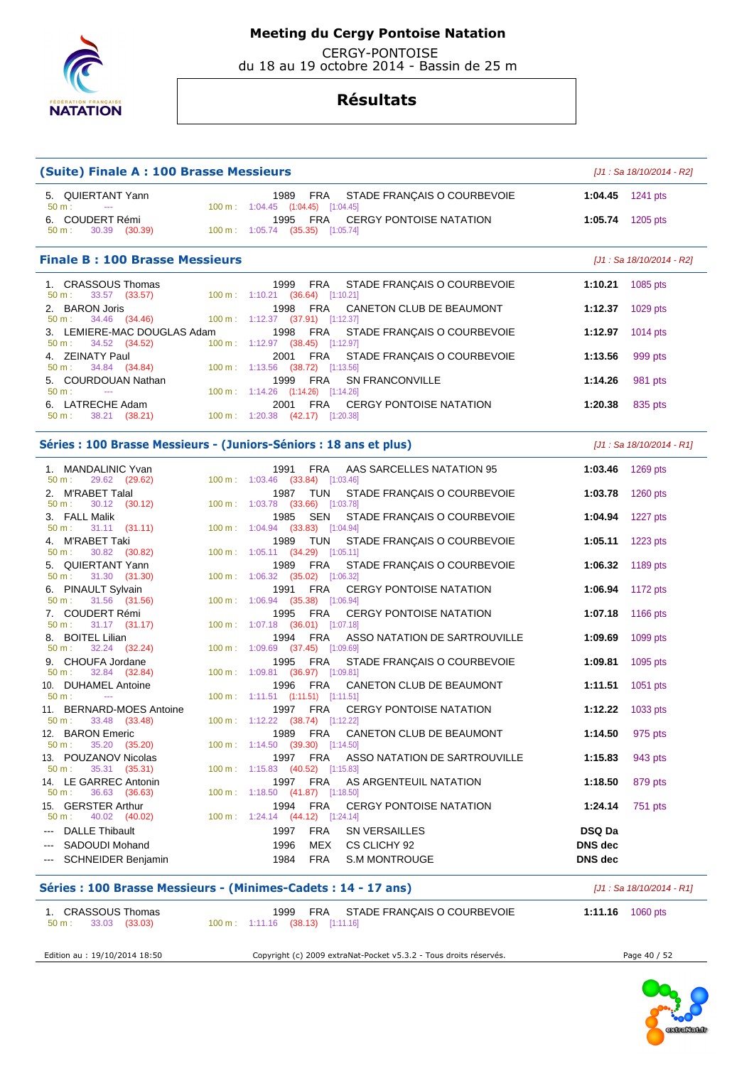

CERGY-PONTOISE

du 18 au 19 octobre 2014 - Bassin de 25 m

| (Suite) Finale A : 100 Brasse Messieurs                 |                                                                                                         | [J1 : Sa 18/10/2014 - R2]  |
|---------------------------------------------------------|---------------------------------------------------------------------------------------------------------|----------------------------|
| 5. QUIERTANT Yann<br>50 m:<br>$\sim$ 0.000 $\mu$        | 1989 FRA<br>STADE FRANÇAIS O COURBEVOIE                                                                 | 1:04.45 $1241 \text{ pts}$ |
| 6. COUDERT Rémi                                         | 100 m: 1:04.45 (1:04.45) [1:04.45]<br>1995<br>FRA<br><b>CERGY PONTOISE NATATION</b><br>1:05.74          | 1205 pts                   |
| 30.39 (30.39)<br>50 m:                                  | 100 m: 1:05.74 (35.35) [1:05.74]                                                                        |                            |
| <b>Finale B: 100 Brasse Messieurs</b>                   |                                                                                                         | [J1 : Sa 18/10/2014 - R2]  |
| 1. CRASSOUS Thomas<br>33.57 (33.57)<br>50 m:            | 1999 FRA<br>STADE FRANÇAIS O COURBEVOIE<br>1:10.21<br>100 m: 1:10.21 (36.64) [1:10.21]                  | 1085 pts                   |
| 2. BARON Joris<br>34.46 (34.46)<br>50 m:                | 1998<br>FRA<br>CANETON CLUB DE BEAUMONT<br>1:12.37<br>$100 \text{ m}: 1:12.37$ (37.91) [1:12.37]        | 1029 pts                   |
| 3. LEMIERE-MAC DOUGLAS Adam<br>34.52 (34.52)            | 1998<br>FRA<br>STADE FRANÇAIS O COURBEVOIE<br>1:12.97                                                   | 1014 pts                   |
| $50 m$ :<br>4. ZEINATY Paul                             | $100 \text{ m}: 1:12.97$ $(38.45)$ $[1:12.97]$<br>FRA<br>2001<br>STADE FRANÇAIS O COURBEVOIE<br>1:13.56 | 999 pts                    |
| 34.84 (34.84)<br>50 m:<br>5. COURDOUAN Nathan           | 100 m: 1:13.56 (38.72) [1:13.56]<br>1999<br>FRA<br><b>SN FRANCONVILLE</b><br>1:14.26                    | 981 pts                    |
| 50 m:<br>$\sim$<br>6. LATRECHE Adam                     | 100 m: 1:14.26 (1:14.26) [1:14.26]<br><b>CERGY PONTOISE NATATION</b><br>2001<br>FRA<br>1:20.38          | 835 pts                    |
| 50 m:<br>38.21 (38.21)                                  | 100 m: 1:20.38 (42.17) [1:20.38]                                                                        |                            |
|                                                         | Séries : 100 Brasse Messieurs - (Juniors-Séniors : 18 ans et plus)                                      | [J1 : Sa 18/10/2014 - R1]  |
| 1. MANDALINIC Yvan<br>$50 m$ :<br>29.62 (29.62)         | FRA<br>AAS SARCELLES NATATION 95<br>1991<br>1:03.46<br>100 m: 1:03.46 (33.84) [1:03.46]                 | 1269 pts                   |
| 2. M'RABET Talal<br>30.12 (30.12)<br>50 m:              | 1987<br>TUN<br>STADE FRANÇAIS O COURBEVOIE<br>1:03.78<br>100 m: 1:03.78 (33.66) [1:03.78]               | 1260 pts                   |
| 3. FALL Malik<br>50 m:                                  | SEN<br>STADE FRANÇAIS O COURBEVOIE<br>1985<br>1:04.94<br>100 m: 1:04.94 (33.83) [1:04.94]               | 1227 $pts$                 |
| $31.11$ $(31.11)$<br>4. M'RABET Taki                    | 1989<br>TUN<br>STADE FRANÇAIS O COURBEVOIE<br>1:05.11                                                   | $1223$ pts                 |
| 30.82 (30.82)<br>50 m:<br>5. QUIERTANT Yann             | 100 m: 1:05.11 (34.29) [1:05.11]<br>1989<br>FRA<br>STADE FRANÇAIS O COURBEVOIE<br>1:06.32               | 1189 pts                   |
| 31.30 (31.30)<br>50 m:<br>6. PINAULT Sylvain            | 100 m: 1:06.32 (35.02) [1:06.32]<br>FRA<br><b>CERGY PONTOISE NATATION</b><br>1991<br>1:06.94            | 1172 pts                   |
| 31.56 (31.56)<br>50 m:<br>7. COUDERT Rémi               | 100 m: 1:06.94 (35.38) [1:06.94]<br>FRA<br>1995<br><b>CERGY PONTOISE NATATION</b><br>1:07.18            | 1166 pts                   |
| $31.17$ $(31.17)$<br>50 m:<br>8. BOITEL Lilian          | 100 m : 1:07.18 (36.01) [1:07.18]<br>FRA<br>1994<br>ASSO NATATION DE SARTROUVILLE<br>1:09.69            | 1099 pts                   |
| 32.24 (32.24)<br>50 m:<br>9. CHOUFA Jordane             | 100 m: 1:09.69 (37.45) [1:09.69]<br>FRA<br>1995<br>STADE FRANÇAIS O COURBEVOIE<br>1:09.81               | 1095 pts                   |
| 32.84 (32.84)<br>50 m:<br><b>DUHAMEL Antoine</b><br>10. | 100 m: 1:09.81 (36.97) [1:09.81]<br>1996<br>FRA<br>CANETON CLUB DE BEAUMONT<br>1:11.51                  | 1051 pts                   |
| 50 m:<br>$\sim$<br>11. BERNARD-MOES Antoine             | 100 m: 1:11.51 (1:11.51) [1:11.51]<br>1997 FRA<br>CERGY PONTOISE NATATION<br>1:12.22                    | 1033 pts                   |
| $50 \text{ m}: 33.48 (33.48)$                           | 100 m: 1:12.22 (38.74) [1:12.22]                                                                        |                            |
| 12. BARON Emeric<br>35.20 (35.20)<br>50 m:              | 1989 FRA<br>CANETON CLUB DE BEAUMONT<br>1:14.50<br>100 m: 1:14.50 (39.30) [1:14.50]                     | 975 pts                    |
| 13. POUZANOV Nicolas<br>$50 m$ :<br>35.31 (35.31)       | 1997<br>FRA<br>ASSO NATATION DE SARTROUVILLE<br>1:15.83<br>100 m: 1:15.83 (40.52) [1:15.83]             | 943 pts                    |
| 14. LE GARREC Antonin<br>36.63 (36.63)<br>50 m:         | 1997<br>FRA<br>AS ARGENTEUIL NATATION<br>1:18.50<br>100 m: 1:18.50 (41.87) [1:18.50]                    | 879 pts                    |
| 15. GERSTER Arthur<br>50 m:<br>40.02 (40.02)            | <b>FRA</b><br>1994<br><b>CERGY PONTOISE NATATION</b><br>1:24.14<br>100 m: 1:24.14 (44.12) [1:24.14]     | 751 pts                    |
| <b>DALLE Thibault</b>                                   | <b>FRA</b><br>1997<br><b>SN VERSAILLES</b><br><b>DSQ Da</b>                                             |                            |
| SADOUDI Mohand                                          | MEX<br>1996<br>CS CLICHY 92<br>DNS dec                                                                  |                            |
| SCHNEIDER Benjamin                                      | 1984<br><b>FRA</b><br><b>S.M MONTROUGE</b><br>DNS dec                                                   |                            |
|                                                         | Séries : 100 Brasse Messieurs - (Minimes-Cadets : 14 - 17 ans)                                          | [J1 : Sa 18/10/2014 - R1]  |
| 1. CRASSOUS Thomas<br>33.03 (33.03)<br>50 m:            | 1999<br>FRA<br>STADE FRANÇAIS O COURBEVOIE<br>100 m: 1:11.16 (38.13) [1:11.16]                          | 1:11.16 $1060 \text{ pts}$ |
| Edition au : 19/10/2014 18:50                           | Copyright (c) 2009 extraNat-Pocket v5.3.2 - Tous droits réservés.                                       | Page 40 / 52               |

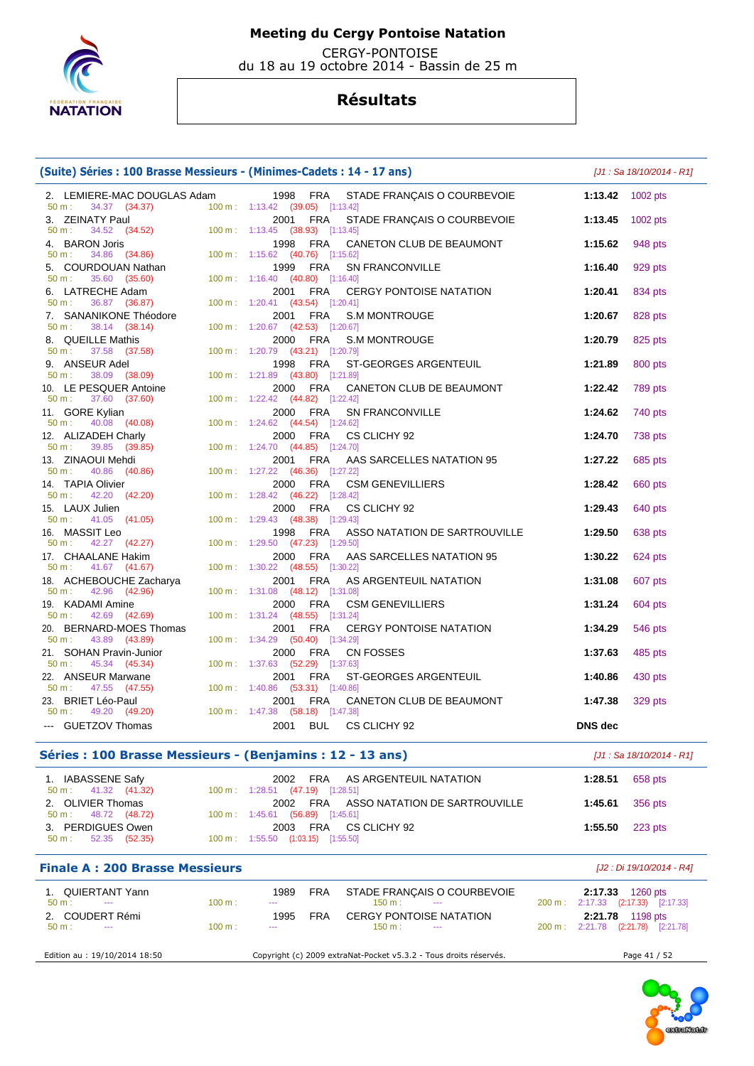

 CERGY-PONTOISE du 18 au 19 octobre 2014 - Bassin de 25 m

# **Résultats**

### **(Suite) Séries : 100 Brasse Messieurs - (Minimes-Cadets : 14 - 17 ans)** [J1 : Sa 18/10/2014 - R1]

| 2. LEMIERE-MAC DOUGLAS Adam                                                                                                                        |        |                                                     |            | 1998 FRA STADE FRANÇAIS O COURBEVOIE                              |                                    | 1:13.42 $1002 \text{ pts}$ |
|----------------------------------------------------------------------------------------------------------------------------------------------------|--------|-----------------------------------------------------|------------|-------------------------------------------------------------------|------------------------------------|----------------------------|
| 50 m: 34.37 (34.37) 100 m: 1:13.42 (39.05) [1:13.42]<br>ATY Paul 2001 FRA ST/<br>34.52 (34.52) 100 m: 1:13.45 (38.93) [1:13.45]<br>3. ZEINATY Paul |        |                                                     |            | STADE FRANÇAIS O COURBEVOIE                                       | 1:13.45                            | 1002 pts                   |
| 50 m:<br>4. BARON Joris                                                                                                                            |        |                                                     | 1998 FRA   | CANETON CLUB DE BEAUMONT                                          | 1:15.62                            | 948 pts                    |
| 50 m : 34.86 (34.86)                                                                                                                               |        | 100 m: 1:15.62 (40.76) [1:15.62]                    |            |                                                                   |                                    |                            |
| 5. COURDOUAN Nathan<br>35.60 (35.60)<br>50 m:                                                                                                      |        | 1999 FRA<br>100 m: 1:16.40 (40.80) [1:16.40]        |            | SN FRANCONVILLE                                                   | 1:16.40                            | 929 pts                    |
| 6. LATRECHE Adam                                                                                                                                   |        | 2001 FRA                                            |            | CERGY PONTOISE NATATION                                           | 1:20.41                            | 834 pts                    |
| 36.87 (36.87)<br>$50 m$ :<br>7. SANANIKONE Théodore                                                                                                |        | 100 m: 1:20.41 (43.54) [1:20.41]                    | 2001 FRA   | S.M MONTROUGE                                                     | 1:20.67                            | 828 pts                    |
| 38.14 (38.14)<br>$50 \text{ m}$ :                                                                                                                  |        | 100 m : 1:20.67 $(42.53)$ [1:20.67]                 |            |                                                                   |                                    |                            |
| 8. QUEILLE Mathis<br>$50 \text{ m}: 37.58 (37.58)$                                                                                                 |        | 100 m: 1:20.79 (43.21) [1:20.79]                    | 2000 FRA   | <b>S.M MONTROUGE</b>                                              | 1:20.79                            | 825 pts                    |
| 9. ANSEUR Adel                                                                                                                                     |        |                                                     | 1998 FRA   | ST-GEORGES ARGENTEUIL                                             | 1:21.89                            | 800 pts                    |
| 50 m:<br>38.09 (38.09)<br>10. LE PESQUER Antoine                                                                                                   |        | 100 m: 1:21.89 (43.80) [1:21.89]                    | 2000 FRA   | CANETON CLUB DE BEAUMONT                                          | 1:22.42                            | 789 pts                    |
| 50 m : 37.60 (37.60)                                                                                                                               |        | 100 m: 1:22.42 (44.82) [1:22.42]                    |            |                                                                   |                                    |                            |
| 11. GORE Kylian<br>50 m:<br>40.08 (40.08)                                                                                                          |        | 2000 FRA<br>100 m: 1:24.62 (44.54) [1:24.62]        |            | <b>SN FRANCONVILLE</b>                                            | 1:24.62                            | 740 pts                    |
| 12. ALIZADEH Charly<br>39.85 (39.85)                                                                                                               |        |                                                     | 2000 FRA   | CS CLICHY 92                                                      | 1:24.70                            | 738 pts                    |
| $50 m$ :<br>13. ZINAOUI Mehdi                                                                                                                      |        | 100 m: 1:24.70 (44.85) [1:24.70]                    | 2001 FRA   | AAS SARCELLES NATATION 95                                         | 1:27.22                            | 685 pts                    |
| 40.86 (40.86)<br>$50 m$ :<br>14. TAPIA Olivier                                                                                                     |        | 100 m: 1:27.22 (46.36) [1:27.22]<br>2000 FRA        |            | <b>CSM GENEVILLIERS</b>                                           | 1:28.42                            | 660 pts                    |
| $50 \text{ m}: 42.20 (42.20)$                                                                                                                      |        | 100 m: 1:28.42 (46.22) [1:28.42]                    |            |                                                                   |                                    |                            |
| 15. LAUX Julien<br>$50 \text{ m}: 41.05 (41.05)$                                                                                                   |        | 100 m: 1:29.43 (48.38) [1:29.43]                    | 2000 FRA   | CS CLICHY 92                                                      | 1:29.43                            | 640 pts                    |
| 16. MASSIT Leo                                                                                                                                     |        |                                                     | 1998 FRA   | ASSO NATATION DE SARTROUVILLE                                     | 1:29.50                            | 638 pts                    |
| $50 \text{ m}: 42.27 (42.27)$<br>17. CHAALANE Hakim                                                                                                |        | 100 m: 1:29.50 (47.23) [1:29.50]<br>2000 FRA        |            | AAS SARCELLES NATATION 95                                         | 1:30.22                            | 624 pts                    |
| 50 m: 41.67 (41.67)                                                                                                                                |        | 100 m: 1:30.22 (48.55) [1:30.22]                    |            |                                                                   |                                    |                            |
| 18. ACHEBOUCHE Zacharya<br>42.96 (42.96)<br>$50 m$ :                                                                                               |        | 100 m: 1:31.08 (48.12) [1:31.08]                    | 2001 FRA   | AS ARGENTEUIL NATATION                                            | 1:31.08                            | 607 pts                    |
| 19. KADAMI Amine                                                                                                                                   |        |                                                     | 2000 FRA   | <b>CSM GENEVILLIERS</b>                                           | 1:31.24                            | 604 pts                    |
| 50 m : 42.69 (42.69)<br>20. BERNARD-MOES Thomas                                                                                                    |        | 100 m: 1:31.24 (48.55) [1:31.24]<br>2001 FRA        |            | <b>CERGY PONTOISE NATATION</b>                                    | 1:34.29                            | 546 pts                    |
| $50 m$ : $43.89$ $(43.89)$                                                                                                                         |        | 100 m: 1:34.29 (50.40) [1:34.29]                    |            |                                                                   |                                    |                            |
| 21. SOHAN Pravin-Junior<br>$50 \text{ m}: 45.34 (45.34)$                                                                                           |        | 100 m: 1:37.63 (52.29) [1:37.63]                    | 2000 FRA   | <b>CN FOSSES</b>                                                  | 1:37.63                            | 485 pts                    |
| 22. ANSEUR Marwane<br>50 m : 47.55 (47.55)                                                                                                         |        | 2001<br>100 m: 1:40.86 (53.31) [1:40.86]            | FRA        | ST-GEORGES ARGENTEUIL                                             | 1:40.86                            | 430 pts                    |
| 23. BRIET Léo-Paul                                                                                                                                 |        | 2001                                                | <b>FRA</b> | CANETON CLUB DE BEAUMONT                                          | 1:47.38                            | 329 pts                    |
| 49.20 (49.20) 100 m : 1:47.38 (58.18) [1:47.38]<br>$50 m$ :                                                                                        |        |                                                     |            |                                                                   |                                    |                            |
| --- GUETZOV Thomas                                                                                                                                 |        | 2001                                                |            | BUL CS CLICHY 92                                                  | <b>DNS</b> dec                     |                            |
| Séries : 100 Brasse Messieurs - (Benjamins : 12 - 13 ans)                                                                                          |        |                                                     |            |                                                                   |                                    | [J1 : Sa 18/10/2014 - R1]  |
| 1. IABASSENE Safy                                                                                                                                  |        | 2002                                                | FRA        | AS ARGENTEUIL NATATION                                            | 1:28.51                            | 658 pts                    |
| 41.32 (41.32)<br>$50 m$ :<br>2. OLIVIER Thomas                                                                                                     |        | 100 m: 1:28.51 (47.19) [1:28.51]<br>2002            | FRA        | ASSO NATATION DE SARTROUVILLE                                     | 1:45.61                            | 356 pts                    |
| 48.72 (48.72)<br>50 m:                                                                                                                             |        | 100 m: 1:45.61 (56.89) [1:45.61]                    |            |                                                                   |                                    |                            |
| 3. PERDIGUES Owen<br>52.35 (52.35)<br>50 m:                                                                                                        |        | $100 \text{ m}$ : $1:55.50$ $(1:03.15)$ $[1:55.50]$ | 2003 FRA   | CS CLICHY 92                                                      | 1:55.50                            | 223 pts                    |
| <b>Finale A: 200 Brasse Messieurs</b>                                                                                                              |        |                                                     |            |                                                                   |                                    | [J2 : Di 19/10/2014 - R4]  |
| 1. QUIERTANT Yann<br>50 m:<br>$\scriptstyle\cdots$                                                                                                 | 100 m: | 1989<br>---                                         | FRA        | STADE FRANÇAIS O COURBEVOIE<br>150 m:                             | 200 m: 2:17.33 (2:17.33) [2:17.33] | 2:17.33 1260 pts           |
| 2. COUDERT Rémi                                                                                                                                    |        | 1995                                                | FRA        | <b>CERGY PONTOISE NATATION</b>                                    |                                    | 2:21.78 1198 pts           |
| 50 m:<br>$\scriptstyle\cdots$                                                                                                                      | 100 m: | $\cdots$                                            |            | 150 m:                                                            | 200 m: 2:21.78 (2:21.78) [2:21.78] |                            |
| Edition au : 19/10/2014 18:50                                                                                                                      |        |                                                     |            | Copyright (c) 2009 extraNat-Pocket v5.3.2 - Tous droits réservés. |                                    | Page 41 / 52               |

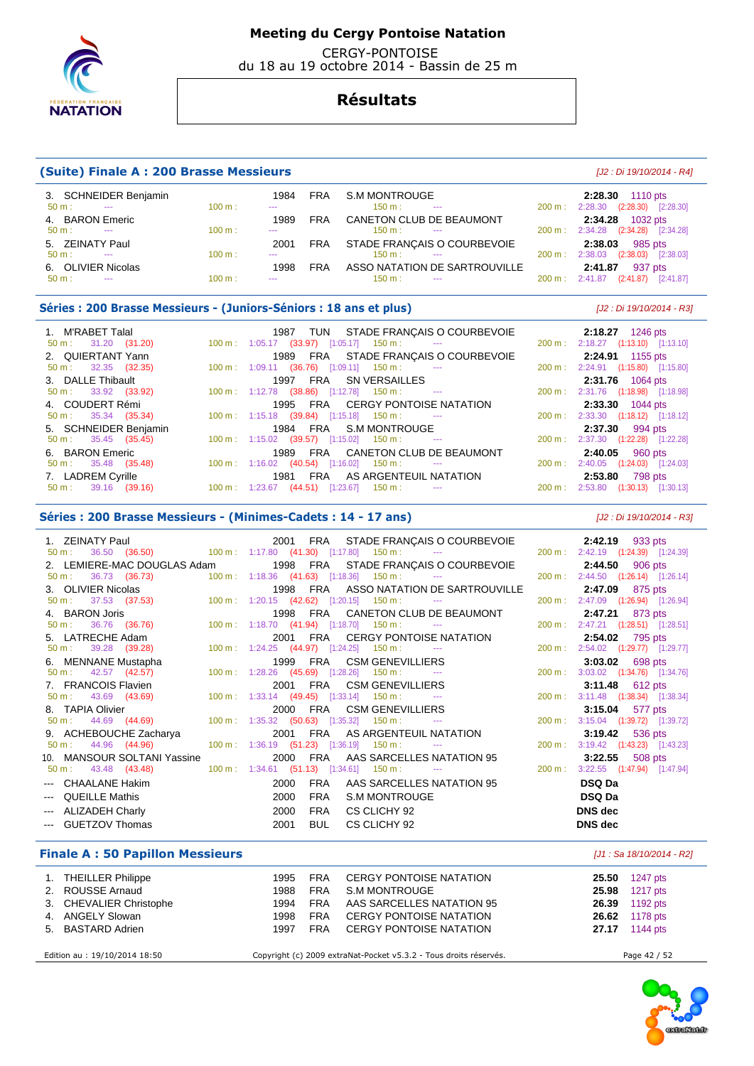

 CERGY-PONTOISE du 18 au 19 octobre 2014 - Bassin de 25 m

## **Résultats**

### **(Suite) Finale A : 200 Brasse Messieurs** [J2 : Di 19/10/2014 - R4]

| 3. SCHNEIDER Benjamin                        |        | 1984          | <b>FRA</b> | S.M MONTROUGE                      |                   | 2:28.30 1110 pts                                    |
|----------------------------------------------|--------|---------------|------------|------------------------------------|-------------------|-----------------------------------------------------|
| $50 m$ :<br><b>Service Contract Contract</b> | 100 m: | $\sim$        |            | 150 m:<br>$\sim$ $\sim$            | 200 m :           | $(2:28.30)$ $[2:28.30]$<br>2:28.30                  |
| 4. BARON Emeric                              |        | 1989          | <b>FRA</b> | CANETON CLUB DE BEAUMONT           |                   | 2:34.28 1032 pts                                    |
| $50 m$ :<br><b>Contractor</b>                | 100 m: | $\sim$        |            | $150 \text{ m}$ :<br>$\sim$ $\sim$ |                   | $200 \text{ m}: 2:34.28$<br>$(2:34.28)$ $[2:34.28]$ |
| 5. ZEINATY Paul                              |        | 2001          | FRA        | STADE FRANÇAIS O COURBEVOIE        |                   | 2:38.03<br>985 pts                                  |
| $50 m$ :<br><b>Service</b>                   | 100 m: | $\sim$ $\sim$ |            | $150 \text{ m}$ : $-$              | $200 \text{ m}$ : | 2:38.03<br>$(2:38.03)$ $[2:38.03]$                  |
| 6. OLIVIER Nicolas                           |        | 1998          | <b>FRA</b> | ASSO NATATION DE SARTROUVILLE      |                   | 937 pts<br>2:41.87                                  |
| $50 \text{ m}$ :<br>$\sim$ $\sim$            | 100 m: | $\cdots$      |            | $150 \text{ m}$ :<br>$\sim$ $\sim$ |                   | $(2:41.87)$ $[2:41.87]$<br>$200 \text{ m}: 2:41.87$ |

### **Séries : 200 Brasse Messieurs - (Juniors-Séniors : 18 ans et plus)** [J2 : Di 19/10/2014 - R3]

| 1. M'RABET Talal              | 1987 TUN STADE FRANÇAIS O COURBEVOIE                                             |         | <b>2:18.27</b> 1246 pts            |
|-------------------------------|----------------------------------------------------------------------------------|---------|------------------------------------|
| $50 \text{ m}: 31.20 (31.20)$ | $100 \text{ m}$ : $1:05.17$ (33.97) [1:05.17] $150 \text{ m}$ : ---              |         | 200 m: 2:18.27 (1:13.10) [1:13.10] |
| 2. QUIERTANT Yann             | 1989 FRA STADE FRANÇAIS O COURBEVOIE                                             |         | 2:24.91 1155 pts                   |
| $50 \text{ m}: 32.35 (32.35)$ | $100 \text{ m}: 1:09.11$ (36.76) [1:09.11] 150 m : ---                           |         | 200 m: 2:24.91 (1:15.80) [1:15.80] |
| 3. DALLE Thibault             | 1997 FRA SN VERSAILLES                                                           |         | 2:31.76 1064 pts                   |
| $50 \text{ m}: 33.92 (33.92)$ | $100 \text{ m}: 1:12.78$ (38.86) [1:12.78] 150 m : ---                           |         | 200 m: 2:31.76 (1:18.98) [1:18.98] |
| 4. COUDERT Rémi               | 1995 FRA CERGY PONTOISE NATATION                                                 |         | 2:33.30 1044 pts                   |
| $50 \text{ m}: 35.34 (35.34)$ | $100 \text{ m}: 1:15.18$ (39.84) [1:15.18] 150 m : ---                           |         | 200 m: 2:33.30 (1:18.12) [1:18.12] |
| 5. SCHNEIDER Benjamin         | 1984 FRA S.M MONTROUGE                                                           |         | 2:37.30 994 pts                    |
| $50 \text{ m}: 35.45 (35.45)$ | $100 \text{ m}: 1:15.02$ (39.57) [1:15.02] 150 m : ---                           |         | 200 m: 2:37.30 (1:22.28) [1:22.28] |
| 6. BARON Emeric               | FRA CANETON CLUB DE BEAUMONT<br>1989                                             |         | $2:40.05$ 960 pts                  |
| $50 \text{ m}: 35.48 (35.48)$ | $100 \text{ m}: 1:16.02$ (40.54) [1:16.02] 150 m : ---                           |         | 200 m: 2:40.05 (1:24.03) [1:24.03] |
| 7. LADREM Cyrille             | 1981 FRA AS ARGENTEUIL NATATION                                                  |         | 2:53.80 798 pts                    |
| $50 \text{ m}: 39.16 (39.16)$ | $100 \text{ m}: 1:23.67$ $(44.51)$ $[1:23.67]$ $150 \text{ m}:$<br>$\sim$ $\sim$ | 200 m : | 2:53.80 (1:30.13) [1:30.13]        |

### **Séries : 200 Brasse Messieurs - (Minimes-Cadets : 14 - 17 ans)** [J2 : Di 19/10/2014 - R3]

 1. ZEINATY Paul 2001 FRA STADE FRANÇAIS O COURBEVOIE **2:42.19** 933 pts 50 m : 36.50 (36.50) 100 m : 1:17.80 (41.30) [1:17.80] 150 m : --- 200 m : 2:42.19 (1:24.39) [1:24.39] 2. LEMIERE-MAC DOUGLAS Adam 1998 FRA STADE FRANÇAIS O COURBEVOIE **2:44.50** 906 pts  $1:18.36$  (41.63)  $[1:18.36]$  150 m : 3. OLIVIER Nicolas 1998 FRA ASSO NATATION DE SARTROUVILLE **2:47.09** 875 pts 100 m : 1:20.15 (42.62) [1:20.15] 150 m : 4. BARON Joris 1998 FRA CANETON CLUB DE BEAUMONT **2:47.21** 873 pts 50 m : 36.76 (36.76) 100 m : 1:18.70 (41.94) [1:18.70] 150 m : --- 200 m : 2:47.21 (1:28.51) [1:28.51] 5. LATRECHE Adam 2001 FRA CERGY PONTOISE NATATION **2:54.02** 795 pts 50 m : 39.28 (39.28) 100 m : 1:24.25 (44.97) [1:24.25] 150 m : --- 200 m : 2:54.02 (1:29.77) [1:29.77] 6. MENNANE Mustapha 1999 FRA CSM GENEVILLIERS **3:03.02** 698 pts 50 m : 42.57 (42.57) 100 m : 1:28.26 (45.69) [1:28.26] 150 m : 7. FRANCOIS Flavien 2001 FRA CSM GENEVILLIERS **3:11.48** 612 pts 100 m : 1:33.14 (49.45) [1:33.14] 150 m : 8. TAPIA Olivier 2000 FRA CSM GENEVILLIERS **3:15.04** 577 pts 100 m : 1:35.32 (50.63) [1:35.32] 150 m : 9. ACHEBOUCHE Zacharya 2001 FRA AS ARGENTEUIL NATATION **3:19.42** 536 pts 50 m : 44.96 (44.96) 100 m : 1:36.19 (51.23) [1:36.19] 150 m : --- 200 m : 3:19.42 (1:43.23) [1:43.23] 10. MANSOUR SOLTANI Yassine 2000 FRA AAS SARCELLES NATATION 95 **3:22.55** 508 pts  $50 \text{ m}$  : 43.48 (43.48) 100 m : 1:34.61 (51.13) [1:34.61] 150 m : --- CHAALANE Hakim 2000 FRA AAS SARCELLES NATATION 95 **DSQ Da**  --- QUEILLE Mathis 2000 FRA S.M MONTROUGE **DSQ Da**  --- ALIZADEH Charly 2000 FRA CS CLICHY 92 **DNS dec**  --- GUETZOV Thomas 2001 BUL CS CLICHY 92 **DNS dec** 

### **Finale A : 50 Papillon Messieurs** [J1 : Sa 18/10/2014 - R2]

| 1. THEILLER Philippe          | 1995 | <b>FRA</b> | CERGY PONTOISE NATATION                                           | 25.50 | 1247 pts              |
|-------------------------------|------|------------|-------------------------------------------------------------------|-------|-----------------------|
| 2. ROUSSE Arnaud              | 1988 | <b>FRA</b> | S.M MONTROUGE                                                     | 25.98 | 1217 pts              |
| 3. CHEVALIER Christophe       | 1994 | <b>FRA</b> | AAS SARCELLES NATATION 95                                         |       | <b>26.39</b> 1192 pts |
| 4. ANGELY Slowan              | 1998 | <b>FRA</b> | <b>CERGY PONTOISE NATATION</b>                                    |       | <b>26.62</b> 1178 pts |
| 5. BASTARD Adrien             | 1997 | <b>FRA</b> | CERGY PONTOISE NATATION                                           |       | 27.17 1144 pts        |
|                               |      |            |                                                                   |       |                       |
| Edition au : 19/10/2014 18:50 |      |            | Copyright (c) 2009 extraNat-Pocket v5.3.2 - Tous droits réservés. |       | Page 42 / 52          |

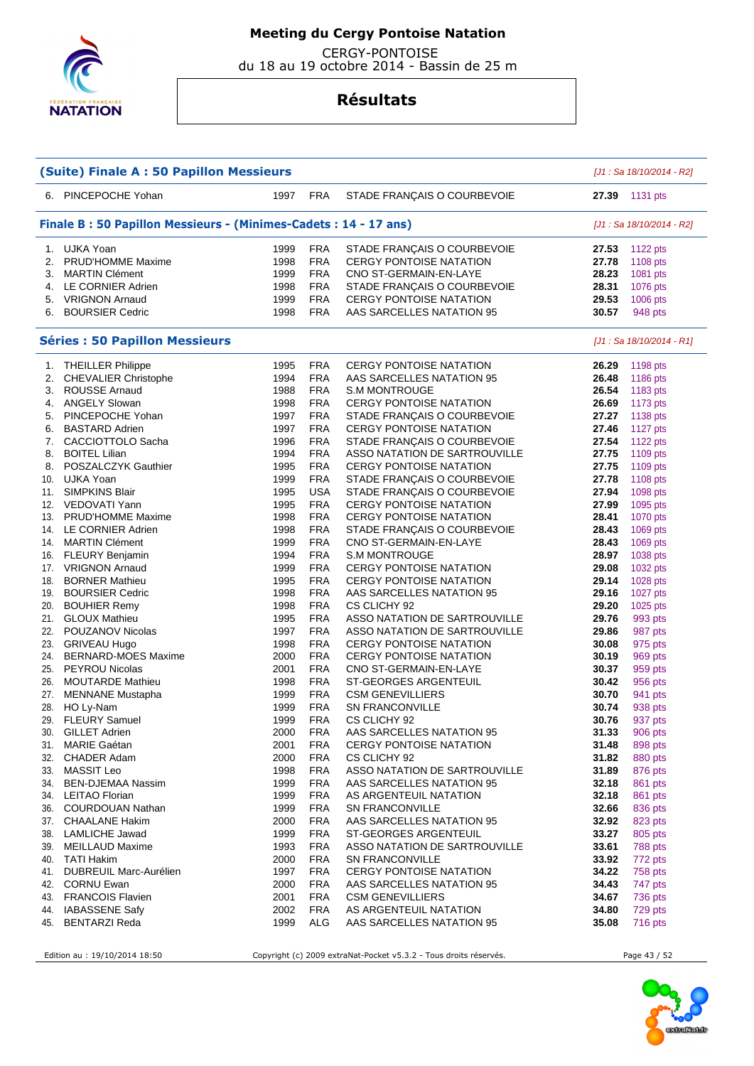

 CERGY-PONTOISE du 18 au 19 octobre 2014 - Bassin de 25 m

## **Résultats**

| (Suite) Finale A : 50 Papillon Messieurs                           |                                                                                              |      |            |                                                    |       | [J1 : Sa 18/10/2014 - R2] |  |  |  |  |  |
|--------------------------------------------------------------------|----------------------------------------------------------------------------------------------|------|------------|----------------------------------------------------|-------|---------------------------|--|--|--|--|--|
|                                                                    | 6. PINCEPOCHE Yohan                                                                          | 1997 | <b>FRA</b> | STADE FRANÇAIS O COURBEVOIE                        | 27.39 | 1131 pts                  |  |  |  |  |  |
|                                                                    | Finale B: 50 Papillon Messieurs - (Minimes-Cadets: 14 - 17 ans)<br>[J1 : Sa 18/10/2014 - R2] |      |            |                                                    |       |                           |  |  |  |  |  |
|                                                                    | 1. UJKA Yoan                                                                                 | 1999 | <b>FRA</b> | STADE FRANÇAIS O COURBEVOIE                        | 27.53 | 1122 pts                  |  |  |  |  |  |
| 2.                                                                 | PRUD'HOMME Maxime                                                                            | 1998 | <b>FRA</b> | <b>CERGY PONTOISE NATATION</b>                     | 27.78 | 1108 pts                  |  |  |  |  |  |
| 3.                                                                 | <b>MARTIN Clément</b>                                                                        | 1999 | <b>FRA</b> | CNO ST-GERMAIN-EN-LAYE                             | 28.23 | 1081 pts                  |  |  |  |  |  |
| 4.                                                                 | LE CORNIER Adrien                                                                            | 1998 | <b>FRA</b> | STADE FRANÇAIS O COURBEVOIE                        | 28.31 | 1076 pts                  |  |  |  |  |  |
| 5.                                                                 | <b>VRIGNON Arnaud</b>                                                                        | 1999 | <b>FRA</b> | <b>CERGY PONTOISE NATATION</b>                     | 29.53 | 1006 pts                  |  |  |  |  |  |
| 6.                                                                 | <b>BOURSIER Cedric</b>                                                                       | 1998 | <b>FRA</b> | AAS SARCELLES NATATION 95                          | 30.57 | 948 pts                   |  |  |  |  |  |
| <b>Séries : 50 Papillon Messieurs</b><br>[J1 : Sa 18/10/2014 - R1] |                                                                                              |      |            |                                                    |       |                           |  |  |  |  |  |
| 1.                                                                 | <b>THEILLER Philippe</b>                                                                     | 1995 | <b>FRA</b> | <b>CERGY PONTOISE NATATION</b>                     | 26.29 | 1198 pts                  |  |  |  |  |  |
| 2.                                                                 | <b>CHEVALIER Christophe</b>                                                                  | 1994 | <b>FRA</b> | AAS SARCELLES NATATION 95                          | 26.48 | 1186 pts                  |  |  |  |  |  |
| 3.                                                                 | ROUSSE Arnaud                                                                                | 1988 | <b>FRA</b> | <b>S.M MONTROUGE</b>                               | 26.54 | 1183 pts                  |  |  |  |  |  |
| 4.                                                                 | <b>ANGELY Slowan</b>                                                                         | 1998 | <b>FRA</b> | <b>CERGY PONTOISE NATATION</b>                     | 26.69 | 1173 pts                  |  |  |  |  |  |
| 5.                                                                 | PINCEPOCHE Yohan                                                                             | 1997 | <b>FRA</b> | STADE FRANÇAIS O COURBEVOIE                        | 27.27 | 1138 pts                  |  |  |  |  |  |
| 6.                                                                 | <b>BASTARD Adrien</b>                                                                        | 1997 | <b>FRA</b> | <b>CERGY PONTOISE NATATION</b>                     | 27.46 | 1127 pts                  |  |  |  |  |  |
| 7.                                                                 | CACCIOTTOLO Sacha                                                                            | 1996 | <b>FRA</b> | STADE FRANÇAIS O COURBEVOIE                        | 27.54 | 1122 pts                  |  |  |  |  |  |
| 8.                                                                 | <b>BOITEL Lilian</b>                                                                         | 1994 | <b>FRA</b> | ASSO NATATION DE SARTROUVILLE                      | 27.75 | 1109 pts                  |  |  |  |  |  |
| 8.                                                                 | POSZALCZYK Gauthier                                                                          | 1995 | <b>FRA</b> | <b>CERGY PONTOISE NATATION</b>                     | 27.75 | 1109 pts                  |  |  |  |  |  |
| 10.                                                                | UJKA Yoan                                                                                    | 1999 | <b>FRA</b> | STADE FRANÇAIS O COURBEVOIE                        | 27.78 | 1108 pts                  |  |  |  |  |  |
| 11.                                                                | <b>SIMPKINS Blair</b>                                                                        | 1995 | <b>USA</b> | STADE FRANÇAIS O COURBEVOIE                        | 27.94 | 1098 pts                  |  |  |  |  |  |
| 12.                                                                | VEDOVATI Yann                                                                                | 1995 | <b>FRA</b> | <b>CERGY PONTOISE NATATION</b>                     | 27.99 | 1095 pts                  |  |  |  |  |  |
| 13.                                                                | <b>PRUD'HOMME Maxime</b>                                                                     | 1998 | <b>FRA</b> | <b>CERGY PONTOISE NATATION</b>                     | 28.41 | 1070 pts                  |  |  |  |  |  |
| 14.                                                                | LE CORNIER Adrien                                                                            | 1998 | <b>FRA</b> | STADE FRANÇAIS O COURBEVOIE                        | 28.43 | 1069 pts                  |  |  |  |  |  |
| 14.                                                                | <b>MARTIN Clément</b>                                                                        | 1999 | <b>FRA</b> | CNO ST-GERMAIN-EN-LAYE                             | 28.43 | 1069 pts                  |  |  |  |  |  |
| 16.                                                                | <b>FLEURY Benjamin</b>                                                                       | 1994 | <b>FRA</b> | <b>S.M MONTROUGE</b>                               | 28.97 | 1038 pts                  |  |  |  |  |  |
| 17.                                                                | <b>VRIGNON Arnaud</b>                                                                        | 1999 | <b>FRA</b> | <b>CERGY PONTOISE NATATION</b>                     | 29.08 | 1032 pts                  |  |  |  |  |  |
| 18.                                                                | <b>BORNER Mathieu</b>                                                                        | 1995 | <b>FRA</b> | <b>CERGY PONTOISE NATATION</b>                     | 29.14 | 1028 pts                  |  |  |  |  |  |
| 19.                                                                | <b>BOURSIER Cedric</b>                                                                       | 1998 | <b>FRA</b> | AAS SARCELLES NATATION 95                          | 29.16 | 1027 pts                  |  |  |  |  |  |
| 20.                                                                | <b>BOUHIER Remy</b>                                                                          | 1998 | <b>FRA</b> | CS CLICHY 92                                       | 29.20 | 1025 pts                  |  |  |  |  |  |
| 21.                                                                | <b>GLOUX Mathieu</b>                                                                         | 1995 | <b>FRA</b> | ASSO NATATION DE SARTROUVILLE                      | 29.76 | 993 pts                   |  |  |  |  |  |
| 22.                                                                | POUZANOV Nicolas                                                                             | 1997 | <b>FRA</b> | ASSO NATATION DE SARTROUVILLE                      | 29.86 | 987 pts                   |  |  |  |  |  |
| 23.                                                                | <b>GRIVEAU Hugo</b>                                                                          | 1998 | <b>FRA</b> | <b>CERGY PONTOISE NATATION</b>                     | 30.08 | 975 pts                   |  |  |  |  |  |
| 24.                                                                | <b>BERNARD-MOES Maxime</b>                                                                   | 2000 | <b>FRA</b> | <b>CERGY PONTOISE NATATION</b>                     | 30.19 | 969 pts                   |  |  |  |  |  |
| 25.                                                                | <b>PEYROU Nicolas</b>                                                                        | 2001 | <b>FRA</b> | CNO ST-GERMAIN-EN-LAYE                             | 30.37 | 959 pts                   |  |  |  |  |  |
| 26.                                                                | <b>MOUTARDE Mathieu</b>                                                                      | 1998 | <b>FRA</b> | ST-GEORGES ARGENTEUIL                              | 30.42 | 956 pts                   |  |  |  |  |  |
| 27.                                                                | <b>MENNANE</b> Mustapha                                                                      | 1999 | <b>FRA</b> | <b>CSM GENEVILLIERS</b>                            | 30.70 | 941 pts                   |  |  |  |  |  |
| 28.                                                                | HO Ly-Nam                                                                                    | 1999 | <b>FRA</b> | <b>SN FRANCONVILLE</b>                             | 30.74 | 938 pts                   |  |  |  |  |  |
|                                                                    | 29. FLEURY Samuel                                                                            | 1999 | <b>FRA</b> | CS CLICHY 92                                       | 30.76 | 937 pts                   |  |  |  |  |  |
| 30.                                                                | <b>GILLET Adrien</b>                                                                         | 2000 | FRA        | AAS SARCELLES NATATION 95                          | 31.33 | 906 pts                   |  |  |  |  |  |
| 31.                                                                | MARIE Gaétan                                                                                 | 2001 | <b>FRA</b> | <b>CERGY PONTOISE NATATION</b>                     | 31.48 | 898 pts                   |  |  |  |  |  |
|                                                                    | 32. CHADER Adam                                                                              | 2000 | <b>FRA</b> | CS CLICHY 92                                       | 31.82 | 880 pts                   |  |  |  |  |  |
|                                                                    | 33. MASSIT Leo                                                                               | 1998 | <b>FRA</b> | ASSO NATATION DE SARTROUVILLE                      | 31.89 | 876 pts                   |  |  |  |  |  |
|                                                                    | 34. BEN-DJEMAA Nassim                                                                        | 1999 | <b>FRA</b> | AAS SARCELLES NATATION 95                          | 32.18 | 861 pts                   |  |  |  |  |  |
|                                                                    | 34. LEITAO Florian                                                                           | 1999 | <b>FRA</b> | AS ARGENTEUIL NATATION                             | 32.18 | 861 pts                   |  |  |  |  |  |
|                                                                    | 36. COURDOUAN Nathan                                                                         | 1999 | <b>FRA</b> | <b>SN FRANCONVILLE</b>                             | 32.66 | 836 pts                   |  |  |  |  |  |
|                                                                    | 37. CHAALANE Hakim<br><b>LAMLICHE Jawad</b>                                                  | 2000 | <b>FRA</b> | AAS SARCELLES NATATION 95<br>ST-GEORGES ARGENTEUIL | 32.92 | 823 pts                   |  |  |  |  |  |
| 38.                                                                |                                                                                              | 1999 | <b>FRA</b> |                                                    | 33.27 | 805 pts                   |  |  |  |  |  |
| 39.                                                                | MEILLAUD Maxime                                                                              | 1993 | <b>FRA</b> | ASSO NATATION DE SARTROUVILLE                      | 33.61 | 788 pts                   |  |  |  |  |  |
| 40.                                                                | <b>TATI Hakim</b>                                                                            | 2000 | <b>FRA</b> | <b>SN FRANCONVILLE</b>                             | 33.92 | 772 pts                   |  |  |  |  |  |
|                                                                    | 41. DUBREUIL Marc-Aurélien                                                                   | 1997 | <b>FRA</b> | <b>CERGY PONTOISE NATATION</b>                     | 34.22 | 758 pts                   |  |  |  |  |  |
|                                                                    | 42. CORNU Ewan                                                                               | 2000 | <b>FRA</b> | AAS SARCELLES NATATION 95                          | 34.43 | 747 pts                   |  |  |  |  |  |
|                                                                    | 43. FRANCOIS Flavien                                                                         | 2001 | <b>FRA</b> | <b>CSM GENEVILLIERS</b>                            | 34.67 | 736 pts                   |  |  |  |  |  |
| 44.                                                                | <b>IABASSENE Safy</b>                                                                        | 2002 | <b>FRA</b> | AS ARGENTEUIL NATATION                             | 34.80 | 729 pts                   |  |  |  |  |  |
| 45.                                                                | <b>BENTARZI Reda</b>                                                                         | 1999 | ALG        | AAS SARCELLES NATATION 95                          | 35.08 | <b>716 pts</b>            |  |  |  |  |  |

Edition au : 19/10/2014 18:50 Copyright (c) 2009 extraNat-Pocket v5.3.2 - Tous droits réservés. Page 43 / 52

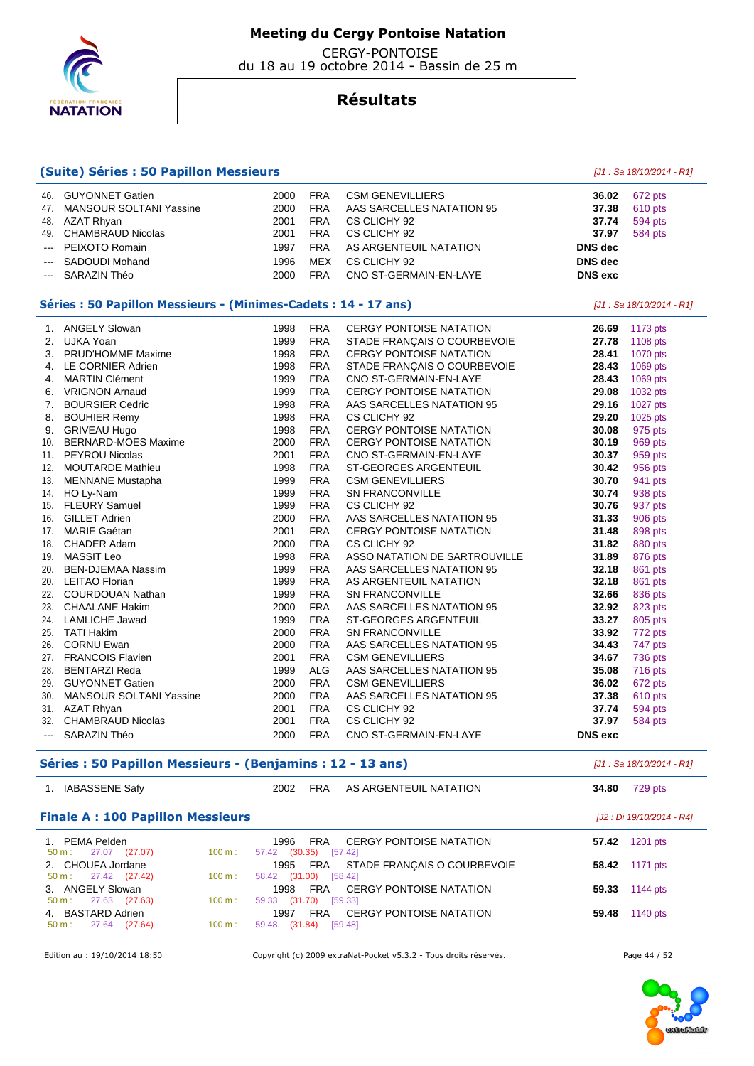

 CERGY-PONTOISE du 18 au 19 octobre 2014 - Bassin de 25 m

| (Suite) Séries : 50 Papillon Messieurs |                                                                 |      |                           |                                |                | [J1 : Sa 18/10/2014 - R1] |  |  |
|----------------------------------------|-----------------------------------------------------------------|------|---------------------------|--------------------------------|----------------|---------------------------|--|--|
| 46.                                    | <b>GUYONNET Gatien</b>                                          | 2000 | <b>FRA</b>                | <b>CSM GENEVILLIERS</b>        | 36.02          | 672 pts                   |  |  |
| 47.                                    | MANSOUR SOLTANI Yassine                                         | 2000 | <b>FRA</b>                | AAS SARCELLES NATATION 95      | 37.38          | 610 pts                   |  |  |
| 48.                                    | AZAT Rhyan                                                      | 2001 | <b>FRA</b>                | CS CLICHY 92                   | 37.74          | <b>594 pts</b>            |  |  |
| 49.                                    | <b>CHAMBRAUD Nicolas</b>                                        | 2001 | <b>FRA</b>                | CS CLICHY 92                   | 37.97          | <b>584 pts</b>            |  |  |
| $---$                                  | PEIXOTO Romain                                                  | 1997 | <b>FRA</b>                | AS ARGENTEUIL NATATION         | <b>DNS</b> dec |                           |  |  |
|                                        | SADOUDI Mohand                                                  | 1996 | <b>MEX</b>                | CS CLICHY 92                   | <b>DNS</b> dec |                           |  |  |
| ---                                    | SARAZIN Théo                                                    | 2000 | <b>FRA</b>                | CNO ST-GERMAIN-EN-LAYE         | <b>DNS</b> exc |                           |  |  |
|                                        | Séries : 50 Papillon Messieurs - (Minimes-Cadets : 14 - 17 ans) |      | [J1 : Sa 18/10/2014 - R1] |                                |                |                           |  |  |
|                                        | 1. ANGELY Slowan                                                | 1998 | <b>FRA</b>                | <b>CERGY PONTOISE NATATION</b> | 26.69          | 1173 pts                  |  |  |
| 2.                                     | UJKA Yoan                                                       | 1999 | <b>FRA</b>                | STADE FRANCAIS O COURBEVOIE    | 27.78          | 1108 pts                  |  |  |
| 3.                                     | PRUD'HOMME Maxime                                               | 1998 | <b>FRA</b>                | <b>CERGY PONTOISE NATATION</b> | 28.41          | 1070 pts                  |  |  |
| 4.                                     | LE CORNIER Adrien                                               | 1998 | <b>FRA</b>                | STADE FRANÇAIS O COURBEVOIE    | 28.43          | 1069 pts                  |  |  |
| 4.                                     | <b>MARTIN Clément</b>                                           | 1999 | <b>FRA</b>                | CNO ST-GERMAIN-EN-LAYE         | 28.43          | 1069 pts                  |  |  |
| 6.                                     | <b>VRIGNON Arnaud</b>                                           | 1999 | <b>FRA</b>                | <b>CERGY PONTOISE NATATION</b> | 29.08          | 1032 pts                  |  |  |
| 7.                                     | <b>BOURSIER Cedric</b>                                          | 1998 | <b>FRA</b>                | AAS SARCELLES NATATION 95      | 29.16          | 1027 pts                  |  |  |
| 8.                                     | <b>BOUHIER Remy</b>                                             | 1998 | <b>FRA</b>                | CS CLICHY 92                   | 29.20          | 1025 pts                  |  |  |
|                                        | 9. GRIVEAU Hugo                                                 | 1998 | <b>FRA</b>                | <b>CERGY PONTOISE NATATION</b> | 30.08          | 975 pts                   |  |  |
| 10.                                    | <b>BERNARD-MOES Maxime</b>                                      | 2000 | <b>FRA</b>                | <b>CERGY PONTOISE NATATION</b> | 30.19          | 969 pts                   |  |  |
|                                        | 11. PEYROU Nicolas                                              | 2001 | <b>FRA</b>                | CNO ST-GERMAIN-EN-LAYE         | 30.37          | 959 pts                   |  |  |
|                                        | 12. MOUTARDE Mathieu                                            | 1998 | <b>FRA</b>                | ST-GEORGES ARGENTEUIL          | 30.42          | 956 pts                   |  |  |
| 13.                                    | <b>MENNANE Mustapha</b>                                         | 1999 | <b>FRA</b>                | <b>CSM GENEVILLIERS</b>        | 30.70          | 941 pts                   |  |  |
|                                        | 14. HO Ly-Nam                                                   | 1999 | <b>FRA</b>                | <b>SN FRANCONVILLE</b>         | 30.74          | 938 pts                   |  |  |
| 15.                                    | <b>FLEURY Samuel</b>                                            | 1999 | <b>FRA</b>                | CS CLICHY 92                   | 30.76          | 937 pts                   |  |  |
| 16.                                    | <b>GILLET Adrien</b>                                            | 2000 | <b>FRA</b>                | AAS SARCELLES NATATION 95      | 31.33          | 906 pts                   |  |  |
| 17.                                    | <b>MARIE Gaétan</b>                                             | 2001 | <b>FRA</b>                | <b>CERGY PONTOISE NATATION</b> | 31.48          | 898 pts                   |  |  |
|                                        | 18. CHADER Adam                                                 | 2000 | <b>FRA</b>                | CS CLICHY 92                   | 31.82          | 880 pts                   |  |  |
| 19.                                    | <b>MASSIT Leo</b>                                               | 1998 | <b>FRA</b>                | ASSO NATATION DE SARTROUVILLE  | 31.89          | 876 pts                   |  |  |
| 20.                                    | <b>BEN-DJEMAA Nassim</b>                                        | 1999 | <b>FRA</b>                | AAS SARCELLES NATATION 95      | 32.18          | 861 pts                   |  |  |
| 20.                                    | <b>LEITAO Florian</b>                                           | 1999 | <b>FRA</b>                | AS ARGENTEUIL NATATION         | 32.18          | 861 pts                   |  |  |
| 22.                                    | COURDOUAN Nathan                                                | 1999 | <b>FRA</b>                | <b>SN FRANCONVILLE</b>         | 32.66          | 836 pts                   |  |  |
| 23.                                    | <b>CHAALANE Hakim</b>                                           | 2000 | <b>FRA</b>                | AAS SARCELLES NATATION 95      | 32.92          | 823 pts                   |  |  |
| 24.                                    | <b>LAMLICHE Jawad</b>                                           | 1999 | <b>FRA</b>                | <b>ST-GEORGES ARGENTEUIL</b>   | 33.27          | 805 pts                   |  |  |
| 25.                                    | <b>TATI Hakim</b>                                               | 2000 | <b>FRA</b>                | <b>SN FRANCONVILLE</b>         | 33.92          | 772 pts                   |  |  |
| 26.                                    | <b>CORNU Ewan</b>                                               | 2000 | <b>FRA</b>                | AAS SARCELLES NATATION 95      | 34.43          | 747 pts                   |  |  |
|                                        | 27. FRANCOIS Flavien                                            | 2001 | <b>FRA</b>                | <b>CSM GENEVILLIERS</b>        | 34.67          | 736 pts                   |  |  |
| 28.                                    | <b>BENTARZI Reda</b>                                            | 1999 | <b>ALG</b>                | AAS SARCELLES NATATION 95      | 35.08          | 716 pts                   |  |  |
| 29.                                    | <b>GUYONNET Gatien</b>                                          | 2000 | <b>FRA</b>                | <b>CSM GENEVILLIERS</b>        | 36.02          | 672 pts                   |  |  |
| 30.                                    | <b>MANSOUR SOLTANI Yassine</b>                                  | 2000 | <b>FRA</b>                | AAS SARCELLES NATATION 95      | 37.38          | 610 pts                   |  |  |
|                                        | 31. AZAT Rhyan                                                  | 2001 | <b>FRA</b>                | CS CLICHY 92                   | 37.74          | 594 pts                   |  |  |
|                                        | 32. CHAMBRAUD Nicolas                                           | 2001 | <b>FRA</b>                | CS CLICHY 92                   | 37.97          | <b>584 pts</b>            |  |  |
| $\overline{\phantom{a}}$               | SARAZIN Théo                                                    | 2000 | <b>FRA</b>                | CNO ST-GERMAIN-EN-LAYE         | <b>DNS</b> exc |                           |  |  |
|                                        | Séries : 50 Papillon Messieurs - (Benjamins : 12 - 13 ans)      |      | [J1 : Sa 18/10/2014 - R1] |                                |                |                           |  |  |

| IABASSENE Safy<br>1.                                      | AS ARGENTEUIL NATATION<br>FRA<br>2002                                                     | 729 pts<br>34.80          |
|-----------------------------------------------------------|-------------------------------------------------------------------------------------------|---------------------------|
| <b>Finale A: 100 Papillon Messieurs</b>                   |                                                                                           | [J2 : Di 19/10/2014 - R4] |
| 1. PEMA Pelden<br>$50 \text{ m}: 27.07 (27.07)$           | CERGY PONTOISE NATATION<br>FRA<br>1996<br>$100 \text{ m}$ :<br>57.42 (30.35)<br>$[57.42]$ | 1201 pts<br>57.42         |
| 2. CHOUFA Jordane<br>$50 \text{ m}: 27.42 (27.42)$        | FRA STADE FRANÇAIS O COURBEVOIE<br>1995<br>58.42 (31.00) [58.42]<br>$100 \text{ m}$ :     | 1171 pts<br>58.42         |
| 3. ANGELY Slowan<br>$50 \text{ m}: 27.63 \text{ (27.63)}$ | FRA CERGY PONTOISE NATATION<br>1998<br>59.33 (31.70) [59.33]<br>$100 \text{ m}$ :         | 1144 $pts$<br>59.33       |
| 4. BASTARD Adrien<br>27.64 (27.64)<br>$50 \text{ m}$ :    | CERGY PONTOISE NATATION<br>1997<br>FRA<br>59.48 (31.84)<br>$100 \text{ m}$ :<br>[59.48]   | 1140 $pts$<br>59.48       |
| Edition au : 19/10/2014 18:50                             | Copyright (c) 2009 extraNat-Pocket v5.3.2 - Tous droits réservés.                         | Page 44 / 52              |

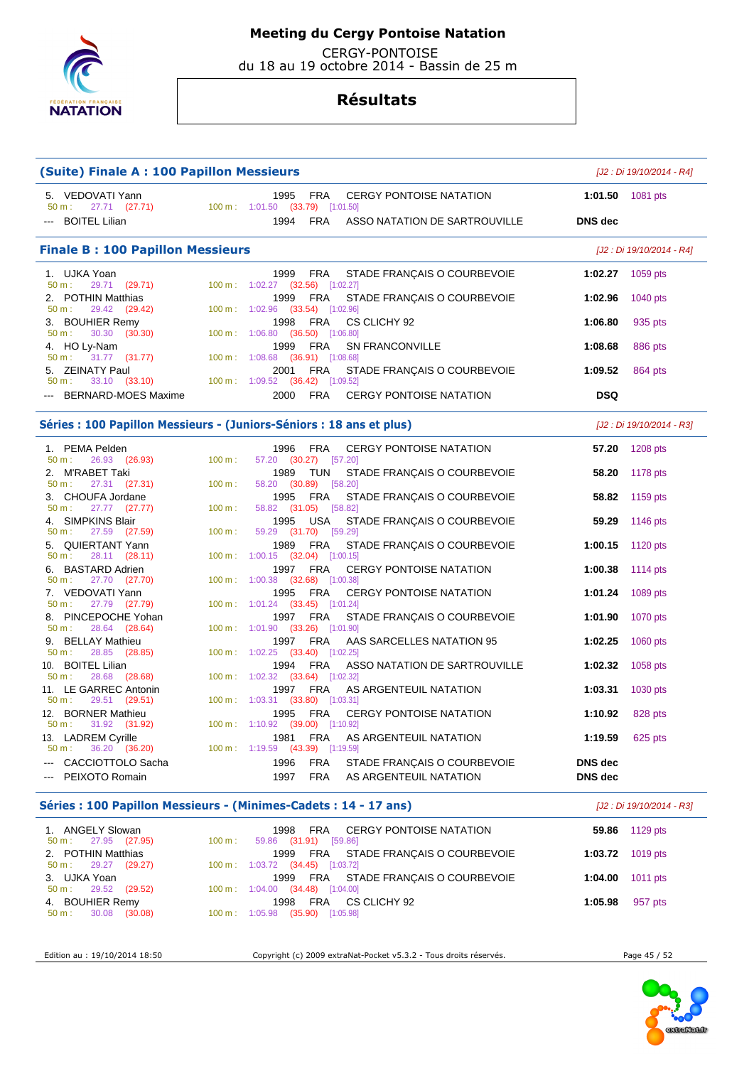

CERGY-PONTOISE

du 18 au 19 octobre 2014 - Bassin de 25 m

## **Résultats**

| <b>(Suite) Finale A: 100 Papillon Messieurs</b>                           | [J2 : Di 19/10/2014 - R4] |                                                                                                                                |                                              |                           |
|---------------------------------------------------------------------------|---------------------------|--------------------------------------------------------------------------------------------------------------------------------|----------------------------------------------|---------------------------|
| 5. VEDOVATI Yann<br>$50 \text{ m}: 27.71 (27.71)$<br><b>BOITEL Lilian</b> |                           | 1995<br>FRA<br><b>CERGY PONTOISE NATATION</b><br>100 m: 1:01.50 (33.79) [1:01.50]<br>1994 FRA<br>ASSO NATATION DE SARTROUVILLE | 1:01.50 $1081 \text{ pts}$<br><b>DNS</b> dec |                           |
|                                                                           |                           |                                                                                                                                |                                              |                           |
| <b>Finale B: 100 Papillon Messieurs</b>                                   |                           |                                                                                                                                |                                              | [J2 : Di 19/10/2014 - R4] |
| 1. UJKA Yoan<br>29.71 (29.71)<br>50 m:                                    |                           | FRA<br>STADE FRANÇAIS O COURBEVOIE<br>1999<br>100 m: 1:02.27 (32.56) [1:02.27]                                                 | 1:02.27                                      | 1059 pts                  |
| 2. POTHIN Matthias<br>29.42 (29.42)<br>50 m:                              |                           | FRA<br>STADE FRANÇAIS O COURBEVOIE<br>1999<br>100 m: 1:02.96 (33.54) [1:02.96]                                                 | 1:02.96                                      | 1040 pts                  |
| 3. BOUHIER Remy<br>30.30<br>(30.30)<br>50 m:                              |                           | FRA<br>CS CLICHY 92<br>1998<br>100 m: 1:06.80 (36.50) [1:06.80]                                                                | 1:06.80                                      | 935 pts                   |
| 4. HO Ly-Nam<br>31.77 (31.77)<br>50 m:                                    |                           | 1999<br>FRA<br>SN FRANCONVILLE<br>100 m: 1:08.68 (36.91) [1:08.68]                                                             | 1:08.68                                      | 886 pts                   |
| 5. ZEINATY Paul<br>33.10 (33.10)<br>50 m:                                 |                           | FRA<br>STADE FRANÇAIS O COURBEVOIE<br>2001<br>100 m: 1:09.52 (36.42) [1:09.52]                                                 | 1:09.52                                      | 864 pts                   |
| BERNARD-MOES Maxime                                                       |                           | <b>FRA</b><br>2000<br><b>CERGY PONTOISE NATATION</b>                                                                           | <b>DSQ</b>                                   |                           |
|                                                                           |                           | Séries : 100 Papillon Messieurs - (Juniors-Séniors : 18 ans et plus)                                                           |                                              | [J2 : Di 19/10/2014 - R3] |
| 1. PEMA Pelden<br>26.93 (26.93)<br>$50 m$ :                               | 100 m:                    | 1996<br>FRA<br><b>CERGY PONTOISE NATATION</b><br>57.20 (30.27) [57.20]                                                         | 57.20                                        | 1208 pts                  |
| M'RABET Taki<br>2.<br>27.31 (27.31)<br>$50 m$ :                           | 100 m:                    | TUN<br>1989<br>STADE FRANÇAIS O COURBEVOIE<br>58.20 (30.89) [58.20]                                                            | 58.20                                        | 1178 pts                  |
| 3. CHOUFA Jordane<br>$50 m$ :<br>$27.77$ $(27.77)$                        | 100 m:                    | FRA<br>1995<br>STADE FRANÇAIS O COURBEVOIE<br>58.82 (31.05) [58.82]                                                            | 58.82                                        | 1159 pts                  |
| 4. SIMPKINS Blair<br>27.59 (27.59)<br>50 m:                               | 100 m:                    | USA<br>STADE FRANÇAIS O COURBEVOIE<br>1995<br>59.29 (31.70) [59.29]                                                            | 59.29                                        | 1146 pts                  |
| 5. QUIERTANT Yann<br>28.11 (28.11)<br>50 m:                               |                           | 1989<br>FRA<br>STADE FRANÇAIS O COURBEVOIE<br>$100 \text{ m}$ : $1:00.15$ (32.04) [1:00.15]                                    | 1:00.15                                      | 1120 pts                  |
| 6. BASTARD Adrien<br>27.70 (27.70)<br>50 m:                               |                           | 1997 FRA<br><b>CERGY PONTOISE NATATION</b><br>100 m: 1:00.38 (32.68) [1:00.38]                                                 | 1:00.38                                      | 1114 pts                  |
| 7. VEDOVATI Yann<br>27.79 (27.79)<br>50 m:                                |                           | 1995<br>FRA<br><b>CERGY PONTOISE NATATION</b><br>100 m: 1:01.24 (33.45) [1:01.24]                                              | 1:01.24                                      | 1089 pts                  |
| 8. PINCEPOCHE Yohan<br>28.64 (28.64)<br>$50 m$ :                          |                           | FRA<br>1997<br>STADE FRANÇAIS O COURBEVOIE<br>100 m: 1:01.90 (33.26) [1:01.90]                                                 | 1:01.90                                      | 1070 pts                  |
| 9. BELLAY Mathieu<br>50 m:<br>28.85 (28.85)                               |                           | AAS SARCELLES NATATION 95<br>1997<br>FRA<br>100 m: 1:02.25 (33.40) [1:02.25]                                                   | 1:02.25                                      | 1060 pts                  |
| 10. BOITEL Lilian<br>28.68 (28.68)<br>50 m:                               |                           | 1994<br>FRA<br>ASSO NATATION DE SARTROUVILLE<br>100 m: 1:02.32 (33.64) [1:02.32]                                               | 1:02.32                                      | 1058 pts                  |
| 11. LE GARREC Antonin<br>29.51 (29.51)<br>$50 m$ :                        |                           | 1997 FRA<br>AS ARGENTEUIL NATATION<br>100 m: 1:03.31 (33.80) [1:03.31]                                                         | 1:03.31                                      | 1030 pts                  |
| 12. BORNER Mathieu<br>31.92 (31.92)<br>50 m:                              |                           | FRA<br>1995<br><b>CERGY PONTOISE NATATION</b><br>100 m : 1:10.92 (39.00) [1:10.92]                                             | 1:10.92                                      | 828 pts                   |
| 13. LADREM Cyrille                                                        |                           | 1981<br><b>FRA</b><br>AS ARGENTEUIL NATATION                                                                                   | 1:19.59                                      | 625 pts                   |
| 36.20 (36.20)<br>50 m:<br>CACCIOTTOLO Sacha                               |                           | 100 m: 1:19.59 (43.39) [1:19.59]<br>1996<br>FRA<br>STADE FRANÇAIS O COURBEVOIE                                                 | DNS dec                                      |                           |
| PEIXOTO Romain                                                            |                           | 1997<br><b>FRA</b><br>AS ARGENTEUIL NATATION                                                                                   | <b>DNS</b> dec                               |                           |
|                                                                           |                           | Séries : 100 Papillon Messieurs - (Minimes-Cadets : 14 - 17 ans)                                                               |                                              | [J2 : Di 19/10/2014 - R3] |
| 1. ANGELY Slowan<br>27.95 (27.95)<br>$50 m$ :                             | 100 m:                    | 1998<br>FRA<br><b>CERGY PONTOISE NATATION</b><br>59.86 (31.91) [59.86]                                                         | 59.86                                        | 1129 pts                  |
| 2. POTHIN Matthias<br>$50 m$ :<br>29.27<br>(29.27)                        |                           | 1999<br>FRA<br>STADE FRANCAIS O COURBEVOIE<br>100 m: 1:03.72 (34.45) [1:03.72]                                                 | 1:03.72                                      | 1019 pts                  |
| 3. UJKA Yoan<br>29.52 (29.52)<br>50 m:                                    |                           | 1999<br>FRA<br>STADE FRANÇAIS O COURBEVOIE<br>100 m: 1:04.00 (34.48) [1:04.00]                                                 | 1:04.00                                      | 1011 pts                  |
| 4. BOUHIER Remy<br>$50 \text{ m}: 30.08 (30.08)$                          |                           | 1998<br>FRA<br>CS CLICHY 92<br>100 m: 1:05.98 (35.90) [1:05.98]                                                                | 1:05.98                                      | 957 pts                   |

Edition au : 19/10/2014 18:50 Copyright (c) 2009 extraNat-Pocket v5.3.2 - Tous droits réservés. Page 45 / 52

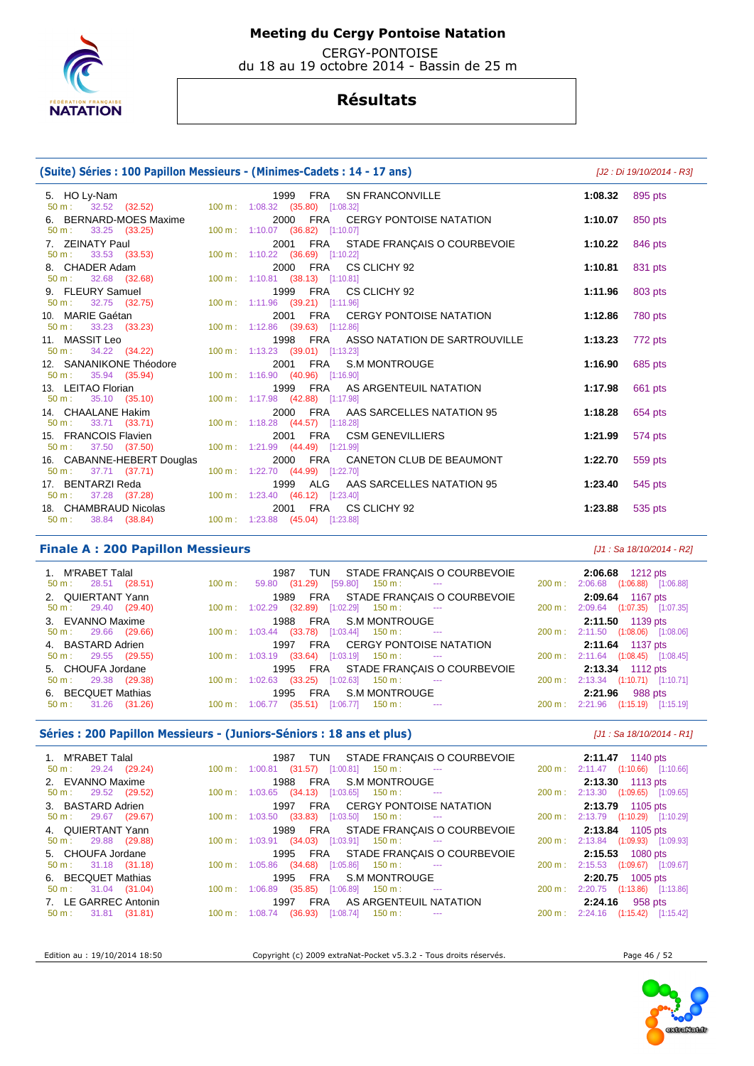

 CERGY-PONTOISE du 18 au 19 octobre 2014 - Bassin de 25 m

## **Résultats**

### **(Suite) Séries : 100 Papillon Messieurs - (Minimes-Cadets : 14 - 17 ans)** [J2 : Di 19/10/2014 - R3]

5. HO Ly-Nam **1999 FRA SN FRANCONVILLE** 1:08.32 895 pts<br>
50 m : 32.52 (32.52) 100 m : 1:08.32 (35.80) [1:08.32] 50 m : 32.52 (32.52) 100 m : 1:08.32 (35.80) [1:08.32] 6. BERNARD-MOES Maxime 2000 FRA CERGY PONTOISE NATATION **1:10.07** 850 pts 50 m : 33.25 (33.25) 100 m : 1:10.07 (36.82) [1:10.07] 7. ZEINATY Paul **2001 FRA STADE FRANÇAIS O COURBEVOIE** 1:10.22 846 pts<br>
50 m : 33.53 (33.53) 100 m : 1:10.22 (36.69) [1:10.22] 50 m : 33.53 (33.53) 100 m : 1:10.22 (36.69) [1:10.22] 8. CHADER Adam 2000 FRA CS CLICHY 92 **1:10.81** 831 pts 50 m : 32.68 (32.68) 100 m : 1:10.81 (38.13) [1:10.81] 9. FLEURY Samuel 1999 FRA CS CLICHY 92 **1:11.96** 803 pts 50 m : 32.75 (32.75) 100 m : 1:11.96 (39.21) [1:11.96] 10. MARIE Gaétan 2001 FRA CERGY PONTOISE NATATION **1:12.86** 780 pts 50 m : 33.23 (33.23) 100 m : 1:12.86 (39.63) [1:12.86] 11. MASSIT Leo 1998 FRA ASSO NATATION DE SARTROUVILLE **1:13.23** 772 pts 50 m : 34.22 (34.22) 100 m : 1:13.23 (39.01) [1:13.23]<br>12. SANANIKONE Théodore 2001 FRA S.I 12. SANANIKONE Théodore 2001 FRA S.M MONTROUGE **1:16.90** 685 pts 50 m : 35.94 (35.94) 100 m : 1:16.90 (40.96) [1:16.90] 13. LEITAO Florian 1999 FRA AS ARGENTEUIL NATATION **1:17.98** 661 pts 50 m : 35.10 (35.10) 100 m : 1:17.98 (42.88) [1:17.98] 14. CHAALANE Hakim 2000 FRA AAS SARCELLES NATATION 95 **1:18.28** 654 pts 50 m : 33.71 (33.71) 100 m : 1:18.28 (44.57) [1:18.28] 15. FRANCOIS Flavien 2001 FRA CSM GENEVILLIERS **1:21.99** 574 pts 50 m : 37.50 (37.50) 100 m : 1:21.99 (44.49) [1:21.99] 16. CABANNE-HEBERT Douglas 2000 FRA CANETON CLUB DE BEAUMONT **1:22.70** 559 pts 50 m : 37.71 (37.71) 100 m : 1:22.70 (44.99) [1:22.70] 17. BENTARZI Reda 1999 ALG AAS SARCELLES NATATION 95 **1:23.40** 545 pts 50 m : 37.28 (37.28) 100 m : 1:23.40 (46.12) [1:23.40] 18. CHAMBRAUD Nicolas 2001 FRA CS CLICHY 92 **1:23.88** 535 pts 50 m : 38.84 (38.84) 100 m : 1:23.88 (45.04) [1:23.88]

### **Finale A : 200 Papillon Messieurs** [J1 : Sa 18/10/2014 - R2]

| 1. M'RABET Talal              | 1987 TUN STADE FRANÇAIS O COURBEVOIE 2:06.68 1212 pts                                 |                                    |
|-------------------------------|---------------------------------------------------------------------------------------|------------------------------------|
| $50 \text{ m}: 28.51 (28.51)$ | $100 \text{ m}: 59.80 \text{ (31.29)} [59.80] 150 \text{ m}: 100 \text{ m}$           | 200 m: 2:06.68 (1:06.88) [1:06.88] |
| 2. QUIERTANT Yann             | 1989 FRA STADE FRANÇAIS O COURBEVOIE                                                  | 2:09.64 1167 pts                   |
| $50 \text{ m}: 29.40 (29.40)$ | $100 \text{ m}: \quad 1:02.29$ $(32.89)$ $[1:02.29]$ $150 \text{ m}:$ ---             | 200 m: 2:09.64 (1:07.35) [1:07.35] |
| 3. EVANNO Maxime              | 1988 FRA S.M.MONTROUGE<br>100 m: 1:03.44 (33.78) [1:03.44] 150 m:  ---          200 m | 2:11.50 1139 pts                   |
| $50 \text{ m}: 29.66 (29.66)$ |                                                                                       | 200 m: 2:11.50 (1:08.06) [1:08.06] |
|                               |                                                                                       |                                    |
| 4. BASTARD Adrien             | 1997 FRA CERGY PONTOISE NATATION                                                      | 2:11.64 1137 pts                   |
| $50 \text{ m}: 29.55 (29.55)$ | $100 \text{ m}: 1:03.19$ $(33.64)$ $[1:03.19]$ $150 \text{ m}:$ ---                   | 200 m: 2:11.64 (1:08.45) [1:08.45] |
| 5. CHOUFA Jordane             | 1995 FRA STADE FRANÇAIS O COURBEVOIE                                                  | 2:13.34 1112 pts                   |
| $50 \text{ m}: 29.38 (29.38)$ | $100 \text{ m}: 1:02.63$ (33.25) $[1:02.63]$ 150 m : --                               | 200 m: 2:13.34 (1:10.71) [1:10.71] |
| 6. BECQUET Mathias            | 1995 FRA S.M MONTROUGE                                                                | 2:21.96 988 pts                    |

### **Séries : 200 Papillon Messieurs - (Juniors-Séniors : 18 ans et plus)** [J1 : Sa 18/10/2014 - R1]

| 1. M'RABET Talal<br>$50 \text{ m}: 29.24 (29.24)$ | 1987 TUN STADE FRANÇAIS O COURBEVOIE<br>$100 \text{ m}: 1:00.81$ (31.57) [1:00.81] 150 m : ---                                                                                                                                                                                                                                       | <b>2.11.47</b> 1140 pts<br>200 m: 2:11.47 (1:10.66) [1:10.66] |
|---------------------------------------------------|--------------------------------------------------------------------------------------------------------------------------------------------------------------------------------------------------------------------------------------------------------------------------------------------------------------------------------------|---------------------------------------------------------------|
| 2. EVANNO Maxime                                  | 1988 FRA S.M MONTROUGE                                                                                                                                                                                                                                                                                                               | 2:13.30 1113 pts                                              |
| $50 \text{ m}: 29.52 (29.52)$                     | $100 \text{ m}: 1:03.65$ $(34.13)$ $[1:03.65]$ $150 \text{ m}: 1:100 \text{ m}: 1:000 \text{ m}: 1:000 \text{ m}: 1:000 \text{ m}: 1:000 \text{ m}: 1:000 \text{ m}: 1:000 \text{ m}: 1:000 \text{ m}: 1:000 \text{ m}: 1:000 \text{ m}: 1:000 \text{ m}: 1:000 \text{ m}: 1:000 \text{ m}: 1:000 \text{ m}: 1:000 \text{ m}: 1:000$ | 200 m: 2:13.30 (1:09.65) [1:09.65]                            |
| 3. BASTARD Adrien                                 | 1997 FRA CERGY PONTOISE NATATION                                                                                                                                                                                                                                                                                                     | 2:13.79 1105 pts                                              |
| $50 \text{ m}: 29.67 (29.67)$                     | $100 \text{ m}$ : $1:03.50$ (33.83) [1:03.50] 150 m : ---                                                                                                                                                                                                                                                                            | 200 m: 2:13.79 (1:10.29) [1:10.29]                            |
| 4. QUIERTANT Yann                                 | 1989 FRA STADE FRANÇAIS O COURBEVOIE                                                                                                                                                                                                                                                                                                 | <b>2:13.84</b> 1105 pts                                       |
| $50 \text{ m}: 29.88 (29.88)$                     | $100 \text{ m}: 1:03.91$ $(34.03)$ $[1:03.91]$ $150 \text{ m}: 1:03.91$                                                                                                                                                                                                                                                              | 200 m: 2:13.84 (1:09.93) [1:09.93]                            |
| 5. CHOUFA Jordane                                 | 1995 FRA STADE FRANÇAIS O COURBEVOIE                                                                                                                                                                                                                                                                                                 | <b>2:15.53</b> 1080 pts                                       |
| $50 \text{ m}: 31.18 (31.18)$                     | $100 \text{ m}$ : $1:05.86$ (34.68) [1:05.86] 150 m : ---                                                                                                                                                                                                                                                                            | 200 m: 2:15.53 (1:09.67) [1:09.67]                            |
| 6. BECQUET Mathias                                | 1995 FRA S.M MONTROUGE                                                                                                                                                                                                                                                                                                               | $2:20.75$ 1005 pts                                            |
| $50 \text{ m}: 31.04 (31.04)$                     | $100 \text{ m}: 1:06.89$ $(35.85)$ $[1:06.89]$ $150 \text{ m}:$ ---                                                                                                                                                                                                                                                                  | 200 m: 2:20.75 (1:13.86) [1:13.86]                            |
| 7. LE GARREC Antonin                              | 1997 FRA AS ARGENTEUIL NATATION                                                                                                                                                                                                                                                                                                      | 2:24.16 958 pts                                               |
| $50 \text{ m}: 31.81 (31.81)$                     | $100 \text{ m}$ : $1:08.74$ (36.93) [1:08.74] 150 m : ---                                                                                                                                                                                                                                                                            | 200 m: 2:24.16 (1:15.42) [1:15.42]                            |

Edition au : 19/10/2014 18:50 Copyright (c) 2009 extraNat-Pocket v5.3.2 - Tous droits réservés. Page 46 / 52



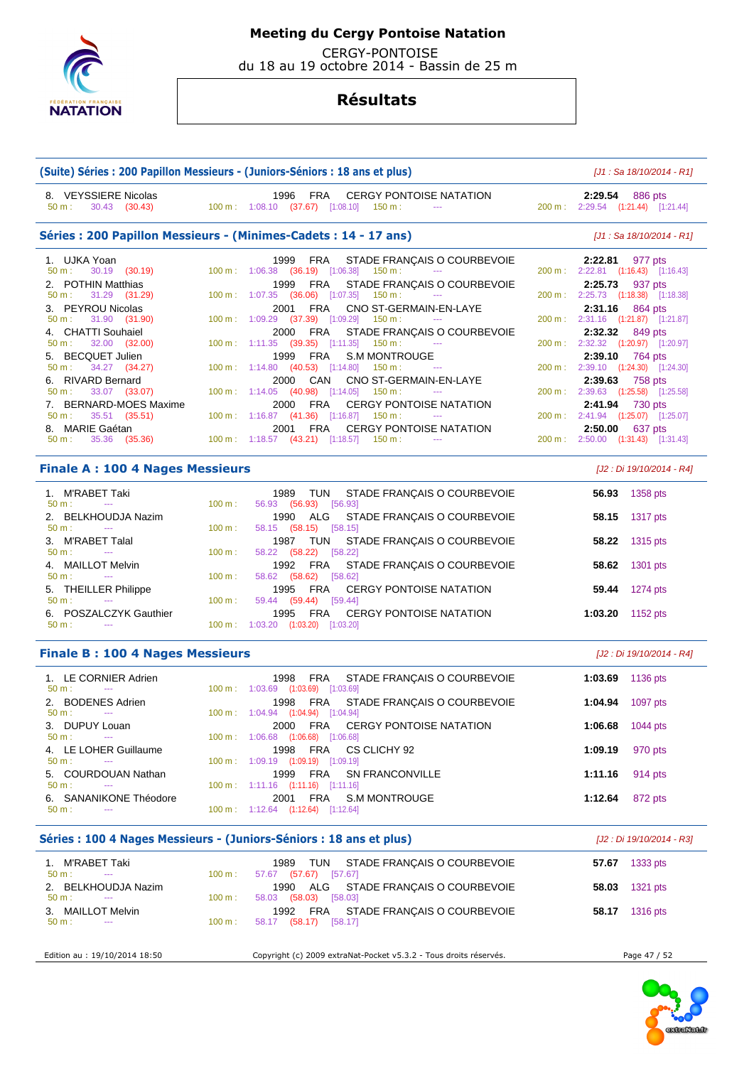

CERGY-PONTOISE

du 18 au 19 octobre 2014 - Bassin de 25 m

|                                                          | (Suite) Séries : 200 Papillon Messieurs - (Juniors-Séniors : 18 ans et plus)                   |         | [J1 : Sa 18/10/2014 - R1]                             |
|----------------------------------------------------------|------------------------------------------------------------------------------------------------|---------|-------------------------------------------------------|
| 8. VEYSSIERE Nicolas<br>$50 m$ :<br>30.43 (30.43)        | FRA<br><b>CERGY PONTOISE NATATION</b><br>1996<br>100 m: 1:08.10 (37.67) [1:08.10] 150 m:       |         | 2:29.54 886 pts<br>200 m: 2:29.54 (1:21.44) [1:21.44] |
|                                                          | Séries: 200 Papillon Messieurs - (Minimes-Cadets: 14 - 17 ans)                                 |         | [J1 : Sa 18/10/2014 - R1]                             |
| 1. UJKA Yoan                                             | 1999<br>FRA<br>STADE FRANÇAIS O COURBEVOIE                                                     | 2:22.81 | 977 pts                                               |
| 30.19 (30.19)<br>50 m:                                   | 100 m: 1:06.38 (36.19) [1:06.38]<br>150 m :<br>$\sim$ $\sim$                                   | 2:25.73 | 200 m : 2:22.81 (1:16.43) [1:16.43]                   |
| 2. POTHIN Matthias<br>31.29 (31.29)<br>$50 m$ :          | FRA<br>STADE FRANÇAIS O COURBEVOIE<br>1999<br>100 m: 1:07.35 (36.06) [1:07.35]<br>150 m :      |         | 937 pts<br>200 m: 2:25.73 (1:18.38) [1:18.38]         |
| 3. PEYROU Nicolas                                        | FRA<br>CNO ST-GERMAIN-EN-LAYE<br>2001                                                          | 2:31.16 | 864 pts                                               |
| 31.90 (31.90)<br>50 m:                                   | 100 m: 1:09.29 (37.39) [1:09.29]<br>150 m :<br>$\cdots$                                        |         | 200 m : 2:31.16 (1:21.87) [1:21.87]                   |
| 4. CHATTI Souhaiel                                       | FRA<br>2000<br>STADE FRANÇAIS O COURBEVOIE                                                     | 2:32.32 | 849 pts                                               |
| 32.00 (32.00)<br>50 m:                                   | $100 \text{ m}: 1:11.35$ (39.35) [1:11.35]<br>150 m :                                          |         | 200 m: 2:32.32 (1:20.97) [1:20.97]                    |
| 5. BECQUET Julien                                        | FRA<br><b>S.M MONTROUGE</b><br>1999                                                            | 2:39.10 | 764 pts                                               |
| 34.27 (34.27)<br>50 m:                                   | 100 m: 1:14.80 (40.53) [1:14.80]<br>150 m :                                                    |         | 200 m: 2:39.10 (1:24.30) [1:24.30]                    |
| 6. RIVARD Bernard<br>33.07 (33.07)<br>50 m:              | CNO ST-GERMAIN-EN-LAYE<br>2000<br>CAN<br>$100 \text{ m}: 1:14.05$ (40.98) [1:14.05]<br>150 m : | 2:39.63 | 758 pts<br>200 m: 2:39.63 (1:25.58) [1:25.58]         |
| 7. BERNARD-MOES Maxime                                   | <b>CERGY PONTOISE NATATION</b><br>2000<br>FRA                                                  | 2:41.94 | 730 pts                                               |
| 35.51 (35.51)<br>50 m:                                   | 100 m: 1:16.87 (41.36) [1:16.87]<br>150 m :<br>$\sim$ $\sim$ $\sim$                            |         | 200 m: 2:41.94 (1:25.07) [1:25.07]                    |
| 8. MARIE Gaétan                                          | <b>FRA</b><br><b>CERGY PONTOISE NATATION</b><br>2001                                           | 2:50.00 | 637 pts                                               |
| 35.36 (35.36)<br>50 m:                                   | 100 m: 1:18.57 (43.21) [1:18.57]<br>$150 \text{ m}$ :                                          |         | 200 m: 2:50.00 (1:31.43) [1:31.43]                    |
| <b>Finale A: 100 4 Nages Messieurs</b>                   |                                                                                                |         | [J2 : Di 19/10/2014 - R4]                             |
| 1. M'RABET Taki                                          | 1989<br><b>TUN</b><br>STADE FRANÇAIS O COURBEVOIE                                              | 56.93   | 1358 pts                                              |
| $50 m$ :<br>$\sim$<br>2. BELKHOUDJA Nazim                | 100 m:<br>56.93 (56.93) [56.93]<br>ALG<br>1990<br>STADE FRANÇAIS O COURBEVOIE                  | 58.15   | 1317 pts                                              |
| 50 m:<br>$\sim$<br>3. M'RABET Talal                      | 100 m:<br>58.15 (58.15) [58.15]<br>1987<br>TUN<br>STADE FRANÇAIS O COURBEVOIE                  | 58.22   | 1315 pts                                              |
| 50 m:<br>$\sim$ $\sim$                                   | 58.22 (58.22) [58.22]<br>100 m:                                                                |         |                                                       |
| 4. MAILLOT Melvin<br>50 m:<br>$\scriptstyle\cdots$       | <b>FRA</b><br>1992<br>STADE FRANÇAIS O COURBEVOIE<br>100 m:<br>$[58.62]$<br>58.62 (58.62)      | 58.62   | 1301 pts                                              |
| <b>THEILLER Philippe</b><br>5.<br>50 m:<br>$\sim$ $\sim$ | FRA<br><b>CERGY PONTOISE NATATION</b><br>1995<br>100 m:<br>59.44 (59.44)<br>[59.44]            | 59.44   | 1274 pts                                              |
| 6. POSZALCZYK Gauthier<br>$\sim$ $\sim$                  | 1995<br>FRA<br><b>CERGY PONTOISE NATATION</b>                                                  | 1:03.20 | 1152 pts                                              |
| $50 m$ :                                                 | 100 m: 1:03.20 (1:03.20) [1:03.20]                                                             |         |                                                       |
| <b>Finale B: 100 4 Nages Messieurs</b>                   |                                                                                                |         | [J2 : Di 19/10/2014 - R4]                             |
| 1. LE CORNIER Adrien<br>$50 m$ :<br>$\sim$ $\sim$        | 1998<br><b>FRA</b><br>STADE FRANÇAIS O COURBEVOIE<br>100 m : 1:03.69 (1:03.69) [1:03.69]       | 1:03.69 | 1136 pts                                              |
| 2. BODENES Adrien<br>$50 m$ :<br>$\cdots$                | FRA<br>STADE FRANÇAIS O COURBEVOIE<br>1998<br>100 m: 1:04.94 (1:04.94) [1:04.94]               | 1:04.94 | 1097 pts                                              |
| 3. DUPUY Louan<br>$50 m$ :<br>$\hspace{0.05cm} \ldots$   | 2000 FRA<br><b>CERGY PONTOISE NATATION</b><br>100 m: 1:06.68 (1:06.68) [1:06.68]               | 1:06.68 | 1044 pts                                              |
| 4. LE LOHER Guillaume                                    | FRA<br>1998<br>CS CLICHY 92                                                                    | 1:09.19 | 970 pts                                               |
| 50 m:<br>5. COURDOUAN Nathan                             | 100 m: 1:09.19 (1:09.19) [1:09.19]<br>FRA<br>1999<br><b>SN FRANCONVILLE</b>                    | 1:11.16 | 914 pts                                               |
| 50 m:<br>$  \sim$                                        | 100 m: 1:11.16 (1:11.16) [1:11.16]<br><b>FRA</b><br><b>S.M MONTROUGE</b><br>2001               |         | 872 pts                                               |
| 6. SANANIKONE Théodore<br>50 m:                          | 100 m: 1:12.64 (1:12.64) [1:12.64]                                                             | 1:12.64 |                                                       |
|                                                          | Séries : 100 4 Nages Messieurs - (Juniors-Séniors : 18 ans et plus)                            |         | [J2 : Di 19/10/2014 - R3]                             |
| 1. M'RABET Taki                                          | TUN<br>1989<br>STADE FRANÇAIS O COURBEVOIE                                                     |         | 57.67 1333 pts                                        |
| 50 m:<br>---<br>2. BELKHOUDJA Nazim                      | 100 m:<br>57.67 (57.67) [57.67]<br>ALG<br>1990<br>STADE FRANÇAIS O COURBEVOIE                  | 58.03   | 1321 pts                                              |
| 50 m:<br>3. MAILLOT Melvin                               | 100 m:<br>58.03 (58.03) [58.03]<br>FRA<br>1992<br>STADE FRANÇAIS O COURBEVOIE                  | 58.17   | 1316 pts                                              |
| 50 m:<br>$-$                                             | 58.17 (58.17) [58.17]<br>100 m:                                                                |         |                                                       |
| Edition au : 19/10/2014 18:50                            | Copyright (c) 2009 extraNat-Pocket v5.3.2 - Tous droits réservés.                              |         | Page 47 / 52                                          |

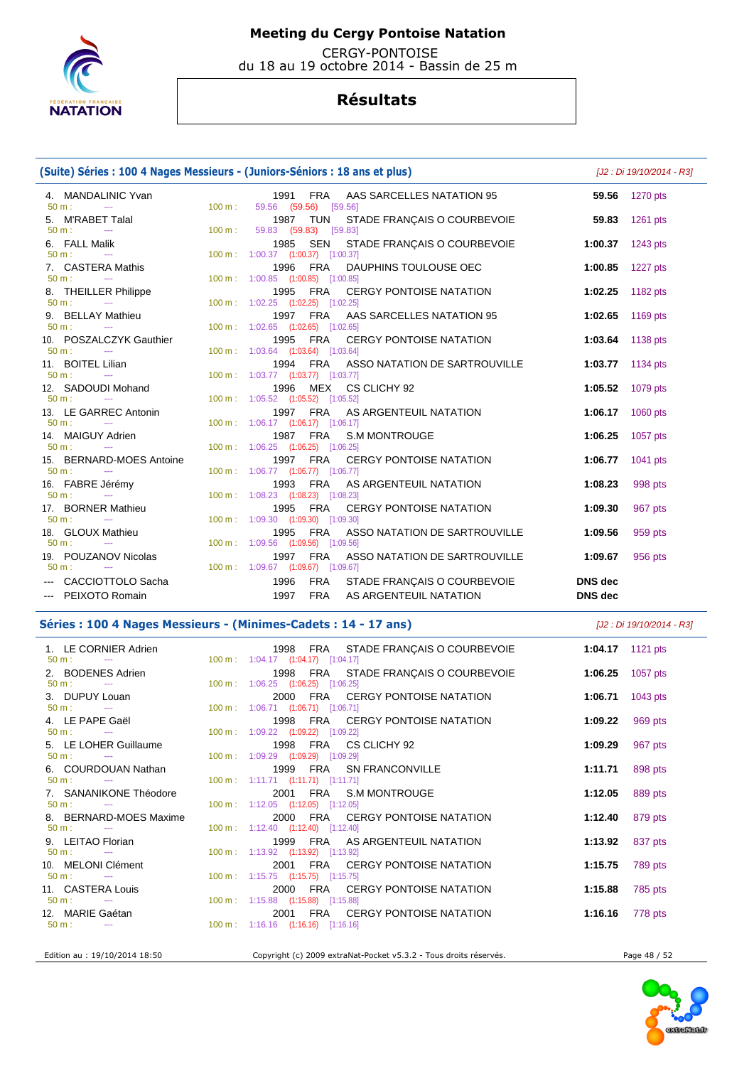

 CERGY-PONTOISE du 18 au 19 octobre 2014 - Bassin de 25 m

# **Résultats**

### **(Suite) Séries : 100 4 Nages Messieurs - (Juniors-Séniors : 18 ans et plus)** [J2 : Di 19/10/2014 - R3] 4. MANDALINIC Yvan 1991 FRA AAS SARCELLES NATATION 95 **59.56** 1270 pts 59.56 (59.56) 5. M'RABET Talal 1987 TUN STADE FRANÇAIS O COURBEVOIE **59.83** 1261 pts 59.83 (59.83) [59.83] 6. FALL Malik 1985 SEN STADE FRANÇAIS O COURBEVOIE **1:00.37** 1243 pts 50 m : --- 100 m : 1:00.37 (1:00.37) [1:00.37] 7. CASTERA Mathis 1996 FRA DAUPHINS TOULOUSE OEC **1:00.85** 1227 pts 50 m : --- 100 m : 1:00.85 (1:00.85) [1:00.85] 8. THEILLER Philippe **1995** FRA CERGY PONTOISE NATATION **1:02.25 1182 pts**  $1:02.25$   $(1:02.25)$   $[1:02.25]$  9. BELLAY Mathieu 1997 FRA AAS SARCELLES NATATION 95 **1:02.65** 1169 pts 50 m : --- 100 m : 1:02.65 (1:02.65) [1:02.65] 10. POSZALCZYK Gauthier 1995 FRA CERGY PONTOISE NATATION **1:03.64** 1138 pts 1:03.64 (1:03.64) [1:03.64] 11. BOITEL Lilian 1994 FRA ASSO NATATION DE SARTROUVILLE **1:03.77** 1134 pts 50 m : --- 100 m : 1:03.77 (1:03.77) [1:03.77] 12. SADOUDI Mohand 1996 MEX CS CLICHY 92 **1:05.52** 1079 pts 50 m : --- 100 m : 1:05.52 (1:05.52) [1:05.52] 13. LE GARREC Antonin 1997 FRA AS ARGENTEUIL NATATION **1:06.17** 1060 pts 1:06.17 (1:06.17) [1:06.17] 14. MAIGUY Adrien 1987 FRA S.M MONTROUGE **1:06.25** 1057 pts 1:06.25 (1:06.25) [1:06.25] 15. BERNARD-MOES Antoine **1997 FRA CERGY PONTOISE NATATION 1:06.77** 1041 pts **50 m** : **1:06.77 1041** pts 50 m : --- 100 m : 1:06.77 (1:06.77) [1:06.77] 16. FABRE Jérémy 1993 FRA AS ARGENTEUIL NATATION **1:08.23** 998 pts 50 m : --- 100 m : 1:08.23 (1:08.23) [1:08.23] 17. BORNER Mathieu 1995 FRA CERGY PONTOISE NATATION **1:09.30** 967 pts 1:09.30 (1:09.30) [1:09.30] 18. GLOUX Mathieu 1995 FRA ASSO NATATION DE SARTROUVILLE **1:09.56** 959 pts 50 m : --- 100 m : 1:09.56 (1:09.56) [1:09.56] 19. POUZANOV Nicolas 1997 FRA ASSO NATATION DE SARTROUVILLE **1:09.67** 956 pts 50 m : --- 100 m : 1:09.67 (1:09.67) [1:09.67] --- CACCIOTTOLO Sacha 1996 FRA STADE FRANÇAIS O COURBEVOIE **DNS dec**  --- PEIXOTO Romain 1997 FRA AS ARGENTEUIL NATATION **DNS dec**

### **Séries : 100 4 Nages Messieurs - (Minimes-Cadets : 14 - 17 ans)** [J2 : Di 19/10/2014 - R3]

1. LE CORNIER Adrien 1998 FRA STADE FRANÇAIS O COURBEVOIE **1:04.17 1121** pts<br>  $\frac{50 \text{ m}}{2}$  **1:04.17 1121** pts 1:04.17 (1:04.17) [1:04.17] 2. BODENES Adrien 1998 FRA STADE FRANÇAIS O COURBEVOIE 1:06.25 **1057** pts 50 m : --- 100 m : 1:06.25 (1:06.25) [1:06.25] 3. DUPUY Louan 2000 FRA CERGY PONTOISE NATATION **1:06.71** 1043 pts 50 m : --- 100 m : 1:06.71 (1:06.71) [1:06.71] 4. LE PAPE Gaël 1998 FRA CERGY PONTOISE NATATION **1:09.22** 969 pts 1:09.22 (1:09.22) [1:09.22] 5. LE LOHER Guillaume 1998 FRA CS CLICHY 92 **1:09.29** 967 pts 50 m : --- 100 m : 1:09.29 (1:09.29) [1:09.29] 6. COURDOUAN Nathan 1999 FRA SN FRANCONVILLE **1:11.71** 898 pts 50 m : --- 100 m : 1:11.71 (1:11.71) [1:11.71] 7. SANANIKONE Théodore 2001 FRA S.M MONTROUGE **1:12.05** 889 pts 50 m : --- 100 m : 1:12.05 (1:12.05) [1:12.05] 8. BERNARD-MOES Maxime 2000 FRA CERGY PONTOISE NATATION **1:12.40** 879 pts 50 m : --- 100 m : 1:12.40 (1:12.40) [1:12.40] 9. LEITAO Florian 1999 FRA AS ARGENTEUIL NATATION **1:13.92** 837 pts 1:13.92 (1:13.92) [1:13.92] 10. MELONI Clément 2001 FRA CERGY PONTOISE NATATION **1:15.75** 789 pts 50 m : --- 100 m : 1:15.75 (1:15.75) [1:15.75] 11. CASTERA Louis 2000 FRA CERGY PONTOISE NATATION **1:15.88** 785 pts 50 m : --- 100 m : 1:15.88 (1:15.88) [1:15.88] 12. MARIE Gaétan 2001 FRA CERGY PONTOISE NATATION **1:16.16** 778 pts 1:16.16 (1:16.16) [1:16.16]

Edition au : 19/10/2014 18:50 Copyright (c) 2009 extraNat-Pocket v5.3.2 - Tous droits réservés. Page 48 / 52

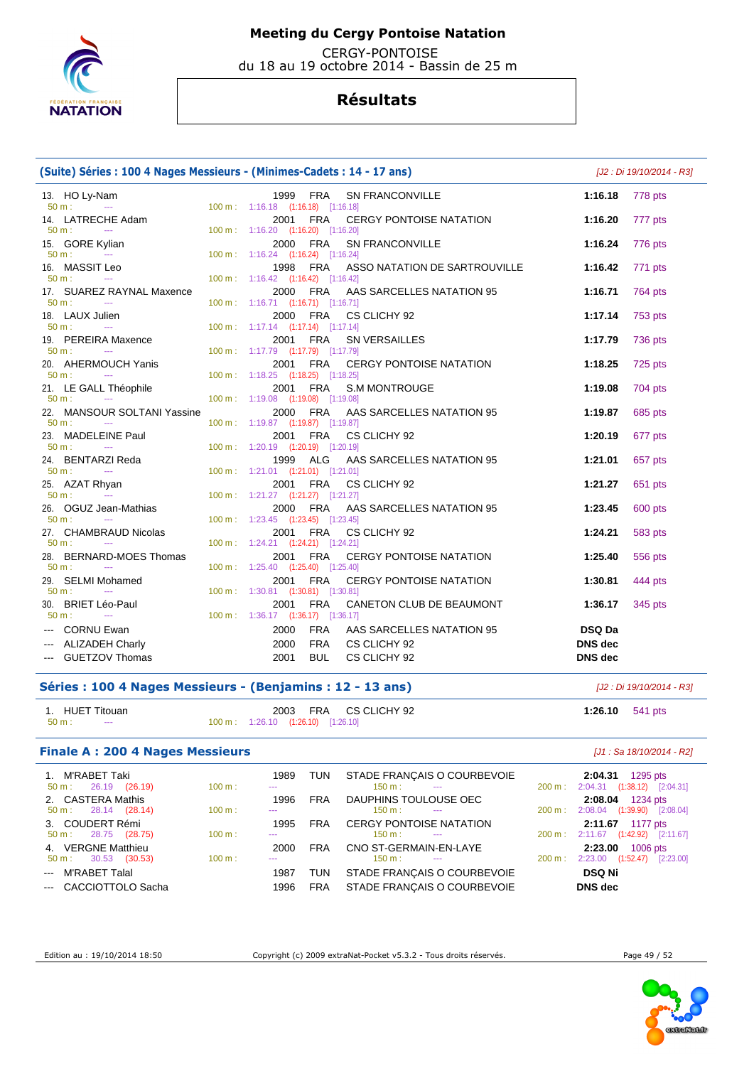

 CERGY-PONTOISE du 18 au 19 octobre 2014 - Bassin de 25 m

## **Résultats**

| (Suite) Séries : 100 4 Nages Messieurs - (Minimes-Cadets : 14 - 17 ans) |                                                                                            | [J2 : Di 19/10/2014 - R3]       |         |
|-------------------------------------------------------------------------|--------------------------------------------------------------------------------------------|---------------------------------|---------|
| 13. HO Ly-Nam<br>$50 m$ :<br><b>Contract Contract</b>                   | 1999 FRA<br><b>SN FRANCONVILLE</b><br>100 m: 1:16.18 (1:16.18) [1:16.18]                   | 1:16.18                         | 778 pts |
| 14. LATRECHE Adam<br>50 m:<br>$\sim 10^{11}$ and $\sim 10^{11}$         | FRA<br>2001<br><b>CERGY PONTOISE NATATION</b><br>100 m: 1:16.20 (1:16.20) [1:16.20]        | 1:16.20                         | 777 pts |
| 15. GORE Kylian<br>$50 m$ :<br><b>State State</b>                       | 2000 FRA<br><b>SN FRANCONVILLE</b><br>100 m: 1:16.24 (1:16.24) [1:16.24]                   | 1:16.24                         | 776 pts |
| 16. MASSIT Leo<br>$50 m$ :<br>$\sim 100$                                | 1998 FRA<br>ASSO NATATION DE SARTROUVILLE<br>100 m: 1:16.42 (1:16.42) [1:16.42]            | 1:16.42                         | 771 pts |
| 17. SUAREZ RAYNAL Maxence<br>$50 m$ :<br><b>Contract Contract</b>       | 2000 FRA<br>AAS SARCELLES NATATION 95<br>100 m: 1:16.71 (1:16.71) [1:16.71]                | 1:16.71                         | 764 pts |
| 18. LAUX Julien<br>$50 m$ :<br>$\sim$                                   | 2000<br>FRA<br>CS CLICHY 92<br>100 m: 1:17.14 (1:17.14) [1:17.14]                          | 1:17.14                         | 753 pts |
| 19. PEREIRA Maxence<br>$50 m$ :<br>$\sim 100$ mass $^{-1}$              | 2001 FRA<br><b>SN VERSAILLES</b><br>100 m: 1:17.79 (1:17.79) [1:17.79]                     | 1:17.79                         | 736 pts |
| 20. AHERMOUCH Yanis<br>$50 m$ :<br><b>State State</b>                   | <b>FRA</b><br><b>CERGY PONTOISE NATATION</b><br>2001<br>100 m: 1:18.25 (1:18.25) [1:18.25] | 1:18.25                         | 725 pts |
| 21. LE GALL Théophile<br>$50 m$ :<br>$\sim$                             | 2001 FRA<br><b>S.M MONTROUGE</b><br>100 m: 1:19.08 (1:19.08) [1:19.08]                     | 1:19.08                         | 704 pts |
| 22. MANSOUR SOLTANI Yassine<br>$50 m$ :<br><b>Contract</b>              | FRA<br>AAS SARCELLES NATATION 95<br>2000<br>100 m: 1:19.87 (1:19.87) [1:19.87]             | 1:19.87                         | 685 pts |
| 23. MADELEINE Paul<br>$50 m$ :<br>$\sim$ $\sim$                         | 2001 FRA<br>CS CLICHY 92<br>100 m: 1:20.19 (1:20.19) [1:20.19]                             | 1:20.19                         | 677 pts |
| 24. BENTARZI Reda<br>50 m:<br>$\sim$                                    | AAS SARCELLES NATATION 95<br>1999<br>ALG<br>100 m: 1:21.01 (1:21.01) [1:21.01]             | 1:21.01                         | 657 pts |
| 25. AZAT Rhyan<br>$50 \text{ m}$ :<br><b>Contract Contract</b>          | 2001 FRA<br>CS CLICHY 92<br>100 m: 1:21.27 (1:21.27) [1:21.27]                             | 1:21.27                         | 651 pts |
| 26. OGUZ Jean-Mathias<br>$50 m$ :<br><b>State State</b>                 | 2000 FRA<br>AAS SARCELLES NATATION 95<br>100 m: 1:23.45 (1:23.45) [1:23.45]                | 1:23.45                         | 600 pts |
| 27. CHAMBRAUD Nicolas<br>$50 m$ :<br><b>Contract Contract</b>           | 2001<br><b>FRA</b><br>CS CLICHY 92<br>100 m: 1:24.21 (1:24.21) [1:24.21]                   | 1:24.21                         | 583 pts |
| 28. BERNARD-MOES Thomas<br>50 m:<br><b>Continued</b>                    | 2001 FRA<br>CERGY PONTOISE NATATION<br>100 m: 1:25.40 (1:25.40) [1:25.40]                  | 1:25.40                         | 556 pts |
| 29. SELMI Mohamed<br>50 m:<br>$\sim 100$ and $\sim 100$                 | <b>FRA</b><br><b>CERGY PONTOISE NATATION</b><br>2001<br>100 m: 1:30.81 (1:30.81) [1:30.81] | 1:30.81                         | 444 pts |
| 30. BRIET Léo-Paul<br>50 m:<br>$\sim$ $\sim$                            | 2001<br><b>FRA</b><br>CANETON CLUB DE BEAUMONT<br>100 m: 1:36.17 (1:36.17) [1:36.17]       | 1:36.17                         | 345 pts |
| --- CORNU Ewan<br>--- ALIZADEH Charly                                   | 2000<br><b>FRA</b><br>AAS SARCELLES NATATION 95<br><b>FRA</b><br>2000<br>CS CLICHY 92      | <b>DSQ Da</b><br><b>DNS</b> dec |         |
| --- GUETZOV Thomas                                                      | <b>BUL</b><br>2001<br>CS CLICHY 92                                                         | <b>DNS</b> dec                  |         |

## **Séries : 100 4 Nages Messieurs - (Benjamins : 12 - 13 ans)** [J2 : Di 19/10/2014 - R3]

| 1. HUET Titouan         | 2003 FRA CS CLICHY 92              | 1:26.10 $541 \text{ pts}$ |
|-------------------------|------------------------------------|---------------------------|
| 50 m :<br>$\sim$ $\sim$ | 100 m: 1:26.10 (1:26.10) [1:26.10] |                           |

## **Finale A : 200 4 Nages Messieurs Example 200 4 Nages Messieurs Example 2014 Example 2014 EXAMPLE 200 4 Nages Messieurs**

| 1. M'RABET Taki<br>$50 \text{ m}: 26.19 (26.19)$ | 100 m: | 1989<br>$\cdots$     | <b>TUN</b> | STADE FRANÇAIS O COURBEVOIE<br>$150 \text{ m}$ : $-$ | $200 \text{ m}$ : | 1295 pts<br>2:04.31<br>$(1:38.12)$ [2:04.31]<br>2:04.31 |
|--------------------------------------------------|--------|----------------------|------------|------------------------------------------------------|-------------------|---------------------------------------------------------|
| 2. CASTERA Mathis                                |        | 1996                 | <b>FRA</b> | DAUPHINS TOULOUSE OEC                                |                   | 2:08.04 1234 pts                                        |
| $50 \text{ m}: 28.14 (28.14)$                    | 100 m: | $\cdots$             |            | 150 m :<br>$\sim$ $\sim$                             | $200 \text{ m}$ : | $(1:39.90)$ $[2:08.04]$<br>2:08.04                      |
| 3. COUDERT Rémi                                  |        | 1995                 | <b>FRA</b> | <b>CERGY PONTOISE NATATION</b>                       |                   | 2:11.67 1177 pts                                        |
| $50 \text{ m}: 28.75 (28.75)$                    | 100 m: | $\cdots$             |            | $150 \text{ m}$ :<br>$\sim$ $\sim$                   |                   | $(1:42.92)$ $[2:11.67]$<br>200 m: 2:11.67               |
| 4. VERGNE Matthieu                               |        | 2000                 | <b>FRA</b> | CNO ST-GERMAIN-EN-LAYE                               |                   | 2:23.00<br>1006 pts                                     |
| 30.53 (30.53)<br>50 m :                          | 100 m: | $\sim$ $\sim$ $\sim$ |            | 150 m :<br>$\sim$ $\sim$                             | $200 \text{ m}$ : | $2:23.00$ $(1:52.47)$ $[2:23.00]$                       |
| --- M'RABET Talal                                |        | 1987                 | TUN        | STADE FRANÇAIS O COURBEVOIE                          |                   | <b>DSQ Ni</b>                                           |
| --- CACCIOTTOLO Sacha                            |        | 1996                 | <b>FRA</b> | STADE FRANCAIS O COURBEVOIE                          |                   | DNS dec                                                 |

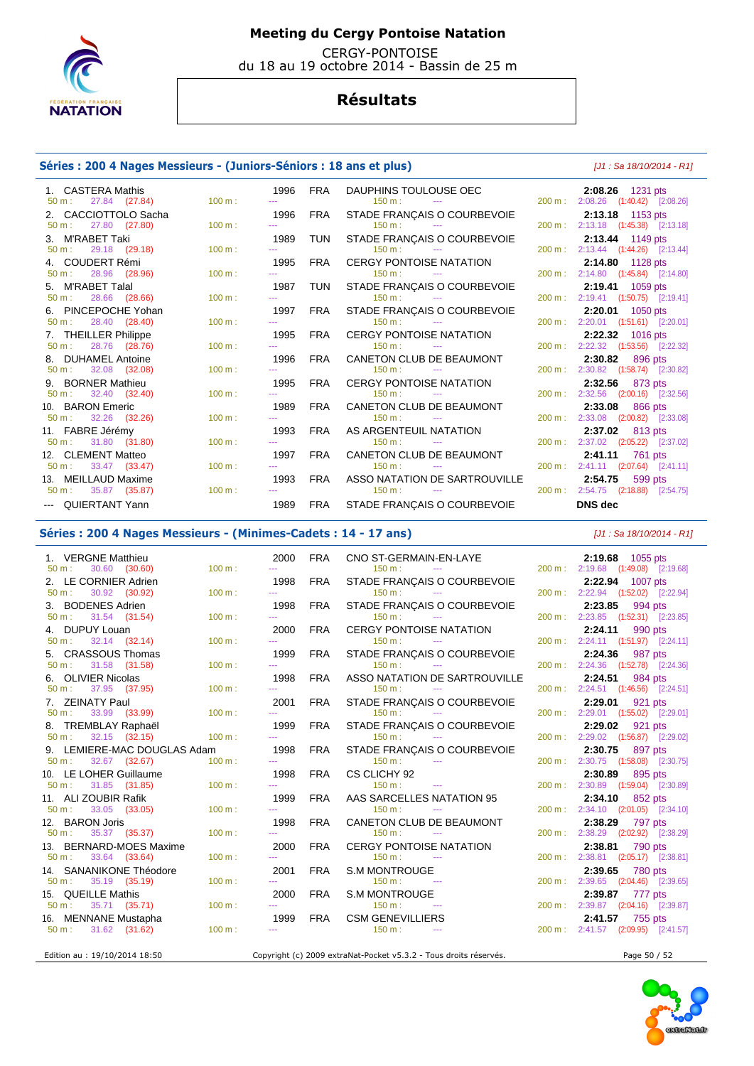

 CERGY-PONTOISE du 18 au 19 octobre 2014 - Bassin de 25 m

## **Résultats**

### **Séries : 200 4 Nages Messieurs - (Juniors-Séniors : 18 ans et plus)** [J1 : Sa 18/10/2014 - R1]

| 1. CASTERA Mathis                 |           | 1996                                                                                           | FRA        | DAUPHINS TOULOUSE OEC 200 m :<br>150 m : 150 m : 150 m : 150 m : 200 m : |           | 2:08.26 1231 pts                    |
|-----------------------------------|-----------|------------------------------------------------------------------------------------------------|------------|--------------------------------------------------------------------------|-----------|-------------------------------------|
| 27.84 (27.84)<br>$50 \text{ m}$ : | 100 m:    |                                                                                                |            |                                                                          |           | 200 m: 2:08.26 (1:40.42) [2:08.26]  |
| 2. CACCIOTTOLO Sacha              |           | 1996                                                                                           | FRA        | STADE FRANÇAIS O COURBEVOIE                                              |           | 2:13.18 1153 pts                    |
| 27.80 (27.80)<br>$50 \text{ m}$ : | 100 m:    |                                                                                                |            | $150 \text{ m}$ :<br>the contract of the contract of the contract of     |           | 200 m: 2:13.18 (1:45.38) [2:13.18]  |
| 3. M'RABET Taki                   |           | 1989                                                                                           | TUN        | STADE FRANÇAIS O COURBEVOIE                                              |           | 2:13.44 1149 pts                    |
| 29.18 (29.18)<br>$50 m$ :         | 100 m:    |                                                                                                |            | $150 \text{ m}$ : $-$                                                    |           | 200 m: 2:13.44 (1:44.26) [2:13.44]  |
| 4. COUDERT Rémi                   |           | 1995                                                                                           | FRA        | CERGY PONTOISE NATATION                                                  |           | 2:14.80 1128 pts                    |
| 28.96 (28.96)<br>$50 \text{ m}$ : | 100 m:    | ---                                                                                            |            | $150 \text{ m}$ :<br><b>Service State</b>                                |           | 200 m: 2:14.80 (1:45.84) [2:14.80]  |
| 5. M'RABET Talal                  |           | 1987                                                                                           | TUN        | STADE FRANÇAIS O COURBEVOIE                                              |           | 2:19.41 1059 pts                    |
| 28.66 (28.66)<br>$50 m$ :         | 100 m:    | $\cdots$                                                                                       |            | $150 \text{ m}$ : $-$                                                    |           | 200 m: 2:19.41 (1:50.75) [2:19.41]  |
| 6. PINCEPOCHE Yohan               |           | 1997                                                                                           | FRA        | STADE FRANÇAIS O COURBEVOIE                                              |           | 2:20.01 1050 pts                    |
| 28.40 (28.40)<br>$50 m$ :         | 100 m:    |                                                                                                |            | $150 \text{ m}$ :<br>the company of the company of                       |           | 200 m: 2:20.01 (1:51.61) [2:20.01]  |
| 7. THEILLER Philippe              |           | 1995                                                                                           | FRA        | CERGY PONTOISE NATATION                                                  |           | 2:22.32 1016 pts                    |
| 28.76 (28.76)<br>$50 m$ :         | 100 m:    |                                                                                                |            | 150 m:<br><b>State College</b>                                           |           | 200 m: 2:22.32 (1:53.56) [2:22.32]  |
| 8. DUHAMEL Antoine                |           | 1996                                                                                           | FRA        | CANETON CLUB DE BEAUMONT                                                 |           | 2:30.82 896 pts                     |
| 32.08 (32.08)<br>$50 \text{ m}$ : | 100 m:    | $\frac{1}{2} \left( \frac{1}{2} \right) \left( \frac{1}{2} \right) \left( \frac{1}{2} \right)$ |            | 150 m:<br><b>State State</b>                                             | $200 m$ : | 2:30.82 (1:58.74) [2:30.82]         |
| 9. BORNER Mathieu                 |           | 1995                                                                                           | FRA        | CERGY PONTOISE NATATION                                                  |           | 2:32.56 873 pts                     |
| 32.40 (32.40)<br>$50 m$ :         | 100 m:    | $-1$                                                                                           |            | $150 \text{ m}$ : $-$                                                    |           | 200 m: 2:32.56 (2:00.16) [2:32.56]  |
| 10. BARON Emeric                  |           | 1989                                                                                           | FRA        | CANETON CLUB DE BEAUMONT                                                 |           | 2:33.08 866 pts                     |
| 32.26 (32.26)<br>$50 m$ :         | 100 m:    |                                                                                                |            | 150 m:<br><b>State State</b>                                             |           | 200 m: 2:33.08 (2:00.82) [2:33.08]  |
| 11. FABRE Jérémy                  |           | 1993                                                                                           | <b>FRA</b> | AS ARGENTEUIL NATATION                                                   |           | 2:37.02 813 pts                     |
| $50 \text{ m}: 31.80 (31.80)$     | $100 m$ : |                                                                                                |            |                                                                          |           | 200 m: 2:37.02 (2:05.22) [2:37.02]  |
| 12. CLEMENT Matteo                |           | 1997                                                                                           | <b>FRA</b> | CANETON CLUB DE BEAUMONT                                                 |           | 2:41.11 761 pts                     |
| 33.47 (33.47)<br>50 m:            | $100 m$ : | $\cdots$                                                                                       |            | 150 m:<br><b>State State</b>                                             |           | 200 m : 2:41.11 (2:07.64) [2:41.11] |
| 13. MEILLAUD Maxime               |           | 1993                                                                                           | FRA        | ASSO NATATION DE SARTROUVILLE                                            |           | 2:54.75 599 pts                     |
| 50 m: 35.87 (35.87)               | 100 m:    |                                                                                                |            | $150 \text{ m}$ : $-$                                                    |           | 200 m: 2:54.75 (2:18.88) [2:54.75]  |
| --- QUIERTANT Yann                |           | 1989                                                                                           |            | FRA STADE FRANÇAIS O COURBEVOIE                                          |           | DNS dec                             |

### **Séries : 200 4 Nages Messieurs - (Minimes-Cadets : 14 - 17 ans)** [J1 : Sa 18/10/2014 - R1]

| 1. VERGNE Matthieu                |        | 2000                             | <b>FRA</b> | CNO ST-GERMAIN-EN-LAYE                                            |                   | 2:19.68 1055 pts                   |
|-----------------------------------|--------|----------------------------------|------------|-------------------------------------------------------------------|-------------------|------------------------------------|
| $50 \text{ m}$ :<br>30.60 (30.60) | 100 m: | ---                              |            | $150 \text{ m}$ :<br>the contract of the contract of the          |                   | 200 m: 2:19.68 (1:49.08) [2:19.68] |
| 2. LE CORNIER Adrien              |        | 1998                             | FRA        | STADE FRANÇAIS O COURBEVOIE                                       |                   | 2:22.94 1007 pts                   |
| 30.92 (30.92)<br>$50 m$ :         | 100 m: | ---                              |            | $150 \text{ m}$ :                                                 |                   | 200 m: 2:22.94 (1:52.02) [2:22.94] |
| 3. BODENES Adrien                 |        | 1998                             | <b>FRA</b> | STADE FRANÇAIS O COURBEVOIE                                       |                   | 2:23.85<br>994 pts                 |
| 31.54 (31.54)<br>50 m:            | 100 m: | <b></b>                          |            | 150 m:<br><b>Contract Contract</b>                                |                   | 200 m: 2:23.85 (1:52.31) [2:23.85] |
| 4. DUPUY Louan                    |        | 2000                             | <b>FRA</b> | <b>CERGY PONTOISE NATATION</b>                                    |                   | 2:24.11<br>990 pts                 |
| 32.14 (32.14)<br>50 m:            | 100 m: | 444                              |            | 150 m :<br><b>State State</b>                                     |                   | 200 m: 2:24.11 (1:51.97) [2:24.11] |
| 5. CRASSOUS Thomas                |        | 1999                             | <b>FRA</b> | STADE FRANÇAIS O COURBEVOIE                                       |                   | 2:24.36 987 pts                    |
| 31.58 (31.58)<br>$50 \text{ m}$ : | 100 m: | ---                              |            | $150 \text{ m}$ :<br><b>Contract Contract</b>                     | $200 \text{ m}$ : | 2:24.36 (1:52.78) [2:24.36]        |
| 6. OLIVIER Nicolas                |        | 1998                             | <b>FRA</b> | ASSO NATATION DE SARTROUVILLE                                     |                   | 2:24.51<br>984 pts                 |
| 50 m:<br>37.95 (37.95)            | 100 m: | <b></b>                          |            | 150 m:<br><b>Contract Contract</b>                                |                   | 200 m: 2:24.51 (1:46.56) [2:24.51] |
| 7. ZEINATY Paul                   |        | 2001                             | FRA        | STADE FRANÇAIS O COURBEVOIE                                       |                   | 2:29.01<br>921 pts                 |
| 33.99 (33.99)<br>$50 m$ :         | 100 m: | ---                              |            | 150 m:                                                            |                   | 200 m: 2:29.01 (1:55.02) [2:29.01] |
| 8. TREMBLAY Raphaël               |        | 1999                             | FRA        | STADE FRANÇAIS O COURBEVOIE                                       |                   | 2:29.02 921 pts                    |
| 32.15 (32.15)<br>$50 m$ :         | 100 m: | <b>September</b>                 |            | $150 \text{ m}$ : $-$                                             |                   | 200 m: 2:29.02 (1:56.87) [2:29.02] |
| 9. LEMIERE-MAC DOUGLAS Adam       |        | 1998                             | <b>FRA</b> | STADE FRANÇAIS O COURBEVOIE                                       |                   | 2:30.75 897 pts                    |
| 32.67 (32.67)<br>50 m:            | 100 m: | 444                              |            | $150 \text{ m}$ : $-$                                             | 200 m:            | 2:30.75 (1:58.08) [2:30.75]        |
| 10. LE LOHER Guillaume            |        | 1998                             | <b>FRA</b> | CS CLICHY 92                                                      |                   | 2:30.89 895 pts                    |
| 50 m:<br>31.85 (31.85)            | 100 m: | 444                              |            | $150 \text{ m}$ : $-$                                             | 200 m:            | 2:30.89 (1:59.04) [2:30.89]        |
| 11. ALI ZOUBIR Rafik              |        | 1999                             | <b>FRA</b> | AAS SARCELLES NATATION 95                                         |                   | 2:34.10 852 pts                    |
| 33.05 (33.05)<br>$50 m$ :         | 100 m: | ---                              |            | $150 m$ :<br>$  -$                                                |                   | 200 m: 2:34.10 (2:01.05) [2:34.10] |
| 12. BARON Joris                   |        | 1998                             | <b>FRA</b> | CANETON CLUB DE BEAUMONT                                          |                   | 2:38.29<br>797 pts                 |
| 35.37 (35.37)<br>50 m:            | 100 m: | ---                              |            | $150 \text{ m}$ :<br><b>Contract Contract</b>                     | 200 m:            | 2:38.29 (2:02.92) [2:38.29]        |
| 13. BERNARD-MOES Maxime           |        | 2000                             | <b>FRA</b> | <b>CERGY PONTOISE NATATION</b>                                    |                   | 2:38.81<br>790 pts                 |
| 33.64 (33.64)<br>50 m:            | 100 m: | <b>Search</b>                    |            | 150 m:<br>$\sim 100$ and $\sim 100$                               |                   | 200 m: 2:38.81 (2:05.17) [2:38.81] |
| 14. SANANIKONE Théodore           |        | 2001                             | <b>FRA</b> | S.M MONTROUGE                                                     |                   | 2:39.65<br>780 pts                 |
| 35.19 (35.19)<br>50 m:            | 100 m: | ---                              |            | $150 \text{ m}$ :<br>$\sim 100$ mass $^{-1}$                      | 200 m:            | 2:39.65 (2:04.46) [2:39.65]        |
| 15. QUEILLE Mathis                |        | 2000                             | <b>FRA</b> | <b>S.M MONTROUGE</b>                                              |                   | 2:39.87 777 pts                    |
| $50 \text{ m}: 35.71 (35.71)$     | 100 m: | <b><i><u>ALL COMMENT</u></i></b> |            | 150 m:<br>$\sim$                                                  |                   | 200 m: 2:39.87 (2:04.16) [2:39.87] |
| 16. MENNANE Mustapha              |        | 1999                             | <b>FRA</b> | <b>CSM GENEVILLIERS</b>                                           |                   | 2:41.57 755 pts                    |
| 31.62 (31.62)<br>$50 m$ :         | 100 m: | 444                              |            | $150 \text{ m}$ :                                                 |                   | 200 m: 2:41.57 (2:09.95) [2:41.57] |
|                                   |        |                                  |            |                                                                   |                   |                                    |
| Edition au : 19/10/2014 18:50     |        |                                  |            | Copyright (c) 2009 extraNat-Pocket v5.3.2 - Tous droits réservés. |                   | Page 50 / 52                       |



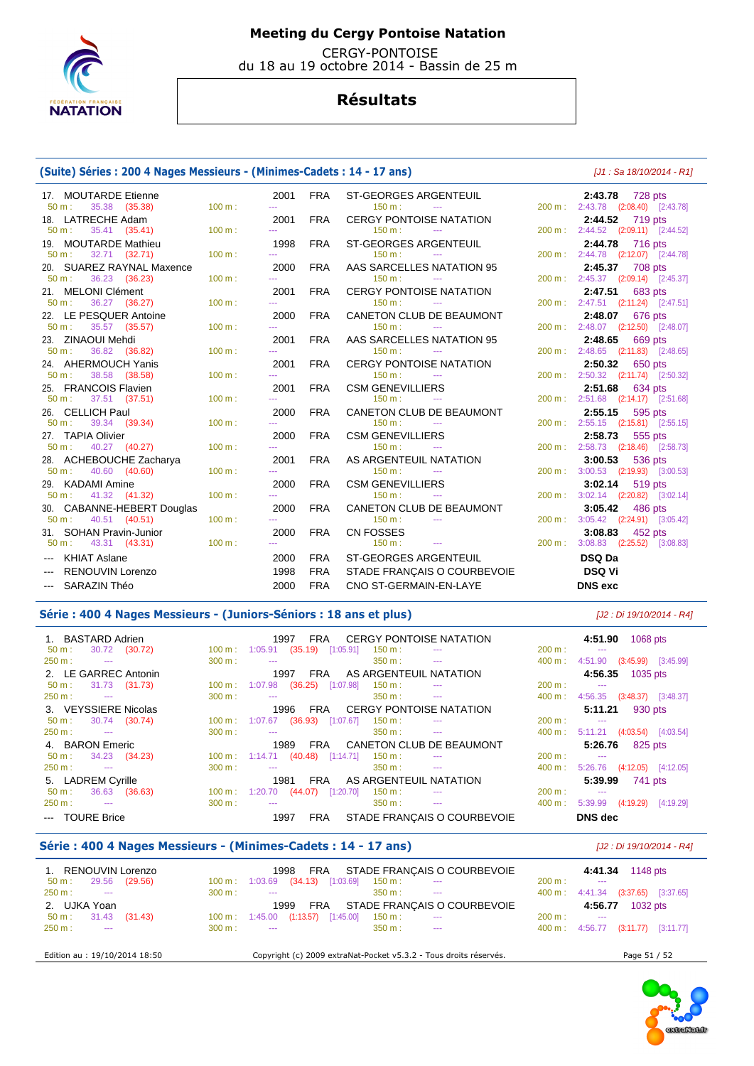

 CERGY-PONTOISE du 18 au 19 octobre 2014 - Bassin de 25 m

## **Résultats**

### **(Suite) Séries : 200 4 Nages Messieurs - (Minimes-Cadets : 14 - 17 ans)** [J1 : Sa 18/10/2014 - R1]

| 17. MOUTARDE Etienne<br>$50 m$ :<br>35.38 (35.38) | 100 m: | 2001<br>444                                                                                    | <b>FRA</b> | ST-GEORGES ARGENTEUIL<br>150 m:<br><b>State State</b>           |        | 2:43.78<br>728 pts<br>200 m: 2:43.78 (2:08.40) [2:43.78] |
|---------------------------------------------------|--------|------------------------------------------------------------------------------------------------|------------|-----------------------------------------------------------------|--------|----------------------------------------------------------|
| 18. LATRECHE Adam                                 |        | 2001                                                                                           | <b>FRA</b> | <b>CERGY PONTOISE NATATION</b>                                  |        | 2:44.52 719 pts                                          |
| 35.41 (35.41)<br>$50 m$ :                         | 100 m: | 444                                                                                            |            | $150 \text{ m}$ :<br><b><i><u>Participate</u></i></b>           |        | 200 m: 2:44.52 (2:09.11) [2:44.52]                       |
| 19. MOUTARDE Mathieu                              |        | 1998                                                                                           | <b>FRA</b> | <b>ST-GEORGES ARGENTEUIL</b>                                    |        | 2:44.78 716 pts                                          |
| 50 m:<br>32.71 (32.71)                            | 100 m: | $\frac{1}{2} \left( \frac{1}{2} \right) \left( \frac{1}{2} \right) \left( \frac{1}{2} \right)$ |            | 150 m:<br>$\sim$ $-$                                            | 200 m: | 2:44.78 (2:12.07) [2:44.78]                              |
| 20. SUAREZ RAYNAL Maxence                         |        | 2000                                                                                           | <b>FRA</b> | AAS SARCELLES NATATION 95                                       |        | 2:45.37 708 pts                                          |
| 36.23 (36.23)<br>50 m:                            | 100 m: | <b></b>                                                                                        |            | 150 m:                                                          |        | 200 m: 2:45.37 (2:09.14) [2:45.37]                       |
| 21. MELONI Clément                                |        | 2001                                                                                           | <b>FRA</b> | <b>CERGY PONTOISE NATATION</b>                                  |        | 2:47.51<br>683 pts                                       |
| $50 m$ :<br>36.27 (36.27)                         | 100 m: | ---                                                                                            |            | $150 m$ :<br>$\cdots$                                           |        | 200 m: 2:47.51 (2:11.24) [2:47.51]                       |
| 22. LE PESQUER Antoine                            | 100 m: | 2000<br><b></b>                                                                                | <b>FRA</b> | CANETON CLUB DE BEAUMONT<br>$150 m$ :<br><b>Continued State</b> |        | 2:48.07<br>676 pts                                       |
| 35.57 (35.57)<br>$50 \text{ m}$ :                 |        |                                                                                                |            |                                                                 |        | 200 m: 2:48.07 (2:12.50) [2:48.07]                       |
| 23. ZINAOUI Mehdi<br>36.82 (36.82)<br>$50 m$ :    | 100 m: | 2001<br>444                                                                                    | <b>FRA</b> | AAS SARCELLES NATATION 95<br>150 m:<br><b>State State</b>       |        | 2:48.65 669 pts<br>200 m: 2:48.65 (2:11.83) [2:48.65]    |
| 24. AHERMOUCH Yanis                               |        | 2001                                                                                           | <b>FRA</b> | <b>CERGY PONTOISE NATATION</b>                                  |        | 2:50.32 650 pts                                          |
| $50 m$ :<br>38.58 (38.58)                         | 100 m: | $\frac{1}{2} \left( \frac{1}{2} \right) \left( \frac{1}{2} \right) \left( \frac{1}{2} \right)$ |            | $150 m$ :<br><b>Service</b>                                     | 200 m: | 2:50.32 (2:11.74) [2:50.32]                              |
| 25. FRANCOIS Flavien                              |        | 2001                                                                                           | <b>FRA</b> | <b>CSM GENEVILLIERS</b>                                         |        | 2:51.68 634 pts                                          |
| $50 m$ :<br>37.51 (37.51)                         | 100 m: | 222                                                                                            |            | 150 m:<br><b>State State</b>                                    | 200 m: | 2:51.68 (2:14.17) [2:51.68]                              |
| 26. CELLICH Paul                                  |        | 2000                                                                                           | <b>FRA</b> | CANETON CLUB DE BEAUMONT                                        |        | 2:55.15<br>595 pts                                       |
| 39.34 (39.34)<br>$50 m$ :                         | 100 m: | ---                                                                                            |            | $150 m$ :<br>$\sim$ $\sim$                                      |        | 200 m: 2:55.15 (2:15.81) [2:55.15]                       |
| 27. TAPIA Olivier                                 |        | 2000                                                                                           | <b>FRA</b> | <b>CSM GENEVILLIERS</b>                                         |        | 2:58.73<br>555 pts                                       |
| 40.27 (40.27)<br>50 m:                            | 100 m: | $\frac{1}{2} \left( \frac{1}{2} \right) \left( \frac{1}{2} \right) \left( \frac{1}{2} \right)$ |            | 150 m:<br>$\sim$ 1000 $\mu$                                     | 200 m: | 2:58.73 (2:18.46) [2:58.73]                              |
| 28. ACHEBOUCHE Zacharya                           |        | 2001                                                                                           | <b>FRA</b> | AS ARGENTEUIL NATATION                                          |        | 3:00.53 536 pts                                          |
| 40.60 (40.60)<br>$50 \text{ m}$ :                 | 100 m: | $- - -$                                                                                        |            | 150 m:<br><b>Contract Contract</b>                              |        | 200 m: 3:00.53 (2:19.93) [3:00.53]                       |
| 29. KADAMI Amine                                  |        | 2000                                                                                           | <b>FRA</b> | <b>CSM GENEVILLIERS</b>                                         |        | 3:02.14<br>519 pts                                       |
| 41.32 (41.32)<br>50 m:                            | 100 m: |                                                                                                |            | 150 m:<br><b>Service</b>                                        | 200 m: | 3:02.14 (2:20.82) [3:02.14]                              |
| 30. CABANNE-HEBERT Douglas                        |        | 2000                                                                                           | <b>FRA</b> | CANETON CLUB DE BEAUMONT                                        |        | 3:05.42 486 pts                                          |
| 40.51 (40.51)<br>$50 m$ :                         | 100 m: | <b></b>                                                                                        |            | $150 m$ :<br>$\sim$ $\sim$                                      | 200 m: | $3:05.42$ $(2:24.91)$ $[3:05.42]$                        |
| 31. SOHAN Pravin-Junior                           |        | 2000                                                                                           | <b>FRA</b> | <b>CN FOSSES</b>                                                |        | 3:08.83 452 pts                                          |
| $50 m$ :<br>43.31 (43.31)                         | 100 m: | 222                                                                                            |            | 150 m:<br><b>Contract Contract</b>                              | 200 m: | $3:08.83$ $(2:25.52)$ $[3:08.83]$                        |
| --- KHIAT Aslane                                  |        | 2000                                                                                           | <b>FRA</b> | <b>ST-GEORGES ARGENTEUIL</b>                                    |        | <b>DSQ Da</b>                                            |
| <b>RENOUVIN Lorenzo</b>                           |        | 1998                                                                                           | <b>FRA</b> | STADE FRANÇAIS O COURBEVOIE                                     |        | <b>DSQ Vi</b>                                            |
| <b>SARAZIN Théo</b><br>$\cdots$                   |        | 2000                                                                                           | <b>FRA</b> | CNO ST-GERMAIN-EN-LAYE                                          |        | <b>DNS</b> exc                                           |
|                                                   |        |                                                                                                |            |                                                                 |        |                                                          |

### Série : 400 4 Nages Messieurs - (Juniors-Séniors : 18 ans et plus) *[J2 : Di 19/10/2014 - R4]*

| 1. BASTARD Adrien<br>30.72 (30.72)<br>50 m: |                          | CERGY PONTOISE NATATION<br>1997<br>FRA<br>$100 \text{ m}: 1:05.91$ $(35.19)$ $[1:05.91]$<br>$150 \text{ m}$ : | 4:51.90<br>1068 pts<br>200 m:<br>$\sim$                 |  |  |  |
|---------------------------------------------|--------------------------|---------------------------------------------------------------------------------------------------------------|---------------------------------------------------------|--|--|--|
| 250 m:<br><b>Contract Contract</b>          | 300 m:                   | $350 \text{ m}$ : $\cdots$                                                                                    | $400 \text{ m}$ :<br>4:51.90 (3:45.99) [3:45.99]        |  |  |  |
| 2. LE GARREC Antonin                        |                          | AS ARGENTEUIL NATATION<br>1997<br>FRA                                                                         | 4:56.35 1035 pts                                        |  |  |  |
| 31.73 (31.73)<br>$50 m$ :                   | $100 \text{ m}$ :        | (36.25)<br>1:07.98<br>[1:07.98]<br>150 m:                                                                     | 200 m:<br>$\sim$                                        |  |  |  |
| 250 m:<br><b>Contract Contract</b>          | 300 m:                   | $350 \text{ m}$ : ---<br>$\sim$ $\sim$                                                                        | $400 \text{ m}$ :<br>4:56.35 (3:48.37) [3:48.37]        |  |  |  |
| 3. VEYSSIERE Nicolas                        |                          | <b>CERGY PONTOISE NATATION</b><br>1996<br>FRA                                                                 | 5:11.21<br>930 pts                                      |  |  |  |
| 30.74 (30.74)<br>$50 \text{ m}$ :           | $100 \text{ m}: 1:07.67$ | $(36.93)$ [1:07.67]<br>$150 \text{ m}$ :                                                                      | 200 m:<br>$\sim$                                        |  |  |  |
| $250 \text{ m}$ :<br><b>State College</b>   | 300 m:                   | 350 m :<br>$\sim$ $\sim$ $\sim$<br><b><i><u>Participate</u></i></b>                                           | $400 \text{ m}$ :<br>$5:11.21$ $(4:03.54)$ $[4:03.54]$  |  |  |  |
| 4. BARON Emeric                             |                          | FRA CANETON CLUB DE BEAUMONT<br>1989                                                                          | 5:26.76<br>825 pts                                      |  |  |  |
| 34.23 (34.23)<br>$50 m$ :                   |                          | $100 \text{ m}: 1:14.71$<br>$(40.48)$ [1:14.71]<br>$150 \text{ m}$ :                                          | 200 m:<br>$\sim$                                        |  |  |  |
| $250 \text{ m}$ : $---$                     | 300 m:                   | $350 \text{ m}$ :<br>$\sim$ $\sim$<br><b>Service Contract Contract</b>                                        | $400 \text{ m}$ :<br>$5:26.76$ $(4:12.05)$<br>[4:12.05] |  |  |  |
| 5. LADREM Cyrille                           |                          | AS ARGENTEUIL NATATION<br>1981<br>FRA                                                                         | 5:39.99<br>741 pts                                      |  |  |  |
| 36.63 (36.63)<br>$50 \text{ m}$ :           | $100 \text{ m}$ :        | (44.07)<br>$[1:20.70]$<br>150 m:<br>1:20.70                                                                   | 200 m:<br>$\sim$                                        |  |  |  |
| 250 m:<br><b>Service Contracts</b>          | 300 m:                   | $350 \text{ m}$ :<br>$\sim$ $\sim$ $\sim$<br><b>State College State</b>                                       | $400 \text{ m}$ :<br>5:39.99<br>(4:19.29)<br>[4:19.29]  |  |  |  |
| --- TOURE Brice                             |                          | STADE FRANCAIS O COURBEVOIE<br>FRA<br>1997                                                                    | <b>DNS</b> dec                                          |  |  |  |

### **Série : 400 4 Nages Messieurs - (Minimes-Cadets : 14 - 17 ans)** [J2 : Di 19/10/2014 - R4]

| 1. RENOUVIN Lorenzo               | 1998                                 | FRA                                                               |                                    | STADE FRANÇAIS O COURBEVOIE |                   | 4:41.34             | 1148 pts                    |             |  |
|-----------------------------------|--------------------------------------|-------------------------------------------------------------------|------------------------------------|-----------------------------|-------------------|---------------------|-----------------------------|-------------|--|
| (29.56)<br>29.56<br>$50 m$ :      | $100 \text{ m}: 1:03.69$ (34.13)     | $[1:03.69]$                                                       | $150 \text{ m}$ :<br>$-$           |                             | 200 m:            | $- - -$             |                             |             |  |
| $250 m$ :<br><b>Service</b>       | $300 \text{ m}$ :<br>$\sim$ $\sim$   |                                                                   | 350 m :<br>$\sim$ $\sim$           |                             | 400 m :           |                     | 4:41.34 (3:37.65)           | $[3:37.65]$ |  |
| 2. UJKA Yoan                      |                                      | STADE FRANÇAIS O COURBEVOIE<br>FRA<br>1999                        |                                    |                             |                   | 1032 pts<br>4:56.77 |                             |             |  |
| 31.43 (31.43)<br>$50 \text{ m}$ : | $100 \text{ m}: 1:45.00$ $(1:13.57)$ | [1:45.00]                                                         | $150 \text{ m}$ :<br>$\sim$ $\sim$ |                             | 200 m:            | $\sim$ $\sim$       |                             |             |  |
| $250 \text{ m}$ :<br>----         | $300 \text{ m}$ :<br>$\sim$ $\sim$   |                                                                   | 350 m :<br>$\cdots$                |                             | $400 \text{ m}$ : |                     | 4:56.77 (3:11.77) [3:11.77] |             |  |
| Edition au : 19/10/2014 18:50     |                                      | Copyright (c) 2009 extraNat-Pocket v5.3.2 - Tous droits réservés. |                                    |                             |                   |                     | Page 51 / 52                |             |  |